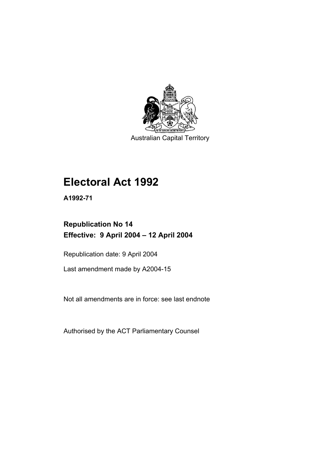

Australian Capital Territory

# **Electoral Act 1992**

**A1992-71** 

### **Republication No 14 Effective: 9 April 2004 – 12 April 2004**

Republication date: 9 April 2004

Last amendment made by A2004-15

Not all amendments are in force: see last endnote

Authorised by the ACT Parliamentary Counsel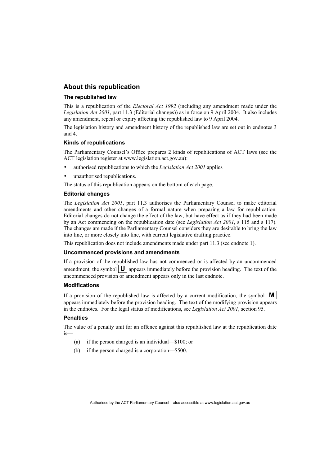#### **About this republication**

#### **The republished law**

This is a republication of the *Electoral Act 1992* (including any amendment made under the *Legislation Act 2001*, part 11.3 (Editorial changes)) as in force on 9 April 2004*.* It also includes any amendment, repeal or expiry affecting the republished law to 9 April 2004.

The legislation history and amendment history of the republished law are set out in endnotes 3 and 4.

#### **Kinds of republications**

The Parliamentary Counsel's Office prepares 2 kinds of republications of ACT laws (see the ACT legislation register at www.legislation.act.gov.au):

- authorised republications to which the *Legislation Act 2001* applies
- unauthorised republications.

The status of this republication appears on the bottom of each page.

#### **Editorial changes**

The *Legislation Act 2001*, part 11.3 authorises the Parliamentary Counsel to make editorial amendments and other changes of a formal nature when preparing a law for republication. Editorial changes do not change the effect of the law, but have effect as if they had been made by an Act commencing on the republication date (see *Legislation Act 2001*, s 115 and s 117). The changes are made if the Parliamentary Counsel considers they are desirable to bring the law into line, or more closely into line, with current legislative drafting practice.

This republication does not include amendments made under part 11.3 (see endnote 1).

#### **Uncommenced provisions and amendments**

If a provision of the republished law has not commenced or is affected by an uncommenced amendment, the symbol  $\mathbf{U}$  appears immediately before the provision heading. The text of the uncommenced provision or amendment appears only in the last endnote.

#### **Modifications**

If a provision of the republished law is affected by a current modification, the symbol  $\mathbf{M}$ appears immediately before the provision heading. The text of the modifying provision appears in the endnotes. For the legal status of modifications, see *Legislation Act 2001*, section 95.

#### **Penalties**

The value of a penalty unit for an offence against this republished law at the republication date is—

- (a) if the person charged is an individual—\$100; or
- (b) if the person charged is a corporation—\$500.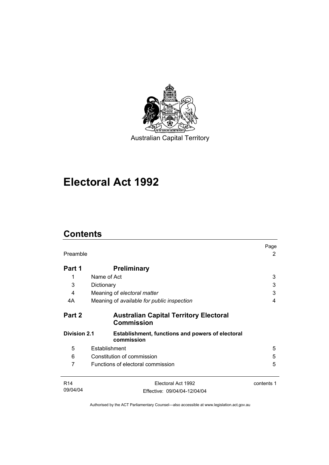

Australian Capital Territory

# **Electoral Act 1992**

### **Contents**

| Preamble                                                                                     |                                                                    | Page<br>2  |
|----------------------------------------------------------------------------------------------|--------------------------------------------------------------------|------------|
| Part 1                                                                                       | <b>Preliminary</b>                                                 |            |
| 1                                                                                            | Name of Act                                                        | 3          |
| 3                                                                                            | Dictionary                                                         | 3          |
| 4                                                                                            | Meaning of electoral matter                                        | 3          |
| 4A                                                                                           | Meaning of available for public inspection                         | 4          |
| Part 2                                                                                       | <b>Australian Capital Territory Electoral</b><br><b>Commission</b> |            |
| <b>Division 2.1</b><br><b>Establishment, functions and powers of electoral</b><br>commission |                                                                    |            |
| 5                                                                                            | Establishment                                                      | 5          |
| 6                                                                                            | Constitution of commission                                         | 5          |
| 7                                                                                            | Functions of electoral commission                                  | 5          |
| R <sub>14</sub>                                                                              | Electoral Act 1992                                                 | contents 1 |
| 09/04/04                                                                                     | Effective: 09/04/04-12/04/04                                       |            |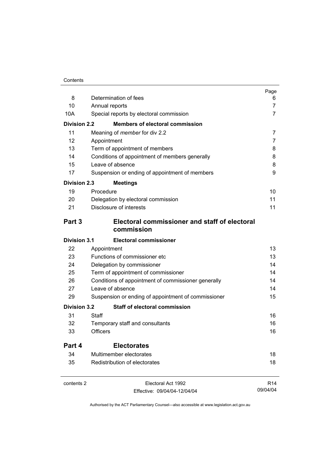| 8            | Determination of fees                                       | Page<br>6       |
|--------------|-------------------------------------------------------------|-----------------|
| 10           | Annual reports                                              | 7               |
| 10A          | Special reports by electoral commission                     | 7               |
| Division 2.2 | <b>Members of electoral commission</b>                      |                 |
|              |                                                             |                 |
| 11<br>12     | Meaning of <i>member</i> for div 2.2                        | 7<br>7          |
| 13           | Appointment<br>Term of appointment of members               | 8               |
| 14           | Conditions of appointment of members generally              | 8               |
| 15           | Leave of absence                                            | 8               |
| 17           | Suspension or ending of appointment of members              | 9               |
| Division 2.3 | <b>Meetings</b>                                             |                 |
| 19           | Procedure                                                   | 10              |
| 20           | Delegation by electoral commission                          | 11              |
| 21           | Disclosure of interests                                     | 11              |
| Part 3       | Electoral commissioner and staff of electoral<br>commission |                 |
| Division 3.1 | <b>Electoral commissioner</b>                               |                 |
| 22           | Appointment                                                 | 13              |
| 23           | Functions of commissioner etc                               | 13              |
| 24           | Delegation by commissioner                                  | 14              |
| 25           | Term of appointment of commissioner                         | 14              |
| 26           | Conditions of appointment of commissioner generally         | 14              |
| 27           | Leave of absence                                            | 14              |
| 29           | Suspension or ending of appointment of commissioner         | 15              |
| Division 3.2 | <b>Staff of electoral commission</b>                        |                 |
| 31           | Staff                                                       | 16              |
| 32           | Temporary staff and consultants                             | 16              |
| 33           | <b>Officers</b>                                             | 16              |
| Part 4       | <b>Electorates</b>                                          |                 |
| 34           | Multimember electorates                                     | 18              |
| 35           | Redistribution of electorates                               | 18              |
| contents 2   | Electoral Act 1992                                          | R <sub>14</sub> |

09/04/04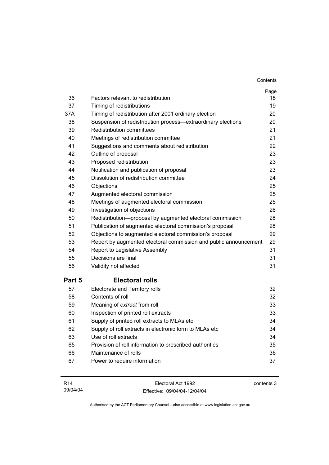| 36     | Factors relevant to redistribution                               | Page<br>18 |
|--------|------------------------------------------------------------------|------------|
| 37     | Timing of redistributions                                        | 19         |
| 37A    | Timing of redistribution after 2001 ordinary election            | 20         |
| 38     | Suspension of redistribution process-extraordinary elections     | 20         |
| 39     | <b>Redistribution committees</b>                                 | 21         |
| 40     | Meetings of redistribution committee                             | 21         |
| 41     | Suggestions and comments about redistribution                    | 22         |
| 42     | Outline of proposal                                              | 23         |
| 43     | Proposed redistribution                                          | 23         |
| 44     | Notification and publication of proposal                         | 23         |
| 45     | Dissolution of redistribution committee                          | 24         |
| 46     | Objections                                                       | 25         |
| 47     | Augmented electoral commission                                   | 25         |
| 48     | Meetings of augmented electoral commission                       | 25         |
| 49     | Investigation of objections                                      | 26         |
| 50     | Redistribution-proposal by augmented electoral commission        | 28         |
| 51     | Publication of augmented electoral commission's proposal         | 28         |
| 52     | Objections to augmented electoral commission's proposal          | 29         |
| 53     | Report by augmented electoral commission and public announcement | 29         |
| 54     | Report to Legislative Assembly                                   | 31         |
| 55     | Decisions are final                                              | 31         |
| 56     | Validity not affected                                            | 31         |
| Part 5 | <b>Electoral rolls</b>                                           |            |
| 57     | Electorate and Territory rolls                                   | 32         |
| 58     | Contents of roll                                                 | 32         |
| 59     | Meaning of extract from roll                                     | 33         |
| 60     | Inspection of printed roll extracts                              | 33         |
| 61     | Supply of printed roll extracts to MLAs etc                      | 34         |
| 62     | Supply of roll extracts in electronic form to MLAs etc           | 34         |
| 63     | Use of roll extracts                                             | 34         |
| 65     | Provision of roll information to prescribed authorities          | 35         |
| 66     | Maintenance of rolls                                             | 36         |
| 67     | Power to require information                                     | 37         |
|        |                                                                  |            |

| R14      | Electoral Act 1992           | contents 3 |
|----------|------------------------------|------------|
| 09/04/04 | Effective: 09/04/04-12/04/04 |            |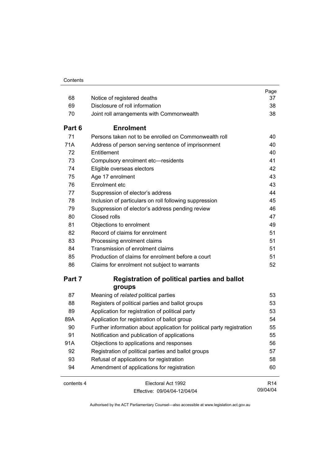| 68         | Notice of registered deaths                                            | Page<br>37      |
|------------|------------------------------------------------------------------------|-----------------|
| 69         | Disclosure of roll information                                         | 38              |
| 70         |                                                                        | 38              |
|            | Joint roll arrangements with Commonwealth                              |                 |
| Part 6     | <b>Enrolment</b>                                                       |                 |
| 71         | Persons taken not to be enrolled on Commonwealth roll                  | 40              |
| 71A        | Address of person serving sentence of imprisonment                     | 40              |
| 72         | Entitlement                                                            | 40              |
| 73         | Compulsory enrolment etc-residents                                     | 41              |
| 74         | Eligible overseas electors                                             | 42              |
| 75         | Age 17 enrolment                                                       | 43              |
| 76         | Enrolment etc                                                          | 43              |
| 77         | Suppression of elector's address                                       | 44              |
| 78         | Inclusion of particulars on roll following suppression                 | 45              |
| 79         | Suppression of elector's address pending review                        | 46              |
| 80         | Closed rolls                                                           | 47              |
| 81         | Objections to enrolment                                                | 49              |
| 82         | Record of claims for enrolment                                         | 51              |
| 83         | Processing enrolment claims                                            | 51              |
| 84         | Transmission of enrolment claims                                       | 51              |
| 85         | Production of claims for enrolment before a court                      | 51              |
| 86         | Claims for enrolment not subject to warrants                           | 52              |
| Part 7     | <b>Registration of political parties and ballot</b>                    |                 |
|            | groups                                                                 |                 |
| 87         | Meaning of related political parties                                   | 53              |
| 88         | Registers of political parties and ballot groups                       | 53              |
| 89         | Application for registration of political party                        | 53              |
| 89A        | Application for registration of ballot group                           | 54              |
| 90         | Further information about application for political party registration | 55              |
| 91         | Notification and publication of applications                           | 55              |
| 91A        | Objections to applications and responses                               | 56              |
| 92         | Registration of political parties and ballot groups                    | 57              |
| 93         | Refusal of applications for registration                               | 58              |
| 94         | Amendment of applications for registration                             | 60              |
| contents 4 | Electoral Act 1992                                                     | R <sub>14</sub> |
|            | Fffective: 09/04/04-12/04/04                                           | 09/04/04        |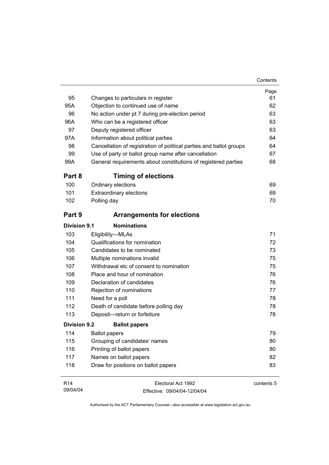| 95                  | Changes to particulars in register                                  | Page<br>61 |
|---------------------|---------------------------------------------------------------------|------------|
| 95A                 | Objection to continued use of name                                  | 62         |
| 96                  | No action under pt 7 during pre-election period                     | 63         |
| 96A                 | Who can be a registered officer                                     | 63         |
| 97                  | Deputy registered officer                                           | 63         |
| 97A                 | Information about political parties                                 | 64         |
| 98                  | Cancellation of registration of political parties and ballot groups | 64         |
| 99                  | Use of party or ballot group name after cancellation                | 67         |
| 99A                 | General requirements about constitutions of registered parties      | 68         |
| Part 8              | <b>Timing of elections</b>                                          |            |
| 100                 | Ordinary elections                                                  | 69         |
| 101                 | <b>Extraordinary elections</b>                                      | 69         |
| 102                 | Polling day                                                         | 70         |
| Part 9              | <b>Arrangements for elections</b>                                   |            |
| Division 9.1        | <b>Nominations</b>                                                  |            |
| 103                 | Eligibility-MLAs                                                    | 71         |
| 104                 | Qualifications for nomination                                       | 72         |
| 105                 | Candidates to be nominated                                          | 73         |
| 106                 | Multiple nominations invalid                                        | 75         |
| 107                 | Withdrawal etc of consent to nomination                             | 75         |
| 108                 | Place and hour of nomination                                        | 76         |
| 109                 | Declaration of candidates                                           | 76         |
| 110                 | Rejection of nominations                                            | 77         |
| 111                 | Need for a poll                                                     | 78         |
| 112                 | Death of candidate before polling day                               | 78         |
| 113                 | Deposit-return or forfeiture                                        | 78         |
| <b>Division 9.2</b> | <b>Ballot papers</b>                                                |            |
| 114                 | <b>Ballot papers</b>                                                | 79         |
| 115                 | Grouping of candidates' names                                       | 80         |
| 116                 | Printing of ballot papers                                           | 80         |
| 117                 | Names on ballot papers                                              | 82         |
| 118                 | Draw for positions on ballot papers                                 | 83         |
| R <sub>14</sub>     | Electoral Act 1992                                                  | contents 5 |

09/04/04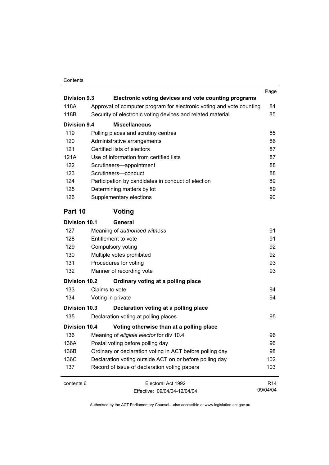#### Contents

| <b>Division 9.3</b>  |                                                                                                                                    | Page            |
|----------------------|------------------------------------------------------------------------------------------------------------------------------------|-----------------|
| 118A                 | Electronic voting devices and vote counting programs                                                                               |                 |
| 118B                 | Approval of computer program for electronic voting and vote counting<br>Security of electronic voting devices and related material | 84<br>85        |
|                      |                                                                                                                                    |                 |
| Division 9.4         | <b>Miscellaneous</b>                                                                                                               |                 |
| 119                  | Polling places and scrutiny centres                                                                                                | 85              |
| 120                  | Administrative arrangements                                                                                                        | 86              |
| 121                  | Certified lists of electors                                                                                                        | 87              |
| 121A                 | Use of information from certified lists                                                                                            | 87              |
| 122                  | Scrutineers-appointment                                                                                                            | 88              |
| 123                  | Scrutineers-conduct                                                                                                                | 88              |
| 124                  | Participation by candidates in conduct of election                                                                                 | 89              |
| 125                  | Determining matters by lot                                                                                                         | 89              |
| 126                  | Supplementary elections                                                                                                            | 90              |
| Part 10              | Voting                                                                                                                             |                 |
| <b>Division 10.1</b> | General                                                                                                                            |                 |
| 127                  | Meaning of authorised witness                                                                                                      | 91              |
| 128                  | Entitlement to vote                                                                                                                | 91              |
| 129                  | Compulsory voting                                                                                                                  | 92              |
| 130                  | Multiple votes prohibited                                                                                                          | 92              |
| 131                  | Procedures for voting                                                                                                              | 93              |
| 132                  | Manner of recording vote                                                                                                           | 93              |
| <b>Division 10.2</b> | Ordinary voting at a polling place                                                                                                 |                 |
| 133                  | Claims to vote                                                                                                                     | 94              |
| 134                  | Voting in private                                                                                                                  | 94              |
| <b>Division 10.3</b> | Declaration voting at a polling place                                                                                              |                 |
| 135                  | Declaration voting at polling places                                                                                               | 95              |
| <b>Division 10.4</b> | Voting otherwise than at a polling place                                                                                           |                 |
| 136                  | Meaning of eligible elector for div 10.4                                                                                           | 96              |
| 136A                 | Postal voting before polling day                                                                                                   | 96              |
| 136B                 | Ordinary or declaration voting in ACT before polling day                                                                           | 98              |
| 136C                 | Declaration voting outside ACT on or before polling day                                                                            | 102             |
| 137                  | Record of issue of declaration voting papers                                                                                       | 103             |
| contents 6           | Electoral Act 1992                                                                                                                 | R <sub>14</sub> |
|                      | Fffective: 09/04/04-12/04/04                                                                                                       | 09/04/04        |

Effective: 09/04/04-12/04/04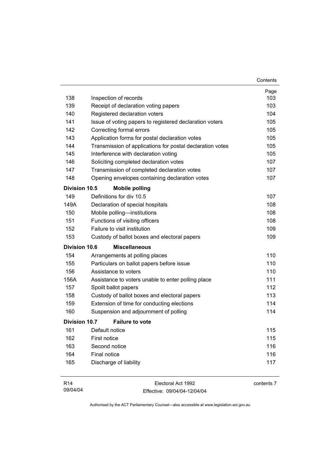|                      |                                                           | Contents |
|----------------------|-----------------------------------------------------------|----------|
|                      |                                                           | Page     |
| 138                  | Inspection of records                                     | 103      |
| 139                  | Receipt of declaration voting papers                      | 103      |
| 140                  | Registered declaration voters                             | 104      |
| 141                  | Issue of voting papers to registered declaration voters   | 105      |
| 142                  | Correcting formal errors                                  | 105      |
| 143                  | Application forms for postal declaration votes            | 105      |
| 144                  | Transmission of applications for postal declaration votes | 105      |
| 145                  | Interference with declaration voting                      | 105      |
| 146                  | Soliciting completed declaration votes                    | 107      |
| 147                  | Transmission of completed declaration votes               | 107      |
| 148                  | Opening envelopes containing declaration votes            | 107      |
| <b>Division 10.5</b> | <b>Mobile polling</b>                                     |          |
| 149                  | Definitions for div 10.5                                  | 107      |
| 149A                 | Declaration of special hospitals                          | 108      |
| 150                  | Mobile polling-institutions                               | 108      |
| 151                  | Functions of visiting officers                            | 108      |
| 152                  | Failure to visit institution                              | 109      |
| 153                  | Custody of ballot boxes and electoral papers              | 109      |
| <b>Division 10.6</b> | <b>Miscellaneous</b>                                      |          |
| 154                  | Arrangements at polling places                            | 110      |
| 155                  | Particulars on ballot papers before issue                 | 110      |
| 156                  | Assistance to voters                                      | 110      |
| 156A                 | Assistance to voters unable to enter polling place        | 111      |
| 157                  | Spoilt ballot papers                                      | 112      |
| 158                  | Custody of ballot boxes and electoral papers              | 113      |
| 159                  | Extension of time for conducting elections                | 114      |
| 160                  | Suspension and adjournment of polling                     | 114      |
| <b>Division 10.7</b> | <b>Failure to vote</b>                                    |          |
| 161                  | Default notice                                            | 115      |
| 162                  | First notice                                              | 115      |
| 163                  | Second notice                                             | 116      |
| 164                  | Final notice                                              | 116      |
| 165                  | Discharge of liability                                    | 117      |
|                      |                                                           |          |

| R14      | Electoral Act 1992           | contents 7 |
|----------|------------------------------|------------|
| 09/04/04 | Effective: 09/04/04-12/04/04 |            |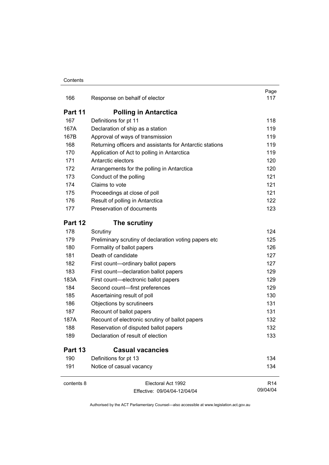| 166        | Response on behalf of elector                            | Page<br>117     |
|------------|----------------------------------------------------------|-----------------|
| Part 11    | <b>Polling in Antarctica</b>                             |                 |
| 167        | Definitions for pt 11                                    | 118             |
| 167A       | Declaration of ship as a station                         | 119             |
| 167B       | Approval of ways of transmission                         | 119             |
| 168        | Returning officers and assistants for Antarctic stations | 119             |
| 170        | Application of Act to polling in Antarctica              | 119             |
| 171        | Antarctic electors                                       | 120             |
| 172        | Arrangements for the polling in Antarctica               | 120             |
| 173        | Conduct of the polling                                   | 121             |
| 174        | Claims to vote                                           | 121             |
| 175        | Proceedings at close of poll                             | 121             |
| 176        | Result of polling in Antarctica                          | 122             |
| 177        | Preservation of documents                                | 123             |
| Part 12    | The scrutiny                                             |                 |
| 178        | Scrutiny                                                 | 124             |
| 179        | Preliminary scrutiny of declaration voting papers etc    | 125             |
| 180        | Formality of ballot papers                               | 126             |
| 181        | Death of candidate                                       | 127             |
| 182        | First count-ordinary ballot papers                       | 127             |
| 183        | First count-declaration ballot papers                    | 129             |
| 183A       | First count-electronic ballot papers                     | 129             |
| 184        | Second count-first preferences                           | 129             |
| 185        | Ascertaining result of poll                              | 130             |
| 186        | Objections by scrutineers                                | 131             |
| 187        | Recount of ballot papers                                 | 131             |
| 187A       | Recount of electronic scrutiny of ballot papers          | 132             |
| 188        | Reservation of disputed ballot papers                    | 132             |
| 189        | Declaration of result of election                        | 133             |
| Part 13    | <b>Casual vacancies</b>                                  |                 |
| 190        | Definitions for pt 13                                    | 134             |
| 191        | Notice of casual vacancy                                 | 134             |
| contents 8 | Electoral Act 1992                                       | R <sub>14</sub> |
|            | Effective: 09/04/04-12/04/04                             | 09/04/04        |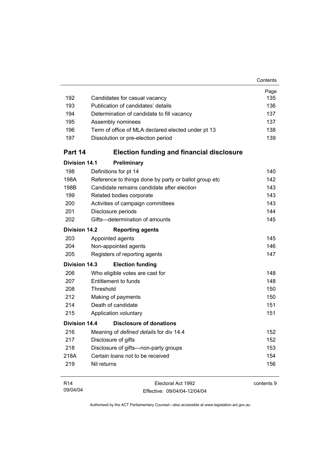| 192                  | Candidates for casual vacancy                         | Page<br>135 |
|----------------------|-------------------------------------------------------|-------------|
| 193                  | Publication of candidates' details                    | 136         |
| 194                  | Determination of candidate to fill vacancy            | 137         |
| 195                  | Assembly nominees                                     | 137         |
| 196                  | Term of office of MLA declared elected under pt 13    | 138         |
| 197                  | Dissolution or pre-election period                    | 139         |
| Part 14              | <b>Election funding and financial disclosure</b>      |             |
| <b>Division 14.1</b> | Preliminary                                           |             |
| 198                  | Definitions for pt 14                                 | 140         |
| 198A                 | Reference to things done by party or ballot group etc | 142         |
| 198B                 | Candidate remains candidate after election            | 143         |
| 199                  | Related bodies corporate                              | 143         |
| 200                  | Activities of campaign committees                     | 143         |
| 201                  | Disclosure periods                                    | 144         |
| 202                  | Gifts-determination of amounts                        | 145         |
| <b>Division 14.2</b> | <b>Reporting agents</b>                               |             |
| 203                  | Appointed agents                                      | 145         |
| 204                  | Non-appointed agents                                  | 146         |
| 205                  | Registers of reporting agents                         | 147         |
| Division 14.3        | <b>Election funding</b>                               |             |
| 206                  | Who eligible votes are cast for                       | 148         |
| 207                  | Entitlement to funds                                  | 148         |
| 208                  | Threshold                                             | 150         |
| 212                  | Making of payments                                    | 150         |
| 214                  | Death of candidate                                    | 151         |
| 215                  | Application voluntary                                 | 151         |
| Division 14.4        | Disclosure of donations                               |             |
| 216                  | Meaning of defined details for div 14.4               | 152         |
| 217                  | Disclosure of gifts                                   | 152         |
| 218                  | Disclosure of gifts-non-party groups                  | 153         |
| 218A                 | Certain loans not to be received                      | 154         |
| 219                  | Nil returns                                           | 156         |
| R <sub>14</sub>      | Electoral Act 1992                                    | contents 9  |

09/04/04

contents 9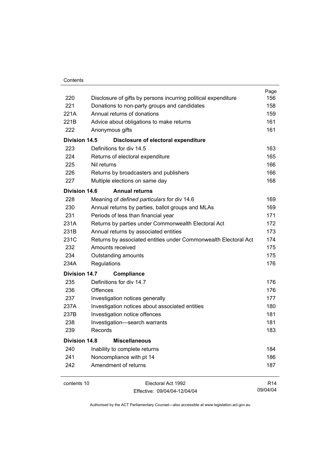| 220                  | Disclosure of gifts by persons incurring political expenditure  | Page<br>156     |
|----------------------|-----------------------------------------------------------------|-----------------|
| 221                  | Donations to non-party groups and candidates                    | 158             |
| 221A                 | Annual returns of donations                                     | 159             |
| 221B                 | Advice about obligations to make returns                        | 161             |
| 222                  | Anonymous gifts                                                 | 161             |
| <b>Division 14.5</b> | Disclosure of electoral expenditure                             |                 |
| 223                  | Definitions for div 14.5                                        | 163             |
| 224                  | Returns of electoral expenditure                                | 165             |
| 225                  | Nil returns                                                     | 166             |
| 226                  | Returns by broadcasters and publishers                          | 166             |
| 227                  | Multiple elections on same day                                  | 168             |
| <b>Division 14.6</b> | <b>Annual returns</b>                                           |                 |
| 228                  | Meaning of defined particulars for div 14.6                     | 169             |
| 230                  | Annual returns by parties, ballot groups and MLAs               | 169             |
| 231                  | Periods of less than financial year                             | 171             |
| 231A                 | Returns by parties under Commonwealth Electoral Act             |                 |
| 231B                 | Annual returns by associated entities                           | 173             |
| 231C                 | Returns by associated entities under Commonwealth Electoral Act | 174             |
| 232                  | Amounts received                                                | 175             |
| 234                  | Outstanding amounts                                             | 175             |
| 234A                 | Regulations                                                     | 176             |
| <b>Division 14.7</b> | Compliance                                                      |                 |
| 235                  | Definitions for div 14.7                                        | 176             |
| 236                  | Offences                                                        | 176             |
| 237                  | Investigation notices generally                                 | 177             |
| 237A                 | Investigation notices about associated entities                 | 180             |
| 237B                 | Investigation notice offences                                   | 181             |
| 238                  | Investigation-search warrants                                   | 181             |
| 239                  | Records                                                         | 183             |
| <b>Division 14.8</b> | <b>Miscellaneous</b>                                            |                 |
| 240                  | Inability to complete returns                                   | 184             |
| 241                  | Noncompliance with pt 14                                        | 186             |
| 242                  | Amendment of returns                                            | 187             |
| contents 10          | Electoral Act 1992                                              | R <sub>14</sub> |

09/04/04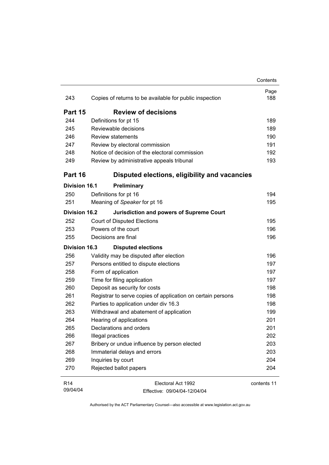|                      |                                                             | Contents    |
|----------------------|-------------------------------------------------------------|-------------|
| 243                  | Copies of returns to be available for public inspection     | Page<br>188 |
| Part 15              | <b>Review of decisions</b>                                  |             |
| 244                  | Definitions for pt 15                                       | 189         |
| 245                  | Reviewable decisions                                        | 189         |
| 246                  | <b>Review statements</b>                                    | 190         |
| 247                  | Review by electoral commission                              | 191         |
| 248                  | Notice of decision of the electoral commission              | 192         |
| 249                  | Review by administrative appeals tribunal                   | 193         |
| Part 16              | Disputed elections, eligibility and vacancies               |             |
| Division 16.1        | <b>Preliminary</b>                                          |             |
| 250                  | Definitions for pt 16                                       | 194         |
| 251                  | Meaning of Speaker for pt 16                                | 195         |
| Division 16.2        | <b>Jurisdiction and powers of Supreme Court</b>             |             |
| 252                  | <b>Court of Disputed Elections</b>                          | 195         |
| 253                  | Powers of the court                                         | 196         |
| 255                  | Decisions are final                                         | 196         |
| <b>Division 16.3</b> | <b>Disputed elections</b>                                   |             |
| 256                  | Validity may be disputed after election                     | 196         |
| 257                  | Persons entitled to dispute elections                       | 197         |
| 258                  | Form of application                                         | 197         |
| 259                  | Time for filing application                                 | 197         |
| 260                  | Deposit as security for costs                               | 198         |
| 261                  | Registrar to serve copies of application on certain persons | 198         |
| 262                  | Parties to application under div 16.3                       | 198         |
| 263                  | Withdrawal and abatement of application                     | 199         |
| 264                  | Hearing of applications                                     | 201         |
| 265                  | Declarations and orders                                     | 201         |
| 266                  | Illegal practices                                           | 202         |
| 267                  | Bribery or undue influence by person elected                | 203         |
| 268                  | Immaterial delays and errors                                | 203         |
| 269                  | Inquiries by court                                          | 204         |
| 270                  | Rejected ballot papers                                      | 204         |
| R <sub>14</sub>      | Electoral Act 1992                                          | contents 11 |

09/04/04

contents  $1$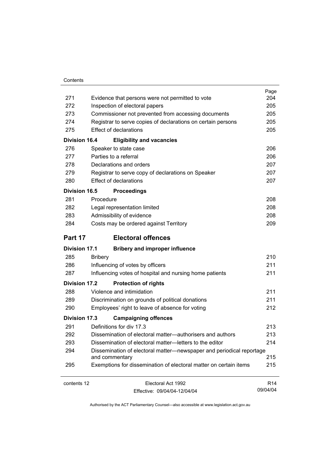| Contents |
|----------|
|          |

| 271                  | Evidence that persons were not permitted to vote                                       | Page<br>204     |
|----------------------|----------------------------------------------------------------------------------------|-----------------|
| 272                  | Inspection of electoral papers                                                         | 205             |
| 273                  | Commissioner not prevented from accessing documents                                    |                 |
| 274                  | Registrar to serve copies of declarations on certain persons                           | 205<br>205      |
| 275                  | <b>Effect of declarations</b>                                                          | 205             |
| <b>Division 16.4</b> | <b>Eligibility and vacancies</b>                                                       |                 |
| 276                  | Speaker to state case                                                                  | 206             |
| 277                  | Parties to a referral                                                                  | 206             |
| 278                  | Declarations and orders                                                                | 207             |
| 279                  | Registrar to serve copy of declarations on Speaker                                     | 207             |
| 280                  | <b>Effect of declarations</b>                                                          | 207             |
| <b>Division 16.5</b> | <b>Proceedings</b>                                                                     |                 |
| 281                  | Procedure                                                                              | 208             |
| 282                  | Legal representation limited                                                           | 208             |
| 283                  | Admissibility of evidence                                                              | 208             |
| 284                  | Costs may be ordered against Territory                                                 | 209             |
| Part 17              | <b>Electoral offences</b>                                                              |                 |
| <b>Division 17.1</b> | <b>Bribery and improper influence</b>                                                  |                 |
| 285                  | <b>Bribery</b>                                                                         | 210             |
| 286                  | Influencing of votes by officers                                                       | 211             |
| 287                  | Influencing votes of hospital and nursing home patients                                | 211             |
| <b>Division 17.2</b> | <b>Protection of rights</b>                                                            |                 |
| 288                  | Violence and intimidation                                                              | 211             |
| 289                  | Discrimination on grounds of political donations                                       | 211             |
| 290                  | Employees' right to leave of absence for voting                                        | 212             |
| <b>Division 17.3</b> | <b>Campaigning offences</b>                                                            |                 |
| 291                  | Definitions for div 17.3                                                               | 213             |
| 292                  | Dissemination of electoral matter-authorisers and authors                              | 213             |
| 293                  | Dissemination of electoral matter-letters to the editor                                | 214             |
| 294                  | Dissemination of electoral matter—newspaper and periodical reportage<br>and commentary | 215             |
| 295                  | Exemptions for dissemination of electoral matter on certain items                      | 215             |
| contents 12          | Electoral Act 1992                                                                     | R <sub>14</sub> |

09/04/04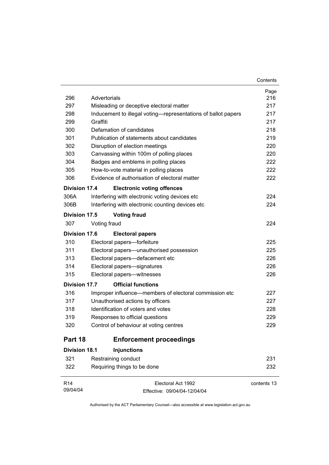|                      |                                                |                                                               | Page        |
|----------------------|------------------------------------------------|---------------------------------------------------------------|-------------|
| 296                  | Advertorials                                   |                                                               | 216         |
| 297                  | Misleading or deceptive electoral matter       |                                                               | 217         |
| 298                  |                                                | Inducement to illegal voting—representations of ballot papers | 217         |
| 299                  | Graffiti                                       |                                                               | 217         |
| 300                  | Defamation of candidates                       |                                                               | 218         |
| 301                  | Publication of statements about candidates     |                                                               | 219         |
| 302                  | Disruption of election meetings                |                                                               | 220         |
| 303                  | Canvassing within 100m of polling places       |                                                               | 220         |
| 304                  | Badges and emblems in polling places           |                                                               | 222         |
| 305                  | How-to-vote material in polling places         |                                                               | 222         |
| 306                  | Evidence of authorisation of electoral matter  |                                                               | 222         |
| Division 17.4        |                                                | <b>Electronic voting offences</b>                             |             |
| 306A                 | Interfering with electronic voting devices etc |                                                               | 224         |
| 306B                 |                                                | Interfering with electronic counting devices etc              | 224         |
| Division 17.5        | <b>Voting fraud</b>                            |                                                               |             |
| 307                  | Voting fraud                                   |                                                               | 224         |
| Division 17.6        | <b>Electoral papers</b>                        |                                                               |             |
| 310                  | Electoral papers-forfeiture                    |                                                               | 225         |
| 311                  | Electoral papers—unauthorised possession       |                                                               | 225         |
| 313                  | Electoral papers-defacement etc                |                                                               | 226         |
| 314                  | Electoral papers-signatures                    |                                                               | 226         |
| 315                  | Electoral papers-witnesses                     |                                                               | 226         |
| <b>Division 17.7</b> | <b>Official functions</b>                      |                                                               |             |
| 316                  |                                                | Improper influence—members of electoral commission etc        | 227         |
| 317                  | Unauthorised actions by officers               |                                                               | 227         |
| 318                  | Identification of voters and votes             |                                                               | 228         |
| 319                  | Responses to official questions                |                                                               | 229         |
| 320                  | Control of behaviour at voting centres         |                                                               | 229         |
| Part 18              |                                                | <b>Enforcement proceedings</b>                                |             |
| <b>Division 18.1</b> | <b>Injunctions</b>                             |                                                               |             |
| 321                  | Restraining conduct                            |                                                               | 231         |
| 322                  | Requiring things to be done                    |                                                               | 232         |
| R <sub>14</sub>      |                                                | Electoral Act 1992                                            | contents 13 |

Contents

Authorised by the ACT Parliamentary Counsel—also accessible at www.legislation.act.gov.au

Effective: 09/04/04-12/04/04

09/04/04

 $\overline{\phantom{0}}$ 

 $\overline{\phantom{a}}$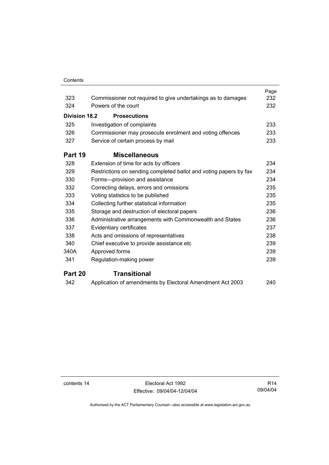#### **Contents**

|                      |                                                                   | Page |
|----------------------|-------------------------------------------------------------------|------|
| 323                  | Commissioner not required to give undertakings as to damages      | 232  |
| 324                  | Powers of the court                                               | 232  |
| <b>Division 18.2</b> | <b>Prosecutions</b>                                               |      |
| 325                  | Investigation of complaints                                       | 233  |
| 326                  | Commissioner may prosecute enrolment and voting offences          | 233  |
| 327                  | Service of certain process by mail                                | 233  |
| Part 19              | <b>Miscellaneous</b>                                              |      |
| 328                  | Extension of time for acts by officers                            | 234  |
| 329                  | Restrictions on sending completed ballot and voting papers by fax | 234  |
| 330                  | Forms-provision and assistance                                    | 234  |
| 332                  | Correcting delays, errors and omissions                           | 235  |
| 333                  | Voting statistics to be published                                 | 235  |
| 334                  | Collecting further statistical information                        | 235  |
| 335                  | Storage and destruction of electoral papers                       | 236  |
| 336                  | Administrative arrangements with Commonwealth and States          | 236  |
| 337                  | Evidentiary certificates                                          | 237  |
| 338                  | Acts and omissions of representatives                             | 238  |
| 340                  | Chief executive to provide assistance etc                         | 239  |
| 340A                 | Approved forms                                                    | 239  |
| 341                  | Regulation-making power                                           | 239  |
| Part 20              | <b>Transitional</b>                                               |      |
| 342                  | Application of amendments by Electoral Amendment Act 2003         | 240  |

contents 14 Electoral Act 1992 Effective: 09/04/04-12/04/04

R14 09/04/04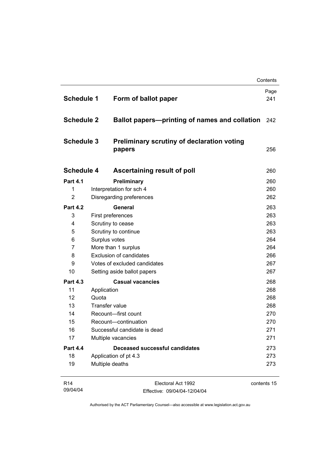| <b>Schedule 1</b> | Form of ballot paper                                        | Page<br>241 |
|-------------------|-------------------------------------------------------------|-------------|
| <b>Schedule 2</b> | Ballot papers-printing of names and collation               | 242         |
| <b>Schedule 3</b> | <b>Preliminary scrutiny of declaration voting</b><br>papers | 256         |
| <b>Schedule 4</b> | Ascertaining result of poll                                 | 260         |
| <b>Part 4.1</b>   | Preliminary                                                 | 260         |
| 1                 | Interpretation for sch 4                                    | 260         |
| $\overline{2}$    | Disregarding preferences                                    | 262         |
| <b>Part 4.2</b>   | General                                                     | 263         |
| 3                 | First preferences                                           | 263         |
| 4                 | Scrutiny to cease                                           | 263         |
| 5                 | Scrutiny to continue                                        | 263         |
| 6                 | Surplus votes                                               | 264         |
| 7                 | More than 1 surplus                                         | 264         |
| 8                 | <b>Exclusion of candidates</b>                              | 266         |
| 9                 | Votes of excluded candidates                                | 267         |
| 10                | Setting aside ballot papers                                 | 267         |
| <b>Part 4.3</b>   | <b>Casual vacancies</b>                                     | 268         |
| 11                | Application                                                 | 268         |
| 12                | Quota                                                       | 268         |
| 13                | <b>Transfer value</b>                                       | 268         |
| 14                | Recount-first count                                         | 270         |
| 15                | Recount-continuation                                        | 270         |
| 16                | Successful candidate is dead                                | 271         |
| 17                | Multiple vacancies                                          | 271         |
| <b>Part 4.4</b>   | <b>Deceased successful candidates</b>                       | 273         |
| 18                | Application of pt 4.3                                       | 273         |
| 19                | Multiple deaths                                             | 273         |

| R14      | Electoral Act 1992           | contents 15 |
|----------|------------------------------|-------------|
| 09/04/04 | Effective: 09/04/04-12/04/04 |             |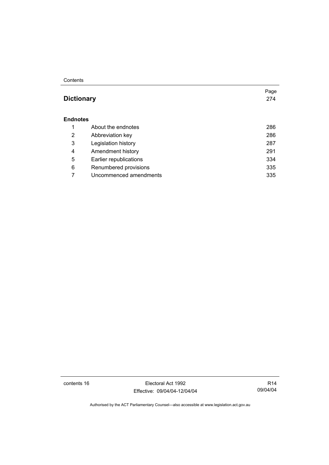#### **Contents**

#### **Dictionary** 274

#### **Endnotes**

|   | About the endnotes     | 286 |
|---|------------------------|-----|
| 2 | Abbreviation key       | 286 |
| 3 | Legislation history    | 287 |
| 4 | Amendment history      | 291 |
| 5 | Earlier republications | 334 |
| 6 | Renumbered provisions  | 335 |
|   | Uncommenced amendments | 335 |

contents 16 Electoral Act 1992 Effective: 09/04/04-12/04/04

R14 09/04/04

Page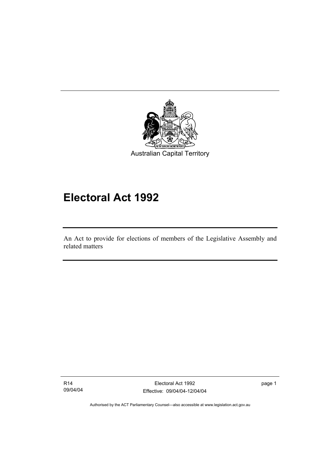

# **Electoral Act 1992**

An Act to provide for elections of members of the Legislative Assembly and related matters

R14 09/04/04

I

Electoral Act 1992 Effective: 09/04/04-12/04/04 page 1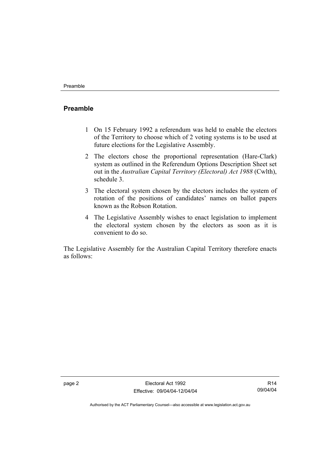#### **Preamble**

- 1 On 15 February 1992 a referendum was held to enable the electors of the Territory to choose which of 2 voting systems is to be used at future elections for the Legislative Assembly.
- 2 The electors chose the proportional representation (Hare-Clark) system as outlined in the Referendum Options Description Sheet set out in the *Australian Capital Territory (Electoral) Act 1988* (Cwlth), schedule 3.
- 3 The electoral system chosen by the electors includes the system of rotation of the positions of candidates' names on ballot papers known as the Robson Rotation.
- 4 The Legislative Assembly wishes to enact legislation to implement the electoral system chosen by the electors as soon as it is convenient to do so.

The Legislative Assembly for the Australian Capital Territory therefore enacts as follows:

R14 09/04/04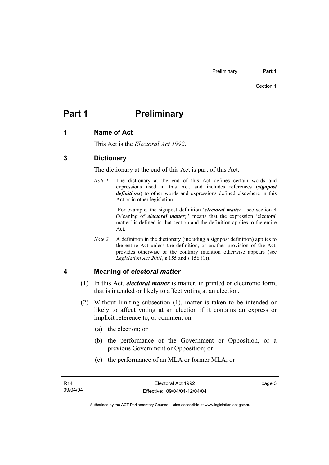### **Part 1** Preliminary

#### **1 Name of Act**

This Act is the *Electoral Act 1992*.

#### **3 Dictionary**

The dictionary at the end of this Act is part of this Act.

*Note 1* The dictionary at the end of this Act defines certain words and expressions used in this Act, and includes references (*signpost definitions*) to other words and expressions defined elsewhere in this Act or in other legislation.

> For example, the signpost definition '*electoral matter*—see section 4 (Meaning of *electoral matter*).' means that the expression 'electoral matter' is defined in that section and the definition applies to the entire Act.

*Note 2* A definition in the dictionary (including a signpost definition) applies to the entire Act unless the definition, or another provision of the Act, provides otherwise or the contrary intention otherwise appears (see *Legislation Act 2001*, s 155 and s 156 (1)).

#### **4 Meaning of** *electoral matter*

- (1) In this Act, *electoral matter* is matter, in printed or electronic form, that is intended or likely to affect voting at an election.
- (2) Without limiting subsection (1), matter is taken to be intended or likely to affect voting at an election if it contains an express or implicit reference to, or comment on—
	- (a) the election; or
	- (b) the performance of the Government or Opposition, or a previous Government or Opposition; or
	- (c) the performance of an MLA or former MLA; or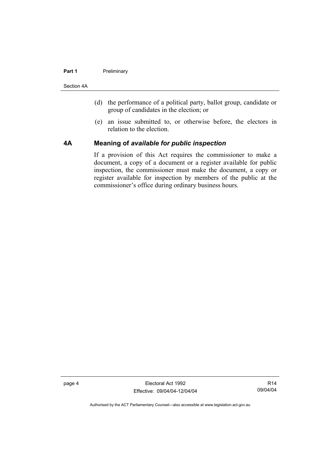#### **Part 1** Preliminary

Section 4A

- (d) the performance of a political party, ballot group, candidate or group of candidates in the election; or
- (e) an issue submitted to, or otherwise before, the electors in relation to the election.

#### **4A Meaning of** *available for public inspection*

If a provision of this Act requires the commissioner to make a document, a copy of a document or a register available for public inspection, the commissioner must make the document, a copy or register available for inspection by members of the public at the commissioner's office during ordinary business hours.

page 4 Electoral Act 1992 Effective: 09/04/04-12/04/04

R14 09/04/04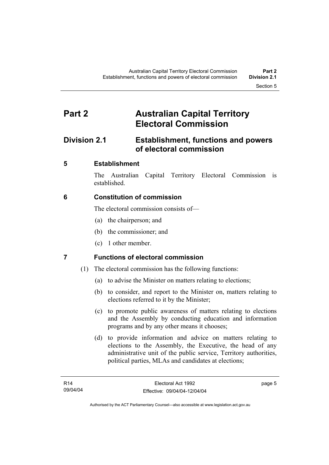### **Part 2 Australian Capital Territory Electoral Commission**

### **Division 2.1 Establishment, functions and powers of electoral commission**

### **5 Establishment**

The Australian Capital Territory Electoral Commission is established.

### **6 Constitution of commission**

The electoral commission consists of—

- (a) the chairperson; and
- (b) the commissioner; and
- (c) 1 other member.

### **7 Functions of electoral commission**

- (1) The electoral commission has the following functions:
	- (a) to advise the Minister on matters relating to elections;
	- (b) to consider, and report to the Minister on, matters relating to elections referred to it by the Minister;
	- (c) to promote public awareness of matters relating to elections and the Assembly by conducting education and information programs and by any other means it chooses;
	- (d) to provide information and advice on matters relating to elections to the Assembly, the Executive, the head of any administrative unit of the public service, Territory authorities, political parties, MLAs and candidates at elections;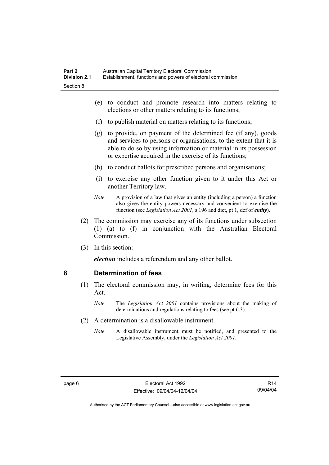- (e) to conduct and promote research into matters relating to elections or other matters relating to its functions;
- (f) to publish material on matters relating to its functions;
- (g) to provide, on payment of the determined fee (if any), goods and services to persons or organisations, to the extent that it is able to do so by using information or material in its possession or expertise acquired in the exercise of its functions;
- (h) to conduct ballots for prescribed persons and organisations;
- (i) to exercise any other function given to it under this Act or another Territory law.
- *Note* A provision of a law that gives an entity (including a person) a function also gives the entity powers necessary and convenient to exercise the function (see *Legislation Act 2001*, s 196 and dict, pt 1, def of *entity*).
- (2) The commission may exercise any of its functions under subsection (1) (a) to (f) in conjunction with the Australian Electoral **Commission**
- (3) In this section:

*election* includes a referendum and any other ballot.

#### **8 Determination of fees**

- (1) The electoral commission may, in writing, determine fees for this Act.
	- *Note* The *Legislation Act 2001* contains provisions about the making of determinations and regulations relating to fees (see pt 6.3).
- (2) A determination is a disallowable instrument.
	- *Note* A disallowable instrument must be notified, and presented to the Legislative Assembly, under the *Legislation Act 2001*.

R14 09/04/04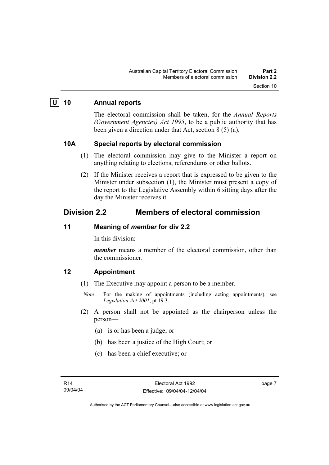#### **U 10 Annual reports**

The electoral commission shall be taken, for the *Annual Reports (Government Agencies) Act 1995*, to be a public authority that has been given a direction under that Act, section 8 (5) (a).

#### **10A Special reports by electoral commission**

- (1) The electoral commission may give to the Minister a report on anything relating to elections, referendums or other ballots.
- (2) If the Minister receives a report that is expressed to be given to the Minister under subsection (1), the Minister must present a copy of the report to the Legislative Assembly within 6 sitting days after the day the Minister receives it.

### **Division 2.2 Members of electoral commission**

#### **11 Meaning of** *member* **for div 2.2**

In this division:

*member* means a member of the electoral commission, other than the commissioner.

#### **12 Appointment**

- (1) The Executive may appoint a person to be a member.
	- *Note* For the making of appointments (including acting appointments), see *Legislation Act 2001*, pt 19.3.
- (2) A person shall not be appointed as the chairperson unless the person—
	- (a) is or has been a judge; or
	- (b) has been a justice of the High Court; or
	- (c) has been a chief executive; or

page 7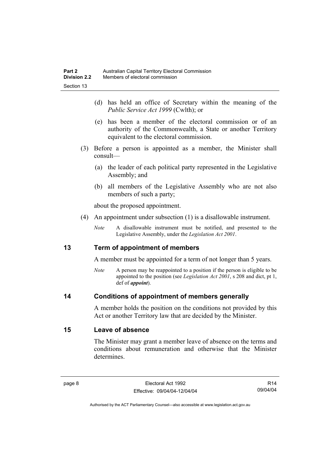- (d) has held an office of Secretary within the meaning of the *Public Service Act 1999* (Cwlth); or
- (e) has been a member of the electoral commission or of an authority of the Commonwealth, a State or another Territory equivalent to the electoral commission.
- (3) Before a person is appointed as a member, the Minister shall consult—
	- (a) the leader of each political party represented in the Legislative Assembly; and
	- (b) all members of the Legislative Assembly who are not also members of such a party;

about the proposed appointment.

- (4) An appointment under subsection (1) is a disallowable instrument.
	- *Note* A disallowable instrument must be notified, and presented to the Legislative Assembly, under the *Legislation Act 2001*.

#### **13 Term of appointment of members**

A member must be appointed for a term of not longer than 5 years.

*Note* A person may be reappointed to a position if the person is eligible to be appointed to the position (see *Legislation Act 2001*, s 208 and dict, pt 1, def of *appoint*).

#### **14 Conditions of appointment of members generally**

A member holds the position on the conditions not provided by this Act or another Territory law that are decided by the Minister.

#### **15 Leave of absence**

The Minister may grant a member leave of absence on the terms and conditions about remuneration and otherwise that the Minister determines.

R14 09/04/04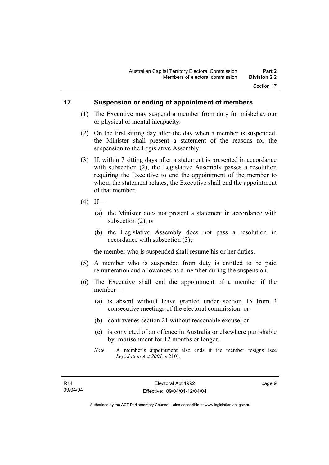#### **17 Suspension or ending of appointment of members**

- (1) The Executive may suspend a member from duty for misbehaviour or physical or mental incapacity.
- (2) On the first sitting day after the day when a member is suspended, the Minister shall present a statement of the reasons for the suspension to the Legislative Assembly.
- (3) If, within 7 sitting days after a statement is presented in accordance with subsection (2), the Legislative Assembly passes a resolution requiring the Executive to end the appointment of the member to whom the statement relates, the Executive shall end the appointment of that member.
- $(4)$  If—
	- (a) the Minister does not present a statement in accordance with subsection (2); or
	- (b) the Legislative Assembly does not pass a resolution in accordance with subsection (3);

the member who is suspended shall resume his or her duties.

- (5) A member who is suspended from duty is entitled to be paid remuneration and allowances as a member during the suspension.
- (6) The Executive shall end the appointment of a member if the member—
	- (a) is absent without leave granted under section 15 from 3 consecutive meetings of the electoral commission; or
	- (b) contravenes section 21 without reasonable excuse; or
	- (c) is convicted of an offence in Australia or elsewhere punishable by imprisonment for 12 months or longer.
	- *Note* A member's appointment also ends if the member resigns (see *Legislation Act 2001*, s 210).

page 9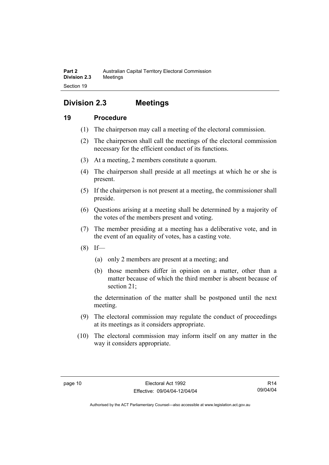### **Division 2.3 Meetings**

#### **19 Procedure**

- (1) The chairperson may call a meeting of the electoral commission.
- (2) The chairperson shall call the meetings of the electoral commission necessary for the efficient conduct of its functions.
- (3) At a meeting, 2 members constitute a quorum.
- (4) The chairperson shall preside at all meetings at which he or she is present.
- (5) If the chairperson is not present at a meeting, the commissioner shall preside.
- (6) Questions arising at a meeting shall be determined by a majority of the votes of the members present and voting.
- (7) The member presiding at a meeting has a deliberative vote, and in the event of an equality of votes, has a casting vote.
- $(8)$  If—
	- (a) only 2 members are present at a meeting; and
	- (b) those members differ in opinion on a matter, other than a matter because of which the third member is absent because of section 21;

the determination of the matter shall be postponed until the next meeting.

- (9) The electoral commission may regulate the conduct of proceedings at its meetings as it considers appropriate.
- (10) The electoral commission may inform itself on any matter in the way it considers appropriate.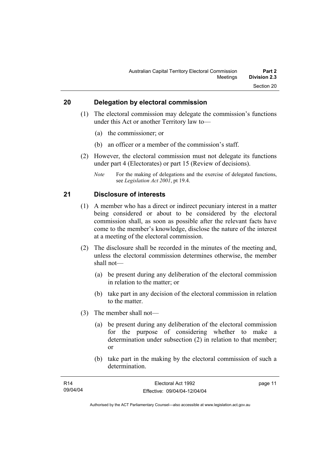#### **20 Delegation by electoral commission**

- (1) The electoral commission may delegate the commission's functions under this Act or another Territory law to—
	- (a) the commissioner; or
	- (b) an officer or a member of the commission's staff.
- (2) However, the electoral commission must not delegate its functions under part 4 (Electorates) or part 15 (Review of decisions).
	- *Note* For the making of delegations and the exercise of delegated functions, see *Legislation Act 2001*, pt 19.4.

#### **21 Disclosure of interests**

- (1) A member who has a direct or indirect pecuniary interest in a matter being considered or about to be considered by the electoral commission shall, as soon as possible after the relevant facts have come to the member's knowledge, disclose the nature of the interest at a meeting of the electoral commission.
- (2) The disclosure shall be recorded in the minutes of the meeting and, unless the electoral commission determines otherwise, the member shall not—
	- (a) be present during any deliberation of the electoral commission in relation to the matter; or
	- (b) take part in any decision of the electoral commission in relation to the matter.
- (3) The member shall not—
	- (a) be present during any deliberation of the electoral commission for the purpose of considering whether to make a determination under subsection (2) in relation to that member; or
	- (b) take part in the making by the electoral commission of such a determination.

| R14      | Electoral Act 1992           | page 11 |
|----------|------------------------------|---------|
| 09/04/04 | Effective: 09/04/04-12/04/04 |         |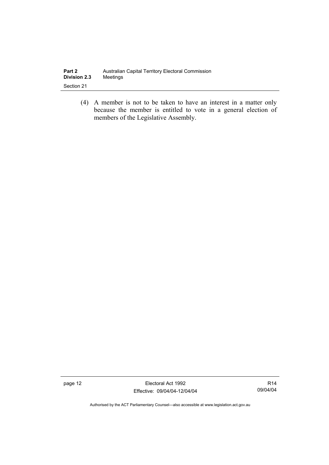| Part 2              | Australian Capital Territory Electoral Commission |
|---------------------|---------------------------------------------------|
| <b>Division 2.3</b> | Meetings                                          |
| Section 21          |                                                   |

 (4) A member is not to be taken to have an interest in a matter only because the member is entitled to vote in a general election of members of the Legislative Assembly.

page 12 **Electoral Act 1992** Effective: 09/04/04-12/04/04

R14 09/04/04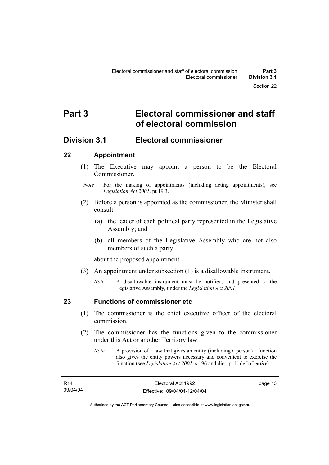## **Part 3 Electoral commissioner and staff of electoral commission**

### **Division 3.1 Electoral commissioner**

#### **22 Appointment**

- (1) The Executive may appoint a person to be the Electoral **Commissioner**
- *Note* For the making of appointments (including acting appointments), see *Legislation Act 2001*, pt 19.3.
- (2) Before a person is appointed as the commissioner, the Minister shall consult—
	- (a) the leader of each political party represented in the Legislative Assembly; and
	- (b) all members of the Legislative Assembly who are not also members of such a party;

about the proposed appointment.

- (3) An appointment under subsection (1) is a disallowable instrument.
	- *Note* A disallowable instrument must be notified, and presented to the Legislative Assembly, under the *Legislation Act 2001*.

#### **23 Functions of commissioner etc**

- (1) The commissioner is the chief executive officer of the electoral commission.
- (2) The commissioner has the functions given to the commissioner under this Act or another Territory law.
	- *Note* A provision of a law that gives an entity (including a person) a function also gives the entity powers necessary and convenient to exercise the function (see *Legislation Act 2001*, s 196 and dict, pt 1, def of *entity*).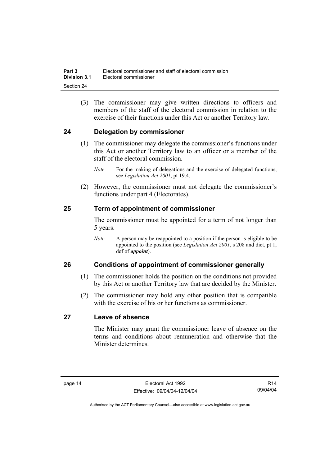(3) The commissioner may give written directions to officers and members of the staff of the electoral commission in relation to the exercise of their functions under this Act or another Territory law.

#### **24 Delegation by commissioner**

- (1) The commissioner may delegate the commissioner's functions under this Act or another Territory law to an officer or a member of the staff of the electoral commission.
	- *Note* For the making of delegations and the exercise of delegated functions, see *Legislation Act 2001*, pt 19.4.
- (2) However, the commissioner must not delegate the commissioner's functions under part 4 (Electorates).

#### **25 Term of appointment of commissioner**

The commissioner must be appointed for a term of not longer than 5 years.

*Note* A person may be reappointed to a position if the person is eligible to be appointed to the position (see *Legislation Act 2001*, s 208 and dict, pt 1, def of *appoint*).

#### **26 Conditions of appointment of commissioner generally**

- (1) The commissioner holds the position on the conditions not provided by this Act or another Territory law that are decided by the Minister.
- (2) The commissioner may hold any other position that is compatible with the exercise of his or her functions as commissioner.

#### **27 Leave of absence**

The Minister may grant the commissioner leave of absence on the terms and conditions about remuneration and otherwise that the Minister determines.

R14 09/04/04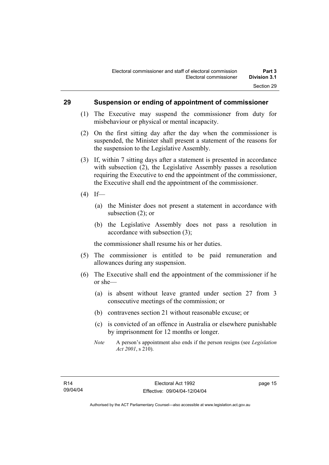#### **29 Suspension or ending of appointment of commissioner**

- (1) The Executive may suspend the commissioner from duty for misbehaviour or physical or mental incapacity.
- (2) On the first sitting day after the day when the commissioner is suspended, the Minister shall present a statement of the reasons for the suspension to the Legislative Assembly.
- (3) If, within 7 sitting days after a statement is presented in accordance with subsection (2), the Legislative Assembly passes a resolution requiring the Executive to end the appointment of the commissioner, the Executive shall end the appointment of the commissioner.
- $(4)$  If—
	- (a) the Minister does not present a statement in accordance with subsection (2); or
	- (b) the Legislative Assembly does not pass a resolution in accordance with subsection (3);

the commissioner shall resume his or her duties.

- (5) The commissioner is entitled to be paid remuneration and allowances during any suspension.
- (6) The Executive shall end the appointment of the commissioner if he or she—
	- (a) is absent without leave granted under section 27 from 3 consecutive meetings of the commission; or
	- (b) contravenes section 21 without reasonable excuse; or
	- (c) is convicted of an offence in Australia or elsewhere punishable by imprisonment for 12 months or longer.
	- *Note* A person's appointment also ends if the person resigns (see *Legislation Act 2001*, s 210).

page 15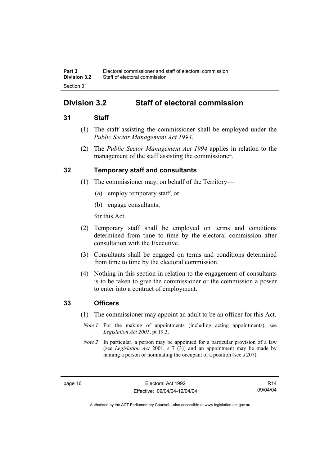### **Division 3.2 Staff of electoral commission**

#### **31 Staff**

- (1) The staff assisting the commissioner shall be employed under the *Public Sector Management Act 1994*.
- (2) The *Public Sector Management Act 1994* applies in relation to the management of the staff assisting the commissioner.

#### **32 Temporary staff and consultants**

- (1) The commissioner may, on behalf of the Territory—
	- (a) employ temporary staff; or
	- (b) engage consultants;

for this Act.

- (2) Temporary staff shall be employed on terms and conditions determined from time to time by the electoral commission after consultation with the Executive.
- (3) Consultants shall be engaged on terms and conditions determined from time to time by the electoral commission.
- (4) Nothing in this section in relation to the engagement of consultants is to be taken to give the commissioner or the commission a power to enter into a contract of employment.

#### **33 Officers**

- (1) The commissioner may appoint an adult to be an officer for this Act.
	- *Note 1* For the making of appointments (including acting appointments), see *Legislation Act 2001*, pt 19.3.
- *Note 2* In particular, a person may be appointed for a particular provision of a law (see *Legislation Act* 2001, s 7 (3)) and an appointment may be made by naming a person or nominating the occupant of a position (see s 207).

R14 09/04/04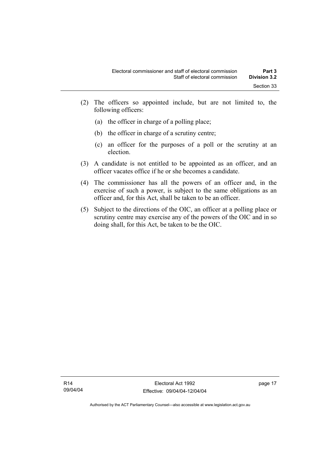- (2) The officers so appointed include, but are not limited to, the following officers:
	- (a) the officer in charge of a polling place;
	- (b) the officer in charge of a scrutiny centre;
	- (c) an officer for the purposes of a poll or the scrutiny at an election.
- (3) A candidate is not entitled to be appointed as an officer, and an officer vacates office if he or she becomes a candidate.
- (4) The commissioner has all the powers of an officer and, in the exercise of such a power, is subject to the same obligations as an officer and, for this Act, shall be taken to be an officer.
- (5) Subject to the directions of the OIC, an officer at a polling place or scrutiny centre may exercise any of the powers of the OIC and in so doing shall, for this Act, be taken to be the OIC.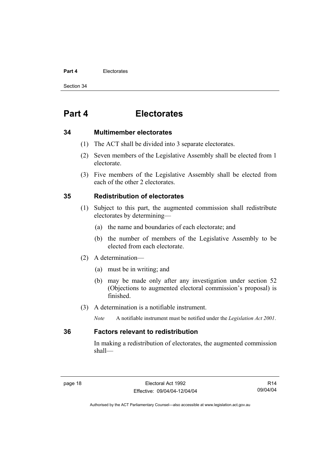#### **Part 4** Electorates

Section 34

### **Part 4 Electorates**

#### **34 Multimember electorates**

- (1) The ACT shall be divided into 3 separate electorates.
- (2) Seven members of the Legislative Assembly shall be elected from 1 electorate.
- (3) Five members of the Legislative Assembly shall be elected from each of the other 2 electorates.

#### **35 Redistribution of electorates**

- (1) Subject to this part, the augmented commission shall redistribute electorates by determining—
	- (a) the name and boundaries of each electorate; and
	- (b) the number of members of the Legislative Assembly to be elected from each electorate.
- (2) A determination—
	- (a) must be in writing; and
	- (b) may be made only after any investigation under section 52 (Objections to augmented electoral commission's proposal) is finished.
- (3) A determination is a notifiable instrument.
	- *Note* A notifiable instrument must be notified under the *Legislation Act 2001*.

#### **36 Factors relevant to redistribution**

In making a redistribution of electorates, the augmented commission shall—

R14 09/04/04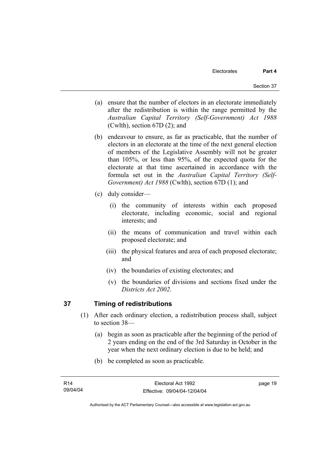- (a) ensure that the number of electors in an electorate immediately after the redistribution is within the range permitted by the *Australian Capital Territory (Self-Government) Act 1988*  (Cwlth), section 67D (2); and
- (b) endeavour to ensure, as far as practicable, that the number of electors in an electorate at the time of the next general election of members of the Legislative Assembly will not be greater than 105%, or less than 95%, of the expected quota for the electorate at that time ascertained in accordance with the formula set out in the *Australian Capital Territory (Self-Government) Act 1988* (Cwlth), section 67D (1); and
- (c) duly consider—
	- (i) the community of interests within each proposed electorate, including economic, social and regional interests; and
	- (ii) the means of communication and travel within each proposed electorate; and
	- (iii) the physical features and area of each proposed electorate; and
	- (iv) the boundaries of existing electorates; and
	- (v) the boundaries of divisions and sections fixed under the *Districts Act 2002*.

# **37 Timing of redistributions**

- (1) After each ordinary election, a redistribution process shall, subject to section 38—
	- (a) begin as soon as practicable after the beginning of the period of 2 years ending on the end of the 3rd Saturday in October in the year when the next ordinary election is due to be held; and
	- (b) be completed as soon as practicable.

page 19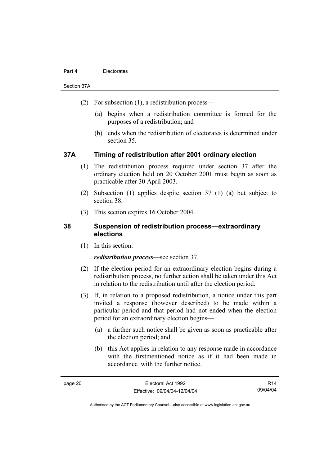### **Part 4** Electorates

Section 37A

- (2) For subsection (1), a redistribution process—
	- (a) begins when a redistribution committee is formed for the purposes of a redistribution; and
	- (b) ends when the redistribution of electorates is determined under section 35.

# **37A Timing of redistribution after 2001 ordinary election**

- (1) The redistribution process required under section 37 after the ordinary election held on 20 October 2001 must begin as soon as practicable after 30 April 2003.
- (2) Subsection (1) applies despite section 37 (1) (a) but subject to section 38.
- (3) This section expires 16 October 2004.

# **38 Suspension of redistribution process—extraordinary elections**

(1) In this section:

## *redistribution process*—see section 37.

- (2) If the election period for an extraordinary election begins during a redistribution process, no further action shall be taken under this Act in relation to the redistribution until after the election period.
- (3) If, in relation to a proposed redistribution, a notice under this part invited a response (however described) to be made within a particular period and that period had not ended when the election period for an extraordinary election begins—
	- (a) a further such notice shall be given as soon as practicable after the election period; and
	- (b) this Act applies in relation to any response made in accordance with the firstmentioned notice as if it had been made in accordance with the further notice.

R14 09/04/04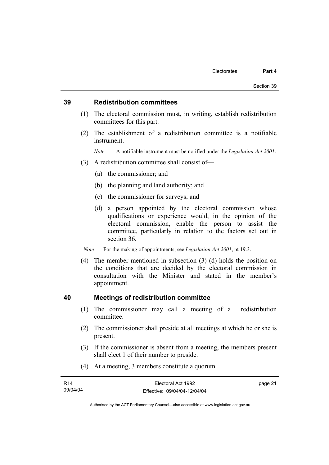## **39 Redistribution committees**

- (1) The electoral commission must, in writing, establish redistribution committees for this part.
- (2) The establishment of a redistribution committee is a notifiable instrument.

*Note* A notifiable instrument must be notified under the *Legislation Act 2001*.

- (3) A redistribution committee shall consist of—
	- (a) the commissioner; and
	- (b) the planning and land authority; and
	- (c) the commissioner for surveys; and
	- (d) a person appointed by the electoral commission whose qualifications or experience would, in the opinion of the electoral commission, enable the person to assist the committee, particularly in relation to the factors set out in section 36.

*Note* For the making of appointments, see *Legislation Act 2001*, pt 19.3.

 (4) The member mentioned in subsection (3) (d) holds the position on the conditions that are decided by the electoral commission in consultation with the Minister and stated in the member's appointment.

## **40 Meetings of redistribution committee**

- (1) The commissioner may call a meeting of a redistribution committee.
- (2) The commissioner shall preside at all meetings at which he or she is present.
- (3) If the commissioner is absent from a meeting, the members present shall elect 1 of their number to preside.
- (4) At a meeting, 3 members constitute a quorum.

| R <sub>14</sub> | Electoral Act 1992           | page 21 |
|-----------------|------------------------------|---------|
| 09/04/04        | Effective: 09/04/04-12/04/04 |         |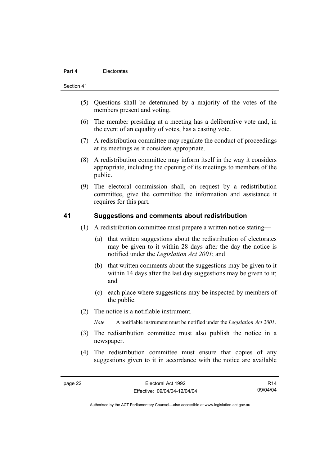### **Part 4** Electorates

#### Section 41

- (5) Questions shall be determined by a majority of the votes of the members present and voting.
- (6) The member presiding at a meeting has a deliberative vote and, in the event of an equality of votes, has a casting vote.
- (7) A redistribution committee may regulate the conduct of proceedings at its meetings as it considers appropriate.
- (8) A redistribution committee may inform itself in the way it considers appropriate, including the opening of its meetings to members of the public.
- (9) The electoral commission shall, on request by a redistribution committee, give the committee the information and assistance it requires for this part.

## **41 Suggestions and comments about redistribution**

- (1) A redistribution committee must prepare a written notice stating—
	- (a) that written suggestions about the redistribution of electorates may be given to it within 28 days after the day the notice is notified under the *Legislation Act 2001*; and
	- (b) that written comments about the suggestions may be given to it within 14 days after the last day suggestions may be given to it; and
	- (c) each place where suggestions may be inspected by members of the public.
- (2) The notice is a notifiable instrument.

*Note* A notifiable instrument must be notified under the *Legislation Act 2001*.

- (3) The redistribution committee must also publish the notice in a newspaper.
- (4) The redistribution committee must ensure that copies of any suggestions given to it in accordance with the notice are available

R14 09/04/04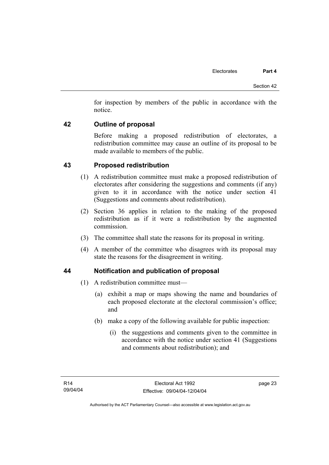for inspection by members of the public in accordance with the notice.

# **42 Outline of proposal**

Before making a proposed redistribution of electorates, a redistribution committee may cause an outline of its proposal to be made available to members of the public.

# **43 Proposed redistribution**

- (1) A redistribution committee must make a proposed redistribution of electorates after considering the suggestions and comments (if any) given to it in accordance with the notice under section 41 (Suggestions and comments about redistribution).
- (2) Section 36 applies in relation to the making of the proposed redistribution as if it were a redistribution by the augmented commission.
- (3) The committee shall state the reasons for its proposal in writing.
- (4) A member of the committee who disagrees with its proposal may state the reasons for the disagreement in writing.

# **44 Notification and publication of proposal**

- (1) A redistribution committee must—
	- (a) exhibit a map or maps showing the name and boundaries of each proposed electorate at the electoral commission's office; and
	- (b) make a copy of the following available for public inspection:
		- (i) the suggestions and comments given to the committee in accordance with the notice under section 41 (Suggestions and comments about redistribution); and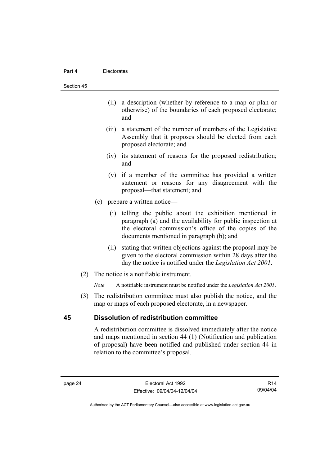#### **Part 4** Electorates

#### Section 45

- (ii) a description (whether by reference to a map or plan or otherwise) of the boundaries of each proposed electorate; and
- (iii) a statement of the number of members of the Legislative Assembly that it proposes should be elected from each proposed electorate; and
- (iv) its statement of reasons for the proposed redistribution; and
- (v) if a member of the committee has provided a written statement or reasons for any disagreement with the proposal—that statement; and
- (c) prepare a written notice—
	- (i) telling the public about the exhibition mentioned in paragraph (a) and the availability for public inspection at the electoral commission's office of the copies of the documents mentioned in paragraph (b); and
	- (ii) stating that written objections against the proposal may be given to the electoral commission within 28 days after the day the notice is notified under the *Legislation Act 2001*.
- (2) The notice is a notifiable instrument.

*Note* A notifiable instrument must be notified under the *Legislation Act 2001*.

 (3) The redistribution committee must also publish the notice, and the map or maps of each proposed electorate, in a newspaper.

# **45 Dissolution of redistribution committee**

A redistribution committee is dissolved immediately after the notice and maps mentioned in section 44 (1) (Notification and publication of proposal) have been notified and published under section 44 in relation to the committee's proposal.

R14 09/04/04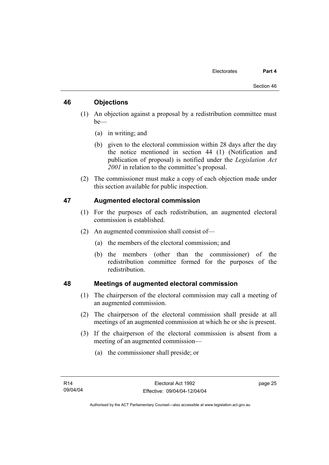# **46 Objections**

- (1) An objection against a proposal by a redistribution committee must be—
	- (a) in writing; and
	- (b) given to the electoral commission within 28 days after the day the notice mentioned in section 44 (1) (Notification and publication of proposal) is notified under the *Legislation Act 2001* in relation to the committee's proposal.
- (2) The commissioner must make a copy of each objection made under this section available for public inspection.

# **47 Augmented electoral commission**

- (1) For the purposes of each redistribution, an augmented electoral commission is established.
- (2) An augmented commission shall consist of—
	- (a) the members of the electoral commission; and
	- (b) the members (other than the commissioner) of the redistribution committee formed for the purposes of the redistribution.

# **48 Meetings of augmented electoral commission**

- (1) The chairperson of the electoral commission may call a meeting of an augmented commission.
- (2) The chairperson of the electoral commission shall preside at all meetings of an augmented commission at which he or she is present.
- (3) If the chairperson of the electoral commission is absent from a meeting of an augmented commission—
	- (a) the commissioner shall preside; or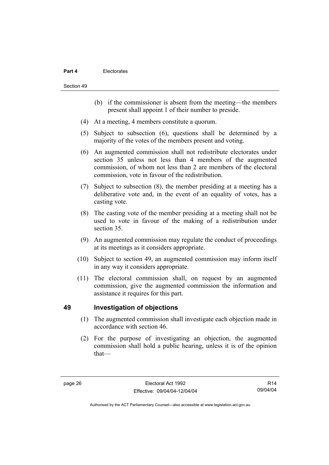### **Part 4** Electorates

Section 49

- (b) if the commissioner is absent from the meeting—the members present shall appoint 1 of their number to preside.
- (4) At a meeting, 4 members constitute a quorum.
- (5) Subject to subsection (6), questions shall be determined by a majority of the votes of the members present and voting.
- (6) An augmented commission shall not redistribute electorates under section 35 unless not less than 4 members of the augmented commission, of whom not less than 2 are members of the electoral commission, vote in favour of the redistribution.
- (7) Subject to subsection (8), the member presiding at a meeting has a deliberative vote and, in the event of an equality of votes, has a casting vote.
- (8) The casting vote of the member presiding at a meeting shall not be used to vote in favour of the making of a redistribution under section 35.
- (9) An augmented commission may regulate the conduct of proceedings at its meetings as it considers appropriate.
- (10) Subject to section 49, an augmented commission may inform itself in any way it considers appropriate.
- (11) The electoral commission shall, on request by an augmented commission, give the augmented commission the information and assistance it requires for this part.

# **49 Investigation of objections**

- (1) The augmented commission shall investigate each objection made in accordance with section 46.
- (2) For the purpose of investigating an objection, the augmented commission shall hold a public hearing, unless it is of the opinion that—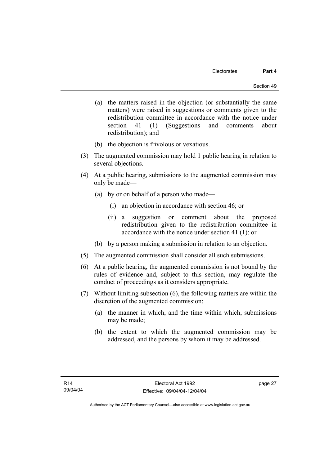- (a) the matters raised in the objection (or substantially the same matters) were raised in suggestions or comments given to the redistribution committee in accordance with the notice under section 41 (1) (Suggestions and comments about redistribution); and
- (b) the objection is frivolous or vexatious.
- (3) The augmented commission may hold 1 public hearing in relation to several objections.
- (4) At a public hearing, submissions to the augmented commission may only be made—
	- (a) by or on behalf of a person who made—
		- (i) an objection in accordance with section 46; or
		- (ii) a suggestion or comment about the proposed redistribution given to the redistribution committee in accordance with the notice under section 41 (1); or
	- (b) by a person making a submission in relation to an objection.
- (5) The augmented commission shall consider all such submissions.
- (6) At a public hearing, the augmented commission is not bound by the rules of evidence and, subject to this section, may regulate the conduct of proceedings as it considers appropriate.
- (7) Without limiting subsection (6), the following matters are within the discretion of the augmented commission:
	- (a) the manner in which, and the time within which, submissions may be made;
	- (b) the extent to which the augmented commission may be addressed, and the persons by whom it may be addressed.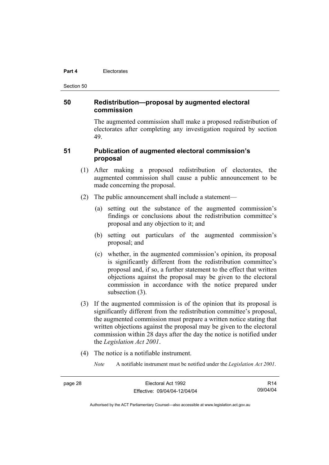#### **Part 4** Electorates

Section 50

# **50 Redistribution—proposal by augmented electoral commission**

The augmented commission shall make a proposed redistribution of electorates after completing any investigation required by section 49.

# **51 Publication of augmented electoral commission's proposal**

- (1) After making a proposed redistribution of electorates, the augmented commission shall cause a public announcement to be made concerning the proposal.
- (2) The public announcement shall include a statement—
	- (a) setting out the substance of the augmented commission's findings or conclusions about the redistribution committee's proposal and any objection to it; and
	- (b) setting out particulars of the augmented commission's proposal; and
	- (c) whether, in the augmented commission's opinion, its proposal is significantly different from the redistribution committee's proposal and, if so, a further statement to the effect that written objections against the proposal may be given to the electoral commission in accordance with the notice prepared under subsection (3).
- (3) If the augmented commission is of the opinion that its proposal is significantly different from the redistribution committee's proposal, the augmented commission must prepare a written notice stating that written objections against the proposal may be given to the electoral commission within 28 days after the day the notice is notified under the *Legislation Act 2001*.
- (4) The notice is a notifiable instrument.
	- *Note* A notifiable instrument must be notified under the *Legislation Act 2001*.

R14 09/04/04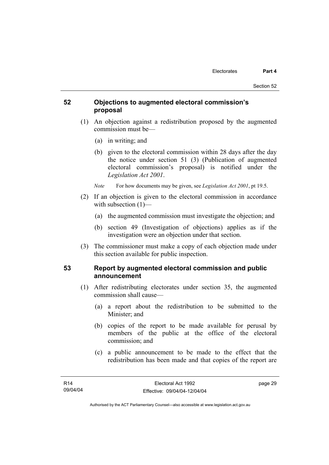# **52 Objections to augmented electoral commission's proposal**

- (1) An objection against a redistribution proposed by the augmented commission must be—
	- (a) in writing; and
	- (b) given to the electoral commission within 28 days after the day the notice under section 51 (3) (Publication of augmented electoral commission's proposal) is notified under the *Legislation Act 2001*.
	- *Note* For how documents may be given, see *Legislation Act 2001*, pt 19.5.
- (2) If an objection is given to the electoral commission in accordance with subsection  $(1)$ —
	- (a) the augmented commission must investigate the objection; and
	- (b) section 49 (Investigation of objections) applies as if the investigation were an objection under that section.
- (3) The commissioner must make a copy of each objection made under this section available for public inspection.

# **53 Report by augmented electoral commission and public announcement**

- (1) After redistributing electorates under section 35, the augmented commission shall cause—
	- (a) a report about the redistribution to be submitted to the Minister; and
	- (b) copies of the report to be made available for perusal by members of the public at the office of the electoral commission; and
	- (c) a public announcement to be made to the effect that the redistribution has been made and that copies of the report are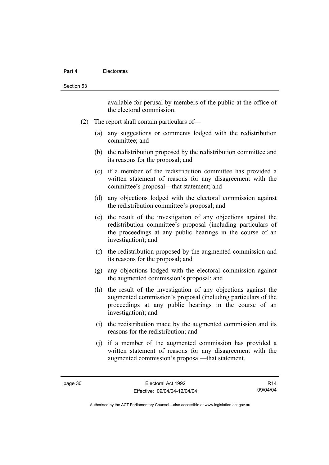### **Part 4** Electorates

available for perusal by members of the public at the office of the electoral commission.

- (2) The report shall contain particulars of—
	- (a) any suggestions or comments lodged with the redistribution committee; and
	- (b) the redistribution proposed by the redistribution committee and its reasons for the proposal; and
	- (c) if a member of the redistribution committee has provided a written statement of reasons for any disagreement with the committee's proposal—that statement; and
	- (d) any objections lodged with the electoral commission against the redistribution committee's proposal; and
	- (e) the result of the investigation of any objections against the redistribution committee's proposal (including particulars of the proceedings at any public hearings in the course of an investigation); and
	- (f) the redistribution proposed by the augmented commission and its reasons for the proposal; and
	- (g) any objections lodged with the electoral commission against the augmented commission's proposal; and
	- (h) the result of the investigation of any objections against the augmented commission's proposal (including particulars of the proceedings at any public hearings in the course of an investigation); and
	- (i) the redistribution made by the augmented commission and its reasons for the redistribution; and
	- (j) if a member of the augmented commission has provided a written statement of reasons for any disagreement with the augmented commission's proposal—that statement.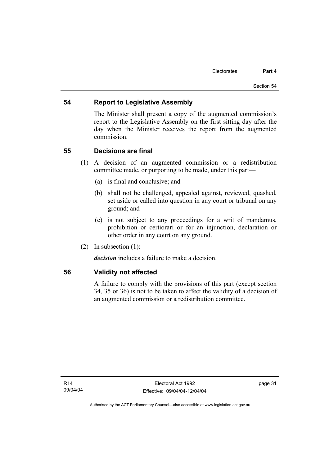# **54 Report to Legislative Assembly**

The Minister shall present a copy of the augmented commission's report to the Legislative Assembly on the first sitting day after the day when the Minister receives the report from the augmented commission.

# **55 Decisions are final**

- (1) A decision of an augmented commission or a redistribution committee made, or purporting to be made, under this part—
	- (a) is final and conclusive; and
	- (b) shall not be challenged, appealed against, reviewed, quashed, set aside or called into question in any court or tribunal on any ground; and
	- (c) is not subject to any proceedings for a writ of mandamus, prohibition or certiorari or for an injunction, declaration or other order in any court on any ground.
- (2) In subsection (1):

*decision* includes a failure to make a decision.

# **56 Validity not affected**

A failure to comply with the provisions of this part (except section 34, 35 or 36) is not to be taken to affect the validity of a decision of an augmented commission or a redistribution committee.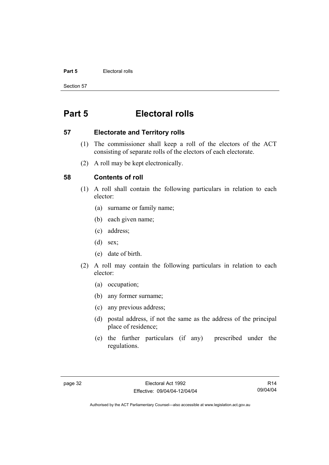### **Part 5 Electoral rolls**

Section 57

# **Part 5 Electoral rolls**

## **57 Electorate and Territory rolls**

- (1) The commissioner shall keep a roll of the electors of the ACT consisting of separate rolls of the electors of each electorate.
- (2) A roll may be kept electronically.

# **58 Contents of roll**

- (1) A roll shall contain the following particulars in relation to each elector:
	- (a) surname or family name;
	- (b) each given name;
	- (c) address;
	- (d) sex;
	- (e) date of birth.
- (2) A roll may contain the following particulars in relation to each elector:
	- (a) occupation;
	- (b) any former surname;
	- (c) any previous address;
	- (d) postal address, if not the same as the address of the principal place of residence;
	- (e) the further particulars (if any) prescribed under the regulations.

R14 09/04/04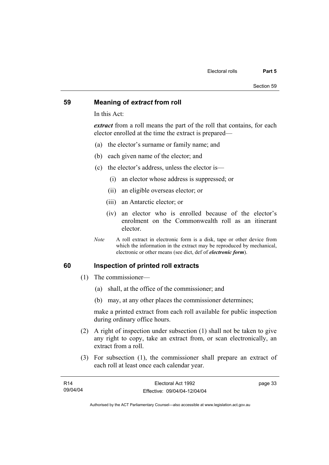## **59 Meaning of** *extract* **from roll**

In this Act:

*extract* from a roll means the part of the roll that contains, for each elector enrolled at the time the extract is prepared—

- (a) the elector's surname or family name; and
- (b) each given name of the elector; and
- (c) the elector's address, unless the elector is—
	- (i) an elector whose address is suppressed; or
	- (ii) an eligible overseas elector; or
	- (iii) an Antarctic elector; or
	- (iv) an elector who is enrolled because of the elector's enrolment on the Commonwealth roll as an itinerant elector.
- *Note* A roll extract in electronic form is a disk, tape or other device from which the information in the extract may be reproduced by mechanical, electronic or other means (see dict, def of *electronic form*).

# **60 Inspection of printed roll extracts**

- (1) The commissioner—
	- (a) shall, at the office of the commissioner; and
	- (b) may, at any other places the commissioner determines;

make a printed extract from each roll available for public inspection during ordinary office hours.

- (2) A right of inspection under subsection (1) shall not be taken to give any right to copy, take an extract from, or scan electronically, an extract from a roll.
- (3) For subsection (1), the commissioner shall prepare an extract of each roll at least once each calendar year.

| R14      | Electoral Act 1992           | page 33 |
|----------|------------------------------|---------|
| 09/04/04 | Effective: 09/04/04-12/04/04 |         |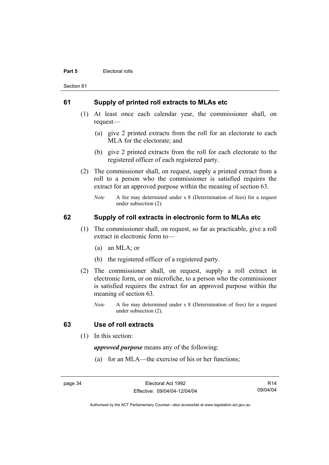#### **Part 5 Electoral rolls**

Section 61

## **61 Supply of printed roll extracts to MLAs etc**

- (1) At least once each calendar year, the commissioner shall, on request—
	- (a) give 2 printed extracts from the roll for an electorate to each MLA for the electorate; and
	- (b) give 2 printed extracts from the roll for each electorate to the registered officer of each registered party.
- (2) The commissioner shall, on request, supply a printed extract from a roll to a person who the commissioner is satisfied requires the extract for an approved purpose within the meaning of section 63.
	- *Note* A fee may determined under s 8 (Determination of fees) for a request under subsection (2).

# **62 Supply of roll extracts in electronic form to MLAs etc**

- (1) The commissioner shall, on request, so far as practicable, give a roll extract in electronic form to—
	- (a) an MLA; or
	- (b) the registered officer of a registered party.
- (2) The commissioner shall, on request, supply a roll extract in electronic form, or on microfiche, to a person who the commissioner is satisfied requires the extract for an approved purpose within the meaning of section 63.
	- *Note* A fee may determined under s 8 (Determination of fees) for a request under subsection (2).

# **63 Use of roll extracts**

(1) In this section:

*approved purpose* means any of the following:

(a) for an MLA—the exercise of his or her functions;

page 34 Electoral Act 1992 Effective: 09/04/04-12/04/04

R14 09/04/04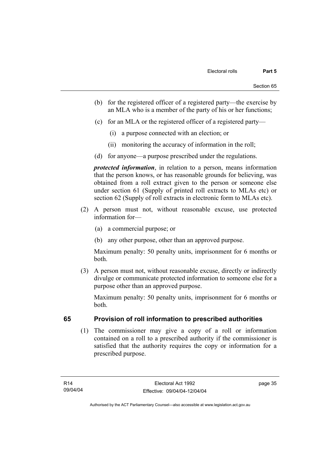- (b) for the registered officer of a registered party—the exercise by an MLA who is a member of the party of his or her functions;
- (c) for an MLA or the registered officer of a registered party—
	- (i) a purpose connected with an election; or
	- (ii) monitoring the accuracy of information in the roll;
- (d) for anyone—a purpose prescribed under the regulations.

*protected information*, in relation to a person, means information that the person knows, or has reasonable grounds for believing, was obtained from a roll extract given to the person or someone else under section 61 (Supply of printed roll extracts to MLAs etc) or section 62 (Supply of roll extracts in electronic form to MLAs etc).

- (2) A person must not, without reasonable excuse, use protected information for—
	- (a) a commercial purpose; or
	- (b) any other purpose, other than an approved purpose.

Maximum penalty: 50 penalty units, imprisonment for 6 months or both.

 (3) A person must not, without reasonable excuse, directly or indirectly divulge or communicate protected information to someone else for a purpose other than an approved purpose.

Maximum penalty: 50 penalty units, imprisonment for 6 months or both.

# **65 Provision of roll information to prescribed authorities**

 (1) The commissioner may give a copy of a roll or information contained on a roll to a prescribed authority if the commissioner is satisfied that the authority requires the copy or information for a prescribed purpose.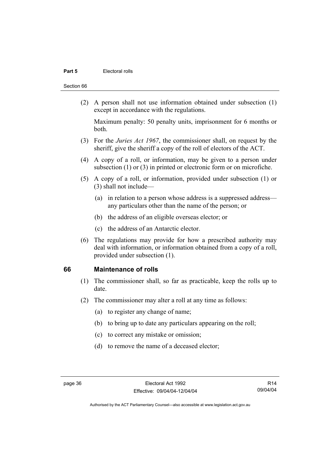### **Part 5 Electoral rolls**

#### Section 66

 (2) A person shall not use information obtained under subsection (1) except in accordance with the regulations.

Maximum penalty: 50 penalty units, imprisonment for 6 months or both.

- (3) For the *Juries Act 1967*, the commissioner shall, on request by the sheriff, give the sheriff a copy of the roll of electors of the ACT.
- (4) A copy of a roll, or information, may be given to a person under subsection (1) or (3) in printed or electronic form or on microfiche.
- (5) A copy of a roll, or information, provided under subsection (1) or (3) shall not include—
	- (a) in relation to a person whose address is a suppressed address any particulars other than the name of the person; or
	- (b) the address of an eligible overseas elector; or
	- (c) the address of an Antarctic elector.
- (6) The regulations may provide for how a prescribed authority may deal with information, or information obtained from a copy of a roll, provided under subsection (1).

## **66 Maintenance of rolls**

- (1) The commissioner shall, so far as practicable, keep the rolls up to date.
- (2) The commissioner may alter a roll at any time as follows:
	- (a) to register any change of name;
	- (b) to bring up to date any particulars appearing on the roll;
	- (c) to correct any mistake or omission;
	- (d) to remove the name of a deceased elector;

R14 09/04/04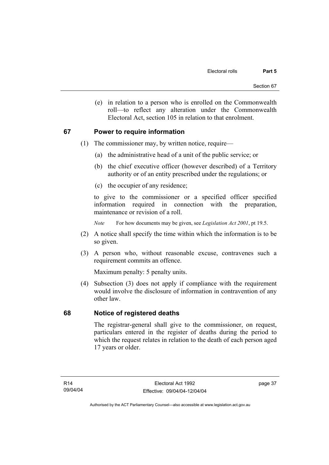(e) in relation to a person who is enrolled on the Commonwealth roll—to reflect any alteration under the Commonwealth Electoral Act, section 105 in relation to that enrolment.

# **67 Power to require information**

- (1) The commissioner may, by written notice, require—
	- (a) the administrative head of a unit of the public service; or
	- (b) the chief executive officer (however described) of a Territory authority or of an entity prescribed under the regulations; or
	- (c) the occupier of any residence;

to give to the commissioner or a specified officer specified information required in connection with the preparation, maintenance or revision of a roll.

*Note* For how documents may be given, see *Legislation Act 2001*, pt 19.5.

- (2) A notice shall specify the time within which the information is to be so given.
- (3) A person who, without reasonable excuse, contravenes such a requirement commits an offence.

Maximum penalty: 5 penalty units.

 (4) Subsection (3) does not apply if compliance with the requirement would involve the disclosure of information in contravention of any other law.

# **68 Notice of registered deaths**

The registrar-general shall give to the commissioner, on request, particulars entered in the register of deaths during the period to which the request relates in relation to the death of each person aged 17 years or older.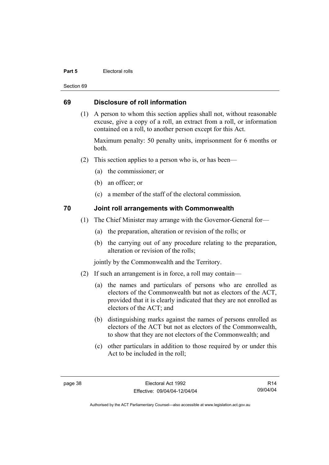### **Part 5 Electoral rolls**

Section 69

# **69 Disclosure of roll information**

 (1) A person to whom this section applies shall not, without reasonable excuse, give a copy of a roll, an extract from a roll, or information contained on a roll, to another person except for this Act.

Maximum penalty: 50 penalty units, imprisonment for 6 months or both.

- (2) This section applies to a person who is, or has been—
	- (a) the commissioner; or
	- (b) an officer; or
	- (c) a member of the staff of the electoral commission.

# **70 Joint roll arrangements with Commonwealth**

- (1) The Chief Minister may arrange with the Governor-General for—
	- (a) the preparation, alteration or revision of the rolls; or
	- (b) the carrying out of any procedure relating to the preparation, alteration or revision of the rolls;

jointly by the Commonwealth and the Territory.

- (2) If such an arrangement is in force, a roll may contain—
	- (a) the names and particulars of persons who are enrolled as electors of the Commonwealth but not as electors of the ACT, provided that it is clearly indicated that they are not enrolled as electors of the ACT; and
	- (b) distinguishing marks against the names of persons enrolled as electors of the ACT but not as electors of the Commonwealth, to show that they are not electors of the Commonwealth; and
	- (c) other particulars in addition to those required by or under this Act to be included in the roll;

R14 09/04/04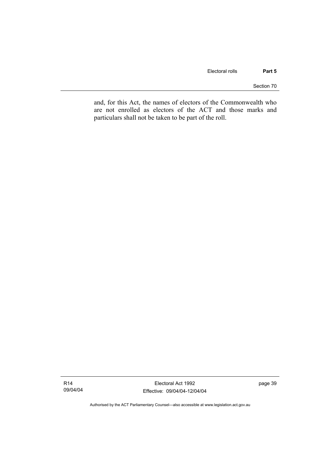Section 70

and, for this Act, the names of electors of the Commonwealth who are not enrolled as electors of the ACT and those marks and particulars shall not be taken to be part of the roll.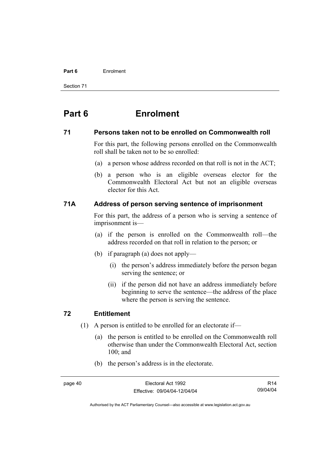#### **Part 6** Enrolment

Section 71

# **Part 6 Enrolment**

## **71 Persons taken not to be enrolled on Commonwealth roll**

For this part, the following persons enrolled on the Commonwealth roll shall be taken not to be so enrolled:

- (a) a person whose address recorded on that roll is not in the ACT;
- (b) a person who is an eligible overseas elector for the Commonwealth Electoral Act but not an eligible overseas elector for this Act.

# **71A Address of person serving sentence of imprisonment**

For this part, the address of a person who is serving a sentence of imprisonment is—

- (a) if the person is enrolled on the Commonwealth roll—the address recorded on that roll in relation to the person; or
- (b) if paragraph (a) does not apply—
	- (i) the person's address immediately before the person began serving the sentence; or
	- (ii) if the person did not have an address immediately before beginning to serve the sentence—the address of the place where the person is serving the sentence.

# **72 Entitlement**

- (1) A person is entitled to be enrolled for an electorate if—
	- (a) the person is entitled to be enrolled on the Commonwealth roll otherwise than under the Commonwealth Electoral Act, section 100; and
	- (b) the person's address is in the electorate.

R14 09/04/04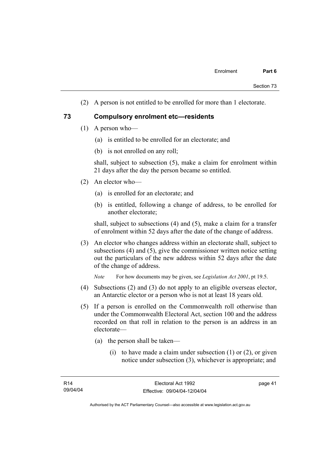(2) A person is not entitled to be enrolled for more than 1 electorate.

## **73 Compulsory enrolment etc—residents**

- (1) A person who—
	- (a) is entitled to be enrolled for an electorate; and
	- (b) is not enrolled on any roll;

shall, subject to subsection (5), make a claim for enrolment within 21 days after the day the person became so entitled.

- (2) An elector who—
	- (a) is enrolled for an electorate; and
	- (b) is entitled, following a change of address, to be enrolled for another electorate;

shall, subject to subsections (4) and (5), make a claim for a transfer of enrolment within 52 days after the date of the change of address.

 (3) An elector who changes address within an electorate shall, subject to subsections (4) and (5), give the commissioner written notice setting out the particulars of the new address within 52 days after the date of the change of address.

*Note* For how documents may be given, see *Legislation Act 2001*, pt 19.5.

- (4) Subsections (2) and (3) do not apply to an eligible overseas elector, an Antarctic elector or a person who is not at least 18 years old.
- (5) If a person is enrolled on the Commonwealth roll otherwise than under the Commonwealth Electoral Act, section 100 and the address recorded on that roll in relation to the person is an address in an electorate—
	- (a) the person shall be taken—
		- (i) to have made a claim under subsection  $(1)$  or  $(2)$ , or given notice under subsection (3), whichever is appropriate; and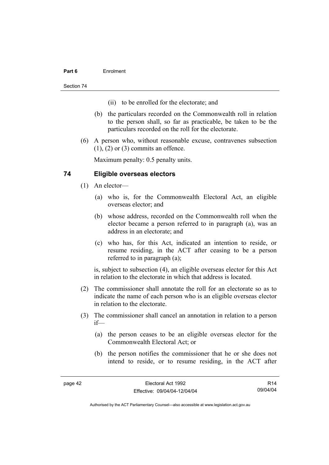## **Part 6** Enrolment

Section 74

- (ii) to be enrolled for the electorate; and
- (b) the particulars recorded on the Commonwealth roll in relation to the person shall, so far as practicable, be taken to be the particulars recorded on the roll for the electorate.
- (6) A person who, without reasonable excuse, contravenes subsection  $(1)$ ,  $(2)$  or  $(3)$  commits an offence.

Maximum penalty: 0.5 penalty units.

# **74 Eligible overseas electors**

- (1) An elector—
	- (a) who is, for the Commonwealth Electoral Act, an eligible overseas elector; and
	- (b) whose address, recorded on the Commonwealth roll when the elector became a person referred to in paragraph (a), was an address in an electorate; and
	- (c) who has, for this Act, indicated an intention to reside, or resume residing, in the ACT after ceasing to be a person referred to in paragraph (a);

is, subject to subsection (4), an eligible overseas elector for this Act in relation to the electorate in which that address is located.

- (2) The commissioner shall annotate the roll for an electorate so as to indicate the name of each person who is an eligible overseas elector in relation to the electorate.
- (3) The commissioner shall cancel an annotation in relation to a person if—
	- (a) the person ceases to be an eligible overseas elector for the Commonwealth Electoral Act; or
	- (b) the person notifies the commissioner that he or she does not intend to reside, or to resume residing, in the ACT after

R14 09/04/04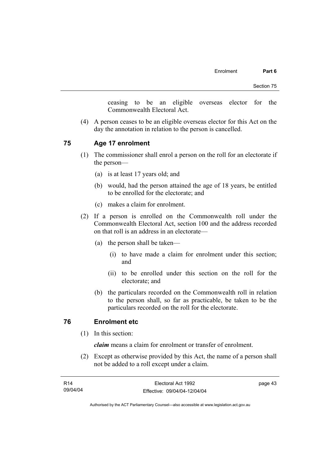ceasing to be an eligible overseas elector for the Commonwealth Electoral Act.

 (4) A person ceases to be an eligible overseas elector for this Act on the day the annotation in relation to the person is cancelled.

## **75 Age 17 enrolment**

- (1) The commissioner shall enrol a person on the roll for an electorate if the person—
	- (a) is at least 17 years old; and
	- (b) would, had the person attained the age of 18 years, be entitled to be enrolled for the electorate; and
	- (c) makes a claim for enrolment.
- (2) If a person is enrolled on the Commonwealth roll under the Commonwealth Electoral Act, section 100 and the address recorded on that roll is an address in an electorate—
	- (a) the person shall be taken—
		- (i) to have made a claim for enrolment under this section; and
		- (ii) to be enrolled under this section on the roll for the electorate; and
	- (b) the particulars recorded on the Commonwealth roll in relation to the person shall, so far as practicable, be taken to be the particulars recorded on the roll for the electorate.

# **76 Enrolment etc**

(1) In this section:

*claim* means a claim for enrolment or transfer of enrolment.

 (2) Except as otherwise provided by this Act, the name of a person shall not be added to a roll except under a claim.

| R14      | Electoral Act 1992           | page 43 |
|----------|------------------------------|---------|
| 09/04/04 | Effective: 09/04/04-12/04/04 |         |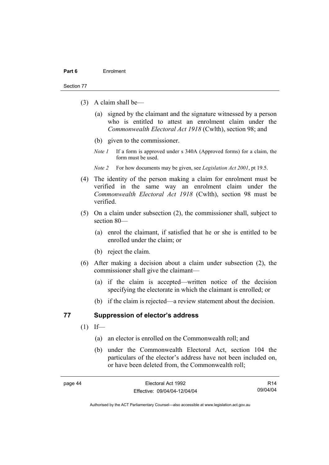#### Section 77

- (3) A claim shall be—
	- (a) signed by the claimant and the signature witnessed by a person who is entitled to attest an enrolment claim under the *Commonwealth Electoral Act 1918* (Cwlth), section 98; and
	- (b) given to the commissioner.
	- *Note 1* If a form is approved under s 340A (Approved forms) for a claim, the form must be used.
	- *Note 2* For how documents may be given, see *Legislation Act 2001*, pt 19.5.
- (4) The identity of the person making a claim for enrolment must be verified in the same way an enrolment claim under the *Commonwealth Electoral Act 1918* (Cwlth), section 98 must be verified.
- (5) On a claim under subsection (2), the commissioner shall, subject to section 80—
	- (a) enrol the claimant, if satisfied that he or she is entitled to be enrolled under the claim; or
	- (b) reject the claim.
- (6) After making a decision about a claim under subsection (2), the commissioner shall give the claimant—
	- (a) if the claim is accepted—written notice of the decision specifying the electorate in which the claimant is enrolled; or
	- (b) if the claim is rejected—a review statement about the decision.

## **77 Suppression of elector's address**

- $(1)$  If—
	- (a) an elector is enrolled on the Commonwealth roll; and
	- (b) under the Commonwealth Electoral Act, section 104 the particulars of the elector's address have not been included on, or have been deleted from, the Commonwealth roll;

R14 09/04/04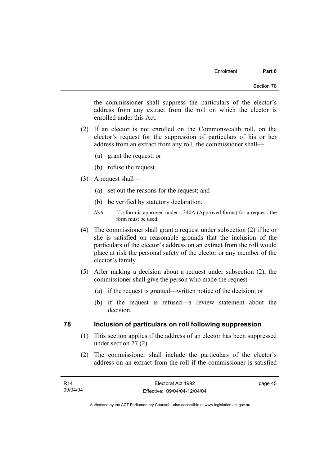the commissioner shall suppress the particulars of the elector's address from any extract from the roll on which the elector is enrolled under this Act.

- (2) If an elector is not enrolled on the Commonwealth roll, on the elector's request for the suppression of particulars of his or her address from an extract from any roll, the commissioner shall—
	- (a) grant the request; or
	- (b) refuse the request.
- (3) A request shall—
	- (a) set out the reasons for the request; and
	- (b) be verified by statutory declaration.
	- *Note* If a form is approved under s 340A (Approved forms) for a request, the form must be used.
- (4) The commissioner shall grant a request under subsection (2) if he or she is satisfied on reasonable grounds that the inclusion of the particulars of the elector's address on an extract from the roll would place at risk the personal safety of the elector or any member of the elector's family.
- (5) After making a decision about a request under subsection (2), the commissioner shall give the person who made the request—
	- (a) if the request is granted—written notice of the decision; or
	- (b) if the request is refused—a review statement about the decision.

# **78 Inclusion of particulars on roll following suppression**

- (1) This section applies if the address of an elector has been suppressed under section 77 (2).
- (2) The commissioner shall include the particulars of the elector's address on an extract from the roll if the commissioner is satisfied

page 45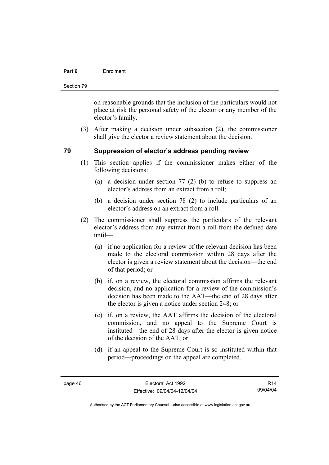## **Part 6** Enrolment

Section 79

on reasonable grounds that the inclusion of the particulars would not place at risk the personal safety of the elector or any member of the elector's family.

 (3) After making a decision under subsection (2), the commissioner shall give the elector a review statement about the decision.

# **79 Suppression of elector's address pending review**

- (1) This section applies if the commissioner makes either of the following decisions:
	- (a) a decision under section 77 (2) (b) to refuse to suppress an elector's address from an extract from a roll;
	- (b) a decision under section 78 (2) to include particulars of an elector's address on an extract from a roll.
- (2) The commissioner shall suppress the particulars of the relevant elector's address from any extract from a roll from the defined date until—
	- (a) if no application for a review of the relevant decision has been made to the electoral commission within 28 days after the elector is given a review statement about the decision—the end of that period; or
	- (b) if, on a review, the electoral commission affirms the relevant decision, and no application for a review of the commission's decision has been made to the AAT—the end of 28 days after the elector is given a notice under section 248; or
	- (c) if, on a review, the AAT affirms the decision of the electoral commission, and no appeal to the Supreme Court is instituted—the end of 28 days after the elector is given notice of the decision of the AAT; or
	- (d) if an appeal to the Supreme Court is so instituted within that period—proceedings on the appeal are completed.

R14 09/04/04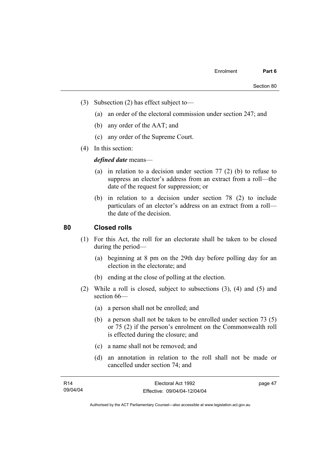- (3) Subsection (2) has effect subject to—
	- (a) an order of the electoral commission under section 247; and
	- (b) any order of the AAT; and
	- (c) any order of the Supreme Court.
- (4) In this section:

*defined date* means—

- (a) in relation to a decision under section 77 (2) (b) to refuse to suppress an elector's address from an extract from a roll—the date of the request for suppression; or
- (b) in relation to a decision under section 78 (2) to include particulars of an elector's address on an extract from a roll the date of the decision.

# **80 Closed rolls**

- (1) For this Act, the roll for an electorate shall be taken to be closed during the period—
	- (a) beginning at 8 pm on the 29th day before polling day for an election in the electorate; and
	- (b) ending at the close of polling at the election.
- (2) While a roll is closed, subject to subsections (3), (4) and (5) and section 66—
	- (a) a person shall not be enrolled; and
	- (b) a person shall not be taken to be enrolled under section 73 (5) or 75 (2) if the person's enrolment on the Commonwealth roll is effected during the closure; and
	- (c) a name shall not be removed; and
	- (d) an annotation in relation to the roll shall not be made or cancelled under section 74; and

| <b>R14</b> | Electoral Act 1992           | page 47 |
|------------|------------------------------|---------|
| 09/04/04   | Effective: 09/04/04-12/04/04 |         |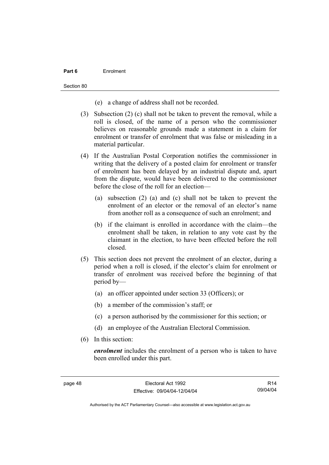## **Part 6** Enrolment

Section 80

- (e) a change of address shall not be recorded.
- (3) Subsection (2) (c) shall not be taken to prevent the removal, while a roll is closed, of the name of a person who the commissioner believes on reasonable grounds made a statement in a claim for enrolment or transfer of enrolment that was false or misleading in a material particular.
- (4) If the Australian Postal Corporation notifies the commissioner in writing that the delivery of a posted claim for enrolment or transfer of enrolment has been delayed by an industrial dispute and, apart from the dispute, would have been delivered to the commissioner before the close of the roll for an election—
	- (a) subsection (2) (a) and (c) shall not be taken to prevent the enrolment of an elector or the removal of an elector's name from another roll as a consequence of such an enrolment; and
	- (b) if the claimant is enrolled in accordance with the claim—the enrolment shall be taken, in relation to any vote cast by the claimant in the election, to have been effected before the roll closed.
- (5) This section does not prevent the enrolment of an elector, during a period when a roll is closed, if the elector's claim for enrolment or transfer of enrolment was received before the beginning of that period by—
	- (a) an officer appointed under section 33 (Officers); or
	- (b) a member of the commission's staff; or
	- (c) a person authorised by the commissioner for this section; or
	- (d) an employee of the Australian Electoral Commission.
- (6) In this section:

*enrolment* includes the enrolment of a person who is taken to have been enrolled under this part.

R14 09/04/04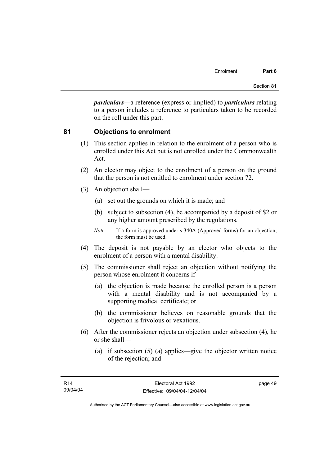*particulars*—a reference (express or implied) to *particulars* relating to a person includes a reference to particulars taken to be recorded on the roll under this part.

# **81 Objections to enrolment**

- (1) This section applies in relation to the enrolment of a person who is enrolled under this Act but is not enrolled under the Commonwealth Act.
- (2) An elector may object to the enrolment of a person on the ground that the person is not entitled to enrolment under section 72.
- (3) An objection shall—
	- (a) set out the grounds on which it is made; and
	- (b) subject to subsection (4), be accompanied by a deposit of \$2 or any higher amount prescribed by the regulations.
	- *Note* If a form is approved under s 340A (Approved forms) for an objection, the form must be used.
- (4) The deposit is not payable by an elector who objects to the enrolment of a person with a mental disability.
- (5) The commissioner shall reject an objection without notifying the person whose enrolment it concerns if—
	- (a) the objection is made because the enrolled person is a person with a mental disability and is not accompanied by a supporting medical certificate; or
	- (b) the commissioner believes on reasonable grounds that the objection is frivolous or vexatious.
- (6) After the commissioner rejects an objection under subsection (4), he or she shall—
	- (a) if subsection (5) (a) applies—give the objector written notice of the rejection; and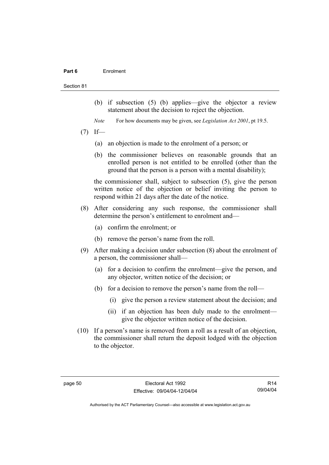#### **Part 6** Enrolment

#### Section 81

- (b) if subsection (5) (b) applies—give the objector a review statement about the decision to reject the objection.
- *Note* For how documents may be given, see *Legislation Act 2001*, pt 19.5.
- $(7)$  If—
	- (a) an objection is made to the enrolment of a person; or
	- (b) the commissioner believes on reasonable grounds that an enrolled person is not entitled to be enrolled (other than the ground that the person is a person with a mental disability);

the commissioner shall, subject to subsection (5), give the person written notice of the objection or belief inviting the person to respond within 21 days after the date of the notice.

- (8) After considering any such response, the commissioner shall determine the person's entitlement to enrolment and—
	- (a) confirm the enrolment; or
	- (b) remove the person's name from the roll.
- (9) After making a decision under subsection (8) about the enrolment of a person, the commissioner shall—
	- (a) for a decision to confirm the enrolment—give the person, and any objector, written notice of the decision; or
	- (b) for a decision to remove the person's name from the roll—
		- (i) give the person a review statement about the decision; and
		- (ii) if an objection has been duly made to the enrolment give the objector written notice of the decision.
- (10) If a person's name is removed from a roll as a result of an objection, the commissioner shall return the deposit lodged with the objection to the objector.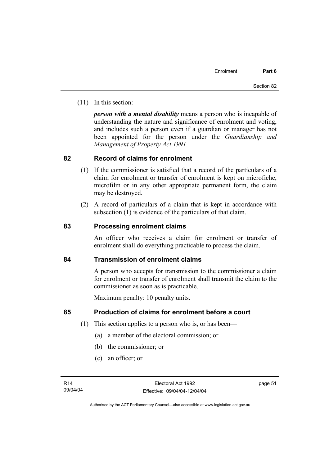(11) In this section:

*person with a mental disability* means a person who is incapable of understanding the nature and significance of enrolment and voting, and includes such a person even if a guardian or manager has not been appointed for the person under the *Guardianship and Management of Property Act 1991*.

# **82 Record of claims for enrolment**

- (1) If the commissioner is satisfied that a record of the particulars of a claim for enrolment or transfer of enrolment is kept on microfiche, microfilm or in any other appropriate permanent form, the claim may be destroyed.
- (2) A record of particulars of a claim that is kept in accordance with subsection (1) is evidence of the particulars of that claim.

# **83 Processing enrolment claims**

An officer who receives a claim for enrolment or transfer of enrolment shall do everything practicable to process the claim.

# **84 Transmission of enrolment claims**

A person who accepts for transmission to the commissioner a claim for enrolment or transfer of enrolment shall transmit the claim to the commissioner as soon as is practicable.

Maximum penalty: 10 penalty units.

# **85 Production of claims for enrolment before a court**

- (1) This section applies to a person who is, or has been—
	- (a) a member of the electoral commission; or
	- (b) the commissioner; or
	- (c) an officer; or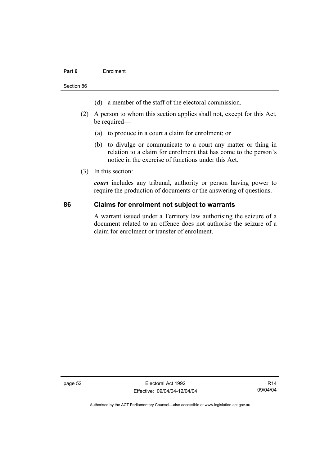## **Part 6** Enrolment

Section 86

- (d) a member of the staff of the electoral commission.
- (2) A person to whom this section applies shall not, except for this Act, be required—
	- (a) to produce in a court a claim for enrolment; or
	- (b) to divulge or communicate to a court any matter or thing in relation to a claim for enrolment that has come to the person's notice in the exercise of functions under this Act.
- (3) In this section:

*court* includes any tribunal, authority or person having power to require the production of documents or the answering of questions.

## **86 Claims for enrolment not subject to warrants**

A warrant issued under a Territory law authorising the seizure of a document related to an offence does not authorise the seizure of a claim for enrolment or transfer of enrolment.

page 52 Electoral Act 1992 Effective: 09/04/04-12/04/04

R14 09/04/04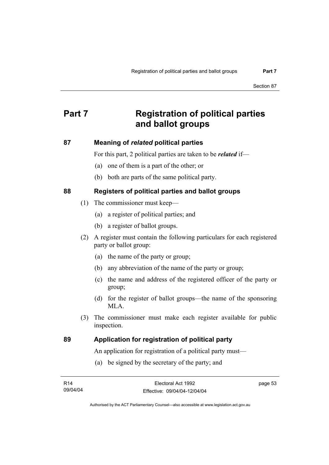# **Part 7 Registration of political parties and ballot groups**

# **87 Meaning of** *related* **political parties**

For this part, 2 political parties are taken to be *related* if—

- (a) one of them is a part of the other; or
- (b) both are parts of the same political party.

# **88 Registers of political parties and ballot groups**

- (1) The commissioner must keep—
	- (a) a register of political parties; and
	- (b) a register of ballot groups.
- (2) A register must contain the following particulars for each registered party or ballot group:
	- (a) the name of the party or group;
	- (b) any abbreviation of the name of the party or group;
	- (c) the name and address of the registered officer of the party or group;
	- (d) for the register of ballot groups—the name of the sponsoring MLA.
- (3) The commissioner must make each register available for public inspection.

# **89 Application for registration of political party**

An application for registration of a political party must—

(a) be signed by the secretary of the party; and

| R14      | Electoral Act 1992           | page 53 |
|----------|------------------------------|---------|
| 09/04/04 | Effective: 09/04/04-12/04/04 |         |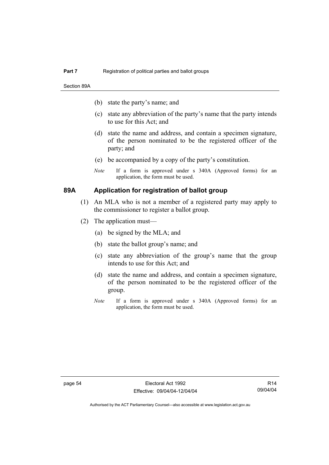Section 89A

- (b) state the party's name; and
- (c) state any abbreviation of the party's name that the party intends to use for this Act; and
- (d) state the name and address, and contain a specimen signature, of the person nominated to be the registered officer of the party; and
- (e) be accompanied by a copy of the party's constitution.
- *Note* If a form is approved under s 340A (Approved forms) for an application, the form must be used.

# **89A Application for registration of ballot group**

- (1) An MLA who is not a member of a registered party may apply to the commissioner to register a ballot group.
- (2) The application must—
	- (a) be signed by the MLA; and
	- (b) state the ballot group's name; and
	- (c) state any abbreviation of the group's name that the group intends to use for this Act; and
	- (d) state the name and address, and contain a specimen signature, of the person nominated to be the registered officer of the group.
	- *Note* If a form is approved under s 340A (Approved forms) for an application, the form must be used.

R14 09/04/04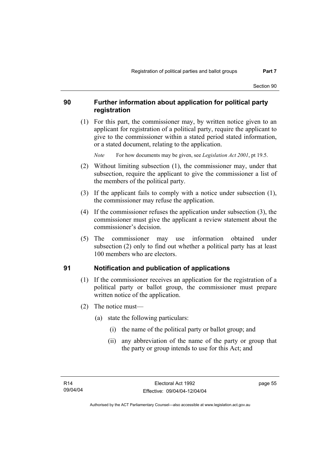#### **90 Further information about application for political party registration**

 (1) For this part, the commissioner may, by written notice given to an applicant for registration of a political party, require the applicant to give to the commissioner within a stated period stated information, or a stated document, relating to the application.

*Note* For how documents may be given, see *Legislation Act 2001*, pt 19.5.

- (2) Without limiting subsection (1), the commissioner may, under that subsection, require the applicant to give the commissioner a list of the members of the political party.
- (3) If the applicant fails to comply with a notice under subsection (1), the commissioner may refuse the application.
- (4) If the commissioner refuses the application under subsection (3), the commissioner must give the applicant a review statement about the commissioner's decision.
- (5) The commissioner may use information obtained under subsection (2) only to find out whether a political party has at least 100 members who are electors.

## **91 Notification and publication of applications**

- (1) If the commissioner receives an application for the registration of a political party or ballot group, the commissioner must prepare written notice of the application.
- (2) The notice must—
	- (a) state the following particulars:
		- (i) the name of the political party or ballot group; and
		- (ii) any abbreviation of the name of the party or group that the party or group intends to use for this Act; and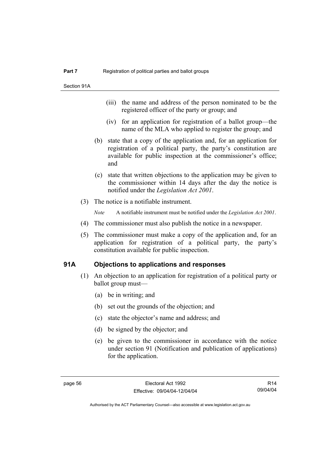- (iii) the name and address of the person nominated to be the registered officer of the party or group; and
- (iv) for an application for registration of a ballot group—the name of the MLA who applied to register the group; and
- (b) state that a copy of the application and, for an application for registration of a political party, the party's constitution are available for public inspection at the commissioner's office; and
- (c) state that written objections to the application may be given to the commissioner within 14 days after the day the notice is notified under the *Legislation Act 2001*.
- (3) The notice is a notifiable instrument.

*Note* A notifiable instrument must be notified under the *Legislation Act 2001*.

- (4) The commissioner must also publish the notice in a newspaper.
- (5) The commissioner must make a copy of the application and, for an application for registration of a political party, the party's constitution available for public inspection.

#### **91A Objections to applications and responses**

- (1) An objection to an application for registration of a political party or ballot group must—
	- (a) be in writing; and
	- (b) set out the grounds of the objection; and
	- (c) state the objector's name and address; and
	- (d) be signed by the objector; and
	- (e) be given to the commissioner in accordance with the notice under section 91 (Notification and publication of applications) for the application.

R14 09/04/04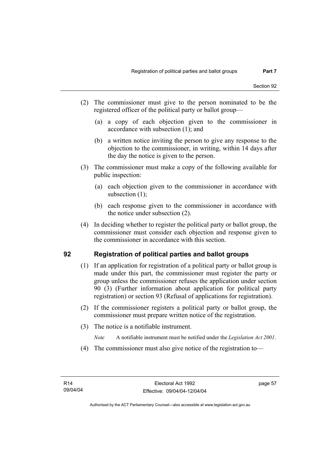- (2) The commissioner must give to the person nominated to be the registered officer of the political party or ballot group—
	- (a) a copy of each objection given to the commissioner in accordance with subsection (1); and
	- (b) a written notice inviting the person to give any response to the objection to the commissioner, in writing, within 14 days after the day the notice is given to the person.
- (3) The commissioner must make a copy of the following available for public inspection:
	- (a) each objection given to the commissioner in accordance with subsection (1);
	- (b) each response given to the commissioner in accordance with the notice under subsection (2).
- (4) In deciding whether to register the political party or ballot group, the commissioner must consider each objection and response given to the commissioner in accordance with this section.

## **92 Registration of political parties and ballot groups**

- (1) If an application for registration of a political party or ballot group is made under this part, the commissioner must register the party or group unless the commissioner refuses the application under section 90 (3) (Further information about application for political party registration) or section 93 (Refusal of applications for registration).
- (2) If the commissioner registers a political party or ballot group, the commissioner must prepare written notice of the registration.
- (3) The notice is a notifiable instrument.
	- *Note* A notifiable instrument must be notified under the *Legislation Act 2001*.
- (4) The commissioner must also give notice of the registration to—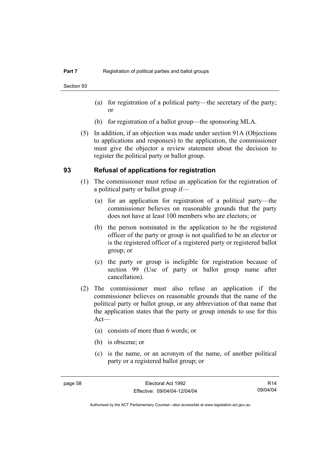Section 93

- (a) for registration of a political party—the secretary of the party; or
- (b) for registration of a ballot group—the sponsoring MLA.
- (5) In addition, if an objection was made under section 91A (Objections to applications and responses) to the application, the commissioner must give the objector a review statement about the decision to register the political party or ballot group.

#### **93 Refusal of applications for registration**

- (1) The commissioner must refuse an application for the registration of a political party or ballot group if—
	- (a) for an application for registration of a political party—the commissioner believes on reasonable grounds that the party does not have at least 100 members who are electors; or
	- (b) the person nominated in the application to be the registered officer of the party or group is not qualified to be an elector or is the registered officer of a registered party or registered ballot group; or
	- (c) the party or group is ineligible for registration because of section 99 (Use of party or ballot group name after cancellation).
- (2) The commissioner must also refuse an application if the commissioner believes on reasonable grounds that the name of the political party or ballot group, or any abbreviation of that name that the application states that the party or group intends to use for this Act—
	- (a) consists of more than 6 words; or
	- (b) is obscene; or
	- (c) is the name, or an acronym of the name, of another political party or a registered ballot group; or

R14 09/04/04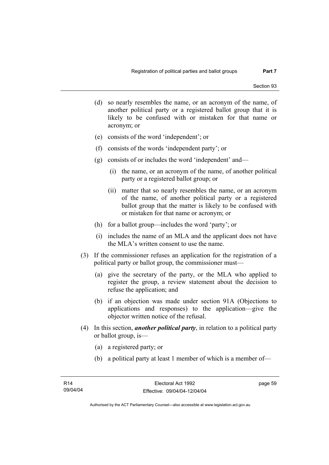- (d) so nearly resembles the name, or an acronym of the name, of another political party or a registered ballot group that it is likely to be confused with or mistaken for that name or acronym; or
- (e) consists of the word 'independent'; or
- (f) consists of the words 'independent party'; or
- (g) consists of or includes the word 'independent' and—
	- (i) the name, or an acronym of the name, of another political party or a registered ballot group; or
	- (ii) matter that so nearly resembles the name, or an acronym of the name, of another political party or a registered ballot group that the matter is likely to be confused with or mistaken for that name or acronym; or
- (h) for a ballot group—includes the word 'party'; or
- (i) includes the name of an MLA and the applicant does not have the MLA's written consent to use the name.
- (3) If the commissioner refuses an application for the registration of a political party or ballot group, the commissioner must—
	- (a) give the secretary of the party, or the MLA who applied to register the group, a review statement about the decision to refuse the application; and
	- (b) if an objection was made under section 91A (Objections to applications and responses) to the application—give the objector written notice of the refusal.
- (4) In this section, *another political party*, in relation to a political party or ballot group, is—
	- (a) a registered party; or
	- (b) a political party at least 1 member of which is a member of—

page 59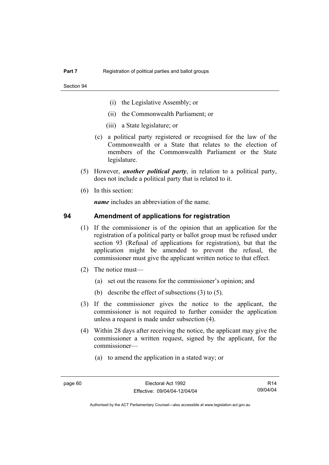- (i) the Legislative Assembly; or
- (ii) the Commonwealth Parliament; or
- (iii) a State legislature; or
- (c) a political party registered or recognised for the law of the Commonwealth or a State that relates to the election of members of the Commonwealth Parliament or the State legislature.
- (5) However, *another political party*, in relation to a political party, does not include a political party that is related to it.
- (6) In this section:

*name* includes an abbreviation of the name.

#### **94 Amendment of applications for registration**

- (1) If the commissioner is of the opinion that an application for the registration of a political party or ballot group must be refused under section 93 (Refusal of applications for registration), but that the application might be amended to prevent the refusal, the commissioner must give the applicant written notice to that effect.
- (2) The notice must—
	- (a) set out the reasons for the commissioner's opinion; and
	- (b) describe the effect of subsections (3) to (5).
- (3) If the commissioner gives the notice to the applicant, the commissioner is not required to further consider the application unless a request is made under subsection (4).
- (4) Within 28 days after receiving the notice, the applicant may give the commissioner a written request, signed by the applicant, for the commissioner—
	- (a) to amend the application in a stated way; or

R14 09/04/04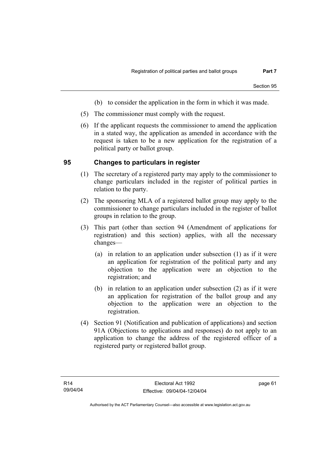- (b) to consider the application in the form in which it was made.
- (5) The commissioner must comply with the request.
- (6) If the applicant requests the commissioner to amend the application in a stated way, the application as amended in accordance with the request is taken to be a new application for the registration of a political party or ballot group.

#### **95 Changes to particulars in register**

- (1) The secretary of a registered party may apply to the commissioner to change particulars included in the register of political parties in relation to the party.
- (2) The sponsoring MLA of a registered ballot group may apply to the commissioner to change particulars included in the register of ballot groups in relation to the group.
- (3) This part (other than section 94 (Amendment of applications for registration) and this section) applies, with all the necessary changes—
	- (a) in relation to an application under subsection (1) as if it were an application for registration of the political party and any objection to the application were an objection to the registration; and
	- (b) in relation to an application under subsection (2) as if it were an application for registration of the ballot group and any objection to the application were an objection to the registration.
- (4) Section 91 (Notification and publication of applications) and section 91A (Objections to applications and responses) do not apply to an application to change the address of the registered officer of a registered party or registered ballot group.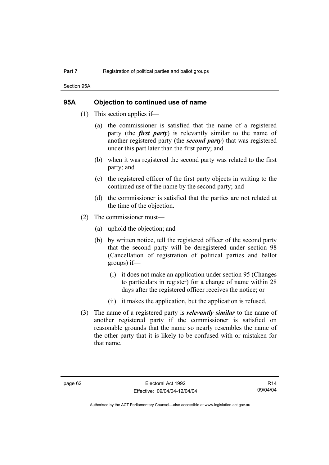Section 95A

#### **95A Objection to continued use of name**

- (1) This section applies if—
	- (a) the commissioner is satisfied that the name of a registered party (the *first party*) is relevantly similar to the name of another registered party (the *second party*) that was registered under this part later than the first party; and
	- (b) when it was registered the second party was related to the first party; and
	- (c) the registered officer of the first party objects in writing to the continued use of the name by the second party; and
	- (d) the commissioner is satisfied that the parties are not related at the time of the objection.
- (2) The commissioner must—
	- (a) uphold the objection; and
	- (b) by written notice, tell the registered officer of the second party that the second party will be deregistered under section 98 (Cancellation of registration of political parties and ballot groups) if—
		- (i) it does not make an application under section 95 (Changes to particulars in register) for a change of name within 28 days after the registered officer receives the notice; or
		- (ii) it makes the application, but the application is refused.
- (3) The name of a registered party is *relevantly similar* to the name of another registered party if the commissioner is satisfied on reasonable grounds that the name so nearly resembles the name of the other party that it is likely to be confused with or mistaken for that name.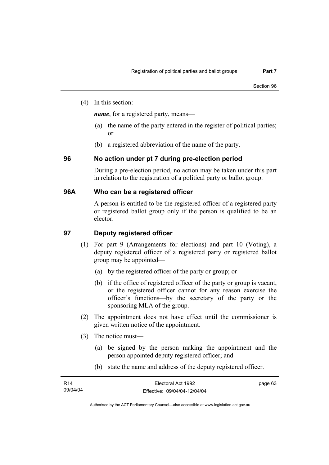(4) In this section:

*name*, for a registered party, means—

- (a) the name of the party entered in the register of political parties; or
- (b) a registered abbreviation of the name of the party.

## **96 No action under pt 7 during pre-election period**

During a pre-election period, no action may be taken under this part in relation to the registration of a political party or ballot group.

#### **96A Who can be a registered officer**

A person is entitled to be the registered officer of a registered party or registered ballot group only if the person is qualified to be an elector.

## **97 Deputy registered officer**

- (1) For part 9 (Arrangements for elections) and part 10 (Voting), a deputy registered officer of a registered party or registered ballot group may be appointed—
	- (a) by the registered officer of the party or group; or
	- (b) if the office of registered officer of the party or group is vacant, or the registered officer cannot for any reason exercise the officer's functions—by the secretary of the party or the sponsoring MLA of the group.
- (2) The appointment does not have effect until the commissioner is given written notice of the appointment.
- (3) The notice must—
	- (a) be signed by the person making the appointment and the person appointed deputy registered officer; and
	- (b) state the name and address of the deputy registered officer.

| R14      | Electoral Act 1992           | page 63 |
|----------|------------------------------|---------|
| 09/04/04 | Effective: 09/04/04-12/04/04 |         |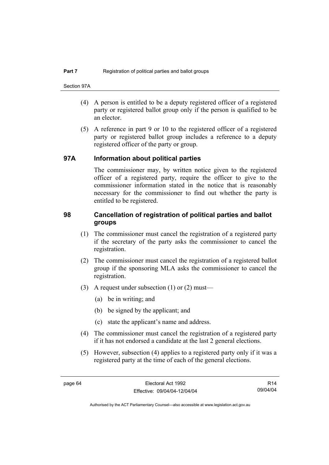- (4) A person is entitled to be a deputy registered officer of a registered party or registered ballot group only if the person is qualified to be an elector.
- (5) A reference in part 9 or 10 to the registered officer of a registered party or registered ballot group includes a reference to a deputy registered officer of the party or group.

#### **97A Information about political parties**

The commissioner may, by written notice given to the registered officer of a registered party, require the officer to give to the commissioner information stated in the notice that is reasonably necessary for the commissioner to find out whether the party is entitled to be registered.

#### **98 Cancellation of registration of political parties and ballot groups**

- (1) The commissioner must cancel the registration of a registered party if the secretary of the party asks the commissioner to cancel the registration.
- (2) The commissioner must cancel the registration of a registered ballot group if the sponsoring MLA asks the commissioner to cancel the registration.
- (3) A request under subsection (1) or (2) must—
	- (a) be in writing; and
	- (b) be signed by the applicant; and
	- (c) state the applicant's name and address.
- (4) The commissioner must cancel the registration of a registered party if it has not endorsed a candidate at the last 2 general elections.
- (5) However, subsection (4) applies to a registered party only if it was a registered party at the time of each of the general elections.

R14 09/04/04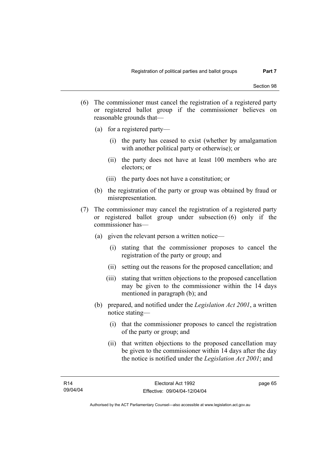- (6) The commissioner must cancel the registration of a registered party or registered ballot group if the commissioner believes on reasonable grounds that—
	- (a) for a registered party—
		- (i) the party has ceased to exist (whether by amalgamation with another political party or otherwise); or
		- (ii) the party does not have at least 100 members who are electors; or
		- (iii) the party does not have a constitution; or
	- (b) the registration of the party or group was obtained by fraud or misrepresentation.
- (7) The commissioner may cancel the registration of a registered party or registered ballot group under subsection (6) only if the commissioner has—
	- (a) given the relevant person a written notice—
		- (i) stating that the commissioner proposes to cancel the registration of the party or group; and
		- (ii) setting out the reasons for the proposed cancellation; and
		- (iii) stating that written objections to the proposed cancellation may be given to the commissioner within the 14 days mentioned in paragraph (b); and
	- (b) prepared, and notified under the *Legislation Act 2001*, a written notice stating—
		- (i) that the commissioner proposes to cancel the registration of the party or group; and
		- (ii) that written objections to the proposed cancellation may be given to the commissioner within 14 days after the day the notice is notified under the *Legislation Act 2001*; and

page 65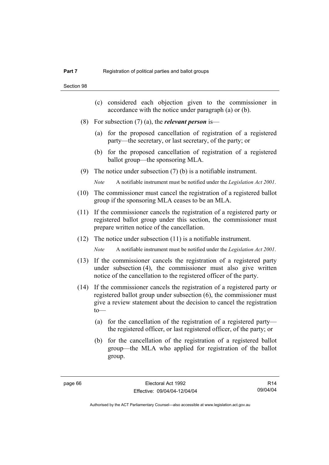- (c) considered each objection given to the commissioner in accordance with the notice under paragraph (a) or (b).
- (8) For subsection (7) (a), the *relevant person* is—
	- (a) for the proposed cancellation of registration of a registered party—the secretary, or last secretary, of the party; or
	- (b) for the proposed cancellation of registration of a registered ballot group—the sponsoring MLA.
- (9) The notice under subsection (7) (b) is a notifiable instrument.

*Note* A notifiable instrument must be notified under the *Legislation Act 2001*.

- (10) The commissioner must cancel the registration of a registered ballot group if the sponsoring MLA ceases to be an MLA.
- (11) If the commissioner cancels the registration of a registered party or registered ballot group under this section, the commissioner must prepare written notice of the cancellation.
- (12) The notice under subsection (11) is a notifiable instrument.

*Note* A notifiable instrument must be notified under the *Legislation Act 2001*.

- (13) If the commissioner cancels the registration of a registered party under subsection (4), the commissioner must also give written notice of the cancellation to the registered officer of the party.
- (14) If the commissioner cancels the registration of a registered party or registered ballot group under subsection (6), the commissioner must give a review statement about the decision to cancel the registration  $to$ —
	- (a) for the cancellation of the registration of a registered party the registered officer, or last registered officer, of the party; or
	- (b) for the cancellation of the registration of a registered ballot group—the MLA who applied for registration of the ballot group.

R14 09/04/04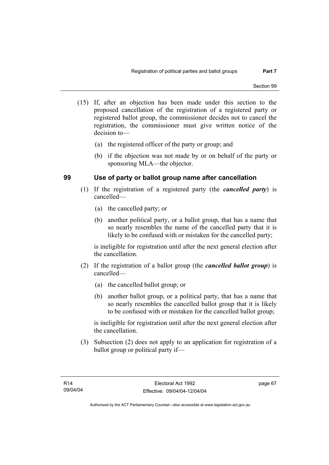- (15) If, after an objection has been made under this section to the proposed cancellation of the registration of a registered party or registered ballot group, the commissioner decides not to cancel the registration, the commissioner must give written notice of the decision to—
	- (a) the registered officer of the party or group; and
	- (b) if the objection was not made by or on behalf of the party or sponsoring MLA—the objector.

## **99 Use of party or ballot group name after cancellation**

- (1) If the registration of a registered party (the *cancelled party*) is cancelled—
	- (a) the cancelled party; or
	- (b) another political party, or a ballot group, that has a name that so nearly resembles the name of the cancelled party that it is likely to be confused with or mistaken for the cancelled party;

is ineligible for registration until after the next general election after the cancellation.

- (2) If the registration of a ballot group (the *cancelled ballot group*) is cancelled—
	- (a) the cancelled ballot group; or
	- (b) another ballot group, or a political party, that has a name that so nearly resembles the cancelled ballot group that it is likely to be confused with or mistaken for the cancelled ballot group;

is ineligible for registration until after the next general election after the cancellation.

 (3) Subsection (2) does not apply to an application for registration of a ballot group or political party if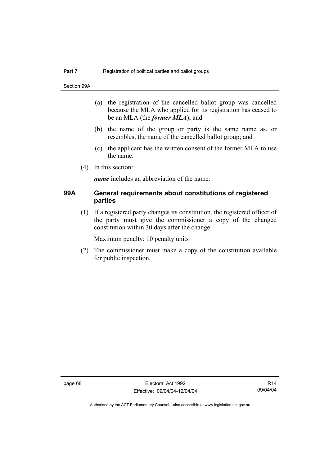Section 99A

- (a) the registration of the cancelled ballot group was cancelled because the MLA who applied for its registration has ceased to be an MLA (the *former MLA*); and
- (b) the name of the group or party is the same name as, or resembles, the name of the cancelled ballot group; and
- (c) the applicant has the written consent of the former MLA to use the name.
- (4) In this section:

*name* includes an abbreviation of the name.

#### **99A General requirements about constitutions of registered parties**

 (1) If a registered party changes its constitution, the registered officer of the party must give the commissioner a copy of the changed constitution within 30 days after the change.

Maximum penalty: 10 penalty units

 (2) The commissioner must make a copy of the constitution available for public inspection.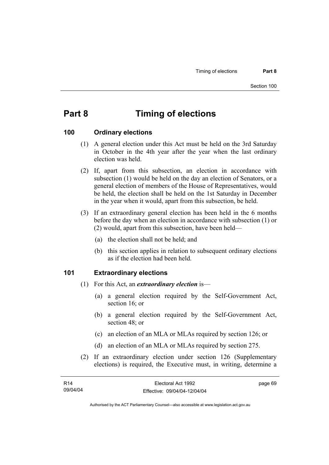# **Part 8 Timing of elections**

#### **100 Ordinary elections**

- (1) A general election under this Act must be held on the 3rd Saturday in October in the 4th year after the year when the last ordinary election was held.
- (2) If, apart from this subsection, an election in accordance with subsection (1) would be held on the day an election of Senators, or a general election of members of the House of Representatives, would be held, the election shall be held on the 1st Saturday in December in the year when it would, apart from this subsection, be held.
- (3) If an extraordinary general election has been held in the 6 months before the day when an election in accordance with subsection (1) or (2) would, apart from this subsection, have been held—
	- (a) the election shall not be held; and
	- (b) this section applies in relation to subsequent ordinary elections as if the election had been held.

#### **101 Extraordinary elections**

- (1) For this Act, an *extraordinary election* is—
	- (a) a general election required by the Self-Government Act, section 16; or
	- (b) a general election required by the Self-Government Act, section 48; or
	- (c) an election of an MLA or MLAs required by section 126; or
	- (d) an election of an MLA or MLAs required by section 275.
- (2) If an extraordinary election under section 126 (Supplementary elections) is required, the Executive must, in writing, determine a

| R14      | Electoral Act 1992           | page 69 |
|----------|------------------------------|---------|
| 09/04/04 | Effective: 09/04/04-12/04/04 |         |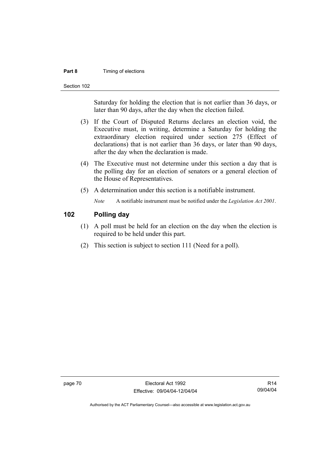#### **Part 8 Timing of elections**

Section 102

Saturday for holding the election that is not earlier than 36 days, or later than 90 days, after the day when the election failed.

- (3) If the Court of Disputed Returns declares an election void, the Executive must, in writing, determine a Saturday for holding the extraordinary election required under section 275 (Effect of declarations) that is not earlier than 36 days, or later than 90 days, after the day when the declaration is made.
- (4) The Executive must not determine under this section a day that is the polling day for an election of senators or a general election of the House of Representatives.
- (5) A determination under this section is a notifiable instrument.

*Note* A notifiable instrument must be notified under the *Legislation Act 2001*.

## **102 Polling day**

- (1) A poll must be held for an election on the day when the election is required to be held under this part.
- (2) This section is subject to section 111 (Need for a poll).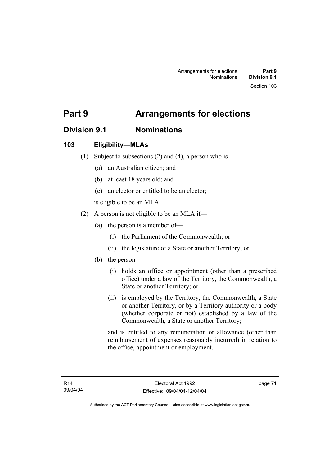# **Division 9.1 Nominations**

# **103 Eligibility—MLAs**

- (1) Subject to subsections (2) and (4), a person who is—
	- (a) an Australian citizen; and
	- (b) at least 18 years old; and
	- (c) an elector or entitled to be an elector;

is eligible to be an MLA.

- (2) A person is not eligible to be an MLA if—
	- (a) the person is a member of—
		- (i) the Parliament of the Commonwealth; or
		- (ii) the legislature of a State or another Territory; or
	- (b) the person—
		- (i) holds an office or appointment (other than a prescribed office) under a law of the Territory, the Commonwealth, a State or another Territory; or
		- (ii) is employed by the Territory, the Commonwealth, a State or another Territory, or by a Territory authority or a body (whether corporate or not) established by a law of the Commonwealth, a State or another Territory;

and is entitled to any remuneration or allowance (other than reimbursement of expenses reasonably incurred) in relation to the office, appointment or employment.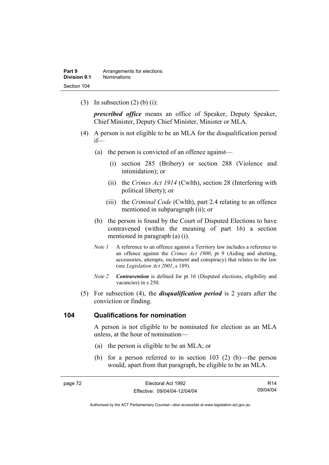(3) In subsection  $(2)$  (b) (i):

*prescribed office* means an office of Speaker, Deputy Speaker, Chief Minister, Deputy Chief Minister, Minister or MLA.

- (4) A person is not eligible to be an MLA for the disqualification period if—
	- (a) the person is convicted of an offence against—
		- (i) section 285 (Bribery) or section 288 (Violence and intimidation); or
		- (ii) the *Crimes Act 1914* (Cwlth), section 28 (Interfering with political liberty); or
		- (iii) the *Criminal Code* (Cwlth), part 2.4 relating to an offence mentioned in subparagraph (ii); or
	- (b) the person is found by the Court of Disputed Elections to have contravened (within the meaning of part 16) a section mentioned in paragraph (a) (i).
	- *Note 1* A reference to an offence against a Territory law includes a reference to an offence against the *Crimes Act 1900*, pt 9 (Aiding and abetting, accessories, attempts, incitement and conspiracy) that relates to the law (see *Legislation Act 2001*, s 189).
	- *Note 2 Contravention* is defined for pt 16 (Disputed elections, eligibility and vacancies) in s 250.
- (5) For subsection (4), the *disqualification period* is 2 years after the conviction or finding.

#### **104 Qualifications for nomination**

A person is not eligible to be nominated for election as an MLA unless, at the hour of nomination—

- (a) the person is eligible to be an MLA; or
- (b) for a person referred to in section 103 (2) (b)—the person would, apart from that paragraph, be eligible to be an MLA.

| page 72 | Electoral Act 1992           | R <sub>14</sub> |
|---------|------------------------------|-----------------|
|         | Effective: 09/04/04-12/04/04 | 09/04/04        |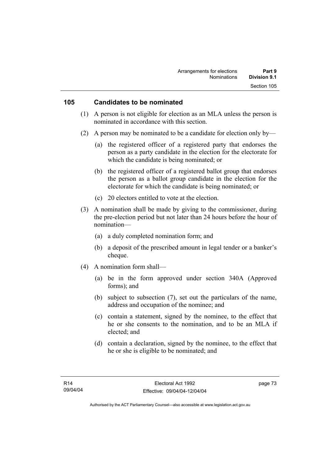#### **105 Candidates to be nominated**

- (1) A person is not eligible for election as an MLA unless the person is nominated in accordance with this section.
- (2) A person may be nominated to be a candidate for election only by—
	- (a) the registered officer of a registered party that endorses the person as a party candidate in the election for the electorate for which the candidate is being nominated; or
	- (b) the registered officer of a registered ballot group that endorses the person as a ballot group candidate in the election for the electorate for which the candidate is being nominated; or
	- (c) 20 electors entitled to vote at the election.
- (3) A nomination shall be made by giving to the commissioner, during the pre-election period but not later than 24 hours before the hour of nomination—
	- (a) a duly completed nomination form; and
	- (b) a deposit of the prescribed amount in legal tender or a banker's cheque.
- (4) A nomination form shall—
	- (a) be in the form approved under section 340A (Approved forms); and
	- (b) subject to subsection (7), set out the particulars of the name, address and occupation of the nominee; and
	- (c) contain a statement, signed by the nominee, to the effect that he or she consents to the nomination, and to be an MLA if elected; and
	- (d) contain a declaration, signed by the nominee, to the effect that he or she is eligible to be nominated; and

page 73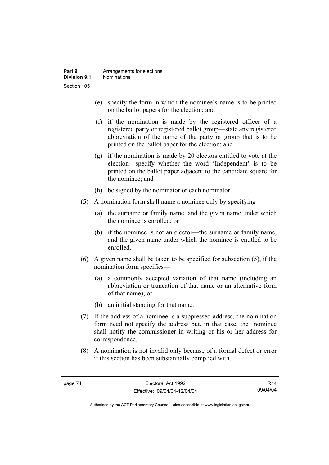- (e) specify the form in which the nominee's name is to be printed on the ballot papers for the election; and
- (f) if the nomination is made by the registered officer of a registered party or registered ballot group—state any registered abbreviation of the name of the party or group that is to be printed on the ballot paper for the election; and
- (g) if the nomination is made by 20 electors entitled to vote at the election—specify whether the word 'Independent' is to be printed on the ballot paper adjacent to the candidate square for the nominee; and
- (h) be signed by the nominator or each nominator.
- (5) A nomination form shall name a nominee only by specifying—
	- (a) the surname or family name, and the given name under which the nominee is enrolled; or
	- (b) if the nominee is not an elector—the surname or family name, and the given name under which the nominee is entitled to be enrolled.
- (6) A given name shall be taken to be specified for subsection (5), if the nomination form specifies—
	- (a) a commonly accepted variation of that name (including an abbreviation or truncation of that name or an alternative form of that name); or
	- (b) an initial standing for that name.
- (7) If the address of a nominee is a suppressed address, the nomination form need not specify the address but, in that case, the nominee shall notify the commissioner in writing of his or her address for correspondence.
- (8) A nomination is not invalid only because of a formal defect or error if this section has been substantially complied with.

R14 09/04/04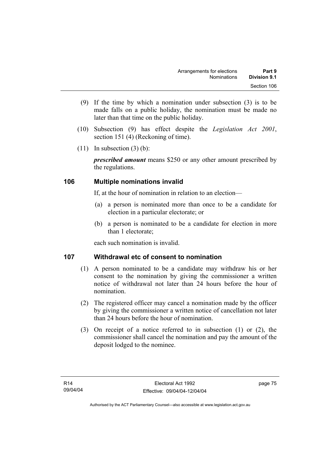- (9) If the time by which a nomination under subsection (3) is to be made falls on a public holiday, the nomination must be made no later than that time on the public holiday.
- (10) Subsection (9) has effect despite the *Legislation Act 2001*, section 151 (4) (Reckoning of time).
- $(11)$  In subsection  $(3)$  (b):

*prescribed amount* means \$250 or any other amount prescribed by the regulations.

## **106 Multiple nominations invalid**

If, at the hour of nomination in relation to an election—

- (a) a person is nominated more than once to be a candidate for election in a particular electorate; or
- (b) a person is nominated to be a candidate for election in more than 1 electorate;

each such nomination is invalid.

## **107 Withdrawal etc of consent to nomination**

- (1) A person nominated to be a candidate may withdraw his or her consent to the nomination by giving the commissioner a written notice of withdrawal not later than 24 hours before the hour of nomination.
- (2) The registered officer may cancel a nomination made by the officer by giving the commissioner a written notice of cancellation not later than 24 hours before the hour of nomination.
- (3) On receipt of a notice referred to in subsection (1) or (2), the commissioner shall cancel the nomination and pay the amount of the deposit lodged to the nominee.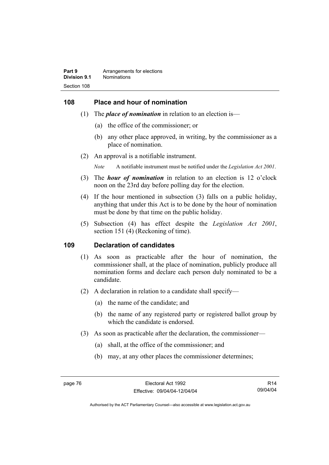#### **108 Place and hour of nomination**

- (1) The *place of nomination* in relation to an election is—
	- (a) the office of the commissioner; or
	- (b) any other place approved, in writing, by the commissioner as a place of nomination.
- (2) An approval is a notifiable instrument.

*Note* A notifiable instrument must be notified under the *Legislation Act 2001*.

- (3) The *hour of nomination* in relation to an election is 12 o'clock noon on the 23rd day before polling day for the election.
- (4) If the hour mentioned in subsection (3) falls on a public holiday, anything that under this Act is to be done by the hour of nomination must be done by that time on the public holiday.
- (5) Subsection (4) has effect despite the *Legislation Act 2001*, section 151 (4) (Reckoning of time).

#### **109 Declaration of candidates**

- (1) As soon as practicable after the hour of nomination, the commissioner shall, at the place of nomination, publicly produce all nomination forms and declare each person duly nominated to be a candidate.
- (2) A declaration in relation to a candidate shall specify—
	- (a) the name of the candidate; and
	- (b) the name of any registered party or registered ballot group by which the candidate is endorsed.
- (3) As soon as practicable after the declaration, the commissioner—
	- (a) shall, at the office of the commissioner; and
	- (b) may, at any other places the commissioner determines;

R14 09/04/04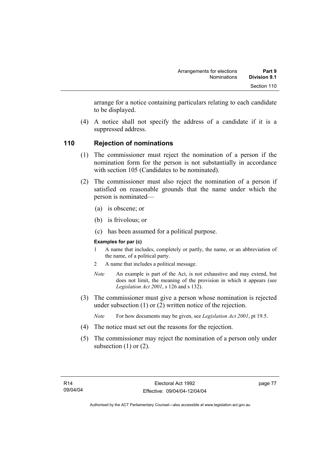arrange for a notice containing particulars relating to each candidate to be displayed.

 (4) A notice shall not specify the address of a candidate if it is a suppressed address.

## **110 Rejection of nominations**

- (1) The commissioner must reject the nomination of a person if the nomination form for the person is not substantially in accordance with section 105 (Candidates to be nominated).
- (2) The commissioner must also reject the nomination of a person if satisfied on reasonable grounds that the name under which the person is nominated—
	- (a) is obscene; or
	- (b) is frivolous; or
	- (c) has been assumed for a political purpose.

#### **Examples for par (c)**

- 1 A name that includes, completely or partly, the name, or an abbreviation of the name, of a political party.
- 2 A name that includes a political message.
- *Note* An example is part of the Act, is not exhaustive and may extend, but does not limit, the meaning of the provision in which it appears (see *Legislation Act 2001*, s 126 and s 132).
- (3) The commissioner must give a person whose nomination is rejected under subsection (1) or (2) written notice of the rejection.
	- *Note* For how documents may be given, see *Legislation Act 2001*, pt 19.5.
- (4) The notice must set out the reasons for the rejection.
- (5) The commissioner may reject the nomination of a person only under subsection  $(1)$  or  $(2)$ .

page 77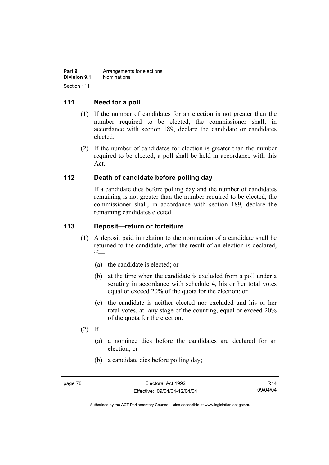| Part 9       | Arrangements for elections |
|--------------|----------------------------|
| Division 9.1 | <b>Nominations</b>         |
| Section 111  |                            |

#### **111 Need for a poll**

- (1) If the number of candidates for an election is not greater than the number required to be elected, the commissioner shall, in accordance with section 189, declare the candidate or candidates elected.
- (2) If the number of candidates for election is greater than the number required to be elected, a poll shall be held in accordance with this Act.

#### **112 Death of candidate before polling day**

If a candidate dies before polling day and the number of candidates remaining is not greater than the number required to be elected, the commissioner shall, in accordance with section 189, declare the remaining candidates elected.

#### **113 Deposit—return or forfeiture**

- (1) A deposit paid in relation to the nomination of a candidate shall be returned to the candidate, after the result of an election is declared, if—
	- (a) the candidate is elected; or
	- (b) at the time when the candidate is excluded from a poll under a scrutiny in accordance with schedule 4, his or her total votes equal or exceed 20% of the quota for the election; or
	- (c) the candidate is neither elected nor excluded and his or her total votes, at any stage of the counting, equal or exceed 20% of the quota for the election.
- $(2)$  If—
	- (a) a nominee dies before the candidates are declared for an election; or
	- (b) a candidate dies before polling day;

R14 09/04/04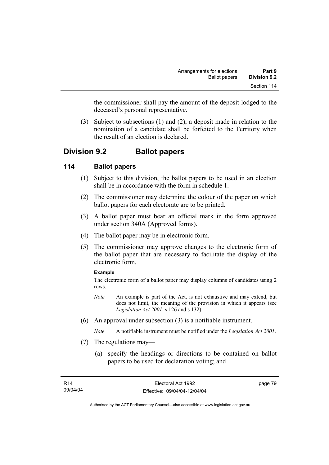the commissioner shall pay the amount of the deposit lodged to the deceased's personal representative.

 (3) Subject to subsections (1) and (2), a deposit made in relation to the nomination of a candidate shall be forfeited to the Territory when the result of an election is declared.

# **Division 9.2 Ballot papers**

## **114 Ballot papers**

- (1) Subject to this division, the ballot papers to be used in an election shall be in accordance with the form in schedule 1.
- (2) The commissioner may determine the colour of the paper on which ballot papers for each electorate are to be printed.
- (3) A ballot paper must bear an official mark in the form approved under section 340A (Approved forms).
- (4) The ballot paper may be in electronic form.
- (5) The commissioner may approve changes to the electronic form of the ballot paper that are necessary to facilitate the display of the electronic form.

#### **Example**

The electronic form of a ballot paper may display columns of candidates using 2 rows.

- *Note* An example is part of the Act, is not exhaustive and may extend, but does not limit, the meaning of the provision in which it appears (see *Legislation Act 2001*, s 126 and s 132).
- (6) An approval under subsection (3) is a notifiable instrument.

*Note* A notifiable instrument must be notified under the *Legislation Act 2001*.

- (7) The regulations may—
	- (a) specify the headings or directions to be contained on ballot papers to be used for declaration voting; and

page 79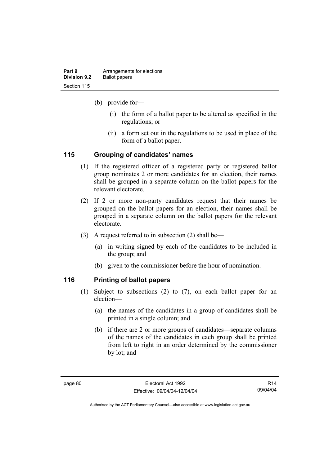| Part 9              | Arrangements for elections |
|---------------------|----------------------------|
| <b>Division 9.2</b> | <b>Ballot papers</b>       |
| Section 115         |                            |

(b) provide for—

- (i) the form of a ballot paper to be altered as specified in the regulations; or
- (ii) a form set out in the regulations to be used in place of the form of a ballot paper.

## **115 Grouping of candidates' names**

- (1) If the registered officer of a registered party or registered ballot group nominates 2 or more candidates for an election, their names shall be grouped in a separate column on the ballot papers for the relevant electorate.
- (2) If 2 or more non-party candidates request that their names be grouped on the ballot papers for an election, their names shall be grouped in a separate column on the ballot papers for the relevant electorate.
- (3) A request referred to in subsection (2) shall be—
	- (a) in writing signed by each of the candidates to be included in the group; and
	- (b) given to the commissioner before the hour of nomination.

## **116 Printing of ballot papers**

- (1) Subject to subsections (2) to (7), on each ballot paper for an election—
	- (a) the names of the candidates in a group of candidates shall be printed in a single column; and
	- (b) if there are 2 or more groups of candidates—separate columns of the names of the candidates in each group shall be printed from left to right in an order determined by the commissioner by lot; and

R14 09/04/04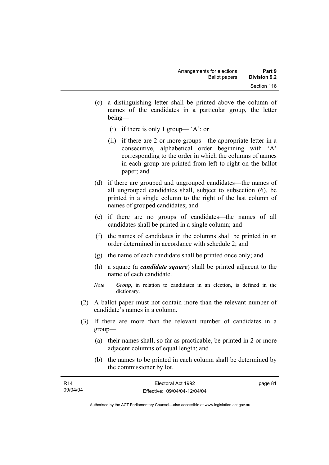- (c) a distinguishing letter shall be printed above the column of names of the candidates in a particular group, the letter being—
	- (i) if there is only 1 group— 'A'; or
	- (ii) if there are 2 or more groups—the appropriate letter in a consecutive, alphabetical order beginning with 'A' corresponding to the order in which the columns of names in each group are printed from left to right on the ballot paper; and
- (d) if there are grouped and ungrouped candidates—the names of all ungrouped candidates shall, subject to subsection (6), be printed in a single column to the right of the last column of names of grouped candidates; and
- (e) if there are no groups of candidates—the names of all candidates shall be printed in a single column; and
- (f) the names of candidates in the columns shall be printed in an order determined in accordance with schedule 2; and
- (g) the name of each candidate shall be printed once only; and
- (h) a square (a *candidate square*) shall be printed adjacent to the name of each candidate.
- *Note Group*, in relation to candidates in an election, is defined in the dictionary.
- (2) A ballot paper must not contain more than the relevant number of candidate's names in a column.
- (3) If there are more than the relevant number of candidates in a group—
	- (a) their names shall, so far as practicable, be printed in 2 or more adjacent columns of equal length; and
	- (b) the names to be printed in each column shall be determined by the commissioner by lot.

| R14      | Electoral Act 1992           | page 81 |
|----------|------------------------------|---------|
| 09/04/04 | Effective: 09/04/04-12/04/04 |         |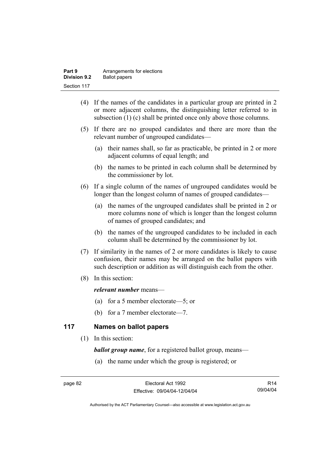| Part 9              | Arrangements for elections |
|---------------------|----------------------------|
| <b>Division 9.2</b> | <b>Ballot papers</b>       |
| Section 117         |                            |

- (4) If the names of the candidates in a particular group are printed in 2 or more adjacent columns, the distinguishing letter referred to in subsection (1) (c) shall be printed once only above those columns.
- (5) If there are no grouped candidates and there are more than the relevant number of ungrouped candidates—
	- (a) their names shall, so far as practicable, be printed in 2 or more adjacent columns of equal length; and
	- (b) the names to be printed in each column shall be determined by the commissioner by lot.
- (6) If a single column of the names of ungrouped candidates would be longer than the longest column of names of grouped candidates—
	- (a) the names of the ungrouped candidates shall be printed in 2 or more columns none of which is longer than the longest column of names of grouped candidates; and
	- (b) the names of the ungrouped candidates to be included in each column shall be determined by the commissioner by lot.
- (7) If similarity in the names of 2 or more candidates is likely to cause confusion, their names may be arranged on the ballot papers with such description or addition as will distinguish each from the other.
- (8) In this section:

#### *relevant number* means—

- (a) for a 5 member electorate—5; or
- (b) for a 7 member electorate—7.

## **117 Names on ballot papers**

(1) In this section:

*ballot group name*, for a registered ballot group, means—

(a) the name under which the group is registered; or

R14 09/04/04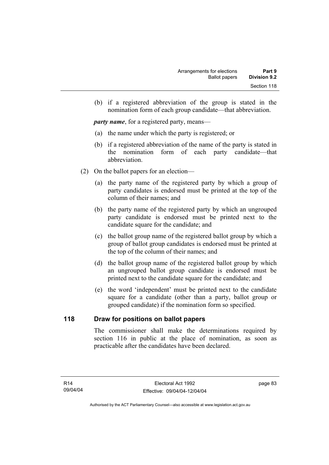(b) if a registered abbreviation of the group is stated in the nomination form of each group candidate—that abbreviation.

*party name*, for a registered party, means—

- (a) the name under which the party is registered; or
- (b) if a registered abbreviation of the name of the party is stated in the nomination form of each party candidate—that abbreviation.
- (2) On the ballot papers for an election—
	- (a) the party name of the registered party by which a group of party candidates is endorsed must be printed at the top of the column of their names; and
	- (b) the party name of the registered party by which an ungrouped party candidate is endorsed must be printed next to the candidate square for the candidate; and
	- (c) the ballot group name of the registered ballot group by which a group of ballot group candidates is endorsed must be printed at the top of the column of their names; and
	- (d) the ballot group name of the registered ballot group by which an ungrouped ballot group candidate is endorsed must be printed next to the candidate square for the candidate; and
	- (e) the word 'independent' must be printed next to the candidate square for a candidate (other than a party, ballot group or grouped candidate) if the nomination form so specified.

#### **118 Draw for positions on ballot papers**

The commissioner shall make the determinations required by section 116 in public at the place of nomination, as soon as practicable after the candidates have been declared.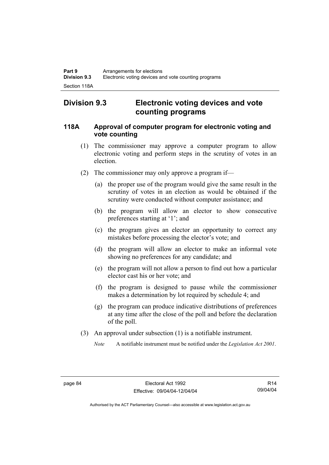# **Division 9.3 Electronic voting devices and vote counting programs**

#### **118A Approval of computer program for electronic voting and vote counting**

- (1) The commissioner may approve a computer program to allow electronic voting and perform steps in the scrutiny of votes in an election.
- (2) The commissioner may only approve a program if—
	- (a) the proper use of the program would give the same result in the scrutiny of votes in an election as would be obtained if the scrutiny were conducted without computer assistance; and
	- (b) the program will allow an elector to show consecutive preferences starting at '1'; and
	- (c) the program gives an elector an opportunity to correct any mistakes before processing the elector's vote; and
	- (d) the program will allow an elector to make an informal vote showing no preferences for any candidate; and
	- (e) the program will not allow a person to find out how a particular elector cast his or her vote; and
	- (f) the program is designed to pause while the commissioner makes a determination by lot required by schedule 4; and
	- (g) the program can produce indicative distributions of preferences at any time after the close of the poll and before the declaration of the poll.
- (3) An approval under subsection (1) is a notifiable instrument.
	- *Note* A notifiable instrument must be notified under the *Legislation Act 2001*.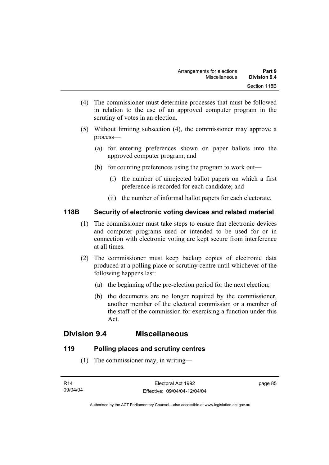- (4) The commissioner must determine processes that must be followed in relation to the use of an approved computer program in the scrutiny of votes in an election.
- (5) Without limiting subsection (4), the commissioner may approve a process—
	- (a) for entering preferences shown on paper ballots into the approved computer program; and
	- (b) for counting preferences using the program to work out—
		- (i) the number of unrejected ballot papers on which a first preference is recorded for each candidate; and
		- (ii) the number of informal ballot papers for each electorate.

## **118B Security of electronic voting devices and related material**

- (1) The commissioner must take steps to ensure that electronic devices and computer programs used or intended to be used for or in connection with electronic voting are kept secure from interference at all times.
- (2) The commissioner must keep backup copies of electronic data produced at a polling place or scrutiny centre until whichever of the following happens last:
	- (a) the beginning of the pre-election period for the next election;
	- (b) the documents are no longer required by the commissioner, another member of the electoral commission or a member of the staff of the commission for exercising a function under this Act.

# **Division 9.4 Miscellaneous**

## **119 Polling places and scrutiny centres**

(1) The commissioner may, in writing—

page 85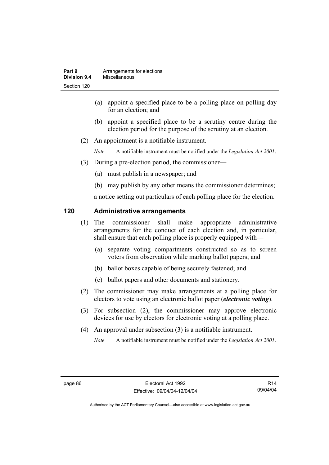- (a) appoint a specified place to be a polling place on polling day for an election; and
- (b) appoint a specified place to be a scrutiny centre during the election period for the purpose of the scrutiny at an election.
- (2) An appointment is a notifiable instrument.

*Note* A notifiable instrument must be notified under the *Legislation Act 2001*.

- (3) During a pre-election period, the commissioner—
	- (a) must publish in a newspaper; and
	- (b) may publish by any other means the commissioner determines;

a notice setting out particulars of each polling place for the election.

#### **120 Administrative arrangements**

- (1) The commissioner shall make appropriate administrative arrangements for the conduct of each election and, in particular, shall ensure that each polling place is properly equipped with—
	- (a) separate voting compartments constructed so as to screen voters from observation while marking ballot papers; and
	- (b) ballot boxes capable of being securely fastened; and
	- (c) ballot papers and other documents and stationery.
- (2) The commissioner may make arrangements at a polling place for electors to vote using an electronic ballot paper (*electronic voting*).
- (3) For subsection (2), the commissioner may approve electronic devices for use by electors for electronic voting at a polling place.
- (4) An approval under subsection (3) is a notifiable instrument.

*Note* A notifiable instrument must be notified under the *Legislation Act 2001*.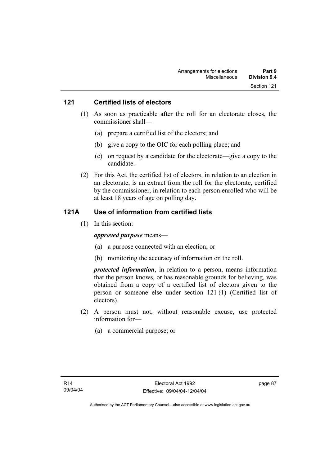#### **121 Certified lists of electors**

- (1) As soon as practicable after the roll for an electorate closes, the commissioner shall—
	- (a) prepare a certified list of the electors; and
	- (b) give a copy to the OIC for each polling place; and
	- (c) on request by a candidate for the electorate—give a copy to the candidate.
- (2) For this Act, the certified list of electors, in relation to an election in an electorate, is an extract from the roll for the electorate, certified by the commissioner, in relation to each person enrolled who will be at least 18 years of age on polling day.

#### **121A Use of information from certified lists**

(1) In this section:

#### *approved purpose* means—

- (a) a purpose connected with an election; or
- (b) monitoring the accuracy of information on the roll.

*protected information*, in relation to a person, means information that the person knows, or has reasonable grounds for believing, was obtained from a copy of a certified list of electors given to the person or someone else under section 121 (1) (Certified list of electors).

- (2) A person must not, without reasonable excuse, use protected information for—
	- (a) a commercial purpose; or

page 87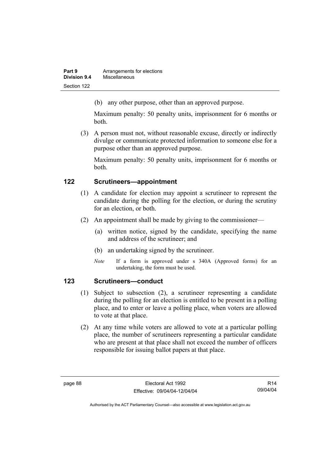| Part 9       | Arrangements for elections |
|--------------|----------------------------|
| Division 9.4 | Miscellaneous              |
| Section 122  |                            |

(b) any other purpose, other than an approved purpose.

Maximum penalty: 50 penalty units, imprisonment for 6 months or both.

 (3) A person must not, without reasonable excuse, directly or indirectly divulge or communicate protected information to someone else for a purpose other than an approved purpose.

Maximum penalty: 50 penalty units, imprisonment for 6 months or both.

## **122 Scrutineers—appointment**

- (1) A candidate for election may appoint a scrutineer to represent the candidate during the polling for the election, or during the scrutiny for an election, or both.
- (2) An appointment shall be made by giving to the commissioner—
	- (a) written notice, signed by the candidate, specifying the name and address of the scrutineer; and
	- (b) an undertaking signed by the scrutineer.
	- *Note* If a form is approved under s 340A (Approved forms) for an undertaking, the form must be used.

## **123 Scrutineers—conduct**

- (1) Subject to subsection (2), a scrutineer representing a candidate during the polling for an election is entitled to be present in a polling place, and to enter or leave a polling place, when voters are allowed to vote at that place.
- (2) At any time while voters are allowed to vote at a particular polling place, the number of scrutineers representing a particular candidate who are present at that place shall not exceed the number of officers responsible for issuing ballot papers at that place.

R14 09/04/04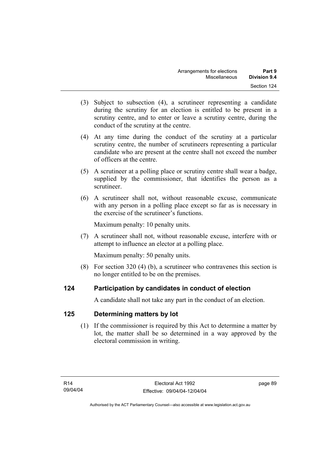- (3) Subject to subsection (4), a scrutineer representing a candidate during the scrutiny for an election is entitled to be present in a scrutiny centre, and to enter or leave a scrutiny centre, during the conduct of the scrutiny at the centre.
- (4) At any time during the conduct of the scrutiny at a particular scrutiny centre, the number of scrutineers representing a particular candidate who are present at the centre shall not exceed the number of officers at the centre.
- (5) A scrutineer at a polling place or scrutiny centre shall wear a badge, supplied by the commissioner, that identifies the person as a scrutineer.
- (6) A scrutineer shall not, without reasonable excuse, communicate with any person in a polling place except so far as is necessary in the exercise of the scrutineer's functions.

Maximum penalty: 10 penalty units.

 (7) A scrutineer shall not, without reasonable excuse, interfere with or attempt to influence an elector at a polling place.

Maximum penalty: 50 penalty units.

 (8) For section 320 (4) (b), a scrutineer who contravenes this section is no longer entitled to be on the premises.

# **124 Participation by candidates in conduct of election**

A candidate shall not take any part in the conduct of an election.

# **125 Determining matters by lot**

 (1) If the commissioner is required by this Act to determine a matter by lot, the matter shall be so determined in a way approved by the electoral commission in writing.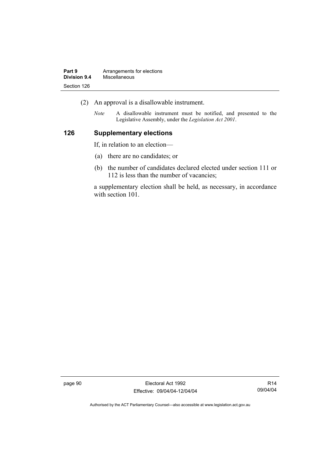| Part 9       | Arrangements for elections |
|--------------|----------------------------|
| Division 9.4 | Miscellaneous              |
| Section 126  |                            |

- (2) An approval is a disallowable instrument.
	- *Note* A disallowable instrument must be notified, and presented to the Legislative Assembly, under the *Legislation Act 2001*.

#### **126 Supplementary elections**

If, in relation to an election—

- (a) there are no candidates; or
- (b) the number of candidates declared elected under section 111 or 112 is less than the number of vacancies;

a supplementary election shall be held, as necessary, in accordance with section 101.

page 90 Electoral Act 1992 Effective: 09/04/04-12/04/04

R14 09/04/04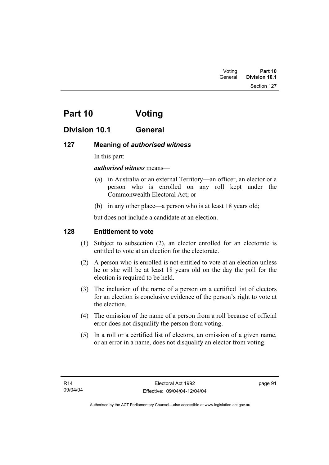Section 127

# **Part 10 Voting**

# **Division 10.1 General**

# **127 Meaning of** *authorised witness*

In this part:

# *authorised witness* means—

- (a) in Australia or an external Territory—an officer, an elector or a person who is enrolled on any roll kept under the Commonwealth Electoral Act; or
- (b) in any other place—a person who is at least 18 years old;

but does not include a candidate at an election.

# **128 Entitlement to vote**

- (1) Subject to subsection (2), an elector enrolled for an electorate is entitled to vote at an election for the electorate.
- (2) A person who is enrolled is not entitled to vote at an election unless he or she will be at least 18 years old on the day the poll for the election is required to be held.
- (3) The inclusion of the name of a person on a certified list of electors for an election is conclusive evidence of the person's right to vote at the election.
- (4) The omission of the name of a person from a roll because of official error does not disqualify the person from voting.
- (5) In a roll or a certified list of electors, an omission of a given name, or an error in a name, does not disqualify an elector from voting.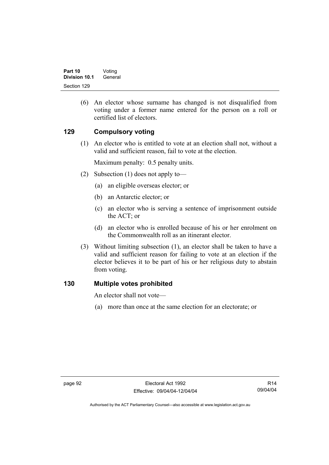(6) An elector whose surname has changed is not disqualified from voting under a former name entered for the person on a roll or certified list of electors.

# **129 Compulsory voting**

 (1) An elector who is entitled to vote at an election shall not, without a valid and sufficient reason, fail to vote at the election.

Maximum penalty: 0.5 penalty units.

- (2) Subsection (1) does not apply to—
	- (a) an eligible overseas elector; or
	- (b) an Antarctic elector; or
	- (c) an elector who is serving a sentence of imprisonment outside the ACT; or
	- (d) an elector who is enrolled because of his or her enrolment on the Commonwealth roll as an itinerant elector.
- (3) Without limiting subsection (1), an elector shall be taken to have a valid and sufficient reason for failing to vote at an election if the elector believes it to be part of his or her religious duty to abstain from voting.

#### **130 Multiple votes prohibited**

An elector shall not vote—

(a) more than once at the same election for an electorate; or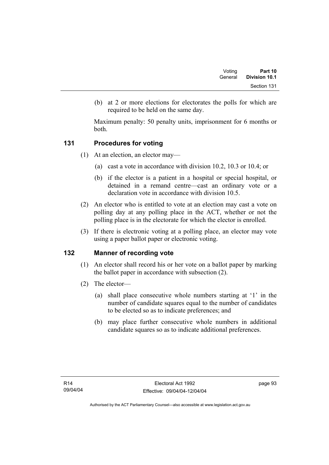| Voting  | Part 10       |
|---------|---------------|
| General | Division 10.1 |
|         | Section 131   |

 (b) at 2 or more elections for electorates the polls for which are required to be held on the same day.

Maximum penalty: 50 penalty units, imprisonment for 6 months or both.

# **131 Procedures for voting**

- (1) At an election, an elector may—
	- (a) cast a vote in accordance with division 10.2, 10.3 or 10.4; or
	- (b) if the elector is a patient in a hospital or special hospital, or detained in a remand centre—cast an ordinary vote or a declaration vote in accordance with division 10.5.
- (2) An elector who is entitled to vote at an election may cast a vote on polling day at any polling place in the ACT, whether or not the polling place is in the electorate for which the elector is enrolled.
- (3) If there is electronic voting at a polling place, an elector may vote using a paper ballot paper or electronic voting.

# **132 Manner of recording vote**

- (1) An elector shall record his or her vote on a ballot paper by marking the ballot paper in accordance with subsection (2).
- (2) The elector—
	- (a) shall place consecutive whole numbers starting at '1' in the number of candidate squares equal to the number of candidates to be elected so as to indicate preferences; and
	- (b) may place further consecutive whole numbers in additional candidate squares so as to indicate additional preferences.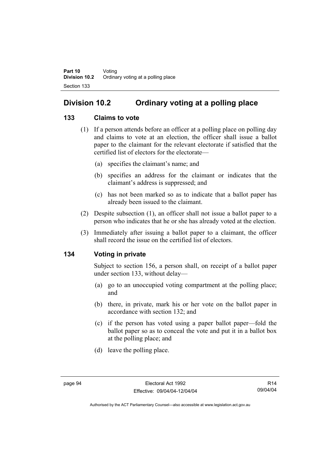# **Division 10.2 Ordinary voting at a polling place**

# **133 Claims to vote**

- (1) If a person attends before an officer at a polling place on polling day and claims to vote at an election, the officer shall issue a ballot paper to the claimant for the relevant electorate if satisfied that the certified list of electors for the electorate—
	- (a) specifies the claimant's name; and
	- (b) specifies an address for the claimant or indicates that the claimant's address is suppressed; and
	- (c) has not been marked so as to indicate that a ballot paper has already been issued to the claimant.
- (2) Despite subsection (1), an officer shall not issue a ballot paper to a person who indicates that he or she has already voted at the election.
- (3) Immediately after issuing a ballot paper to a claimant, the officer shall record the issue on the certified list of electors.

# **134 Voting in private**

Subject to section 156, a person shall, on receipt of a ballot paper under section 133, without delay—

- (a) go to an unoccupied voting compartment at the polling place; and
- (b) there, in private, mark his or her vote on the ballot paper in accordance with section 132; and
- (c) if the person has voted using a paper ballot paper—fold the ballot paper so as to conceal the vote and put it in a ballot box at the polling place; and
- (d) leave the polling place.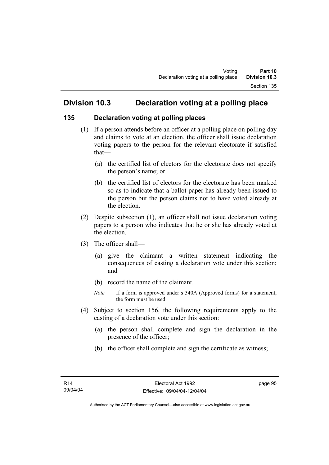# **Division 10.3 Declaration voting at a polling place**

# **135 Declaration voting at polling places**

- (1) If a person attends before an officer at a polling place on polling day and claims to vote at an election, the officer shall issue declaration voting papers to the person for the relevant electorate if satisfied that—
	- (a) the certified list of electors for the electorate does not specify the person's name; or
	- (b) the certified list of electors for the electorate has been marked so as to indicate that a ballot paper has already been issued to the person but the person claims not to have voted already at the election.
- (2) Despite subsection (1), an officer shall not issue declaration voting papers to a person who indicates that he or she has already voted at the election.
- (3) The officer shall—
	- (a) give the claimant a written statement indicating the consequences of casting a declaration vote under this section; and
	- (b) record the name of the claimant.
	- *Note* If a form is approved under s 340A (Approved forms) for a statement, the form must be used.
- (4) Subject to section 156, the following requirements apply to the casting of a declaration vote under this section:
	- (a) the person shall complete and sign the declaration in the presence of the officer;
	- (b) the officer shall complete and sign the certificate as witness;

page 95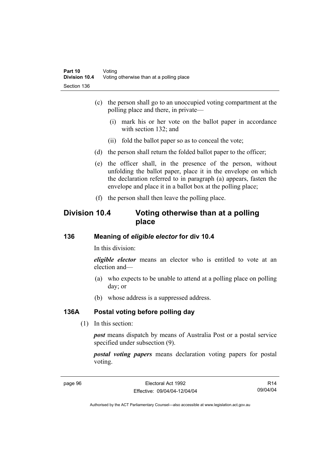- (c) the person shall go to an unoccupied voting compartment at the polling place and there, in private—
	- (i) mark his or her vote on the ballot paper in accordance with section 132; and
	- (ii) fold the ballot paper so as to conceal the vote;
- (d) the person shall return the folded ballot paper to the officer;
- (e) the officer shall, in the presence of the person, without unfolding the ballot paper, place it in the envelope on which the declaration referred to in paragraph (a) appears, fasten the envelope and place it in a ballot box at the polling place;
- (f) the person shall then leave the polling place.

# **Division 10.4 Voting otherwise than at a polling place**

# **136 Meaning of** *eligible elector* **for div 10.4**

In this division:

*eligible elector* means an elector who is entitled to vote at an election and—

- (a) who expects to be unable to attend at a polling place on polling day; or
- (b) whose address is a suppressed address.

#### **136A Postal voting before polling day**

(1) In this section:

*post* means dispatch by means of Australia Post or a postal service specified under subsection (9).

*postal voting papers* means declaration voting papers for postal voting.

R14 09/04/04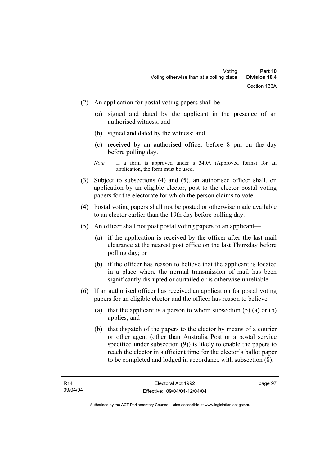- (2) An application for postal voting papers shall be—
	- (a) signed and dated by the applicant in the presence of an authorised witness; and
	- (b) signed and dated by the witness; and
	- (c) received by an authorised officer before 8 pm on the day before polling day.
	- *Note* If a form is approved under s 340A (Approved forms) for an application, the form must be used.
- (3) Subject to subsections (4) and (5), an authorised officer shall, on application by an eligible elector, post to the elector postal voting papers for the electorate for which the person claims to vote.
- (4) Postal voting papers shall not be posted or otherwise made available to an elector earlier than the 19th day before polling day.
- (5) An officer shall not post postal voting papers to an applicant—
	- (a) if the application is received by the officer after the last mail clearance at the nearest post office on the last Thursday before polling day; or
	- (b) if the officer has reason to believe that the applicant is located in a place where the normal transmission of mail has been significantly disrupted or curtailed or is otherwise unreliable.
- (6) If an authorised officer has received an application for postal voting papers for an eligible elector and the officer has reason to believe—
	- (a) that the applicant is a person to whom subsection  $(5)$  (a) or (b) applies; and
	- (b) that dispatch of the papers to the elector by means of a courier or other agent (other than Australia Post or a postal service specified under subsection (9)) is likely to enable the papers to reach the elector in sufficient time for the elector's ballot paper to be completed and lodged in accordance with subsection (8);

page 97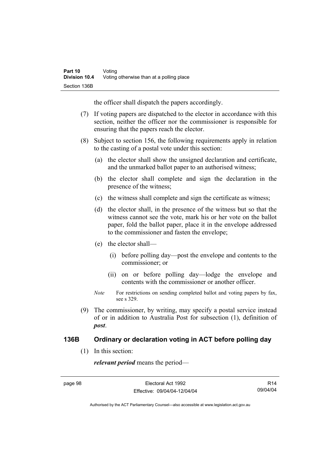the officer shall dispatch the papers accordingly.

- (7) If voting papers are dispatched to the elector in accordance with this section, neither the officer nor the commissioner is responsible for ensuring that the papers reach the elector.
- (8) Subject to section 156, the following requirements apply in relation to the casting of a postal vote under this section:
	- (a) the elector shall show the unsigned declaration and certificate, and the unmarked ballot paper to an authorised witness;
	- (b) the elector shall complete and sign the declaration in the presence of the witness;
	- (c) the witness shall complete and sign the certificate as witness;
	- (d) the elector shall, in the presence of the witness but so that the witness cannot see the vote, mark his or her vote on the ballot paper, fold the ballot paper, place it in the envelope addressed to the commissioner and fasten the envelope;
	- (e) the elector shall—
		- (i) before polling day—post the envelope and contents to the commissioner; or
		- (ii) on or before polling day—lodge the envelope and contents with the commissioner or another officer.
	- *Note* For restrictions on sending completed ballot and voting papers by fax, see s 329.
- (9) The commissioner, by writing, may specify a postal service instead of or in addition to Australia Post for subsection (1), definition of *post*.

#### **136B Ordinary or declaration voting in ACT before polling day**

(1) In this section:

*relevant period* means the period—

R14 09/04/04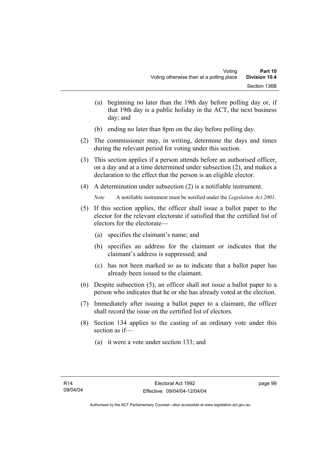- (a) beginning no later than the 19th day before polling day or, if that 19th day is a public holiday in the ACT, the next business day; and
- (b) ending no later than 8pm on the day before polling day.
- (2) The commissioner may, in writing, determine the days and times during the relevant period for voting under this section.
- (3) This section applies if a person attends before an authorised officer, on a day and at a time determined under subsection (2), and makes a declaration to the effect that the person is an eligible elector.
- (4) A determination under subsection (2) is a notifiable instrument.

*Note* A notifiable instrument must be notified under the *Legislation Act 2001*.

- (5) If this section applies, the officer shall issue a ballot paper to the elector for the relevant electorate if satisfied that the certified list of electors for the electorate—
	- (a) specifies the claimant's name; and
	- (b) specifies an address for the claimant or indicates that the claimant's address is suppressed; and
	- (c) has not been marked so as to indicate that a ballot paper has already been issued to the claimant.
- (6) Despite subsection (5), an officer shall not issue a ballot paper to a person who indicates that he or she has already voted at the election.
- (7) Immediately after issuing a ballot paper to a claimant, the officer shall record the issue on the certified list of electors.
- (8) Section 134 applies to the casting of an ordinary vote under this section as if—
	- (a) it were a vote under section 133; and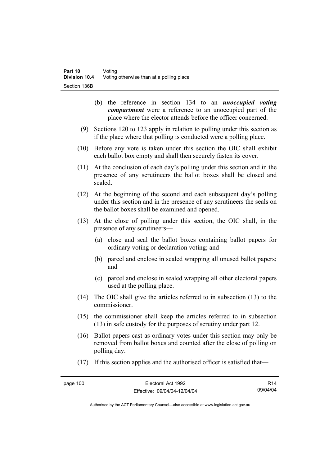- (b) the reference in section 134 to an *unoccupied voting compartment* were a reference to an unoccupied part of the place where the elector attends before the officer concerned.
- (9) Sections 120 to 123 apply in relation to polling under this section as if the place where that polling is conducted were a polling place.
- (10) Before any vote is taken under this section the OIC shall exhibit each ballot box empty and shall then securely fasten its cover.
- (11) At the conclusion of each day's polling under this section and in the presence of any scrutineers the ballot boxes shall be closed and sealed.
- (12) At the beginning of the second and each subsequent day's polling under this section and in the presence of any scrutineers the seals on the ballot boxes shall be examined and opened.
- (13) At the close of polling under this section, the OIC shall, in the presence of any scrutineers—
	- (a) close and seal the ballot boxes containing ballot papers for ordinary voting or declaration voting; and
	- (b) parcel and enclose in sealed wrapping all unused ballot papers; and
	- (c) parcel and enclose in sealed wrapping all other electoral papers used at the polling place.
- (14) The OIC shall give the articles referred to in subsection (13) to the commissioner.
- (15) the commissioner shall keep the articles referred to in subsection (13) in safe custody for the purposes of scrutiny under part 12.
- (16) Ballot papers cast as ordinary votes under this section may only be removed from ballot boxes and counted after the close of polling on polling day.
- (17) If this section applies and the authorised officer is satisfied that—

R14 09/04/04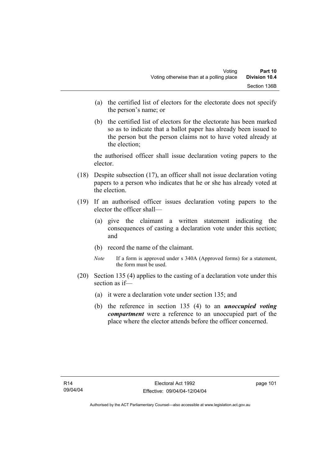- (a) the certified list of electors for the electorate does not specify the person's name; or
- (b) the certified list of electors for the electorate has been marked so as to indicate that a ballot paper has already been issued to the person but the person claims not to have voted already at the election;

the authorised officer shall issue declaration voting papers to the elector.

- (18) Despite subsection (17), an officer shall not issue declaration voting papers to a person who indicates that he or she has already voted at the election.
- (19) If an authorised officer issues declaration voting papers to the elector the officer shall—
	- (a) give the claimant a written statement indicating the consequences of casting a declaration vote under this section; and
	- (b) record the name of the claimant.
	- *Note* If a form is approved under s 340A (Approved forms) for a statement, the form must be used.
- (20) Section 135 (4) applies to the casting of a declaration vote under this section as if—
	- (a) it were a declaration vote under section 135; and
	- (b) the reference in section 135 (4) to an *unoccupied voting compartment* were a reference to an unoccupied part of the place where the elector attends before the officer concerned.

page 101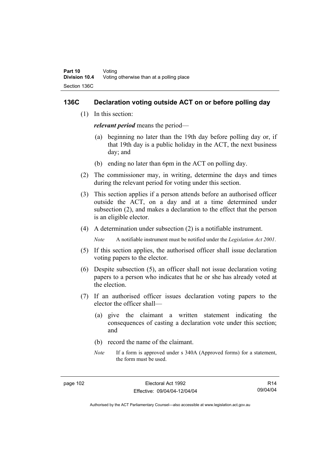#### **136C Declaration voting outside ACT on or before polling day**

(1) In this section:

*relevant period* means the period—

- (a) beginning no later than the 19th day before polling day or, if that 19th day is a public holiday in the ACT, the next business day; and
- (b) ending no later than 6pm in the ACT on polling day.
- (2) The commissioner may, in writing, determine the days and times during the relevant period for voting under this section.
- (3) This section applies if a person attends before an authorised officer outside the ACT, on a day and at a time determined under subsection (2), and makes a declaration to the effect that the person is an eligible elector.
- (4) A determination under subsection (2) is a notifiable instrument.

*Note* A notifiable instrument must be notified under the *Legislation Act 2001*.

- (5) If this section applies, the authorised officer shall issue declaration voting papers to the elector.
- (6) Despite subsection (5), an officer shall not issue declaration voting papers to a person who indicates that he or she has already voted at the election.
- (7) If an authorised officer issues declaration voting papers to the elector the officer shall—
	- (a) give the claimant a written statement indicating the consequences of casting a declaration vote under this section; and
	- (b) record the name of the claimant.
	- *Note* If a form is approved under s 340A (Approved forms) for a statement, the form must be used.

R14 09/04/04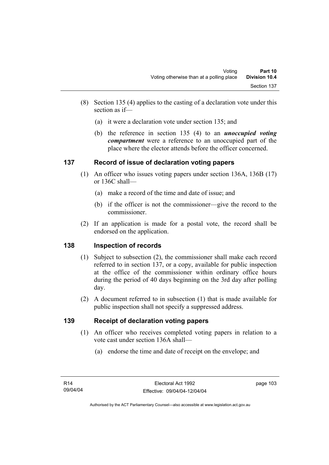- (8) Section 135 (4) applies to the casting of a declaration vote under this section as if—
	- (a) it were a declaration vote under section 135; and
	- (b) the reference in section 135 (4) to an *unoccupied voting compartment* were a reference to an unoccupied part of the place where the elector attends before the officer concerned.

# **137 Record of issue of declaration voting papers**

- (1) An officer who issues voting papers under section 136A, 136B (17) or 136C shall—
	- (a) make a record of the time and date of issue; and
	- (b) if the officer is not the commissioner—give the record to the commissioner.
- (2) If an application is made for a postal vote, the record shall be endorsed on the application.

# **138 Inspection of records**

- (1) Subject to subsection (2), the commissioner shall make each record referred to in section 137, or a copy, available for public inspection at the office of the commissioner within ordinary office hours during the period of 40 days beginning on the 3rd day after polling day.
- (2) A document referred to in subsection (1) that is made available for public inspection shall not specify a suppressed address.

# **139 Receipt of declaration voting papers**

- (1) An officer who receives completed voting papers in relation to a vote cast under section 136A shall—
	- (a) endorse the time and date of receipt on the envelope; and

page 103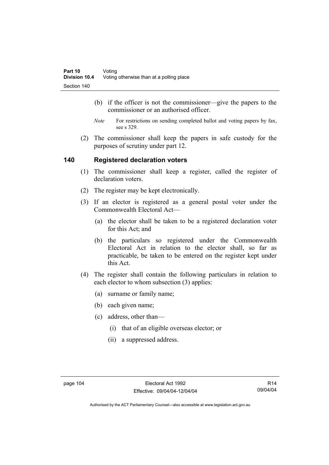- (b) if the officer is not the commissioner—give the papers to the commissioner or an authorised officer.
- *Note* For restrictions on sending completed ballot and voting papers by fax, see s 329.
- (2) The commissioner shall keep the papers in safe custody for the purposes of scrutiny under part 12.

# **140 Registered declaration voters**

- (1) The commissioner shall keep a register, called the register of declaration voters.
- (2) The register may be kept electronically.
- (3) If an elector is registered as a general postal voter under the Commonwealth Electoral Act—
	- (a) the elector shall be taken to be a registered declaration voter for this Act; and
	- (b) the particulars so registered under the Commonwealth Electoral Act in relation to the elector shall, so far as practicable, be taken to be entered on the register kept under this Act.
- (4) The register shall contain the following particulars in relation to each elector to whom subsection (3) applies:
	- (a) surname or family name;
	- (b) each given name;
	- (c) address, other than—
		- (i) that of an eligible overseas elector; or
		- (ii) a suppressed address.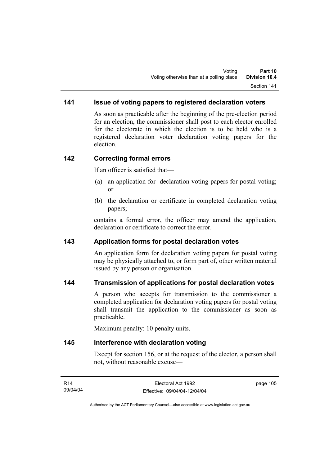# **141 Issue of voting papers to registered declaration voters**

As soon as practicable after the beginning of the pre-election period for an election, the commissioner shall post to each elector enrolled for the electorate in which the election is to be held who is a registered declaration voter declaration voting papers for the election.

#### **142 Correcting formal errors**

If an officer is satisfied that—

- (a) an application for declaration voting papers for postal voting; or
- (b) the declaration or certificate in completed declaration voting papers;

contains a formal error, the officer may amend the application, declaration or certificate to correct the error.

#### **143 Application forms for postal declaration votes**

An application form for declaration voting papers for postal voting may be physically attached to, or form part of, other written material issued by any person or organisation.

# **144 Transmission of applications for postal declaration votes**

A person who accepts for transmission to the commissioner a completed application for declaration voting papers for postal voting shall transmit the application to the commissioner as soon as practicable.

Maximum penalty: 10 penalty units.

#### **145 Interference with declaration voting**

Except for section 156, or at the request of the elector, a person shall not, without reasonable excuse—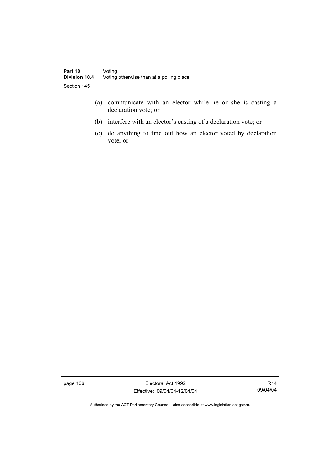- (a) communicate with an elector while he or she is casting a declaration vote; or
- (b) interfere with an elector's casting of a declaration vote; or
- (c) do anything to find out how an elector voted by declaration vote; or

page 106 Electoral Act 1992 Effective: 09/04/04-12/04/04

R14 09/04/04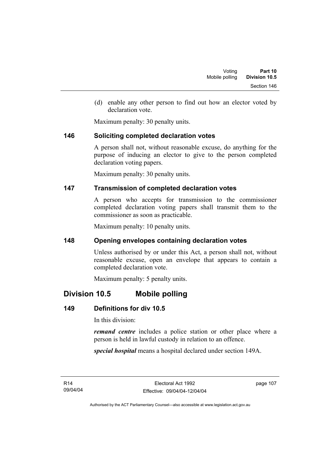(d) enable any other person to find out how an elector voted by declaration vote.

Maximum penalty: 30 penalty units.

#### **146 Soliciting completed declaration votes**

A person shall not, without reasonable excuse, do anything for the purpose of inducing an elector to give to the person completed declaration voting papers.

Maximum penalty: 30 penalty units.

# **147 Transmission of completed declaration votes**

A person who accepts for transmission to the commissioner completed declaration voting papers shall transmit them to the commissioner as soon as practicable.

Maximum penalty: 10 penalty units.

# **148 Opening envelopes containing declaration votes**

Unless authorised by or under this Act, a person shall not, without reasonable excuse, open an envelope that appears to contain a completed declaration vote.

Maximum penalty: 5 penalty units.

# **Division 10.5 Mobile polling**

# **149 Definitions for div 10.5**

In this division:

*remand centre* includes a police station or other place where a person is held in lawful custody in relation to an offence.

*special hospital* means a hospital declared under section 149A.

R14 09/04/04 page 107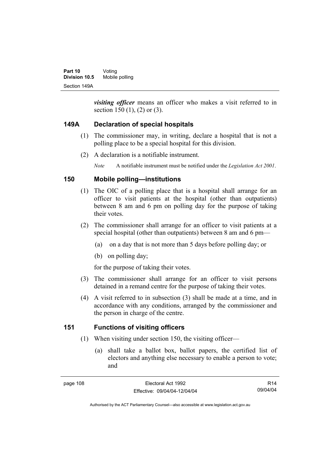*visiting officer* means an officer who makes a visit referred to in section 150 (1), (2) or (3).

# **149A Declaration of special hospitals**

- (1) The commissioner may, in writing, declare a hospital that is not a polling place to be a special hospital for this division.
- (2) A declaration is a notifiable instrument.

*Note* A notifiable instrument must be notified under the *Legislation Act 2001*.

# **150 Mobile polling—institutions**

- (1) The OIC of a polling place that is a hospital shall arrange for an officer to visit patients at the hospital (other than outpatients) between 8 am and 6 pm on polling day for the purpose of taking their votes.
- (2) The commissioner shall arrange for an officer to visit patients at a special hospital (other than outpatients) between 8 am and 6 pm—
	- (a) on a day that is not more than 5 days before polling day; or
	- (b) on polling day;

for the purpose of taking their votes.

- (3) The commissioner shall arrange for an officer to visit persons detained in a remand centre for the purpose of taking their votes.
- (4) A visit referred to in subsection (3) shall be made at a time, and in accordance with any conditions, arranged by the commissioner and the person in charge of the centre.

# **151 Functions of visiting officers**

- (1) When visiting under section 150, the visiting officer—
	- (a) shall take a ballot box, ballot papers, the certified list of electors and anything else necessary to enable a person to vote; and

R14 09/04/04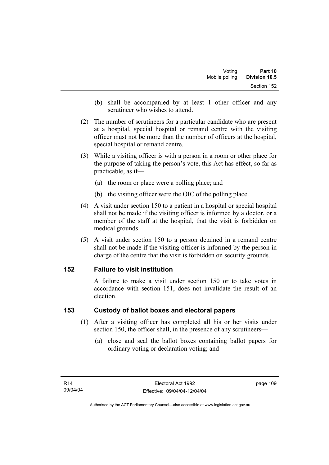- (b) shall be accompanied by at least 1 other officer and any scrutineer who wishes to attend.
- (2) The number of scrutineers for a particular candidate who are present at a hospital, special hospital or remand centre with the visiting officer must not be more than the number of officers at the hospital, special hospital or remand centre.
- (3) While a visiting officer is with a person in a room or other place for the purpose of taking the person's vote, this Act has effect, so far as practicable, as if—
	- (a) the room or place were a polling place; and
	- (b) the visiting officer were the OIC of the polling place.
- (4) A visit under section 150 to a patient in a hospital or special hospital shall not be made if the visiting officer is informed by a doctor, or a member of the staff at the hospital, that the visit is forbidden on medical grounds.
- (5) A visit under section 150 to a person detained in a remand centre shall not be made if the visiting officer is informed by the person in charge of the centre that the visit is forbidden on security grounds.

#### **152 Failure to visit institution**

A failure to make a visit under section 150 or to take votes in accordance with section 151, does not invalidate the result of an election.

#### **153 Custody of ballot boxes and electoral papers**

- (1) After a visiting officer has completed all his or her visits under section 150, the officer shall, in the presence of any scrutineers—
	- (a) close and seal the ballot boxes containing ballot papers for ordinary voting or declaration voting; and

page 109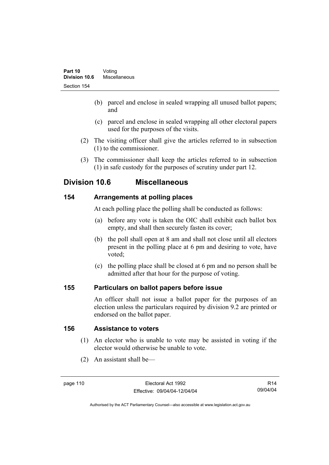- (b) parcel and enclose in sealed wrapping all unused ballot papers; and
- (c) parcel and enclose in sealed wrapping all other electoral papers used for the purposes of the visits.
- (2) The visiting officer shall give the articles referred to in subsection (1) to the commissioner.
- (3) The commissioner shall keep the articles referred to in subsection (1) in safe custody for the purposes of scrutiny under part 12.

# **Division 10.6 Miscellaneous**

# **154 Arrangements at polling places**

At each polling place the polling shall be conducted as follows:

- (a) before any vote is taken the OIC shall exhibit each ballot box empty, and shall then securely fasten its cover;
- (b) the poll shall open at 8 am and shall not close until all electors present in the polling place at 6 pm and desiring to vote, have voted;
- (c) the polling place shall be closed at 6 pm and no person shall be admitted after that hour for the purpose of voting.

# **155 Particulars on ballot papers before issue**

An officer shall not issue a ballot paper for the purposes of an election unless the particulars required by division 9.2 are printed or endorsed on the ballot paper.

# **156 Assistance to voters**

- (1) An elector who is unable to vote may be assisted in voting if the elector would otherwise be unable to vote.
- (2) An assistant shall be—

R14 09/04/04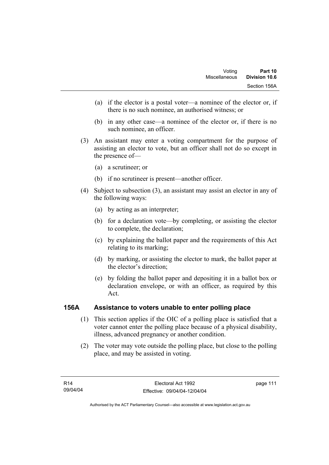- (a) if the elector is a postal voter—a nominee of the elector or, if there is no such nominee, an authorised witness; or
- (b) in any other case—a nominee of the elector or, if there is no such nominee, an officer.
- (3) An assistant may enter a voting compartment for the purpose of assisting an elector to vote, but an officer shall not do so except in the presence of—
	- (a) a scrutineer; or
	- (b) if no scrutineer is present—another officer.
- (4) Subject to subsection (3), an assistant may assist an elector in any of the following ways:
	- (a) by acting as an interpreter;
	- (b) for a declaration vote—by completing, or assisting the elector to complete, the declaration;
	- (c) by explaining the ballot paper and the requirements of this Act relating to its marking;
	- (d) by marking, or assisting the elector to mark, the ballot paper at the elector's direction;
	- (e) by folding the ballot paper and depositing it in a ballot box or declaration envelope, or with an officer, as required by this Act.

# **156A Assistance to voters unable to enter polling place**

- (1) This section applies if the OIC of a polling place is satisfied that a voter cannot enter the polling place because of a physical disability, illness, advanced pregnancy or another condition.
- (2) The voter may vote outside the polling place, but close to the polling place, and may be assisted in voting.

page 111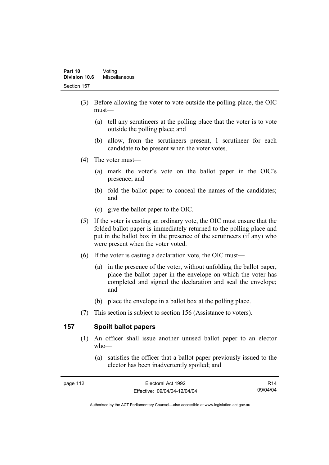- (3) Before allowing the voter to vote outside the polling place, the OIC must—
	- (a) tell any scrutineers at the polling place that the voter is to vote outside the polling place; and
	- (b) allow, from the scrutineers present, 1 scrutineer for each candidate to be present when the voter votes.
- (4) The voter must—
	- (a) mark the voter's vote on the ballot paper in the OIC's presence; and
	- (b) fold the ballot paper to conceal the names of the candidates; and
	- (c) give the ballot paper to the OIC.
- (5) If the voter is casting an ordinary vote, the OIC must ensure that the folded ballot paper is immediately returned to the polling place and put in the ballot box in the presence of the scrutineers (if any) who were present when the voter voted.
- (6) If the voter is casting a declaration vote, the OIC must—
	- (a) in the presence of the voter, without unfolding the ballot paper, place the ballot paper in the envelope on which the voter has completed and signed the declaration and seal the envelope; and
	- (b) place the envelope in a ballot box at the polling place.
- (7) This section is subject to section 156 (Assistance to voters).

# **157 Spoilt ballot papers**

- (1) An officer shall issue another unused ballot paper to an elector who—
	- (a) satisfies the officer that a ballot paper previously issued to the elector has been inadvertently spoiled; and

R14 09/04/04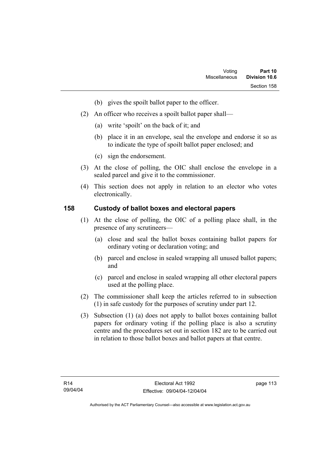- (b) gives the spoilt ballot paper to the officer.
- (2) An officer who receives a spoilt ballot paper shall—
	- (a) write 'spoilt' on the back of it; and
	- (b) place it in an envelope, seal the envelope and endorse it so as to indicate the type of spoilt ballot paper enclosed; and
	- (c) sign the endorsement.
- (3) At the close of polling, the OIC shall enclose the envelope in a sealed parcel and give it to the commissioner.
- (4) This section does not apply in relation to an elector who votes electronically.

#### **158 Custody of ballot boxes and electoral papers**

- (1) At the close of polling, the OIC of a polling place shall, in the presence of any scrutineers—
	- (a) close and seal the ballot boxes containing ballot papers for ordinary voting or declaration voting; and
	- (b) parcel and enclose in sealed wrapping all unused ballot papers; and
	- (c) parcel and enclose in sealed wrapping all other electoral papers used at the polling place.
- (2) The commissioner shall keep the articles referred to in subsection (1) in safe custody for the purposes of scrutiny under part 12.
- (3) Subsection (1) (a) does not apply to ballot boxes containing ballot papers for ordinary voting if the polling place is also a scrutiny centre and the procedures set out in section 182 are to be carried out in relation to those ballot boxes and ballot papers at that centre.

page 113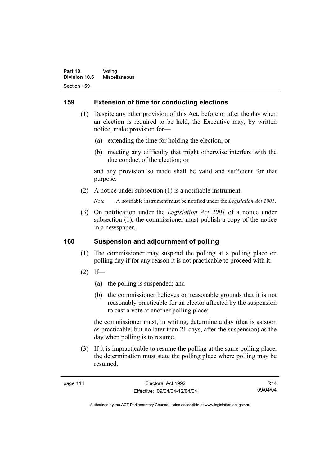# **159 Extension of time for conducting elections**

- (1) Despite any other provision of this Act, before or after the day when an election is required to be held, the Executive may, by written notice, make provision for—
	- (a) extending the time for holding the election; or
	- (b) meeting any difficulty that might otherwise interfere with the due conduct of the election; or

and any provision so made shall be valid and sufficient for that purpose.

(2) A notice under subsection (1) is a notifiable instrument.

*Note* A notifiable instrument must be notified under the *Legislation Act 2001*.

 (3) On notification under the *Legislation Act 2001* of a notice under subsection (1), the commissioner must publish a copy of the notice in a newspaper.

# **160 Suspension and adjournment of polling**

- (1) The commissioner may suspend the polling at a polling place on polling day if for any reason it is not practicable to proceed with it.
- $(2)$  If—
	- (a) the polling is suspended; and
	- (b) the commissioner believes on reasonable grounds that it is not reasonably practicable for an elector affected by the suspension to cast a vote at another polling place;

the commissioner must, in writing, determine a day (that is as soon as practicable, but no later than 21 days, after the suspension) as the day when polling is to resume.

 (3) If it is impracticable to resume the polling at the same polling place, the determination must state the polling place where polling may be resumed.

R14 09/04/04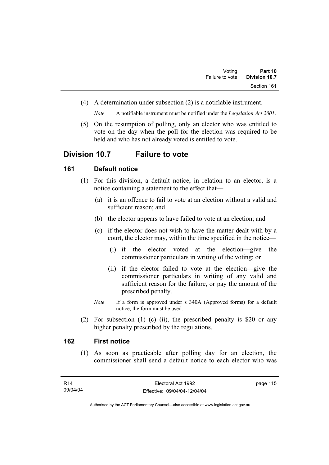(4) A determination under subsection (2) is a notifiable instrument.

*Note* A notifiable instrument must be notified under the *Legislation Act 2001*.

 (5) On the resumption of polling, only an elector who was entitled to vote on the day when the poll for the election was required to be held and who has not already voted is entitled to vote.

# **Division 10.7 Failure to vote**

#### **161 Default notice**

- (1) For this division, a default notice, in relation to an elector, is a notice containing a statement to the effect that—
	- (a) it is an offence to fail to vote at an election without a valid and sufficient reason; and
	- (b) the elector appears to have failed to vote at an election; and
	- (c) if the elector does not wish to have the matter dealt with by a court, the elector may, within the time specified in the notice—
		- (i) if the elector voted at the election—give the commissioner particulars in writing of the voting; or
		- (ii) if the elector failed to vote at the election—give the commissioner particulars in writing of any valid and sufficient reason for the failure, or pay the amount of the prescribed penalty.
	- *Note* If a form is approved under s 340A (Approved forms) for a default notice, the form must be used.
- (2) For subsection (1) (c) (ii), the prescribed penalty is \$20 or any higher penalty prescribed by the regulations.

#### **162 First notice**

 (1) As soon as practicable after polling day for an election, the commissioner shall send a default notice to each elector who was

page 115

Authorised by the ACT Parliamentary Counsel—also accessible at www.legislation.act.gov.au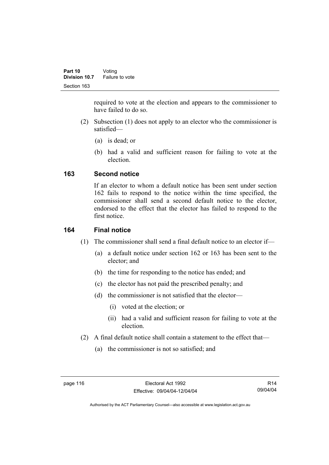required to vote at the election and appears to the commissioner to have failed to do so.

- (2) Subsection (1) does not apply to an elector who the commissioner is satisfied—
	- (a) is dead; or
	- (b) had a valid and sufficient reason for failing to vote at the election.

# **163 Second notice**

If an elector to whom a default notice has been sent under section 162 fails to respond to the notice within the time specified, the commissioner shall send a second default notice to the elector, endorsed to the effect that the elector has failed to respond to the first notice.

# **164 Final notice**

- (1) The commissioner shall send a final default notice to an elector if—
	- (a) a default notice under section 162 or 163 has been sent to the elector; and
	- (b) the time for responding to the notice has ended; and
	- (c) the elector has not paid the prescribed penalty; and
	- (d) the commissioner is not satisfied that the elector—
		- (i) voted at the election; or
		- (ii) had a valid and sufficient reason for failing to vote at the election.
- (2) A final default notice shall contain a statement to the effect that—
	- (a) the commissioner is not so satisfied; and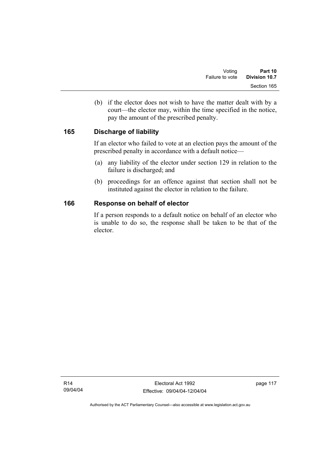(b) if the elector does not wish to have the matter dealt with by a court—the elector may, within the time specified in the notice, pay the amount of the prescribed penalty.

# **165 Discharge of liability**

If an elector who failed to vote at an election pays the amount of the prescribed penalty in accordance with a default notice—

- (a) any liability of the elector under section 129 in relation to the failure is discharged; and
- (b) proceedings for an offence against that section shall not be instituted against the elector in relation to the failure.

#### **166 Response on behalf of elector**

If a person responds to a default notice on behalf of an elector who is unable to do so, the response shall be taken to be that of the elector.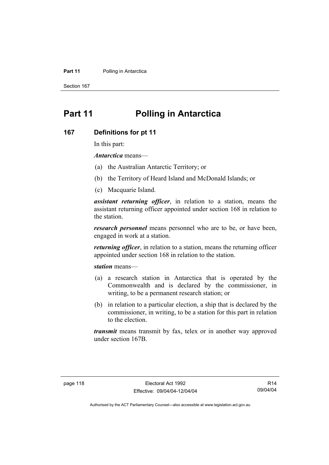#### **Part 11** Polling in Antarctica

Section 167

# **Part 11 Polling in Antarctica**

#### **167 Definitions for pt 11**

In this part:

*Antarctica* means—

- (a) the Australian Antarctic Territory; or
- (b) the Territory of Heard Island and McDonald Islands; or
- (c) Macquarie Island.

*assistant returning officer*, in relation to a station, means the assistant returning officer appointed under section 168 in relation to the station.

*research personnel* means personnel who are to be, or have been, engaged in work at a station.

*returning officer*, in relation to a station, means the returning officer appointed under section 168 in relation to the station.

*station* means—

- (a) a research station in Antarctica that is operated by the Commonwealth and is declared by the commissioner, in writing, to be a permanent research station; or
- (b) in relation to a particular election, a ship that is declared by the commissioner, in writing, to be a station for this part in relation to the election.

*transmit* means transmit by fax, telex or in another way approved under section 167B.

R14 09/04/04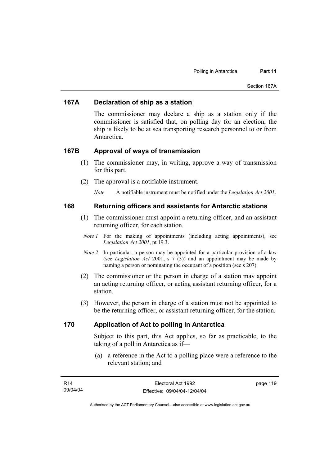#### **167A Declaration of ship as a station**

The commissioner may declare a ship as a station only if the commissioner is satisfied that, on polling day for an election, the ship is likely to be at sea transporting research personnel to or from Antarctica.

#### **167B Approval of ways of transmission**

- (1) The commissioner may, in writing, approve a way of transmission for this part.
- (2) The approval is a notifiable instrument.

*Note* A notifiable instrument must be notified under the *Legislation Act 2001*.

#### **168 Returning officers and assistants for Antarctic stations**

- (1) The commissioner must appoint a returning officer, and an assistant returning officer, for each station.
- *Note 1* For the making of appointments (including acting appointments), see *Legislation Act 2001*, pt 19.3.
- *Note 2* In particular, a person may be appointed for a particular provision of a law (see *Legislation Act* 2001, s 7 (3)) and an appointment may be made by naming a person or nominating the occupant of a position (see s 207).
- (2) The commissioner or the person in charge of a station may appoint an acting returning officer, or acting assistant returning officer, for a station.
- (3) However, the person in charge of a station must not be appointed to be the returning officer, or assistant returning officer, for the station.

#### **170 Application of Act to polling in Antarctica**

Subject to this part, this Act applies, so far as practicable, to the taking of a poll in Antarctica as if—

 (a) a reference in the Act to a polling place were a reference to the relevant station; and

| R14      | Electoral Act 1992           | page 119 |
|----------|------------------------------|----------|
| 09/04/04 | Effective: 09/04/04-12/04/04 |          |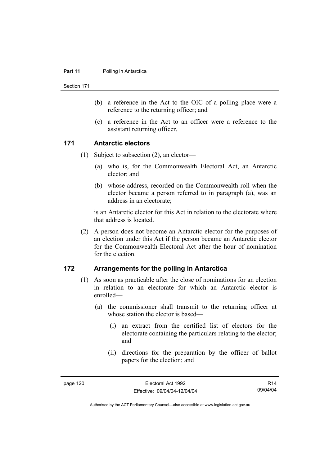#### **Part 11** Polling in Antarctica

Section 171

- (b) a reference in the Act to the OIC of a polling place were a reference to the returning officer; and
- (c) a reference in the Act to an officer were a reference to the assistant returning officer.

#### **171 Antarctic electors**

- (1) Subject to subsection (2), an elector—
	- (a) who is, for the Commonwealth Electoral Act, an Antarctic elector; and
	- (b) whose address, recorded on the Commonwealth roll when the elector became a person referred to in paragraph (a), was an address in an electorate;

is an Antarctic elector for this Act in relation to the electorate where that address is located.

 (2) A person does not become an Antarctic elector for the purposes of an election under this Act if the person became an Antarctic elector for the Commonwealth Electoral Act after the hour of nomination for the election.

#### **172 Arrangements for the polling in Antarctica**

- (1) As soon as practicable after the close of nominations for an election in relation to an electorate for which an Antarctic elector is enrolled—
	- (a) the commissioner shall transmit to the returning officer at whose station the elector is based—
		- (i) an extract from the certified list of electors for the electorate containing the particulars relating to the elector; and
		- (ii) directions for the preparation by the officer of ballot papers for the election; and

R14 09/04/04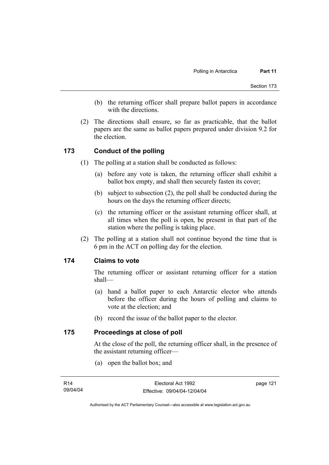- (b) the returning officer shall prepare ballot papers in accordance with the directions.
- (2) The directions shall ensure, so far as practicable, that the ballot papers are the same as ballot papers prepared under division 9.2 for the election.

#### **173 Conduct of the polling**

- (1) The polling at a station shall be conducted as follows:
	- (a) before any vote is taken, the returning officer shall exhibit a ballot box empty, and shall then securely fasten its cover;
	- (b) subject to subsection (2), the poll shall be conducted during the hours on the days the returning officer directs;
	- (c) the returning officer or the assistant returning officer shall, at all times when the poll is open, be present in that part of the station where the polling is taking place.
- (2) The polling at a station shall not continue beyond the time that is 6 pm in the ACT on polling day for the election.

#### **174 Claims to vote**

The returning officer or assistant returning officer for a station shall—

- (a) hand a ballot paper to each Antarctic elector who attends before the officer during the hours of polling and claims to vote at the election; and
- (b) record the issue of the ballot paper to the elector.

#### **175 Proceedings at close of poll**

At the close of the poll, the returning officer shall, in the presence of the assistant returning officer—

(a) open the ballot box; and

page 121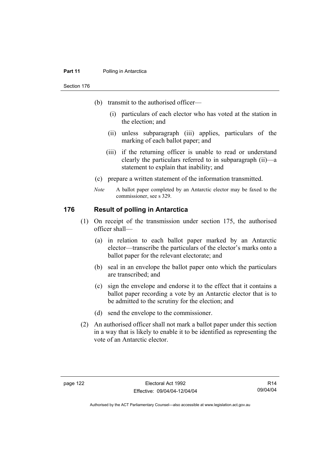#### **Part 11** Polling in Antarctica

Section 176

- (b) transmit to the authorised officer—
	- (i) particulars of each elector who has voted at the station in the election; and
	- (ii) unless subparagraph (iii) applies, particulars of the marking of each ballot paper; and
	- (iii) if the returning officer is unable to read or understand clearly the particulars referred to in subparagraph (ii)—a statement to explain that inability; and
- (c) prepare a written statement of the information transmitted.
- *Note* A ballot paper completed by an Antarctic elector may be faxed to the commissioner, see s 329.

#### **176 Result of polling in Antarctica**

- (1) On receipt of the transmission under section 175, the authorised officer shall—
	- (a) in relation to each ballot paper marked by an Antarctic elector—transcribe the particulars of the elector's marks onto a ballot paper for the relevant electorate; and
	- (b) seal in an envelope the ballot paper onto which the particulars are transcribed; and
	- (c) sign the envelope and endorse it to the effect that it contains a ballot paper recording a vote by an Antarctic elector that is to be admitted to the scrutiny for the election; and
	- (d) send the envelope to the commissioner.
- (2) An authorised officer shall not mark a ballot paper under this section in a way that is likely to enable it to be identified as representing the vote of an Antarctic elector.

R14 09/04/04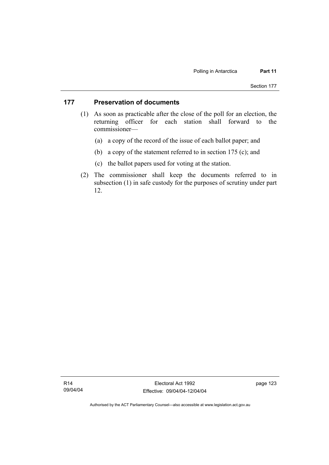#### **177 Preservation of documents**

- (1) As soon as practicable after the close of the poll for an election, the returning officer for each station shall forward to the commissioner—
	- (a) a copy of the record of the issue of each ballot paper; and
	- (b) a copy of the statement referred to in section 175 (c); and
	- (c) the ballot papers used for voting at the station.
- (2) The commissioner shall keep the documents referred to in subsection (1) in safe custody for the purposes of scrutiny under part 12.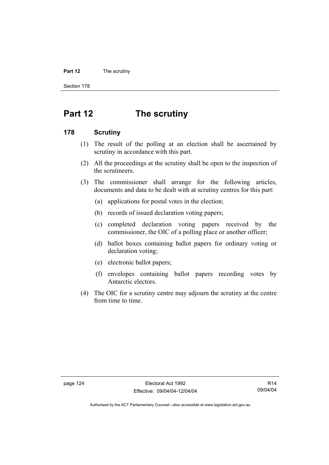#### **Part 12** The scrutiny

Section 178

# **Part 12 The scrutiny**

#### **178 Scrutiny**

- (1) The result of the polling at an election shall be ascertained by scrutiny in accordance with this part.
- (2) All the proceedings at the scrutiny shall be open to the inspection of the scrutineers.
- (3) The commissioner shall arrange for the following articles, documents and data to be dealt with at scrutiny centres for this part:
	- (a) applications for postal votes in the election;
	- (b) records of issued declaration voting papers;
	- (c) completed declaration voting papers received by the commissioner, the OIC of a polling place or another officer;
	- (d) ballot boxes containing ballot papers for ordinary voting or declaration voting;
	- (e) electronic ballot papers;
	- (f) envelopes containing ballot papers recording votes by Antarctic electors.
- (4) The OIC for a scrutiny centre may adjourn the scrutiny at the centre from time to time.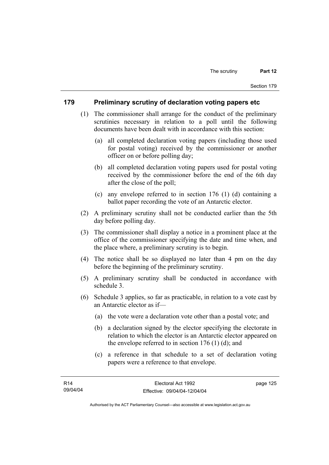#### **179 Preliminary scrutiny of declaration voting papers etc**

- (1) The commissioner shall arrange for the conduct of the preliminary scrutinies necessary in relation to a poll until the following documents have been dealt with in accordance with this section:
	- (a) all completed declaration voting papers (including those used for postal voting) received by the commissioner or another officer on or before polling day;
	- (b) all completed declaration voting papers used for postal voting received by the commissioner before the end of the 6th day after the close of the poll;
	- (c) any envelope referred to in section 176 (1) (d) containing a ballot paper recording the vote of an Antarctic elector.
- (2) A preliminary scrutiny shall not be conducted earlier than the 5th day before polling day.
- (3) The commissioner shall display a notice in a prominent place at the office of the commissioner specifying the date and time when, and the place where, a preliminary scrutiny is to begin.
- (4) The notice shall be so displayed no later than 4 pm on the day before the beginning of the preliminary scrutiny.
- (5) A preliminary scrutiny shall be conducted in accordance with schedule 3.
- (6) Schedule 3 applies, so far as practicable, in relation to a vote cast by an Antarctic elector as if—
	- (a) the vote were a declaration vote other than a postal vote; and
	- (b) a declaration signed by the elector specifying the electorate in relation to which the elector is an Antarctic elector appeared on the envelope referred to in section  $176$  (1) (d); and
	- (c) a reference in that schedule to a set of declaration voting papers were a reference to that envelope.

page 125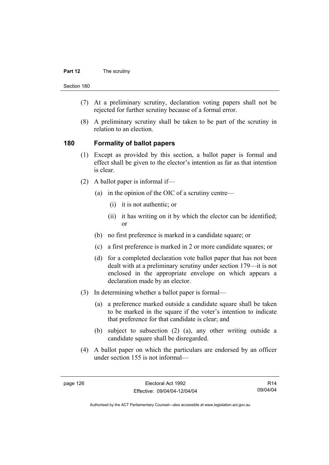#### **Part 12** The scrutiny

Section 180

- (7) At a preliminary scrutiny, declaration voting papers shall not be rejected for further scrutiny because of a formal error.
- (8) A preliminary scrutiny shall be taken to be part of the scrutiny in relation to an election.

#### **180 Formality of ballot papers**

- (1) Except as provided by this section, a ballot paper is formal and effect shall be given to the elector's intention as far as that intention is clear.
- (2) A ballot paper is informal if—
	- (a) in the opinion of the OIC of a scrutiny centre—
		- (i) it is not authentic; or
		- (ii) it has writing on it by which the elector can be identified; or
	- (b) no first preference is marked in a candidate square; or
	- (c) a first preference is marked in 2 or more candidate squares; or
	- (d) for a completed declaration vote ballot paper that has not been dealt with at a preliminary scrutiny under section 179—it is not enclosed in the appropriate envelope on which appears a declaration made by an elector.
- (3) In determining whether a ballot paper is formal—
	- (a) a preference marked outside a candidate square shall be taken to be marked in the square if the voter's intention to indicate that preference for that candidate is clear; and
	- (b) subject to subsection (2) (a), any other writing outside a candidate square shall be disregarded.
- (4) A ballot paper on which the particulars are endorsed by an officer under section 155 is not informal—

R14 09/04/04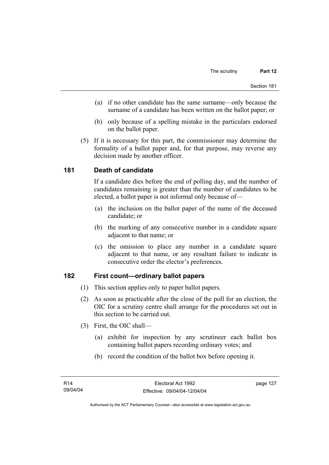- (a) if no other candidate has the same surname—only because the surname of a candidate has been written on the ballot paper; or
- (b) only because of a spelling mistake in the particulars endorsed on the ballot paper.
- (5) If it is necessary for this part, the commissioner may determine the formality of a ballot paper and, for that purpose, may reverse any decision made by another officer.

# **181 Death of candidate**

If a candidate dies before the end of polling day, and the number of candidates remaining is greater than the number of candidates to be elected, a ballot paper is not informal only because of—

- (a) the inclusion on the ballot paper of the name of the deceased candidate; or
- (b) the marking of any consecutive number in a candidate square adjacent to that name; or
- (c) the omission to place any number in a candidate square adjacent to that name, or any resultant failure to indicate in consecutive order the elector's preferences.

## **182 First count—ordinary ballot papers**

- (1) This section applies only to paper ballot papers.
- (2) As soon as practicable after the close of the poll for an election, the OIC for a scrutiny centre shall arrange for the procedures set out in this section to be carried out.
- (3) First, the OIC shall—
	- (a) exhibit for inspection by any scrutineer each ballot box containing ballot papers recording ordinary votes; and
	- (b) record the condition of the ballot box before opening it.

page 127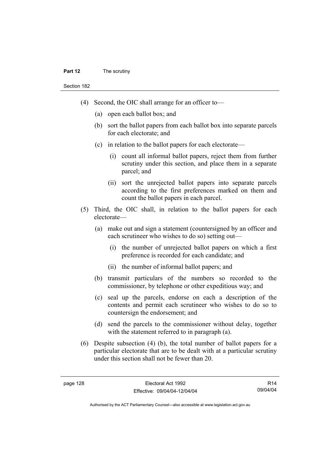#### **Part 12** The scrutiny

Section 182

- (4) Second, the OIC shall arrange for an officer to—
	- (a) open each ballot box; and
	- (b) sort the ballot papers from each ballot box into separate parcels for each electorate; and
	- (c) in relation to the ballot papers for each electorate—
		- (i) count all informal ballot papers, reject them from further scrutiny under this section, and place them in a separate parcel; and
		- (ii) sort the unrejected ballot papers into separate parcels according to the first preferences marked on them and count the ballot papers in each parcel.
- (5) Third, the OIC shall, in relation to the ballot papers for each electorate—
	- (a) make out and sign a statement (countersigned by an officer and each scrutineer who wishes to do so) setting out—
		- (i) the number of unrejected ballot papers on which a first preference is recorded for each candidate; and
		- (ii) the number of informal ballot papers; and
	- (b) transmit particulars of the numbers so recorded to the commissioner, by telephone or other expeditious way; and
	- (c) seal up the parcels, endorse on each a description of the contents and permit each scrutineer who wishes to do so to countersign the endorsement; and
	- (d) send the parcels to the commissioner without delay, together with the statement referred to in paragraph (a).
- (6) Despite subsection (4) (b), the total number of ballot papers for a particular electorate that are to be dealt with at a particular scrutiny under this section shall not be fewer than 20.

R14 09/04/04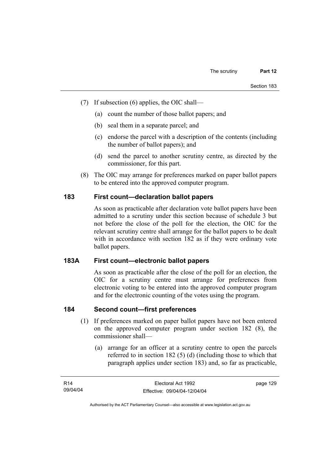- (7) If subsection (6) applies, the OIC shall—
	- (a) count the number of those ballot papers; and
	- (b) seal them in a separate parcel; and
	- (c) endorse the parcel with a description of the contents (including the number of ballot papers); and
	- (d) send the parcel to another scrutiny centre, as directed by the commissioner, for this part.
- (8) The OIC may arrange for preferences marked on paper ballot papers to be entered into the approved computer program.

## **183 First count—declaration ballot papers**

As soon as practicable after declaration vote ballot papers have been admitted to a scrutiny under this section because of schedule 3 but not before the close of the poll for the election, the OIC for the relevant scrutiny centre shall arrange for the ballot papers to be dealt with in accordance with section 182 as if they were ordinary vote ballot papers.

#### **183A First count—electronic ballot papers**

As soon as practicable after the close of the poll for an election, the OIC for a scrutiny centre must arrange for preferences from electronic voting to be entered into the approved computer program and for the electronic counting of the votes using the program.

## **184 Second count—first preferences**

- (1) If preferences marked on paper ballot papers have not been entered on the approved computer program under section 182 (8), the commissioner shall—
	- (a) arrange for an officer at a scrutiny centre to open the parcels referred to in section 182 (5) (d) (including those to which that paragraph applies under section 183) and, so far as practicable,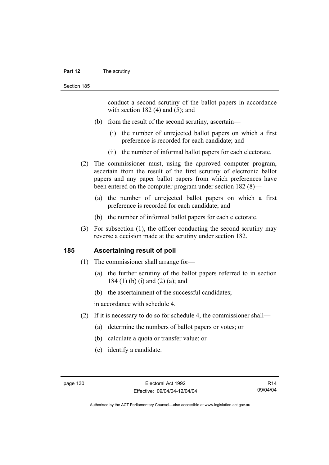#### **Part 12** The scrutiny

conduct a second scrutiny of the ballot papers in accordance with section  $182$  (4) and (5); and

- (b) from the result of the second scrutiny, ascertain—
	- (i) the number of unrejected ballot papers on which a first preference is recorded for each candidate; and
	- (ii) the number of informal ballot papers for each electorate.
- (2) The commissioner must, using the approved computer program, ascertain from the result of the first scrutiny of electronic ballot papers and any paper ballot papers from which preferences have been entered on the computer program under section 182 (8)—
	- (a) the number of unrejected ballot papers on which a first preference is recorded for each candidate; and
	- (b) the number of informal ballot papers for each electorate.
- (3) For subsection (1), the officer conducting the second scrutiny may reverse a decision made at the scrutiny under section 182.

#### **185 Ascertaining result of poll**

- (1) The commissioner shall arrange for—
	- (a) the further scrutiny of the ballot papers referred to in section 184 (1) (b) (i) and (2) (a); and
	- (b) the ascertainment of the successful candidates;

in accordance with schedule 4.

- (2) If it is necessary to do so for schedule 4, the commissioner shall—
	- (a) determine the numbers of ballot papers or votes; or
	- (b) calculate a quota or transfer value; or
	- (c) identify a candidate.

R14 09/04/04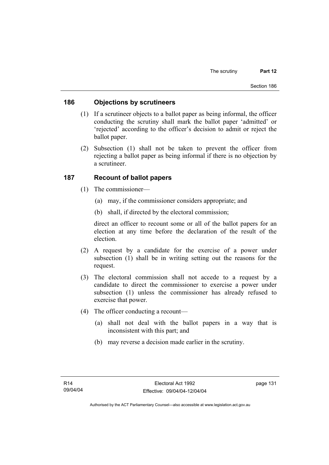#### **186 Objections by scrutineers**

- (1) If a scrutineer objects to a ballot paper as being informal, the officer conducting the scrutiny shall mark the ballot paper 'admitted' or 'rejected' according to the officer's decision to admit or reject the ballot paper.
- (2) Subsection (1) shall not be taken to prevent the officer from rejecting a ballot paper as being informal if there is no objection by a scrutineer.

#### **187 Recount of ballot papers**

- (1) The commissioner—
	- (a) may, if the commissioner considers appropriate; and
	- (b) shall, if directed by the electoral commission;

direct an officer to recount some or all of the ballot papers for an election at any time before the declaration of the result of the election.

- (2) A request by a candidate for the exercise of a power under subsection (1) shall be in writing setting out the reasons for the request.
- (3) The electoral commission shall not accede to a request by a candidate to direct the commissioner to exercise a power under subsection (1) unless the commissioner has already refused to exercise that power.
- (4) The officer conducting a recount—
	- (a) shall not deal with the ballot papers in a way that is inconsistent with this part; and
	- (b) may reverse a decision made earlier in the scrutiny.

page 131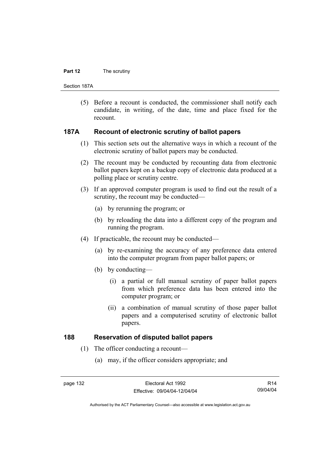#### **Part 12** The scrutiny

Section 187A

 (5) Before a recount is conducted, the commissioner shall notify each candidate, in writing, of the date, time and place fixed for the recount.

#### **187A Recount of electronic scrutiny of ballot papers**

- (1) This section sets out the alternative ways in which a recount of the electronic scrutiny of ballot papers may be conducted.
- (2) The recount may be conducted by recounting data from electronic ballot papers kept on a backup copy of electronic data produced at a polling place or scrutiny centre.
- (3) If an approved computer program is used to find out the result of a scrutiny, the recount may be conducted—
	- (a) by rerunning the program; or
	- (b) by reloading the data into a different copy of the program and running the program.
- (4) If practicable, the recount may be conducted—
	- (a) by re-examining the accuracy of any preference data entered into the computer program from paper ballot papers; or
	- (b) by conducting—
		- (i) a partial or full manual scrutiny of paper ballot papers from which preference data has been entered into the computer program; or
		- (ii) a combination of manual scrutiny of those paper ballot papers and a computerised scrutiny of electronic ballot papers.

## **188 Reservation of disputed ballot papers**

- (1) The officer conducting a recount—
	- (a) may, if the officer considers appropriate; and

R14 09/04/04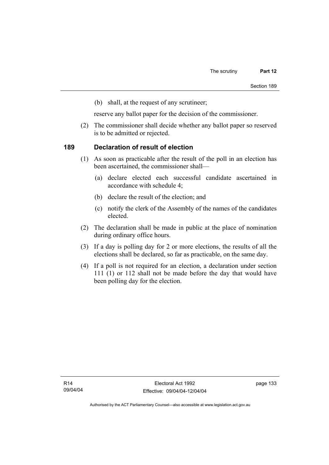(b) shall, at the request of any scrutineer;

reserve any ballot paper for the decision of the commissioner.

 (2) The commissioner shall decide whether any ballot paper so reserved is to be admitted or rejected.

#### **189 Declaration of result of election**

- (1) As soon as practicable after the result of the poll in an election has been ascertained, the commissioner shall—
	- (a) declare elected each successful candidate ascertained in accordance with schedule 4;
	- (b) declare the result of the election; and
	- (c) notify the clerk of the Assembly of the names of the candidates elected.
- (2) The declaration shall be made in public at the place of nomination during ordinary office hours.
- (3) If a day is polling day for 2 or more elections, the results of all the elections shall be declared, so far as practicable, on the same day.
- (4) If a poll is not required for an election, a declaration under section 111 (1) or 112 shall not be made before the day that would have been polling day for the election.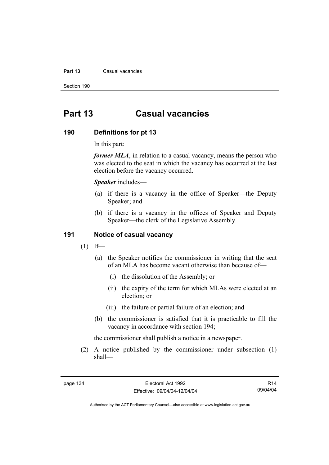#### **Part 13** Casual vacancies

Section 190

# **Part 13 Casual vacancies**

#### **190 Definitions for pt 13**

In this part:

*former MLA*, in relation to a casual vacancy, means the person who was elected to the seat in which the vacancy has occurred at the last election before the vacancy occurred.

*Speaker* includes—

- (a) if there is a vacancy in the office of Speaker—the Deputy Speaker; and
- (b) if there is a vacancy in the offices of Speaker and Deputy Speaker—the clerk of the Legislative Assembly.

#### **191 Notice of casual vacancy**

- $(1)$  If—
	- (a) the Speaker notifies the commissioner in writing that the seat of an MLA has become vacant otherwise than because of—
		- (i) the dissolution of the Assembly; or
		- (ii) the expiry of the term for which MLAs were elected at an election; or
		- (iii) the failure or partial failure of an election; and
	- (b) the commissioner is satisfied that it is practicable to fill the vacancy in accordance with section 194;

the commissioner shall publish a notice in a newspaper.

 (2) A notice published by the commissioner under subsection (1) shall—

R14 09/04/04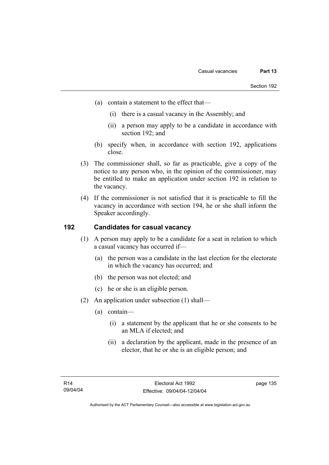- (a) contain a statement to the effect that—
	- (i) there is a casual vacancy in the Assembly; and
	- (ii) a person may apply to be a candidate in accordance with section 192; and
- (b) specify when, in accordance with section 192, applications close.
- (3) The commissioner shall, so far as practicable, give a copy of the notice to any person who, in the opinion of the commissioner, may be entitled to make an application under section 192 in relation to the vacancy.
- (4) If the commissioner is not satisfied that it is practicable to fill the vacancy in accordance with section 194, he or she shall inform the Speaker accordingly.

## **192 Candidates for casual vacancy**

- (1) A person may apply to be a candidate for a seat in relation to which a casual vacancy has occurred if—
	- (a) the person was a candidate in the last election for the electorate in which the vacancy has occurred; and
	- (b) the person was not elected; and
	- (c) he or she is an eligible person.
- (2) An application under subsection (1) shall—
	- (a) contain—
		- (i) a statement by the applicant that he or she consents to be an MLA if elected; and
		- (ii) a declaration by the applicant, made in the presence of an elector, that he or she is an eligible person; and

page 135

Authorised by the ACT Parliamentary Counsel—also accessible at www.legislation.act.gov.au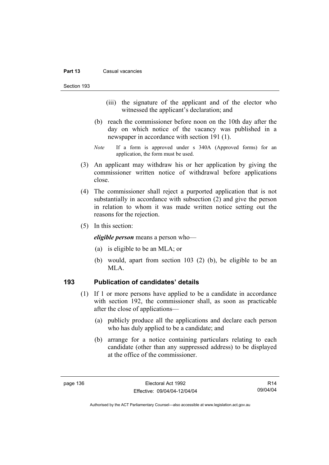#### **Part 13** Casual vacancies

Section 193

- (iii) the signature of the applicant and of the elector who witnessed the applicant's declaration; and
- (b) reach the commissioner before noon on the 10th day after the day on which notice of the vacancy was published in a newspaper in accordance with section 191 (1).
- *Note* If a form is approved under s 340A (Approved forms) for an application, the form must be used.
- (3) An applicant may withdraw his or her application by giving the commissioner written notice of withdrawal before applications close.
- (4) The commissioner shall reject a purported application that is not substantially in accordance with subsection (2) and give the person in relation to whom it was made written notice setting out the reasons for the rejection.
- (5) In this section:

*eligible person* means a person who—

- (a) is eligible to be an MLA; or
- (b) would, apart from section 103 (2) (b), be eligible to be an MLA.

#### **193 Publication of candidates' details**

- (1) If 1 or more persons have applied to be a candidate in accordance with section 192, the commissioner shall, as soon as practicable after the close of applications—
	- (a) publicly produce all the applications and declare each person who has duly applied to be a candidate; and
	- (b) arrange for a notice containing particulars relating to each candidate (other than any suppressed address) to be displayed at the office of the commissioner.

R14 09/04/04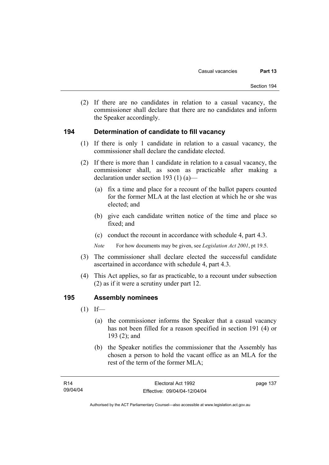(2) If there are no candidates in relation to a casual vacancy, the commissioner shall declare that there are no candidates and inform the Speaker accordingly.

#### **194 Determination of candidate to fill vacancy**

- (1) If there is only 1 candidate in relation to a casual vacancy, the commissioner shall declare the candidate elected.
- (2) If there is more than 1 candidate in relation to a casual vacancy, the commissioner shall, as soon as practicable after making a declaration under section 193 (1) (a)—
	- (a) fix a time and place for a recount of the ballot papers counted for the former MLA at the last election at which he or she was elected; and
	- (b) give each candidate written notice of the time and place so fixed; and
	- (c) conduct the recount in accordance with schedule 4, part 4.3.

*Note* For how documents may be given, see *Legislation Act 2001*, pt 19.5.

- (3) The commissioner shall declare elected the successful candidate ascertained in accordance with schedule 4, part 4.3.
- (4) This Act applies, so far as practicable, to a recount under subsection (2) as if it were a scrutiny under part 12.

#### **195 Assembly nominees**

- $(1)$  If—
	- (a) the commissioner informs the Speaker that a casual vacancy has not been filled for a reason specified in section 191 (4) or 193 (2); and
	- (b) the Speaker notifies the commissioner that the Assembly has chosen a person to hold the vacant office as an MLA for the rest of the term of the former MLA;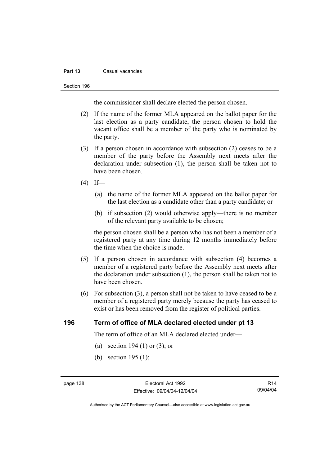#### **Part 13** Casual vacancies

#### Section 196

the commissioner shall declare elected the person chosen.

- (2) If the name of the former MLA appeared on the ballot paper for the last election as a party candidate, the person chosen to hold the vacant office shall be a member of the party who is nominated by the party.
- (3) If a person chosen in accordance with subsection (2) ceases to be a member of the party before the Assembly next meets after the declaration under subsection (1), the person shall be taken not to have been chosen.
- $(4)$  If—
	- (a) the name of the former MLA appeared on the ballot paper for the last election as a candidate other than a party candidate; or
	- (b) if subsection (2) would otherwise apply—there is no member of the relevant party available to be chosen;

the person chosen shall be a person who has not been a member of a registered party at any time during 12 months immediately before the time when the choice is made.

- (5) If a person chosen in accordance with subsection (4) becomes a member of a registered party before the Assembly next meets after the declaration under subsection (1), the person shall be taken not to have been chosen.
- (6) For subsection (3), a person shall not be taken to have ceased to be a member of a registered party merely because the party has ceased to exist or has been removed from the register of political parties.

#### **196 Term of office of MLA declared elected under pt 13**

The term of office of an MLA declared elected under—

- (a) section 194 (1) or (3); or
- (b) section 195 (1);

R14 09/04/04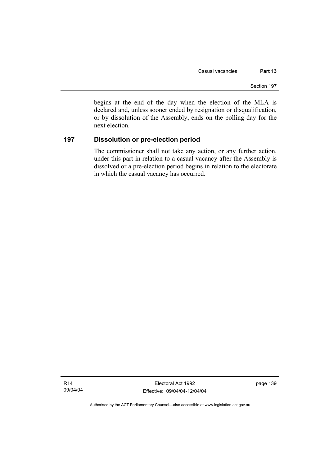begins at the end of the day when the election of the MLA is declared and, unless sooner ended by resignation or disqualification, or by dissolution of the Assembly, ends on the polling day for the next election.

#### **197 Dissolution or pre-election period**

The commissioner shall not take any action, or any further action, under this part in relation to a casual vacancy after the Assembly is dissolved or a pre-election period begins in relation to the electorate in which the casual vacancy has occurred.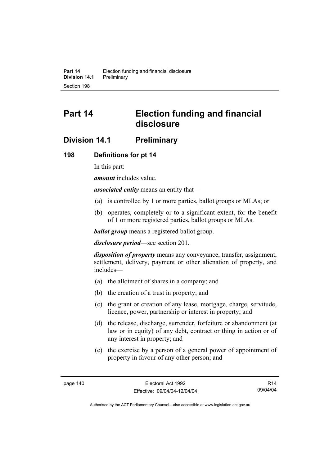# **Part 14 Election funding and financial disclosure**

# **Division 14.1 Preliminary**

#### **198 Definitions for pt 14**

In this part:

*amount* includes value.

*associated entity* means an entity that—

- (a) is controlled by 1 or more parties, ballot groups or MLAs; or
- (b) operates, completely or to a significant extent, for the benefit of 1 or more registered parties, ballot groups or MLAs.

*ballot group* means a registered ballot group.

*disclosure period*—see section 201.

*disposition of property* means any conveyance, transfer, assignment, settlement, delivery, payment or other alienation of property, and includes—

- (a) the allotment of shares in a company; and
- (b) the creation of a trust in property; and
- (c) the grant or creation of any lease, mortgage, charge, servitude, licence, power, partnership or interest in property; and
- (d) the release, discharge, surrender, forfeiture or abandonment (at law or in equity) of any debt, contract or thing in action or of any interest in property; and
- (e) the exercise by a person of a general power of appointment of property in favour of any other person; and

R14 09/04/04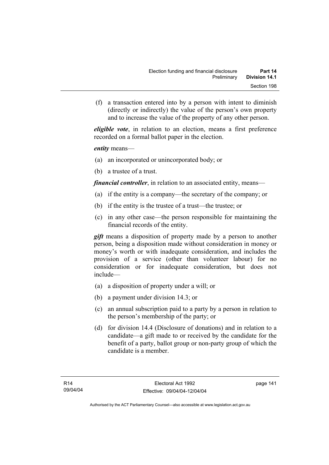(f) a transaction entered into by a person with intent to diminish (directly or indirectly) the value of the person's own property and to increase the value of the property of any other person.

*eligible vote*, in relation to an election, means a first preference recorded on a formal ballot paper in the election.

*entity* means—

- (a) an incorporated or unincorporated body; or
- (b) a trustee of a trust.

*financial controller*, in relation to an associated entity, means—

- (a) if the entity is a company—the secretary of the company; or
- (b) if the entity is the trustee of a trust—the trustee; or
- (c) in any other case—the person responsible for maintaining the financial records of the entity.

*gift* means a disposition of property made by a person to another person, being a disposition made without consideration in money or money's worth or with inadequate consideration, and includes the provision of a service (other than volunteer labour) for no consideration or for inadequate consideration, but does not include—

- (a) a disposition of property under a will; or
- (b) a payment under division 14.3; or
- (c) an annual subscription paid to a party by a person in relation to the person's membership of the party; or
- (d) for division 14.4 (Disclosure of donations) and in relation to a candidate—a gift made to or received by the candidate for the benefit of a party, ballot group or non-party group of which the candidate is a member.

page 141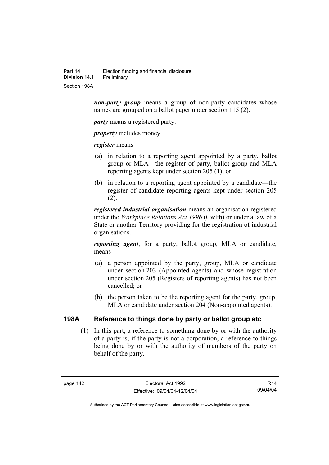*non-party group* means a group of non-party candidates whose names are grouped on a ballot paper under section 115 (2).

*party* means a registered party.

*property* includes money.

*register* means—

- (a) in relation to a reporting agent appointed by a party, ballot group or MLA—the register of party, ballot group and MLA reporting agents kept under section 205 (1); or
- (b) in relation to a reporting agent appointed by a candidate—the register of candidate reporting agents kept under section 205  $(2)$ .

*registered industrial organisation* means an organisation registered under the *Workplace Relations Act 1996* (Cwlth) or under a law of a State or another Territory providing for the registration of industrial organisations.

*reporting agent*, for a party, ballot group, MLA or candidate, means—

- (a) a person appointed by the party, group, MLA or candidate under section 203 (Appointed agents) and whose registration under section 205 (Registers of reporting agents) has not been cancelled; or
- (b) the person taken to be the reporting agent for the party, group, MLA or candidate under section 204 (Non-appointed agents).

## **198A Reference to things done by party or ballot group etc**

 (1) In this part, a reference to something done by or with the authority of a party is, if the party is not a corporation, a reference to things being done by or with the authority of members of the party on behalf of the party.

R14 09/04/04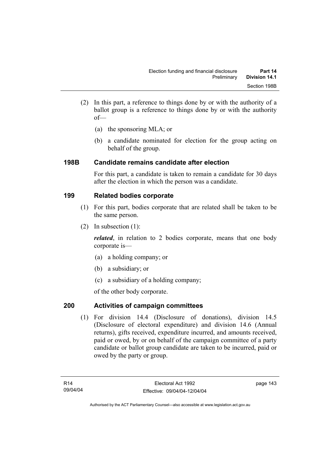- (2) In this part, a reference to things done by or with the authority of a ballot group is a reference to things done by or with the authority of—
	- (a) the sponsoring MLA; or
	- (b) a candidate nominated for election for the group acting on behalf of the group.

## **198B Candidate remains candidate after election**

For this part, a candidate is taken to remain a candidate for 30 days after the election in which the person was a candidate.

# **199 Related bodies corporate**

- (1) For this part, bodies corporate that are related shall be taken to be the same person.
- (2) In subsection (1):

*related*, in relation to 2 bodies corporate, means that one body corporate is—

- (a) a holding company; or
- (b) a subsidiary; or
- (c) a subsidiary of a holding company;

of the other body corporate.

# **200 Activities of campaign committees**

 (1) For division 14.4 (Disclosure of donations), division 14.5 (Disclosure of electoral expenditure) and division 14.6 (Annual returns), gifts received, expenditure incurred, and amounts received, paid or owed, by or on behalf of the campaign committee of a party candidate or ballot group candidate are taken to be incurred, paid or owed by the party or group.

page 143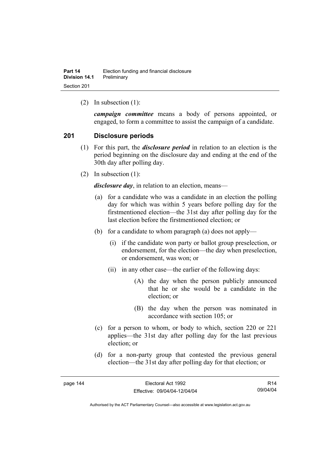(2) In subsection (1):

*campaign committee* means a body of persons appointed, or engaged, to form a committee to assist the campaign of a candidate.

#### **201 Disclosure periods**

- (1) For this part, the *disclosure period* in relation to an election is the period beginning on the disclosure day and ending at the end of the 30th day after polling day.
- (2) In subsection (1):

*disclosure day*, in relation to an election, means—

- (a) for a candidate who was a candidate in an election the polling day for which was within 5 years before polling day for the firstmentioned election—the 31st day after polling day for the last election before the firstmentioned election; or
- (b) for a candidate to whom paragraph (a) does not apply—
	- (i) if the candidate won party or ballot group preselection, or endorsement, for the election—the day when preselection, or endorsement, was won; or
	- (ii) in any other case—the earlier of the following days:
		- (A) the day when the person publicly announced that he or she would be a candidate in the election; or
		- (B) the day when the person was nominated in accordance with section 105; or
- (c) for a person to whom, or body to which, section 220 or 221 applies—the 31st day after polling day for the last previous election; or
- (d) for a non-party group that contested the previous general election—the 31st day after polling day for that election; or

| page |  |
|------|--|
|------|--|

R14 09/04/04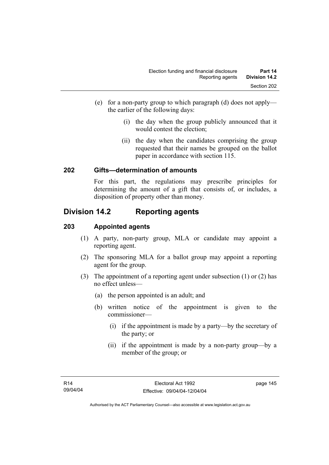- (e) for a non-party group to which paragraph (d) does not apply the earlier of the following days:
	- (i) the day when the group publicly announced that it would contest the election;
	- (ii) the day when the candidates comprising the group requested that their names be grouped on the ballot paper in accordance with section 115.

#### **202 Gifts—determination of amounts**

For this part, the regulations may prescribe principles for determining the amount of a gift that consists of, or includes, a disposition of property other than money.

# **Division 14.2 Reporting agents**

#### **203 Appointed agents**

- (1) A party, non-party group, MLA or candidate may appoint a reporting agent.
- (2) The sponsoring MLA for a ballot group may appoint a reporting agent for the group.
- (3) The appointment of a reporting agent under subsection (1) or (2) has no effect unless—
	- (a) the person appointed is an adult; and
	- (b) written notice of the appointment is given to the commissioner—
		- (i) if the appointment is made by a party—by the secretary of the party; or
		- (ii) if the appointment is made by a non-party group—by a member of the group; or

page 145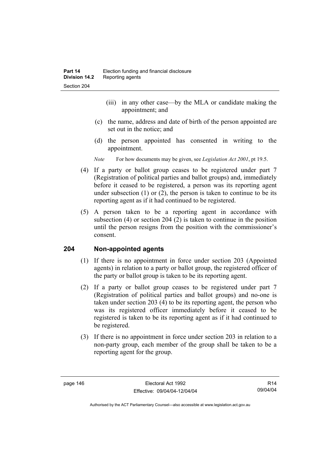- (iii) in any other case—by the MLA or candidate making the appointment; and
- (c) the name, address and date of birth of the person appointed are set out in the notice; and
- (d) the person appointed has consented in writing to the appointment.
- *Note* For how documents may be given, see *Legislation Act 2001*, pt 19.5.
- (4) If a party or ballot group ceases to be registered under part 7 (Registration of political parties and ballot groups) and, immediately before it ceased to be registered, a person was its reporting agent under subsection  $(1)$  or  $(2)$ , the person is taken to continue to be its reporting agent as if it had continued to be registered.
- (5) A person taken to be a reporting agent in accordance with subsection (4) or section 204 (2) is taken to continue in the position until the person resigns from the position with the commissioner's consent.

#### **204 Non-appointed agents**

- (1) If there is no appointment in force under section 203 (Appointed agents) in relation to a party or ballot group, the registered officer of the party or ballot group is taken to be its reporting agent.
- (2) If a party or ballot group ceases to be registered under part 7 (Registration of political parties and ballot groups) and no-one is taken under section 203 (4) to be its reporting agent, the person who was its registered officer immediately before it ceased to be registered is taken to be its reporting agent as if it had continued to be registered.
- (3) If there is no appointment in force under section 203 in relation to a non-party group, each member of the group shall be taken to be a reporting agent for the group.

R14 09/04/04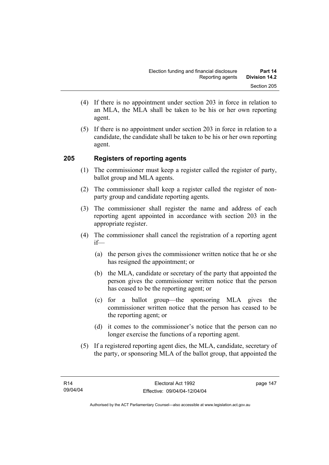- (4) If there is no appointment under section 203 in force in relation to an MLA, the MLA shall be taken to be his or her own reporting agent.
- (5) If there is no appointment under section 203 in force in relation to a candidate, the candidate shall be taken to be his or her own reporting agent.

## **205 Registers of reporting agents**

- (1) The commissioner must keep a register called the register of party, ballot group and MLA agents.
- (2) The commissioner shall keep a register called the register of nonparty group and candidate reporting agents.
- (3) The commissioner shall register the name and address of each reporting agent appointed in accordance with section 203 in the appropriate register.
- (4) The commissioner shall cancel the registration of a reporting agent if—
	- (a) the person gives the commissioner written notice that he or she has resigned the appointment; or
	- (b) the MLA, candidate or secretary of the party that appointed the person gives the commissioner written notice that the person has ceased to be the reporting agent; or
	- (c) for a ballot group—the sponsoring MLA gives the commissioner written notice that the person has ceased to be the reporting agent; or
	- (d) it comes to the commissioner's notice that the person can no longer exercise the functions of a reporting agent.
- (5) If a registered reporting agent dies, the MLA, candidate, secretary of the party, or sponsoring MLA of the ballot group, that appointed the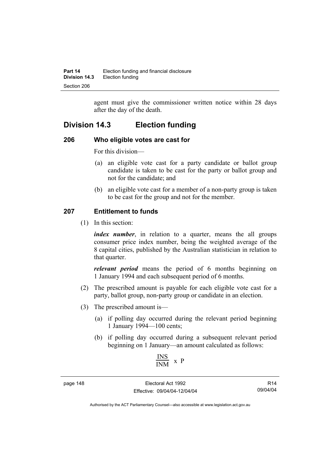agent must give the commissioner written notice within 28 days after the day of the death.

# **Division 14.3 Election funding**

#### **206 Who eligible votes are cast for**

For this division—

- (a) an eligible vote cast for a party candidate or ballot group candidate is taken to be cast for the party or ballot group and not for the candidate; and
- (b) an eligible vote cast for a member of a non-party group is taken to be cast for the group and not for the member.

## **207 Entitlement to funds**

(1) In this section:

*index number*, in relation to a quarter, means the all groups consumer price index number, being the weighted average of the 8 capital cities, published by the Australian statistician in relation to that quarter.

*relevant period* means the period of 6 months beginning on 1 January 1994 and each subsequent period of 6 months.

- (2) The prescribed amount is payable for each eligible vote cast for a party, ballot group, non-party group or candidate in an election.
- (3) The prescribed amount is—
	- (a) if polling day occurred during the relevant period beginning 1 January 1994—100 cents;
	- (b) if polling day occurred during a subsequent relevant period beginning on 1 January—an amount calculated as follows:

$$
\frac{\text{INS}}{\text{INM}} \times P
$$

page 148 Electoral Act 1992 Effective: 09/04/04-12/04/04

R14 09/04/04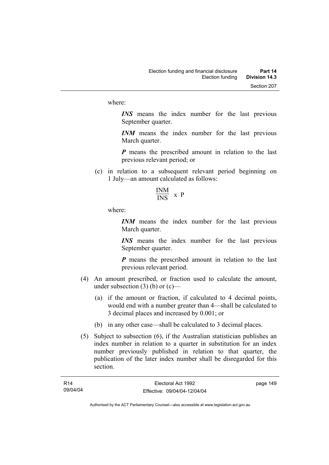where:

*INS* means the index number for the last previous September quarter.

*INM* means the index number for the last previous March quarter.

*P* means the prescribed amount in relation to the last previous relevant period; or

- (c) in relation to a subsequent relevant period beginning on 1 July—an amount calculated as follows:
	- INM  $\frac{1}{1}$  x P

where:

*INM* means the index number for the last previous March quarter.

*INS* means the index number for the last previous September quarter.

*P* means the prescribed amount in relation to the last previous relevant period.

- (4) An amount prescribed, or fraction used to calculate the amount, under subsection  $(3)$  (b) or  $(c)$ —
	- (a) if the amount or fraction, if calculated to 4 decimal points, would end with a number greater than 4—shall be calculated to 3 decimal places and increased by 0.001; or
	- (b) in any other case—shall be calculated to 3 decimal places.
- (5) Subject to subsection (6), if the Australian statistician publishes an index number in relation to a quarter in substitution for an index number previously published in relation to that quarter, the publication of the later index number shall be disregarded for this section.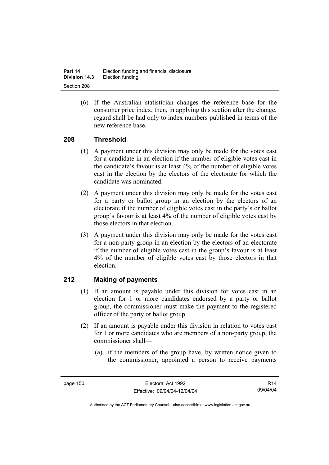| Part 14              | Election funding and financial disclosure |
|----------------------|-------------------------------------------|
| <b>Division 14.3</b> | Election funding                          |
| Section 208          |                                           |

 (6) If the Australian statistician changes the reference base for the consumer price index, then, in applying this section after the change, regard shall be had only to index numbers published in terms of the new reference base.

#### **208 Threshold**

- (1) A payment under this division may only be made for the votes cast for a candidate in an election if the number of eligible votes cast in the candidate's favour is at least 4% of the number of eligible votes cast in the election by the electors of the electorate for which the candidate was nominated.
- (2) A payment under this division may only be made for the votes cast for a party or ballot group in an election by the electors of an electorate if the number of eligible votes cast in the party's or ballot group's favour is at least 4% of the number of eligible votes cast by those electors in that election.
- (3) A payment under this division may only be made for the votes cast for a non-party group in an election by the electors of an electorate if the number of eligible votes cast in the group's favour is at least 4% of the number of eligible votes cast by those electors in that election.

## **212 Making of payments**

- (1) If an amount is payable under this division for votes cast in an election for 1 or more candidates endorsed by a party or ballot group, the commissioner must make the payment to the registered officer of the party or ballot group.
- (2) If an amount is payable under this division in relation to votes cast for 1 or more candidates who are members of a non-party group, the commissioner shall—
	- (a) if the members of the group have, by written notice given to the commissioner, appointed a person to receive payments

R14 09/04/04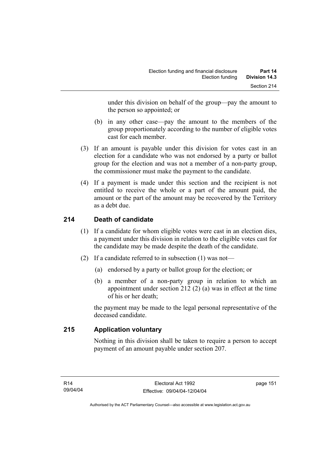under this division on behalf of the group—pay the amount to the person so appointed; or

- (b) in any other case—pay the amount to the members of the group proportionately according to the number of eligible votes cast for each member.
- (3) If an amount is payable under this division for votes cast in an election for a candidate who was not endorsed by a party or ballot group for the election and was not a member of a non-party group, the commissioner must make the payment to the candidate.
- (4) If a payment is made under this section and the recipient is not entitled to receive the whole or a part of the amount paid, the amount or the part of the amount may be recovered by the Territory as a debt due.

# **214 Death of candidate**

- (1) If a candidate for whom eligible votes were cast in an election dies, a payment under this division in relation to the eligible votes cast for the candidate may be made despite the death of the candidate.
- (2) If a candidate referred to in subsection (1) was not—
	- (a) endorsed by a party or ballot group for the election; or
	- (b) a member of a non-party group in relation to which an appointment under section 212 (2) (a) was in effect at the time of his or her death;

the payment may be made to the legal personal representative of the deceased candidate.

## **215 Application voluntary**

Nothing in this division shall be taken to require a person to accept payment of an amount payable under section 207.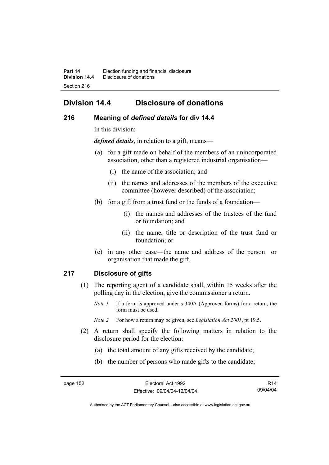# **Division 14.4 Disclosure of donations**

#### **216 Meaning of** *defined details* **for div 14.4**

In this division:

*defined details*, in relation to a gift, means—

- (a) for a gift made on behalf of the members of an unincorporated association, other than a registered industrial organisation—
	- (i) the name of the association; and
	- (ii) the names and addresses of the members of the executive committee (however described) of the association;
- (b) for a gift from a trust fund or the funds of a foundation—
	- (i) the names and addresses of the trustees of the fund or foundation; and
	- (ii) the name, title or description of the trust fund or foundation; or
- (c) in any other case—the name and address of the person or organisation that made the gift.

## **217 Disclosure of gifts**

- (1) The reporting agent of a candidate shall, within 15 weeks after the polling day in the election, give the commissioner a return.
	- *Note 1* If a form is approved under s 340A (Approved forms) for a return, the form must be used.
	- *Note 2* For how a return may be given, see *Legislation Act 2001*, pt 19.5.
- (2) A return shall specify the following matters in relation to the disclosure period for the election:
	- (a) the total amount of any gifts received by the candidate;
	- (b) the number of persons who made gifts to the candidate;

R14 09/04/04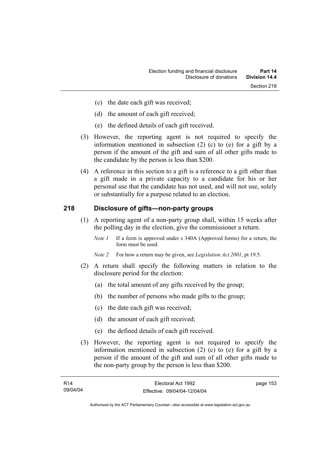- (c) the date each gift was received;
- (d) the amount of each gift received;
- (e) the defined details of each gift received.
- (3) However, the reporting agent is not required to specify the information mentioned in subsection (2) (c) to (e) for a gift by a person if the amount of the gift and sum of all other gifts made to the candidate by the person is less than \$200.
- (4) A reference in this section to a gift is a reference to a gift other than a gift made in a private capacity to a candidate for his or her personal use that the candidate has not used, and will not use, solely or substantially for a purpose related to an election.

#### **218 Disclosure of gifts—non-party groups**

- (1) A reporting agent of a non-party group shall, within 15 weeks after the polling day in the election, give the commissioner a return.
	- *Note 1* If a form is approved under s 340A (Approved forms) for a return, the form must be used.
	- *Note 2* For how a return may be given, see *Legislation Act 2001*, pt 19.5.
- (2) A return shall specify the following matters in relation to the disclosure period for the election:
	- (a) the total amount of any gifts received by the group;
	- (b) the number of persons who made gifts to the group;
	- (c) the date each gift was received;
	- (d) the amount of each gift received;
	- (e) the defined details of each gift received.
- (3) However, the reporting agent is not required to specify the information mentioned in subsection (2) (c) to (e) for a gift by a person if the amount of the gift and sum of all other gifts made to the non-party group by the person is less than \$200.

| R14      | Electoral Act 1992           | page 153 |
|----------|------------------------------|----------|
| 09/04/04 | Effective: 09/04/04-12/04/04 |          |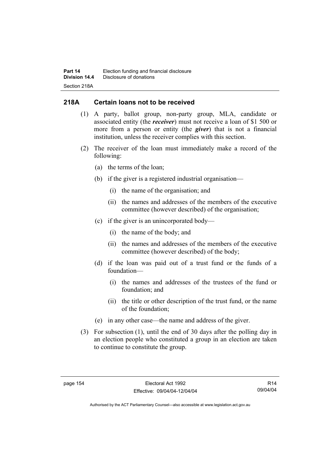## **218A Certain loans not to be received**

- (1) A party, ballot group, non-party group, MLA, candidate or associated entity (the *receiver*) must not receive a loan of \$1 500 or more from a person or entity (the *giver*) that is not a financial institution, unless the receiver complies with this section.
- (2) The receiver of the loan must immediately make a record of the following:
	- (a) the terms of the loan;
	- (b) if the giver is a registered industrial organisation—
		- (i) the name of the organisation; and
		- (ii) the names and addresses of the members of the executive committee (however described) of the organisation;
	- (c) if the giver is an unincorporated body—
		- (i) the name of the body; and
		- (ii) the names and addresses of the members of the executive committee (however described) of the body;
	- (d) if the loan was paid out of a trust fund or the funds of a foundation—
		- (i) the names and addresses of the trustees of the fund or foundation; and
		- (ii) the title or other description of the trust fund, or the name of the foundation;
	- (e) in any other case—the name and address of the giver.
- (3) For subsection (1), until the end of 30 days after the polling day in an election people who constituted a group in an election are taken to continue to constitute the group.

R14 09/04/04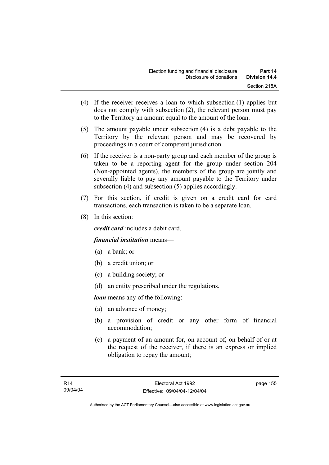- (4) If the receiver receives a loan to which subsection (1) applies but does not comply with subsection (2), the relevant person must pay to the Territory an amount equal to the amount of the loan.
- (5) The amount payable under subsection (4) is a debt payable to the Territory by the relevant person and may be recovered by proceedings in a court of competent jurisdiction.
- (6) If the receiver is a non-party group and each member of the group is taken to be a reporting agent for the group under section 204 (Non-appointed agents), the members of the group are jointly and severally liable to pay any amount payable to the Territory under subsection (4) and subsection (5) applies accordingly.
- (7) For this section, if credit is given on a credit card for card transactions, each transaction is taken to be a separate loan.
- (8) In this section:

*credit card* includes a debit card.

## *financial institution* means—

- (a) a bank; or
- (b) a credit union; or
- (c) a building society; or
- (d) an entity prescribed under the regulations.

*loan* means any of the following:

- (a) an advance of money;
- (b) a provision of credit or any other form of financial accommodation;
- (c) a payment of an amount for, on account of, on behalf of or at the request of the receiver, if there is an express or implied obligation to repay the amount;

page 155

Authorised by the ACT Parliamentary Counsel—also accessible at www.legislation.act.gov.au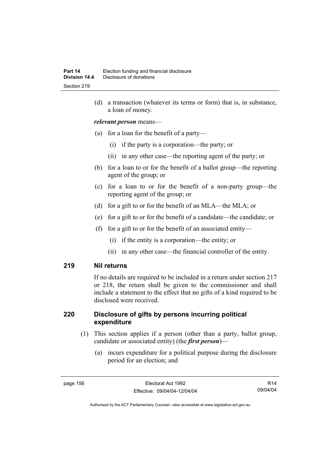(d) a transaction (whatever its terms or form) that is, in substance, a loan of money.

#### *relevant person* means—

- (a) for a loan for the benefit of a party—
	- (i) if the party is a corporation—the party; or
	- (ii) in any other case—the reporting agent of the party; or
- (b) for a loan to or for the benefit of a ballot group—the reporting agent of the group; or
- (c) for a loan to or for the benefit of a non-party group—the reporting agent of the group; or
- (d) for a gift to or for the benefit of an MLA—the MLA; or
- (e) for a gift to or for the benefit of a candidate—the candidate; or
- (f) for a gift to or for the benefit of an associated entity—
	- (i) if the entity is a corporation—the entity; or
	- (ii) in any other case—the financial controller of the entity.

#### **219 Nil returns**

If no details are required to be included in a return under section 217 or 218, the return shall be given to the commissioner and shall include a statement to the effect that no gifts of a kind required to be disclosed were received.

#### **220 Disclosure of gifts by persons incurring political expenditure**

- (1) This section applies if a person (other than a party, ballot group, candidate or associated entity) (the *first person*)—
	- (a) incurs expenditure for a political purpose during the disclosure period for an election; and

R14 09/04/04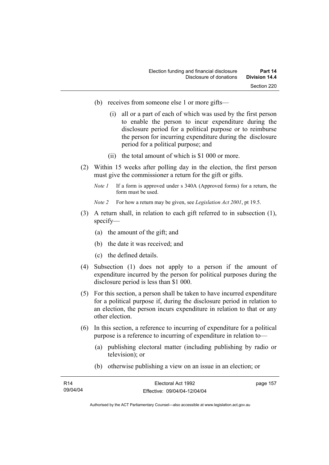- (b) receives from someone else 1 or more gifts—
	- (i) all or a part of each of which was used by the first person to enable the person to incur expenditure during the disclosure period for a political purpose or to reimburse the person for incurring expenditure during the disclosure period for a political purpose; and
	- (ii) the total amount of which is \$1 000 or more.
- (2) Within 15 weeks after polling day in the election, the first person must give the commissioner a return for the gift or gifts.
	- *Note 1* If a form is approved under s 340A (Approved forms) for a return, the form must be used.
	- *Note 2* For how a return may be given, see *Legislation Act 2001*, pt 19.5.
- (3) A return shall, in relation to each gift referred to in subsection (1), specify—
	- (a) the amount of the gift; and
	- (b) the date it was received; and
	- (c) the defined details.
- (4) Subsection (1) does not apply to a person if the amount of expenditure incurred by the person for political purposes during the disclosure period is less than \$1 000.
- (5) For this section, a person shall be taken to have incurred expenditure for a political purpose if, during the disclosure period in relation to an election, the person incurs expenditure in relation to that or any other election.
- (6) In this section, a reference to incurring of expenditure for a political purpose is a reference to incurring of expenditure in relation to—
	- (a) publishing electoral matter (including publishing by radio or television); or
	- (b) otherwise publishing a view on an issue in an election; or

| R <sub>14</sub> | Electoral Act 1992           | page 157 |
|-----------------|------------------------------|----------|
| 09/04/04        | Effective: 09/04/04-12/04/04 |          |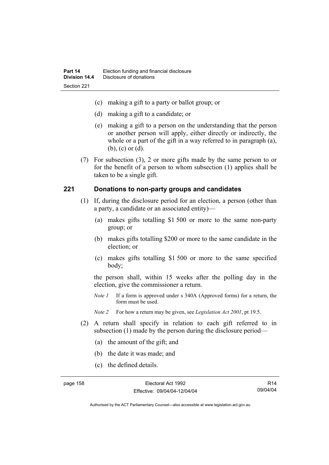- (c) making a gift to a party or ballot group; or
- (d) making a gift to a candidate; or
- (e) making a gift to a person on the understanding that the person or another person will apply, either directly or indirectly, the whole or a part of the gift in a way referred to in paragraph (a), (b), (c) or (d).
- (7) For subsection (3), 2 or more gifts made by the same person to or for the benefit of a person to whom subsection (1) applies shall be taken to be a single gift.

#### **221 Donations to non-party groups and candidates**

- (1) If, during the disclosure period for an election, a person (other than a party, a candidate or an associated entity)—
	- (a) makes gifts totalling \$1 500 or more to the same non-party group; or
	- (b) makes gifts totalling \$200 or more to the same candidate in the election; or
	- (c) makes gifts totalling \$1 500 or more to the same specified body;

the person shall, within 15 weeks after the polling day in the election, give the commissioner a return.

*Note 1* If a form is approved under s 340A (Approved forms) for a return, the form must be used.

*Note 2* For how a return may be given, see *Legislation Act 2001*, pt 19.5.

- (2) A return shall specify in relation to each gift referred to in subsection (1) made by the person during the disclosure period—
	- (a) the amount of the gift; and
	- (b) the date it was made; and
	- (c) the defined details.

R14 09/04/04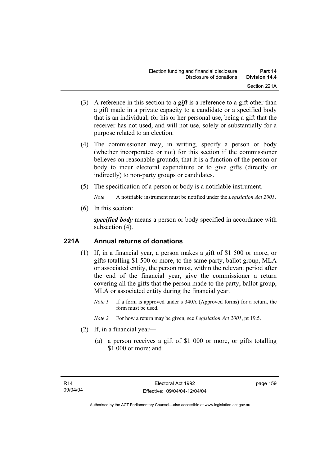- (3) A reference in this section to a *gift* is a reference to a gift other than a gift made in a private capacity to a candidate or a specified body that is an individual, for his or her personal use, being a gift that the receiver has not used, and will not use, solely or substantially for a purpose related to an election.
- (4) The commissioner may, in writing, specify a person or body (whether incorporated or not) for this section if the commissioner believes on reasonable grounds, that it is a function of the person or body to incur electoral expenditure or to give gifts (directly or indirectly) to non-party groups or candidates.
- (5) The specification of a person or body is a notifiable instrument.

*Note* A notifiable instrument must be notified under the *Legislation Act 2001*.

(6) In this section:

*specified body* means a person or body specified in accordance with subsection (4).

## **221A Annual returns of donations**

- (1) If, in a financial year, a person makes a gift of \$1 500 or more, or gifts totalling \$1 500 or more, to the same party, ballot group, MLA or associated entity, the person must, within the relevant period after the end of the financial year, give the commissioner a return covering all the gifts that the person made to the party, ballot group, MLA or associated entity during the financial year.
	- *Note 1* If a form is approved under s 340A (Approved forms) for a return, the form must be used.
	- *Note 2* For how a return may be given, see *Legislation Act 2001*, pt 19.5.
- (2) If, in a financial year—
	- (a) a person receives a gift of \$1 000 or more, or gifts totalling \$1 000 or more; and

page 159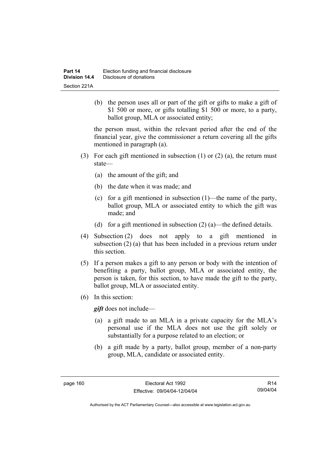(b) the person uses all or part of the gift or gifts to make a gift of \$1 500 or more, or gifts totalling \$1 500 or more, to a party, ballot group, MLA or associated entity;

the person must, within the relevant period after the end of the financial year, give the commissioner a return covering all the gifts mentioned in paragraph (a).

- (3) For each gift mentioned in subsection (1) or (2) (a), the return must state—
	- (a) the amount of the gift; and
	- (b) the date when it was made; and
	- (c) for a gift mentioned in subsection (1)—the name of the party, ballot group, MLA or associated entity to which the gift was made; and
	- (d) for a gift mentioned in subsection  $(2)$  (a)—the defined details.
- (4) Subsection (2) does not apply to a gift mentioned in subsection (2) (a) that has been included in a previous return under this section.
- (5) If a person makes a gift to any person or body with the intention of benefiting a party, ballot group, MLA or associated entity, the person is taken, for this section, to have made the gift to the party, ballot group, MLA or associated entity.
- (6) In this section:

*gift* does not include—

- (a) a gift made to an MLA in a private capacity for the MLA's personal use if the MLA does not use the gift solely or substantially for a purpose related to an election; or
- (b) a gift made by a party, ballot group, member of a non-party group, MLA, candidate or associated entity.

R14 09/04/04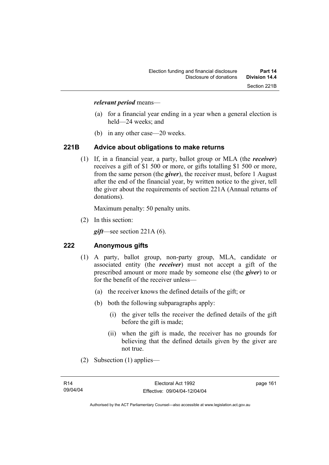#### *relevant period* means—

- (a) for a financial year ending in a year when a general election is held—24 weeks; and
- (b) in any other case—20 weeks.

#### **221B Advice about obligations to make returns**

 (1) If, in a financial year, a party, ballot group or MLA (the *receiver*) receives a gift of \$1 500 or more, or gifts totalling \$1 500 or more, from the same person (the *giver*), the receiver must, before 1 August after the end of the financial year, by written notice to the giver, tell the giver about the requirements of section 221A (Annual returns of donations).

Maximum penalty: 50 penalty units.

(2) In this section:

*gift*—see section 221A (6).

#### **222 Anonymous gifts**

- (1) A party, ballot group, non-party group, MLA, candidate or associated entity (the *receiver*) must not accept a gift of the prescribed amount or more made by someone else (the *giver*) to or for the benefit of the receiver unless—
	- (a) the receiver knows the defined details of the gift; or
	- (b) both the following subparagraphs apply:
		- (i) the giver tells the receiver the defined details of the gift before the gift is made;
		- (ii) when the gift is made, the receiver has no grounds for believing that the defined details given by the giver are not true.
- (2) Subsection (1) applies—

page 161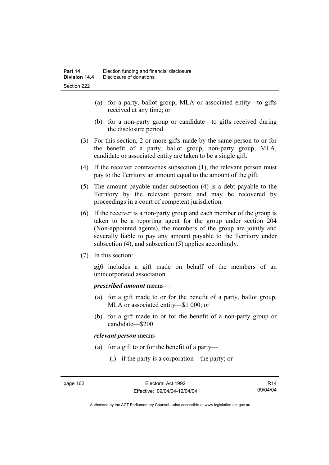- (a) for a party, ballot group, MLA or associated entity—to gifts received at any time; or
- (b) for a non-party group or candidate—to gifts received during the disclosure period.
- (3) For this section, 2 or more gifts made by the same person to or for the benefit of a party, ballot group, non-party group, MLA, candidate or associated entity are taken to be a single gift.
- (4) If the receiver contravenes subsection (1), the relevant person must pay to the Territory an amount equal to the amount of the gift.
- (5) The amount payable under subsection (4) is a debt payable to the Territory by the relevant person and may be recovered by proceedings in a court of competent jurisdiction.
- (6) If the receiver is a non-party group and each member of the group is taken to be a reporting agent for the group under section 204 (Non-appointed agents), the members of the group are jointly and severally liable to pay any amount payable to the Territory under subsection (4), and subsection (5) applies accordingly.
- (7) In this section:

*gift* includes a gift made on behalf of the members of an unincorporated association.

#### *prescribed amount* means—

- (a) for a gift made to or for the benefit of a party, ballot group, MLA or associated entity—\$1 000; or
- (b) for a gift made to or for the benefit of a non-party group or candidate—\$200.

#### *relevant person* means

- (a) for a gift to or for the benefit of a party—
	- (i) if the party is a corporation—the party; or

R14 09/04/04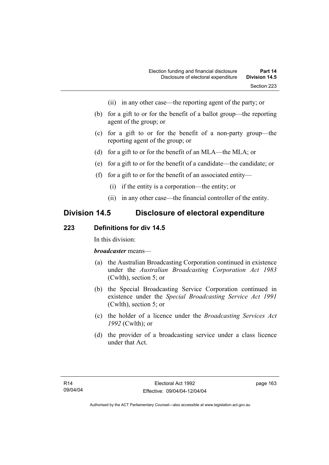- (ii) in any other case—the reporting agent of the party; or
- (b) for a gift to or for the benefit of a ballot group—the reporting agent of the group; or
- (c) for a gift to or for the benefit of a non-party group—the reporting agent of the group; or
- (d) for a gift to or for the benefit of an MLA—the MLA; or
- (e) for a gift to or for the benefit of a candidate—the candidate; or
- (f) for a gift to or for the benefit of an associated entity—
	- (i) if the entity is a corporation—the entity; or
	- (ii) in any other case—the financial controller of the entity.

# **Division 14.5 Disclosure of electoral expenditure**

#### **223 Definitions for div 14.5**

In this division:

#### *broadcaster* means—

- (a) the Australian Broadcasting Corporation continued in existence under the *Australian Broadcasting Corporation Act 1983* (Cwlth), section 5; or
- (b) the Special Broadcasting Service Corporation continued in existence under the *Special Broadcasting Service Act 1991*  (Cwlth), section 5; or
- (c) the holder of a licence under the *Broadcasting Services Act 1992* (Cwlth); or
- (d) the provider of a broadcasting service under a class licence under that Act.

page 163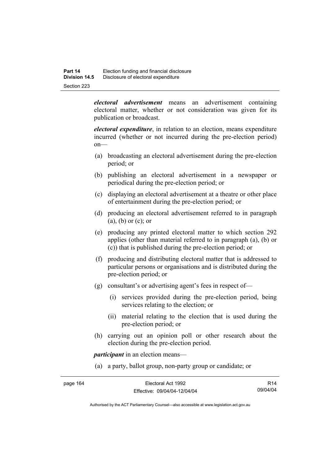*electoral advertisement* means an advertisement containing electoral matter, whether or not consideration was given for its publication or broadcast.

*electoral expenditure*, in relation to an election, means expenditure incurred (whether or not incurred during the pre-election period) on—

- (a) broadcasting an electoral advertisement during the pre-election period; or
- (b) publishing an electoral advertisement in a newspaper or periodical during the pre-election period; or
- (c) displaying an electoral advertisement at a theatre or other place of entertainment during the pre-election period; or
- (d) producing an electoral advertisement referred to in paragraph (a), (b) or (c); or
- (e) producing any printed electoral matter to which section 292 applies (other than material referred to in paragraph (a), (b) or (c)) that is published during the pre-election period; or
- (f) producing and distributing electoral matter that is addressed to particular persons or organisations and is distributed during the pre-election period; or
- (g) consultant's or advertising agent's fees in respect of—
	- (i) services provided during the pre-election period, being services relating to the election; or
	- (ii) material relating to the election that is used during the pre-election period; or
- (h) carrying out an opinion poll or other research about the election during the pre-election period.

*participant* in an election means—

(a) a party, ballot group, non-party group or candidate; or

| page 164 | Electoral Act 1992           | R <sub>14</sub> |
|----------|------------------------------|-----------------|
|          | Effective: 09/04/04-12/04/04 | 09/04/04        |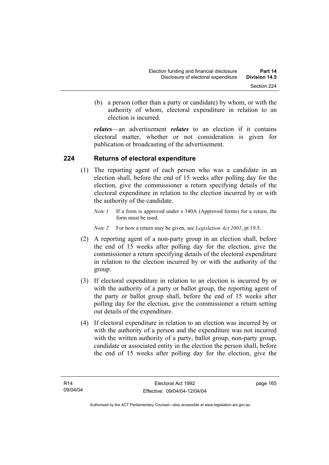(b) a person (other than a party or candidate) by whom, or with the authority of whom, electoral expenditure in relation to an election is incurred.

*relates*—an advertisement *relates* to an election if it contains electoral matter, whether or not consideration is given for publication or broadcasting of the advertisement.

### **224 Returns of electoral expenditure**

- (1) The reporting agent of each person who was a candidate in an election shall, before the end of 15 weeks after polling day for the election, give the commissioner a return specifying details of the electoral expenditure in relation to the election incurred by or with the authority of the candidate.
	- *Note 1* If a form is approved under s 340A (Approved forms) for a return, the form must be used.
	- *Note 2* For how a return may be given, see *Legislation Act 2001*, pt 19.5.
- (2) A reporting agent of a non-party group in an election shall, before the end of 15 weeks after polling day for the election, give the commissioner a return specifying details of the electoral expenditure in relation to the election incurred by or with the authority of the group.
- (3) If electoral expenditure in relation to an election is incurred by or with the authority of a party or ballot group, the reporting agent of the party or ballot group shall, before the end of 15 weeks after polling day for the election, give the commissioner a return setting out details of the expenditure.
- (4) If electoral expenditure in relation to an election was incurred by or with the authority of a person and the expenditure was not incurred with the written authority of a party, ballot group, non-party group, candidate or associated entity in the election the person shall, before the end of 15 weeks after polling day for the election, give the

page 165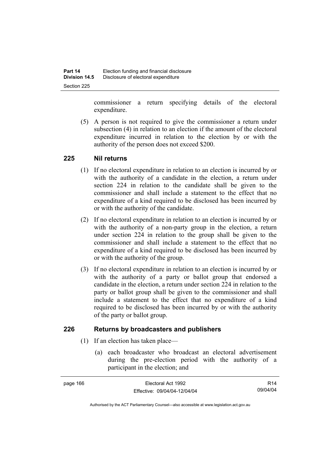commissioner a return specifying details of the electoral expenditure.

 (5) A person is not required to give the commissioner a return under subsection (4) in relation to an election if the amount of the electoral expenditure incurred in relation to the election by or with the authority of the person does not exceed \$200.

#### **225 Nil returns**

- (1) If no electoral expenditure in relation to an election is incurred by or with the authority of a candidate in the election, a return under section 224 in relation to the candidate shall be given to the commissioner and shall include a statement to the effect that no expenditure of a kind required to be disclosed has been incurred by or with the authority of the candidate.
- (2) If no electoral expenditure in relation to an election is incurred by or with the authority of a non-party group in the election, a return under section 224 in relation to the group shall be given to the commissioner and shall include a statement to the effect that no expenditure of a kind required to be disclosed has been incurred by or with the authority of the group.
- (3) If no electoral expenditure in relation to an election is incurred by or with the authority of a party or ballot group that endorsed a candidate in the election, a return under section 224 in relation to the party or ballot group shall be given to the commissioner and shall include a statement to the effect that no expenditure of a kind required to be disclosed has been incurred by or with the authority of the party or ballot group.

## **226 Returns by broadcasters and publishers**

- (1) If an election has taken place—
	- (a) each broadcaster who broadcast an electoral advertisement during the pre-election period with the authority of a participant in the election; and

| page 166 | Electoral Act 1992           | R <sub>14</sub> |
|----------|------------------------------|-----------------|
|          | Effective: 09/04/04-12/04/04 | 09/04/04        |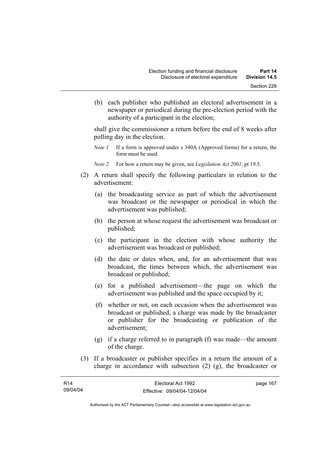(b) each publisher who published an electoral advertisement in a newspaper or periodical during the pre-election period with the authority of a participant in the election;

shall give the commissioner a return before the end of 8 weeks after polling day in the election.

- *Note 1* If a form is approved under s 340A (Approved forms) for a return, the form must be used.
- *Note 2* For how a return may be given, see *Legislation Act 2001*, pt 19.5.
- (2) A return shall specify the following particulars in relation to the advertisement:
	- (a) the broadcasting service as part of which the advertisement was broadcast or the newspaper or periodical in which the advertisement was published;
	- (b) the person at whose request the advertisement was broadcast or published;
	- (c) the participant in the election with whose authority the advertisement was broadcast or published;
	- (d) the date or dates when, and, for an advertisement that was broadcast, the times between which, the advertisement was broadcast or published;
	- (e) for a published advertisement—the page on which the advertisement was published and the space occupied by it;
	- (f) whether or not, on each occasion when the advertisement was broadcast or published, a charge was made by the broadcaster or publisher for the broadcasting or publication of the advertisement;
	- (g) if a charge referred to in paragraph (f) was made—the amount of the charge.
- (3) If a broadcaster or publisher specifies in a return the amount of a charge in accordance with subsection (2) (g), the broadcaster or

| R14      | Electoral Act 1992           | page 167 |
|----------|------------------------------|----------|
| 09/04/04 | Effective: 09/04/04-12/04/04 |          |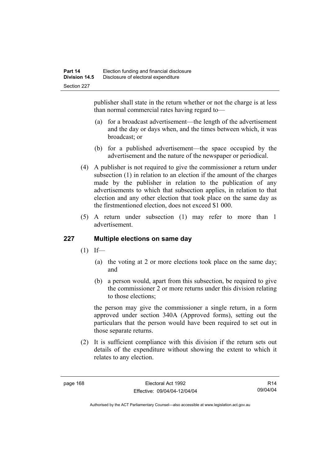publisher shall state in the return whether or not the charge is at less than normal commercial rates having regard to—

- (a) for a broadcast advertisement—the length of the advertisement and the day or days when, and the times between which, it was broadcast; or
- (b) for a published advertisement—the space occupied by the advertisement and the nature of the newspaper or periodical.
- (4) A publisher is not required to give the commissioner a return under subsection (1) in relation to an election if the amount of the charges made by the publisher in relation to the publication of any advertisements to which that subsection applies, in relation to that election and any other election that took place on the same day as the firstmentioned election, does not exceed \$1 000.
- (5) A return under subsection (1) may refer to more than 1 advertisement.

### **227 Multiple elections on same day**

- $(1)$  If—
	- (a) the voting at 2 or more elections took place on the same day; and
	- (b) a person would, apart from this subsection, be required to give the commissioner 2 or more returns under this division relating to those elections;

the person may give the commissioner a single return, in a form approved under section 340A (Approved forms), setting out the particulars that the person would have been required to set out in those separate returns.

 (2) It is sufficient compliance with this division if the return sets out details of the expenditure without showing the extent to which it relates to any election.

R14 09/04/04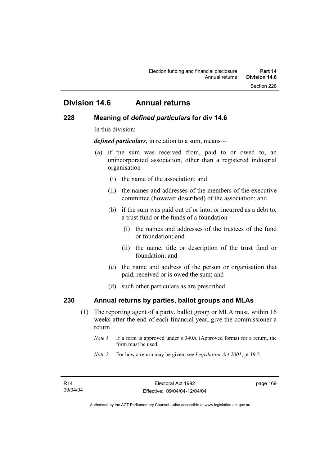# **Division 14.6 Annual returns**

#### **228 Meaning of** *defined particulars* **for div 14.6**

In this division:

*defined particulars*, in relation to a sum, means—

- (a) if the sum was received from, paid to or owed to, an unincorporated association, other than a registered industrial organisation—
	- (i) the name of the association; and
	- (ii) the names and addresses of the members of the executive committee (however described) of the association; and
	- (b) if the sum was paid out of or into, or incurred as a debt to, a trust fund or the funds of a foundation—
		- (i) the names and addresses of the trustees of the fund or foundation; and
		- (ii) the name, title or description of the trust fund or foundation; and
	- (c) the name and address of the person or organisation that paid, received or is owed the sum; and
	- (d) such other particulars as are prescribed.

#### **230 Annual returns by parties, ballot groups and MLAs**

- (1) The reporting agent of a party, ballot group or MLA must, within 16 weeks after the end of each financial year, give the commissioner a return.
	- *Note 1* If a form is approved under s 340A (Approved forms) for a return, the form must be used.
	- *Note 2* For how a return may be given, see *Legislation Act 2001*, pt 19.5.

page 169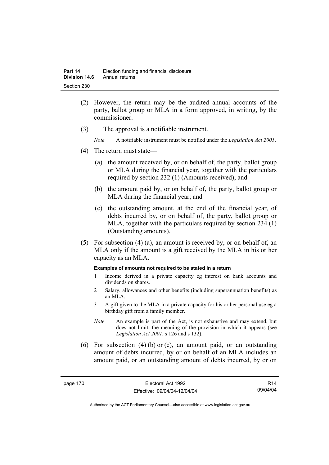- (2) However, the return may be the audited annual accounts of the party, ballot group or MLA in a form approved, in writing, by the commissioner.
- (3) The approval is a notifiable instrument.
	- *Note* A notifiable instrument must be notified under the *Legislation Act 2001*.
- (4) The return must state—
	- (a) the amount received by, or on behalf of, the party, ballot group or MLA during the financial year, together with the particulars required by section 232 (1) (Amounts received); and
	- (b) the amount paid by, or on behalf of, the party, ballot group or MLA during the financial year; and
	- (c) the outstanding amount, at the end of the financial year, of debts incurred by, or on behalf of, the party, ballot group or MLA, together with the particulars required by section 234 (1) (Outstanding amounts).
- (5) For subsection (4) (a), an amount is received by, or on behalf of, an MLA only if the amount is a gift received by the MLA in his or her capacity as an MLA.

#### **Examples of amounts not required to be stated in a return**

- 1 Income derived in a private capacity eg interest on bank accounts and dividends on shares.
- 2 Salary, allowances and other benefits (including superannuation benefits) as an MLA.
- 3 A gift given to the MLA in a private capacity for his or her personal use eg a birthday gift from a family member.
- *Note* An example is part of the Act, is not exhaustive and may extend, but does not limit, the meaning of the provision in which it appears (see *Legislation Act 2001*, s 126 and s 132).
- (6) For subsection (4) (b) or (c), an amount paid, or an outstanding amount of debts incurred, by or on behalf of an MLA includes an amount paid, or an outstanding amount of debts incurred, by or on

R14 09/04/04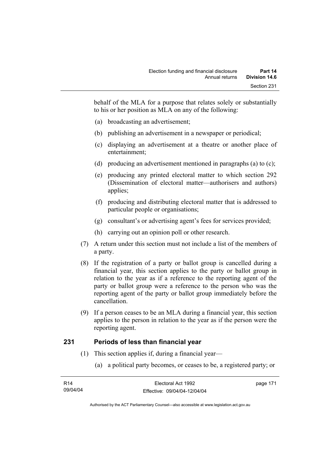behalf of the MLA for a purpose that relates solely or substantially to his or her position as MLA on any of the following:

- (a) broadcasting an advertisement;
- (b) publishing an advertisement in a newspaper or periodical;
- (c) displaying an advertisement at a theatre or another place of entertainment;
- (d) producing an advertisement mentioned in paragraphs (a) to (c);
- (e) producing any printed electoral matter to which section 292 (Dissemination of electoral matter—authorisers and authors) applies;
- (f) producing and distributing electoral matter that is addressed to particular people or organisations;
- (g) consultant's or advertising agent's fees for services provided;
- (h) carrying out an opinion poll or other research.
- (7) A return under this section must not include a list of the members of a party.
- (8) If the registration of a party or ballot group is cancelled during a financial year, this section applies to the party or ballot group in relation to the year as if a reference to the reporting agent of the party or ballot group were a reference to the person who was the reporting agent of the party or ballot group immediately before the cancellation.
- (9) If a person ceases to be an MLA during a financial year, this section applies to the person in relation to the year as if the person were the reporting agent.

### **231 Periods of less than financial year**

- (1) This section applies if, during a financial year—
	- (a) a political party becomes, or ceases to be, a registered party; or

| R14      | Electoral Act 1992           | page 171 |
|----------|------------------------------|----------|
| 09/04/04 | Effective: 09/04/04-12/04/04 |          |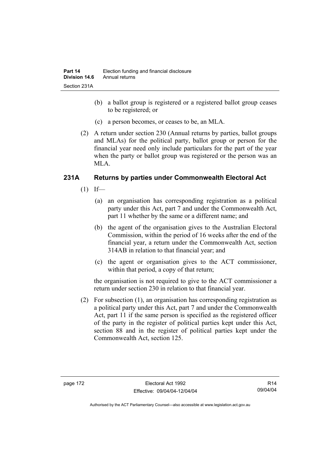- (b) a ballot group is registered or a registered ballot group ceases to be registered; or
- (c) a person becomes, or ceases to be, an MLA.
- (2) A return under section 230 (Annual returns by parties, ballot groups and MLAs) for the political party, ballot group or person for the financial year need only include particulars for the part of the year when the party or ballot group was registered or the person was an MLA.

## **231A Returns by parties under Commonwealth Electoral Act**

- $(1)$  If—
	- (a) an organisation has corresponding registration as a political party under this Act, part 7 and under the Commonwealth Act, part 11 whether by the same or a different name; and
	- (b) the agent of the organisation gives to the Australian Electoral Commission, within the period of 16 weeks after the end of the financial year, a return under the Commonwealth Act, section 314AB in relation to that financial year; and
	- (c) the agent or organisation gives to the ACT commissioner, within that period, a copy of that return;

the organisation is not required to give to the ACT commissioner a return under section 230 in relation to that financial year.

 (2) For subsection (1), an organisation has corresponding registration as a political party under this Act, part 7 and under the Commonwealth Act, part 11 if the same person is specified as the registered officer of the party in the register of political parties kept under this Act, section 88 and in the register of political parties kept under the Commonwealth Act, section 125.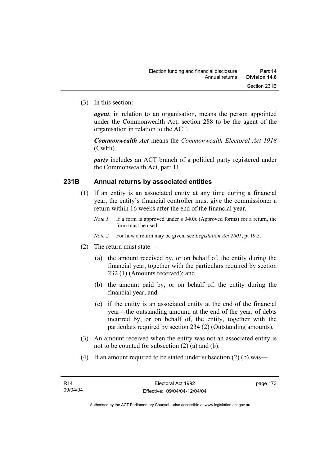(3) In this section:

*agent*, in relation to an organisation, means the person appointed under the Commonwealth Act, section 288 to be the agent of the organisation in relation to the ACT.

*Commonwealth Act* means the *Commonwealth Electoral Act 1918* (Cwlth).

*party* includes an ACT branch of a political party registered under the Commonwealth Act, part 11.

#### **231B Annual returns by associated entities**

- (1) If an entity is an associated entity at any time during a financial year, the entity's financial controller must give the commissioner a return within 16 weeks after the end of the financial year.
	- *Note 1* If a form is approved under s 340A (Approved forms) for a return, the form must be used.

*Note 2* For how a return may be given, see *Legislation Act 2001*, pt 19.5.

- (2) The return must state—
	- (a) the amount received by, or on behalf of, the entity during the financial year, together with the particulars required by section 232 (1) (Amounts received); and
	- (b) the amount paid by, or on behalf of, the entity during the financial year; and
	- (c) if the entity is an associated entity at the end of the financial year—the outstanding amount, at the end of the year, of debts incurred by, or on behalf of, the entity, together with the particulars required by section 234 (2) (Outstanding amounts).
- (3) An amount received when the entity was not an associated entity is not to be counted for subsection (2) (a) and (b).
- (4) If an amount required to be stated under subsection (2) (b) was—

page 173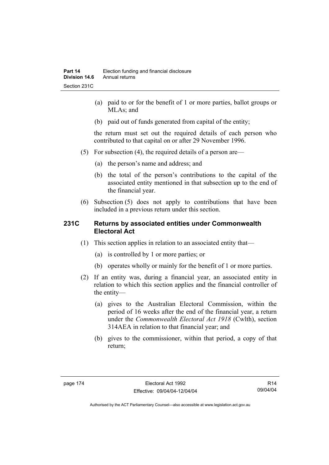- (a) paid to or for the benefit of 1 or more parties, ballot groups or MLAs; and
- (b) paid out of funds generated from capital of the entity;

the return must set out the required details of each person who contributed to that capital on or after 29 November 1996.

- (5) For subsection (4), the required details of a person are—
	- (a) the person's name and address; and
	- (b) the total of the person's contributions to the capital of the associated entity mentioned in that subsection up to the end of the financial year.
- (6) Subsection (5) does not apply to contributions that have been included in a previous return under this section.

#### **231C Returns by associated entities under Commonwealth Electoral Act**

- (1) This section applies in relation to an associated entity that—
	- (a) is controlled by 1 or more parties; or
	- (b) operates wholly or mainly for the benefit of 1 or more parties.
- (2) If an entity was, during a financial year, an associated entity in relation to which this section applies and the financial controller of the entity—
	- (a) gives to the Australian Electoral Commission, within the period of 16 weeks after the end of the financial year, a return under the *Commonwealth Electoral Act 1918* (Cwlth), section 314AEA in relation to that financial year; and
	- (b) gives to the commissioner, within that period, a copy of that return;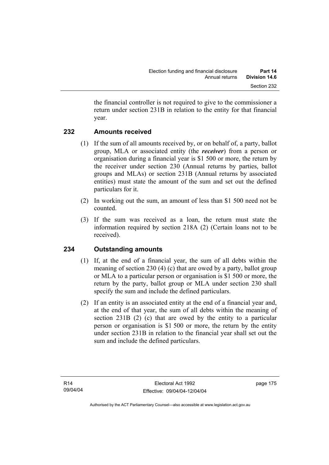the financial controller is not required to give to the commissioner a return under section 231B in relation to the entity for that financial year.

### **232 Amounts received**

- (1) If the sum of all amounts received by, or on behalf of, a party, ballot group, MLA or associated entity (the *receiver*) from a person or organisation during a financial year is \$1 500 or more, the return by the receiver under section 230 (Annual returns by parties, ballot groups and MLAs) or section 231B (Annual returns by associated entities) must state the amount of the sum and set out the defined particulars for it.
- (2) In working out the sum, an amount of less than \$1 500 need not be counted.
- (3) If the sum was received as a loan, the return must state the information required by section 218A (2) (Certain loans not to be received).

# **234 Outstanding amounts**

- (1) If, at the end of a financial year, the sum of all debts within the meaning of section 230 (4) (c) that are owed by a party, ballot group or MLA to a particular person or organisation is \$1 500 or more, the return by the party, ballot group or MLA under section 230 shall specify the sum and include the defined particulars.
- (2) If an entity is an associated entity at the end of a financial year and, at the end of that year, the sum of all debts within the meaning of section 231B (2) (c) that are owed by the entity to a particular person or organisation is \$1 500 or more, the return by the entity under section 231B in relation to the financial year shall set out the sum and include the defined particulars.

page 175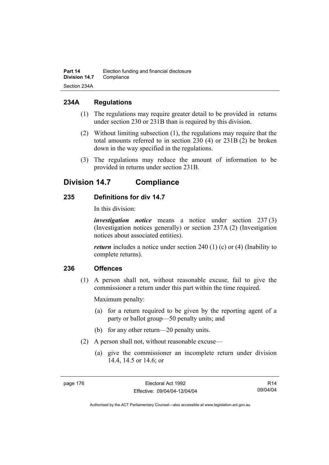## **234A Regulations**

- (1) The regulations may require greater detail to be provided in returns under section 230 or 231B than is required by this division.
- (2) Without limiting subsection (1), the regulations may require that the total amounts referred to in section 230 (4) or 231B (2) be broken down in the way specified in the regulations.
- (3) The regulations may reduce the amount of information to be provided in returns under section 231B.

# **Division 14.7 Compliance**

## **235 Definitions for div 14.7**

In this division:

*investigation notice* means a notice under section 237 (3) (Investigation notices generally) or section 237A (2) (Investigation notices about associated entities).

*return* includes a notice under section 240 (1) (c) or (4) (Inability to complete returns).

### **236 Offences**

 (1) A person shall not, without reasonable excuse, fail to give the commissioner a return under this part within the time required.

Maximum penalty:

- (a) for a return required to be given by the reporting agent of a party or ballot group—50 penalty units; and
- (b) for any other return—20 penalty units.
- (2) A person shall not, without reasonable excuse—
	- (a) give the commissioner an incomplete return under division 14.4, 14.5 or 14.6; or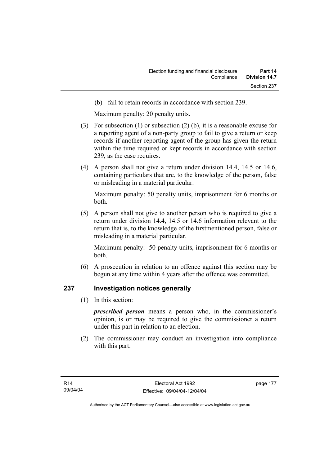(b) fail to retain records in accordance with section 239.

Maximum penalty: 20 penalty units.

- (3) For subsection (1) or subsection (2) (b), it is a reasonable excuse for a reporting agent of a non-party group to fail to give a return or keep records if another reporting agent of the group has given the return within the time required or kept records in accordance with section 239, as the case requires.
- (4) A person shall not give a return under division 14.4, 14.5 or 14.6, containing particulars that are, to the knowledge of the person, false or misleading in a material particular.

Maximum penalty: 50 penalty units, imprisonment for 6 months or both.

 (5) A person shall not give to another person who is required to give a return under division 14.4, 14.5 or 14.6 information relevant to the return that is, to the knowledge of the firstmentioned person, false or misleading in a material particular.

Maximum penalty: 50 penalty units, imprisonment for 6 months or both.

 (6) A prosecution in relation to an offence against this section may be begun at any time within 4 years after the offence was committed.

### **237 Investigation notices generally**

(1) In this section:

*prescribed person* means a person who, in the commissioner's opinion, is or may be required to give the commissioner a return under this part in relation to an election.

 (2) The commissioner may conduct an investigation into compliance with this part.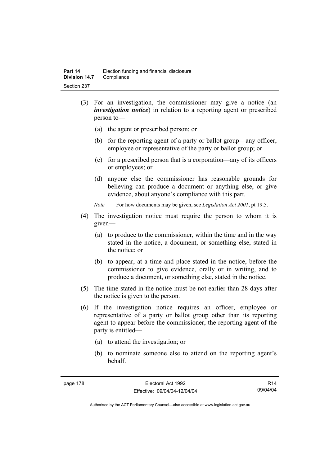- (3) For an investigation, the commissioner may give a notice (an *investigation notice*) in relation to a reporting agent or prescribed person to—
	- (a) the agent or prescribed person; or
	- (b) for the reporting agent of a party or ballot group—any officer, employee or representative of the party or ballot group; or
	- (c) for a prescribed person that is a corporation—any of its officers or employees; or
	- (d) anyone else the commissioner has reasonable grounds for believing can produce a document or anything else, or give evidence, about anyone's compliance with this part.
	- *Note* For how documents may be given, see *Legislation Act 2001*, pt 19.5.
- (4) The investigation notice must require the person to whom it is given—
	- (a) to produce to the commissioner, within the time and in the way stated in the notice, a document, or something else, stated in the notice; or
	- (b) to appear, at a time and place stated in the notice, before the commissioner to give evidence, orally or in writing, and to produce a document, or something else, stated in the notice.
- (5) The time stated in the notice must be not earlier than 28 days after the notice is given to the person.
- (6) If the investigation notice requires an officer, employee or representative of a party or ballot group other than its reporting agent to appear before the commissioner, the reporting agent of the party is entitled—
	- (a) to attend the investigation; or
	- (b) to nominate someone else to attend on the reporting agent's behalf.

R14 09/04/04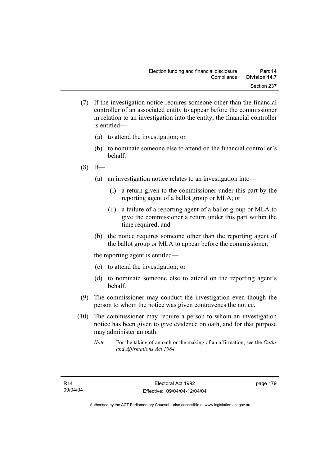- (7) If the investigation notice requires someone other than the financial controller of an associated entity to appear before the commissioner in relation to an investigation into the entity, the financial controller is entitled—
	- (a) to attend the investigation; or
	- (b) to nominate someone else to attend on the financial controller's behalf.
- $(8)$  If—
	- (a) an investigation notice relates to an investigation into—
		- (i) a return given to the commissioner under this part by the reporting agent of a ballot group or MLA; or
		- (ii) a failure of a reporting agent of a ballot group or MLA to give the commissioner a return under this part within the time required; and
	- (b) the notice requires someone other than the reporting agent of the ballot group or MLA to appear before the commissioner;

the reporting agent is entitled—

- (c) to attend the investigation; or
- (d) to nominate someone else to attend on the reporting agent's behalf.
- (9) The commissioner may conduct the investigation even though the person to whom the notice was given contravenes the notice.
- (10) The commissioner may require a person to whom an investigation notice has been given to give evidence on oath, and for that purpose may administer an oath.
	- *Note* For the taking of an oath or the making of an affirmation, see the *Oaths and Affirmations Act 1984.*

page 179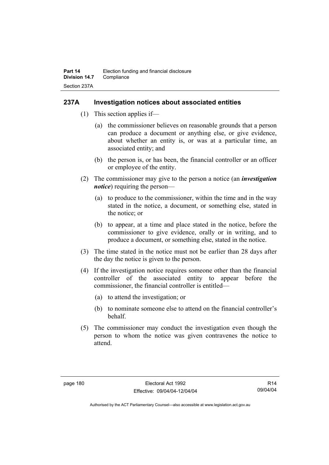#### **237A Investigation notices about associated entities**

- (1) This section applies if—
	- (a) the commissioner believes on reasonable grounds that a person can produce a document or anything else, or give evidence, about whether an entity is, or was at a particular time, an associated entity; and
	- (b) the person is, or has been, the financial controller or an officer or employee of the entity.
- (2) The commissioner may give to the person a notice (an *investigation notice*) requiring the person—
	- (a) to produce to the commissioner, within the time and in the way stated in the notice, a document, or something else, stated in the notice; or
	- (b) to appear, at a time and place stated in the notice, before the commissioner to give evidence, orally or in writing, and to produce a document, or something else, stated in the notice.
- (3) The time stated in the notice must not be earlier than 28 days after the day the notice is given to the person.
- (4) If the investigation notice requires someone other than the financial controller of the associated entity to appear before the commissioner, the financial controller is entitled—
	- (a) to attend the investigation; or
	- (b) to nominate someone else to attend on the financial controller's behalf.
- (5) The commissioner may conduct the investigation even though the person to whom the notice was given contravenes the notice to attend.

R14 09/04/04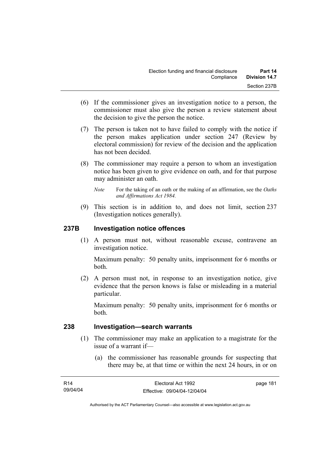- (6) If the commissioner gives an investigation notice to a person, the commissioner must also give the person a review statement about the decision to give the person the notice.
- (7) The person is taken not to have failed to comply with the notice if the person makes application under section 247 (Review by electoral commission) for review of the decision and the application has not been decided.
- (8) The commissioner may require a person to whom an investigation notice has been given to give evidence on oath, and for that purpose may administer an oath.
	- *Note* For the taking of an oath or the making of an affirmation, see the *Oaths and Affirmations Act 1984.*
- (9) This section is in addition to, and does not limit, section 237 (Investigation notices generally).

### **237B Investigation notice offences**

 (1) A person must not, without reasonable excuse, contravene an investigation notice.

Maximum penalty: 50 penalty units, imprisonment for 6 months or both.

 (2) A person must not, in response to an investigation notice, give evidence that the person knows is false or misleading in a material particular.

Maximum penalty: 50 penalty units, imprisonment for 6 months or both.

#### **238 Investigation—search warrants**

- (1) The commissioner may make an application to a magistrate for the issue of a warrant if—
	- (a) the commissioner has reasonable grounds for suspecting that there may be, at that time or within the next 24 hours, in or on

| R14      | Electoral Act 1992           | page 181 |
|----------|------------------------------|----------|
| 09/04/04 | Effective: 09/04/04-12/04/04 |          |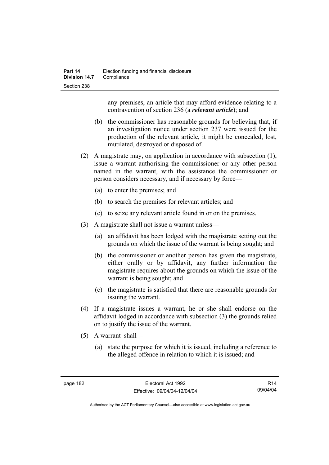any premises, an article that may afford evidence relating to a contravention of section 236 (a *relevant article*); and

- (b) the commissioner has reasonable grounds for believing that, if an investigation notice under section 237 were issued for the production of the relevant article, it might be concealed, lost, mutilated, destroyed or disposed of.
- (2) A magistrate may, on application in accordance with subsection (1), issue a warrant authorising the commissioner or any other person named in the warrant, with the assistance the commissioner or person considers necessary, and if necessary by force—
	- (a) to enter the premises; and
	- (b) to search the premises for relevant articles; and
	- (c) to seize any relevant article found in or on the premises.
- (3) A magistrate shall not issue a warrant unless—
	- (a) an affidavit has been lodged with the magistrate setting out the grounds on which the issue of the warrant is being sought; and
	- (b) the commissioner or another person has given the magistrate, either orally or by affidavit, any further information the magistrate requires about the grounds on which the issue of the warrant is being sought; and
	- (c) the magistrate is satisfied that there are reasonable grounds for issuing the warrant.
- (4) If a magistrate issues a warrant, he or she shall endorse on the affidavit lodged in accordance with subsection (3) the grounds relied on to justify the issue of the warrant.
- (5) A warrant shall—
	- (a) state the purpose for which it is issued, including a reference to the alleged offence in relation to which it is issued; and

R14 09/04/04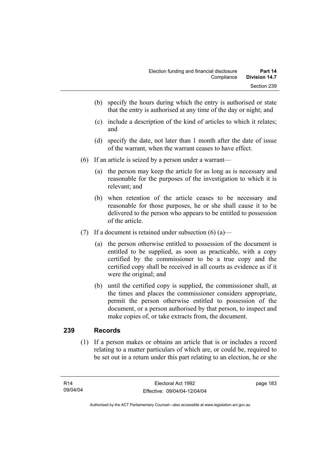- (b) specify the hours during which the entry is authorised or state that the entry is authorised at any time of the day or night; and
- (c) include a description of the kind of articles to which it relates; and
- (d) specify the date, not later than 1 month after the date of issue of the warrant, when the warrant ceases to have effect.
- (6) If an article is seized by a person under a warrant—
	- (a) the person may keep the article for as long as is necessary and reasonable for the purposes of the investigation to which it is relevant; and
	- (b) when retention of the article ceases to be necessary and reasonable for those purposes, he or she shall cause it to be delivered to the person who appears to be entitled to possession of the article.
- (7) If a document is retained under subsection  $(6)$  (a)—
	- (a) the person otherwise entitled to possession of the document is entitled to be supplied, as soon as practicable, with a copy certified by the commissioner to be a true copy and the certified copy shall be received in all courts as evidence as if it were the original; and
	- (b) until the certified copy is supplied, the commissioner shall, at the times and places the commissioner considers appropriate, permit the person otherwise entitled to possession of the document, or a person authorised by that person, to inspect and make copies of, or take extracts from, the document.

### **239 Records**

 (1) If a person makes or obtains an article that is or includes a record relating to a matter particulars of which are, or could be, required to be set out in a return under this part relating to an election, he or she

page 183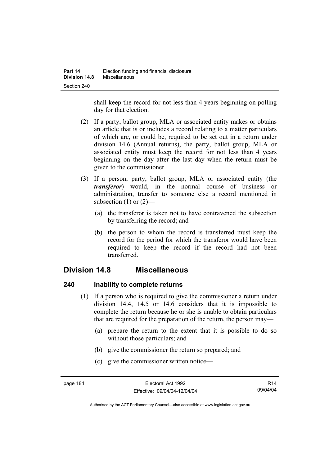shall keep the record for not less than 4 years beginning on polling day for that election.

- (2) If a party, ballot group, MLA or associated entity makes or obtains an article that is or includes a record relating to a matter particulars of which are, or could be, required to be set out in a return under division 14.6 (Annual returns), the party, ballot group, MLA or associated entity must keep the record for not less than 4 years beginning on the day after the last day when the return must be given to the commissioner.
- (3) If a person, party, ballot group, MLA or associated entity (the *transferor*) would, in the normal course of business or administration, transfer to someone else a record mentioned in subsection  $(1)$  or  $(2)$ —
	- (a) the transferor is taken not to have contravened the subsection by transferring the record; and
	- (b) the person to whom the record is transferred must keep the record for the period for which the transferor would have been required to keep the record if the record had not been transferred.

# **Division 14.8 Miscellaneous**

### **240 Inability to complete returns**

- (1) If a person who is required to give the commissioner a return under division 14.4, 14.5 or 14.6 considers that it is impossible to complete the return because he or she is unable to obtain particulars that are required for the preparation of the return, the person may—
	- (a) prepare the return to the extent that it is possible to do so without those particulars; and
	- (b) give the commissioner the return so prepared; and
	- (c) give the commissioner written notice—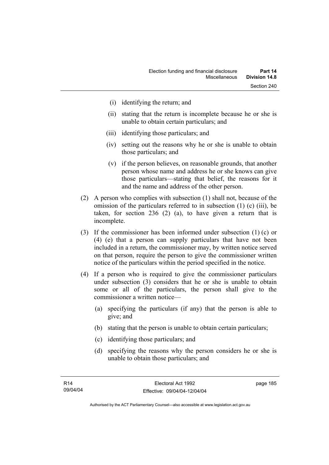- (i) identifying the return; and
- (ii) stating that the return is incomplete because he or she is unable to obtain certain particulars; and
- (iii) identifying those particulars; and
- (iv) setting out the reasons why he or she is unable to obtain those particulars; and
- (v) if the person believes, on reasonable grounds, that another person whose name and address he or she knows can give those particulars—stating that belief, the reasons for it and the name and address of the other person.
- (2) A person who complies with subsection (1) shall not, because of the omission of the particulars referred to in subsection (1) (c) (iii), be taken, for section 236 (2) (a), to have given a return that is incomplete.
- (3) If the commissioner has been informed under subsection (1) (c) or (4) (e) that a person can supply particulars that have not been included in a return, the commissioner may, by written notice served on that person, require the person to give the commissioner written notice of the particulars within the period specified in the notice.
- (4) If a person who is required to give the commissioner particulars under subsection (3) considers that he or she is unable to obtain some or all of the particulars, the person shall give to the commissioner a written notice—
	- (a) specifying the particulars (if any) that the person is able to give; and
	- (b) stating that the person is unable to obtain certain particulars;
	- (c) identifying those particulars; and
	- (d) specifying the reasons why the person considers he or she is unable to obtain those particulars; and

page 185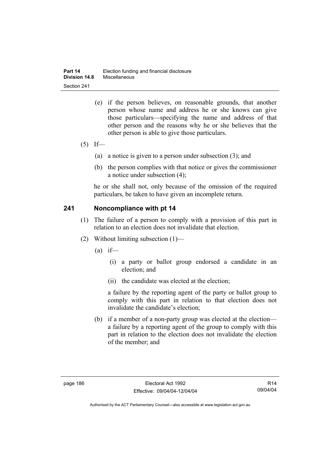- (e) if the person believes, on reasonable grounds, that another person whose name and address he or she knows can give those particulars—specifying the name and address of that other person and the reasons why he or she believes that the other person is able to give those particulars.
- $(5)$  If—
	- (a) a notice is given to a person under subsection (3); and
	- (b) the person complies with that notice or gives the commissioner a notice under subsection (4);

he or she shall not, only because of the omission of the required particulars, be taken to have given an incomplete return.

#### **241 Noncompliance with pt 14**

- (1) The failure of a person to comply with a provision of this part in relation to an election does not invalidate that election.
- (2) Without limiting subsection (1)—
	- $(a)$  if—
		- (i) a party or ballot group endorsed a candidate in an election; and
		- (ii) the candidate was elected at the election;

a failure by the reporting agent of the party or ballot group to comply with this part in relation to that election does not invalidate the candidate's election;

 (b) if a member of a non-party group was elected at the election a failure by a reporting agent of the group to comply with this part in relation to the election does not invalidate the election of the member; and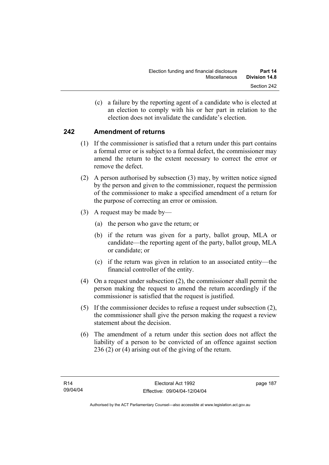(c) a failure by the reporting agent of a candidate who is elected at an election to comply with his or her part in relation to the election does not invalidate the candidate's election.

## **242 Amendment of returns**

- (1) If the commissioner is satisfied that a return under this part contains a formal error or is subject to a formal defect, the commissioner may amend the return to the extent necessary to correct the error or remove the defect.
- (2) A person authorised by subsection (3) may, by written notice signed by the person and given to the commissioner, request the permission of the commissioner to make a specified amendment of a return for the purpose of correcting an error or omission.
- (3) A request may be made by—
	- (a) the person who gave the return; or
	- (b) if the return was given for a party, ballot group, MLA or candidate—the reporting agent of the party, ballot group, MLA or candidate; or
	- (c) if the return was given in relation to an associated entity—the financial controller of the entity.
- (4) On a request under subsection (2), the commissioner shall permit the person making the request to amend the return accordingly if the commissioner is satisfied that the request is justified.
- (5) If the commissioner decides to refuse a request under subsection (2), the commissioner shall give the person making the request a review statement about the decision.
- (6) The amendment of a return under this section does not affect the liability of a person to be convicted of an offence against section 236 (2) or (4) arising out of the giving of the return.

page 187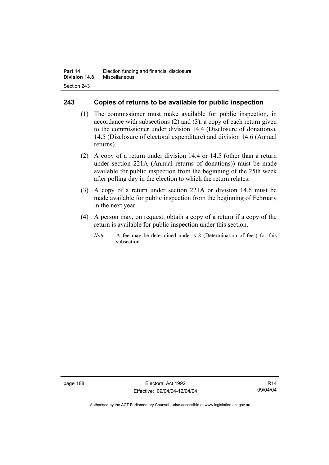### **243 Copies of returns to be available for public inspection**

- (1) The commissioner must make available for public inspection, in accordance with subsections (2) and (3), a copy of each return given to the commissioner under division 14.4 (Disclosure of donations), 14.5 (Disclosure of electoral expenditure) and division 14.6 (Annual returns).
- (2) A copy of a return under division 14.4 or 14.5 (other than a return under section 221A (Annual returns of donations)) must be made available for public inspection from the beginning of the 25th week after polling day in the election to which the return relates.
- (3) A copy of a return under section 221A or division 14.6 must be made available for public inspection from the beginning of February in the next year.
- (4) A person may, on request, obtain a copy of a return if a copy of the return is available for public inspection under this section.
	- *Note* A fee may be determined under s 8 (Determination of fees) for this subsection.

page 188 Electoral Act 1992 Effective: 09/04/04-12/04/04

R14 09/04/04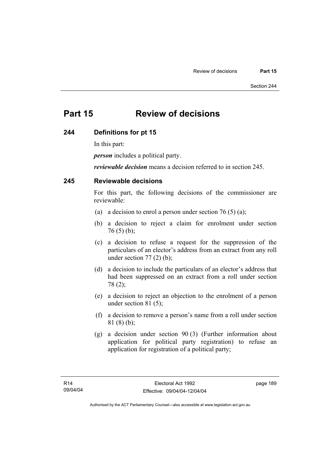# **Part 15 Review of decisions**

#### **244 Definitions for pt 15**

In this part:

*person* includes a political party.

*reviewable decision* means a decision referred to in section 245.

#### **245 Reviewable decisions**

For this part, the following decisions of the commissioner are reviewable:

- (a) a decision to enrol a person under section 76 (5) (a);
- (b) a decision to reject a claim for enrolment under section  $76(5)(b)$ ;
- (c) a decision to refuse a request for the suppression of the particulars of an elector's address from an extract from any roll under section  $77(2)$  (b);
- (d) a decision to include the particulars of an elector's address that had been suppressed on an extract from a roll under section 78 (2);
- (e) a decision to reject an objection to the enrolment of a person under section 81 (5);
- (f) a decision to remove a person's name from a roll under section 81 (8) (b);
- (g) a decision under section 90 (3) (Further information about application for political party registration) to refuse an application for registration of a political party;

page 189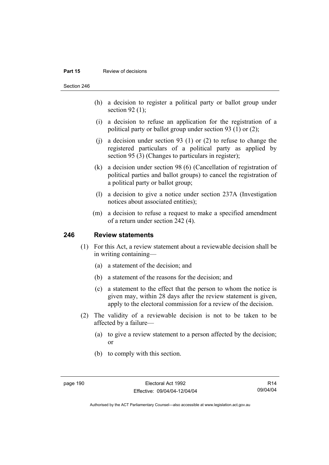#### **Part 15** Review of decisions

Section 246

- (h) a decision to register a political party or ballot group under section 92 $(1)$ ;
- (i) a decision to refuse an application for the registration of a political party or ballot group under section 93 (1) or (2);
- (i) a decision under section 93 (1) or (2) to refuse to change the registered particulars of a political party as applied by section 95 (3) (Changes to particulars in register);
- (k) a decision under section 98 (6) (Cancellation of registration of political parties and ballot groups) to cancel the registration of a political party or ballot group;
- (l) a decision to give a notice under section 237A (Investigation notices about associated entities);
- (m) a decision to refuse a request to make a specified amendment of a return under section 242 (4).

#### **246 Review statements**

- (1) For this Act, a review statement about a reviewable decision shall be in writing containing—
	- (a) a statement of the decision; and
	- (b) a statement of the reasons for the decision; and
	- (c) a statement to the effect that the person to whom the notice is given may, within 28 days after the review statement is given, apply to the electoral commission for a review of the decision.
- (2) The validity of a reviewable decision is not to be taken to be affected by a failure—
	- (a) to give a review statement to a person affected by the decision; or
	- (b) to comply with this section.

R14 09/04/04

Authorised by the ACT Parliamentary Counsel—also accessible at www.legislation.act.gov.au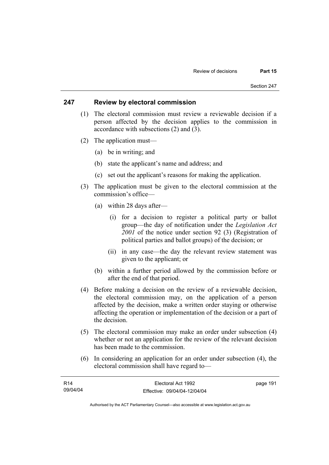#### **247 Review by electoral commission**

- (1) The electoral commission must review a reviewable decision if a person affected by the decision applies to the commission in accordance with subsections (2) and (3).
- (2) The application must—
	- (a) be in writing; and
	- (b) state the applicant's name and address; and
	- (c) set out the applicant's reasons for making the application.
- (3) The application must be given to the electoral commission at the commission's office—
	- (a) within 28 days after—
		- (i) for a decision to register a political party or ballot group—the day of notification under the *Legislation Act 2001* of the notice under section 92 (3) (Registration of political parties and ballot groups) of the decision; or
		- (ii) in any case—the day the relevant review statement was given to the applicant; or
	- (b) within a further period allowed by the commission before or after the end of that period.
- (4) Before making a decision on the review of a reviewable decision, the electoral commission may, on the application of a person affected by the decision, make a written order staying or otherwise affecting the operation or implementation of the decision or a part of the decision.
- (5) The electoral commission may make an order under subsection (4) whether or not an application for the review of the relevant decision has been made to the commission.
- (6) In considering an application for an order under subsection (4), the electoral commission shall have regard to—

| R14      | Electoral Act 1992           | page 191 |
|----------|------------------------------|----------|
| 09/04/04 | Effective: 09/04/04-12/04/04 |          |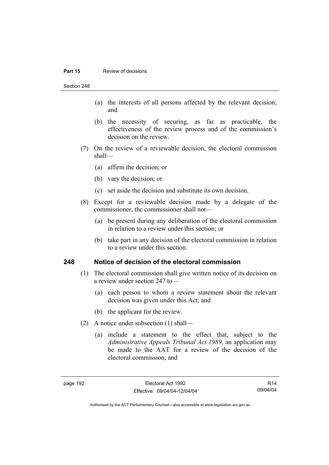#### **Part 15 Review of decisions**

Section 248

- (a) the interests of all persons affected by the relevant decision; and
- (b) the necessity of securing, as far as practicable, the effectiveness of the review process and of the commission's decision on the review.
- (7) On the review of a reviewable decision, the electoral commission shall—
	- (a) affirm the decision; or
	- (b) vary the decision; or
	- (c) set aside the decision and substitute its own decision.
- (8) Except for a reviewable decision made by a delegate of the commissioner, the commissioner shall not—
	- (a) be present during any deliberation of the electoral commission in relation to a review under this section; or
	- (b) take part in any decision of the electoral commission in relation to a review under this section.

#### **248 Notice of decision of the electoral commission**

- (1) The electoral commission shall give written notice of its decision on a review under section 247 to—
	- (a) each person to whom a review statement about the relevant decision was given under this Act; and
	- (b) the applicant for the review.
- (2) A notice under subsection (1) shall—
	- (a) include a statement to the effect that, subject to the *Administrative Appeals Tribunal Act 1989*, an application may be made to the AAT for a review of the decision of the electoral commission; and

R14 09/04/04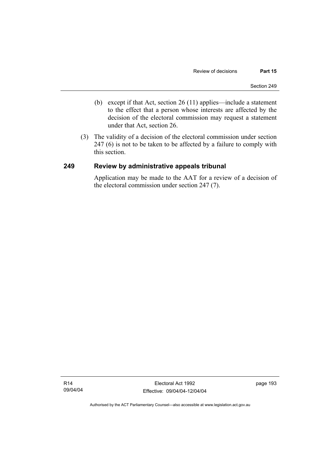- (b) except if that Act, section 26 (11) applies—include a statement to the effect that a person whose interests are affected by the decision of the electoral commission may request a statement under that Act, section 26.
- (3) The validity of a decision of the electoral commission under section 247 (6) is not to be taken to be affected by a failure to comply with this section.

#### **249 Review by administrative appeals tribunal**

Application may be made to the AAT for a review of a decision of the electoral commission under section 247 (7).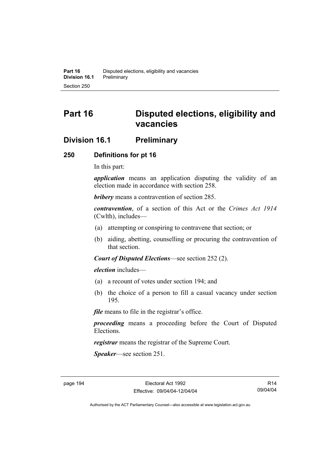# **Part 16 Disputed elections, eligibility and vacancies**

# **Division 16.1 Preliminary**

#### **250 Definitions for pt 16**

In this part:

*application* means an application disputing the validity of an election made in accordance with section 258.

*bribery* means a contravention of section 285.

*contravention*, of a section of this Act or the *Crimes Act 1914* (Cwlth), includes—

- (a) attempting or conspiring to contravene that section; or
- (b) aiding, abetting, counselling or procuring the contravention of that section.

*Court of Disputed Elections*—see section 252 (2).

*election* includes—

- (a) a recount of votes under section 194; and
- (b) the choice of a person to fill a casual vacancy under section 195.

*file* means to file in the registrar's office.

*proceeding* means a proceeding before the Court of Disputed Elections.

*registrar* means the registrar of the Supreme Court.

*Speaker*—see section 251.

R14 09/04/04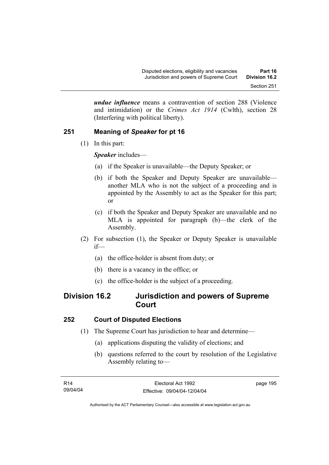*undue influence* means a contravention of section 288 (Violence and intimidation) or the *Crimes Act 1914* (Cwlth), section 28 (Interfering with political liberty).

# **251 Meaning of** *Speaker* **for pt 16**

(1) In this part:

*Speaker* includes—

- (a) if the Speaker is unavailable—the Deputy Speaker; or
- (b) if both the Speaker and Deputy Speaker are unavailable another MLA who is not the subject of a proceeding and is appointed by the Assembly to act as the Speaker for this part; or
- (c) if both the Speaker and Deputy Speaker are unavailable and no MLA is appointed for paragraph (b)—the clerk of the Assembly.
- (2) For subsection (1), the Speaker or Deputy Speaker is unavailable if—
	- (a) the office-holder is absent from duty; or
	- (b) there is a vacancy in the office; or
	- (c) the office-holder is the subject of a proceeding.

# **Division 16.2 Jurisdiction and powers of Supreme Court**

### **252 Court of Disputed Elections**

- (1) The Supreme Court has jurisdiction to hear and determine—
	- (a) applications disputing the validity of elections; and
	- (b) questions referred to the court by resolution of the Legislative Assembly relating to—

page 195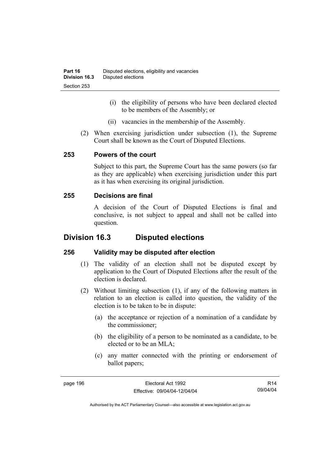- (i) the eligibility of persons who have been declared elected to be members of the Assembly; or
- (ii) vacancies in the membership of the Assembly.
- (2) When exercising jurisdiction under subsection (1), the Supreme Court shall be known as the Court of Disputed Elections.

#### **253 Powers of the court**

Subject to this part, the Supreme Court has the same powers (so far as they are applicable) when exercising jurisdiction under this part as it has when exercising its original jurisdiction.

#### **255 Decisions are final**

A decision of the Court of Disputed Elections is final and conclusive, is not subject to appeal and shall not be called into question.

# **Division 16.3 Disputed elections**

### **256 Validity may be disputed after election**

- (1) The validity of an election shall not be disputed except by application to the Court of Disputed Elections after the result of the election is declared.
- (2) Without limiting subsection (1), if any of the following matters in relation to an election is called into question, the validity of the election is to be taken to be in dispute:
	- (a) the acceptance or rejection of a nomination of a candidate by the commissioner;
	- (b) the eligibility of a person to be nominated as a candidate, to be elected or to be an MLA;
	- (c) any matter connected with the printing or endorsement of ballot papers;

R14 09/04/04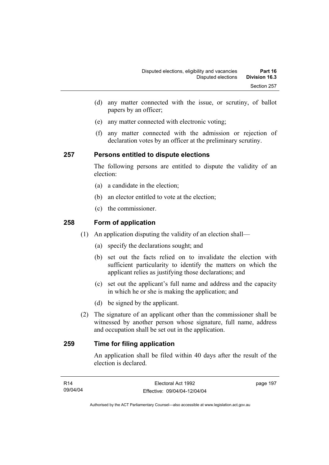- (d) any matter connected with the issue, or scrutiny, of ballot papers by an officer;
- (e) any matter connected with electronic voting;
- (f) any matter connected with the admission or rejection of declaration votes by an officer at the preliminary scrutiny.

#### **257 Persons entitled to dispute elections**

The following persons are entitled to dispute the validity of an election:

- (a) a candidate in the election;
- (b) an elector entitled to vote at the election;
- (c) the commissioner.

### **258 Form of application**

- (1) An application disputing the validity of an election shall—
	- (a) specify the declarations sought; and
	- (b) set out the facts relied on to invalidate the election with sufficient particularity to identify the matters on which the applicant relies as justifying those declarations; and
	- (c) set out the applicant's full name and address and the capacity in which he or she is making the application; and
	- (d) be signed by the applicant.
- (2) The signature of an applicant other than the commissioner shall be witnessed by another person whose signature, full name, address and occupation shall be set out in the application.

## **259 Time for filing application**

An application shall be filed within 40 days after the result of the election is declared.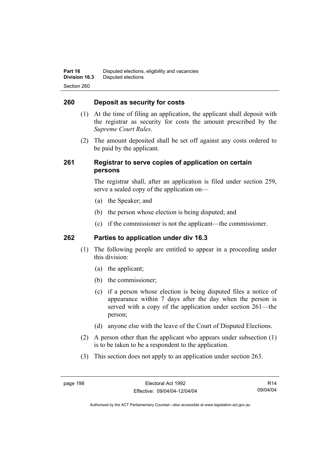#### **260 Deposit as security for costs**

- (1) At the time of filing an application, the applicant shall deposit with the registrar as security for costs the amount prescribed by the *Supreme Court Rules*.
- (2) The amount deposited shall be set off against any costs ordered to be paid by the applicant.

#### **261 Registrar to serve copies of application on certain persons**

The registrar shall, after an application is filed under section 259, serve a sealed copy of the application on—

- (a) the Speaker; and
- (b) the person whose election is being disputed; and
- (c) if the commissioner is not the applicant—the commissioner.

#### **262 Parties to application under div 16.3**

- (1) The following people are entitled to appear in a proceeding under this division:
	- (a) the applicant;
	- (b) the commissioner;
	- (c) if a person whose election is being disputed files a notice of appearance within 7 days after the day when the person is served with a copy of the application under section 261—the person;
	- (d) anyone else with the leave of the Court of Disputed Elections.
- (2) A person other than the applicant who appears under subsection (1) is to be taken to be a respondent to the application.
- (3) This section does not apply to an application under section 263.

R14 09/04/04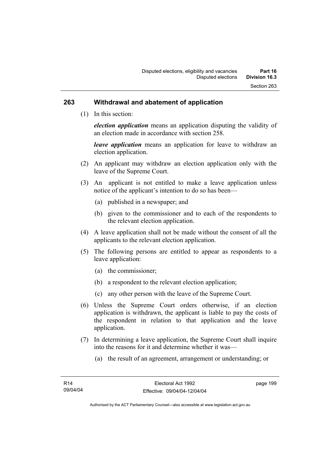#### **263 Withdrawal and abatement of application**

(1) In this section:

*election application* means an application disputing the validity of an election made in accordance with section 258.

*leave application* means an application for leave to withdraw an election application.

- (2) An applicant may withdraw an election application only with the leave of the Supreme Court.
- (3) An applicant is not entitled to make a leave application unless notice of the applicant's intention to do so has been—
	- (a) published in a newspaper; and
	- (b) given to the commissioner and to each of the respondents to the relevant election application.
- (4) A leave application shall not be made without the consent of all the applicants to the relevant election application.
- (5) The following persons are entitled to appear as respondents to a leave application:
	- (a) the commissioner;
	- (b) a respondent to the relevant election application;
	- (c) any other person with the leave of the Supreme Court.
- (6) Unless the Supreme Court orders otherwise, if an election application is withdrawn, the applicant is liable to pay the costs of the respondent in relation to that application and the leave application.
- (7) In determining a leave application, the Supreme Court shall inquire into the reasons for it and determine whether it was—
	- (a) the result of an agreement, arrangement or understanding; or

page 199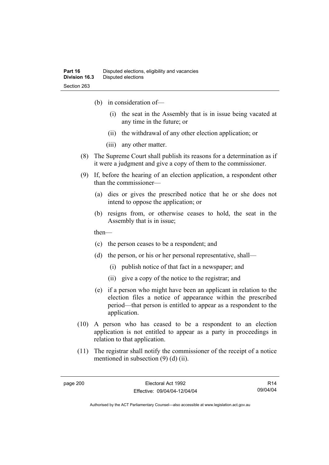- (b) in consideration of—
	- (i) the seat in the Assembly that is in issue being vacated at any time in the future; or
	- (ii) the withdrawal of any other election application; or
	- (iii) any other matter.
- (8) The Supreme Court shall publish its reasons for a determination as if it were a judgment and give a copy of them to the commissioner.
- (9) If, before the hearing of an election application, a respondent other than the commissioner—
	- (a) dies or gives the prescribed notice that he or she does not intend to oppose the application; or
	- (b) resigns from, or otherwise ceases to hold, the seat in the Assembly that is in issue;

then—

- (c) the person ceases to be a respondent; and
- (d) the person, or his or her personal representative, shall—
	- (i) publish notice of that fact in a newspaper; and
	- (ii) give a copy of the notice to the registrar; and
- (e) if a person who might have been an applicant in relation to the election files a notice of appearance within the prescribed period—that person is entitled to appear as a respondent to the application.
- (10) A person who has ceased to be a respondent to an election application is not entitled to appear as a party in proceedings in relation to that application.
- (11) The registrar shall notify the commissioner of the receipt of a notice mentioned in subsection (9) (d) (ii).

R14 09/04/04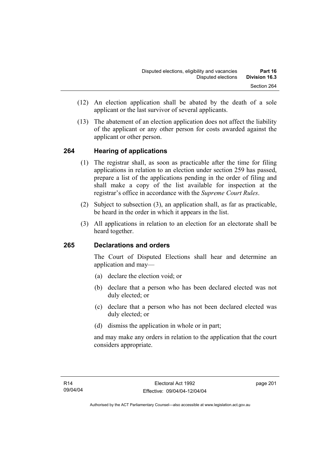- (12) An election application shall be abated by the death of a sole applicant or the last survivor of several applicants.
- (13) The abatement of an election application does not affect the liability of the applicant or any other person for costs awarded against the applicant or other person.

## **264 Hearing of applications**

- (1) The registrar shall, as soon as practicable after the time for filing applications in relation to an election under section 259 has passed, prepare a list of the applications pending in the order of filing and shall make a copy of the list available for inspection at the registrar's office in accordance with the *Supreme Court Rules*.
- (2) Subject to subsection (3), an application shall, as far as practicable, be heard in the order in which it appears in the list.
- (3) All applications in relation to an election for an electorate shall be heard together.

## **265 Declarations and orders**

The Court of Disputed Elections shall hear and determine an application and may—

- (a) declare the election void; or
- (b) declare that a person who has been declared elected was not duly elected; or
- (c) declare that a person who has not been declared elected was duly elected; or
- (d) dismiss the application in whole or in part;

and may make any orders in relation to the application that the court considers appropriate.

page 201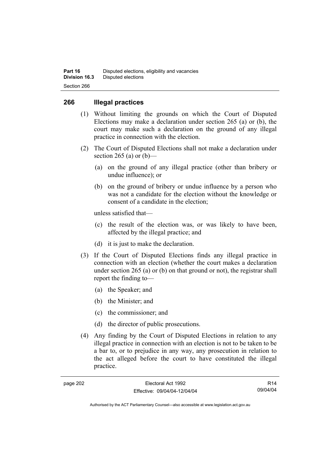#### **266 Illegal practices**

- (1) Without limiting the grounds on which the Court of Disputed Elections may make a declaration under section 265 (a) or (b), the court may make such a declaration on the ground of any illegal practice in connection with the election.
- (2) The Court of Disputed Elections shall not make a declaration under section 265 (a) or  $(b)$ —
	- (a) on the ground of any illegal practice (other than bribery or undue influence); or
	- (b) on the ground of bribery or undue influence by a person who was not a candidate for the election without the knowledge or consent of a candidate in the election;

unless satisfied that—

- (c) the result of the election was, or was likely to have been, affected by the illegal practice; and
- (d) it is just to make the declaration.
- (3) If the Court of Disputed Elections finds any illegal practice in connection with an election (whether the court makes a declaration under section 265 (a) or (b) on that ground or not), the registrar shall report the finding to—
	- (a) the Speaker; and
	- (b) the Minister; and
	- (c) the commissioner; and
	- (d) the director of public prosecutions.
- (4) Any finding by the Court of Disputed Elections in relation to any illegal practice in connection with an election is not to be taken to be a bar to, or to prejudice in any way, any prosecution in relation to the act alleged before the court to have constituted the illegal practice.

R14 09/04/04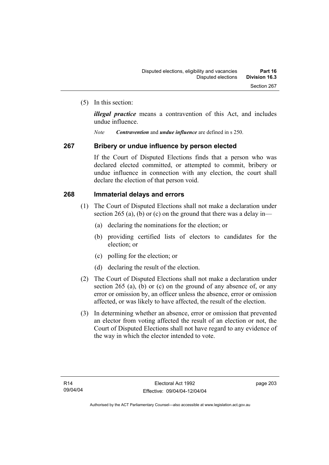(5) In this section:

*illegal practice* means a contravention of this Act, and includes undue influence.

*Note Contravention* and *undue influence* are defined in s 250.

#### **267 Bribery or undue influence by person elected**

If the Court of Disputed Elections finds that a person who was declared elected committed, or attempted to commit, bribery or undue influence in connection with any election, the court shall declare the election of that person void.

#### **268 Immaterial delays and errors**

- (1) The Court of Disputed Elections shall not make a declaration under section 265 (a), (b) or (c) on the ground that there was a delay in—
	- (a) declaring the nominations for the election; or
	- (b) providing certified lists of electors to candidates for the election; or
	- (c) polling for the election; or
	- (d) declaring the result of the election.
- (2) The Court of Disputed Elections shall not make a declaration under section 265 (a), (b) or (c) on the ground of any absence of, or any error or omission by, an officer unless the absence, error or omission affected, or was likely to have affected, the result of the election.
- (3) In determining whether an absence, error or omission that prevented an elector from voting affected the result of an election or not, the Court of Disputed Elections shall not have regard to any evidence of the way in which the elector intended to vote.

page 203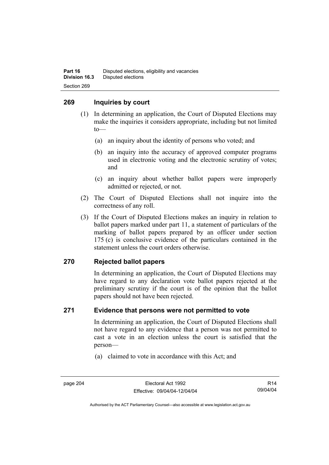#### **269 Inquiries by court**

- (1) In determining an application, the Court of Disputed Elections may make the inquiries it considers appropriate, including but not limited to—
	- (a) an inquiry about the identity of persons who voted; and
	- (b) an inquiry into the accuracy of approved computer programs used in electronic voting and the electronic scrutiny of votes; and
	- (c) an inquiry about whether ballot papers were improperly admitted or rejected, or not.
- (2) The Court of Disputed Elections shall not inquire into the correctness of any roll.
- (3) If the Court of Disputed Elections makes an inquiry in relation to ballot papers marked under part 11, a statement of particulars of the marking of ballot papers prepared by an officer under section 175 (c) is conclusive evidence of the particulars contained in the statement unless the court orders otherwise.

## **270 Rejected ballot papers**

In determining an application, the Court of Disputed Elections may have regard to any declaration vote ballot papers rejected at the preliminary scrutiny if the court is of the opinion that the ballot papers should not have been rejected.

#### **271 Evidence that persons were not permitted to vote**

In determining an application, the Court of Disputed Elections shall not have regard to any evidence that a person was not permitted to cast a vote in an election unless the court is satisfied that the person—

(a) claimed to vote in accordance with this Act; and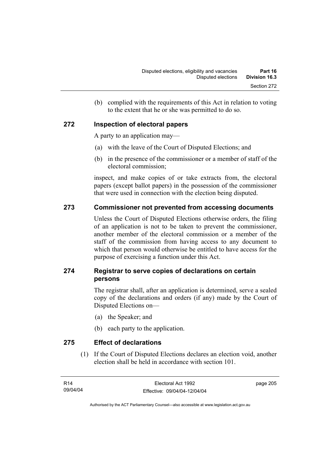(b) complied with the requirements of this Act in relation to voting to the extent that he or she was permitted to do so.

## **272 Inspection of electoral papers**

A party to an application may—

- (a) with the leave of the Court of Disputed Elections; and
- (b) in the presence of the commissioner or a member of staff of the electoral commission;

inspect, and make copies of or take extracts from, the electoral papers (except ballot papers) in the possession of the commissioner that were used in connection with the election being disputed.

## **273 Commissioner not prevented from accessing documents**

Unless the Court of Disputed Elections otherwise orders, the filing of an application is not to be taken to prevent the commissioner, another member of the electoral commission or a member of the staff of the commission from having access to any document to which that person would otherwise be entitled to have access for the purpose of exercising a function under this Act.

## **274 Registrar to serve copies of declarations on certain persons**

The registrar shall, after an application is determined, serve a sealed copy of the declarations and orders (if any) made by the Court of Disputed Elections on—

- (a) the Speaker; and
- (b) each party to the application.

**275 Effect of declarations** 

 (1) If the Court of Disputed Elections declares an election void, another election shall be held in accordance with section 101.

page 205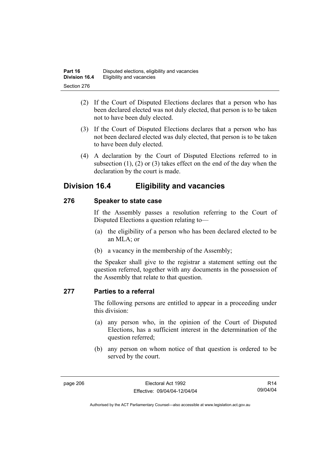- (2) If the Court of Disputed Elections declares that a person who has been declared elected was not duly elected, that person is to be taken not to have been duly elected.
- (3) If the Court of Disputed Elections declares that a person who has not been declared elected was duly elected, that person is to be taken to have been duly elected.
- (4) A declaration by the Court of Disputed Elections referred to in subsection (1), (2) or (3) takes effect on the end of the day when the declaration by the court is made.

## **Division 16.4 Eligibility and vacancies**

## **276 Speaker to state case**

If the Assembly passes a resolution referring to the Court of Disputed Elections a question relating to—

- (a) the eligibility of a person who has been declared elected to be an MLA; or
- (b) a vacancy in the membership of the Assembly;

the Speaker shall give to the registrar a statement setting out the question referred, together with any documents in the possession of the Assembly that relate to that question.

## **277 Parties to a referral**

The following persons are entitled to appear in a proceeding under this division:

- (a) any person who, in the opinion of the Court of Disputed Elections, has a sufficient interest in the determination of the question referred;
- (b) any person on whom notice of that question is ordered to be served by the court.

R14 09/04/04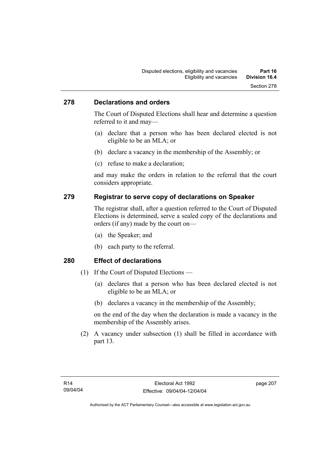#### **278 Declarations and orders**

The Court of Disputed Elections shall hear and determine a question referred to it and may—

- (a) declare that a person who has been declared elected is not eligible to be an MLA; or
- (b) declare a vacancy in the membership of the Assembly; or
- (c) refuse to make a declaration;

and may make the orders in relation to the referral that the court considers appropriate.

#### **279 Registrar to serve copy of declarations on Speaker**

The registrar shall, after a question referred to the Court of Disputed Elections is determined, serve a sealed copy of the declarations and orders (if any) made by the court on—

- (a) the Speaker; and
- (b) each party to the referral.

#### **280 Effect of declarations**

- (1) If the Court of Disputed Elections
	- (a) declares that a person who has been declared elected is not eligible to be an MLA; or
	- (b) declares a vacancy in the membership of the Assembly;

on the end of the day when the declaration is made a vacancy in the membership of the Assembly arises.

 (2) A vacancy under subsection (1) shall be filled in accordance with part 13.

page 207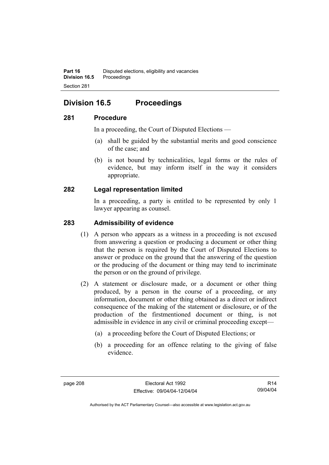# **Division 16.5 Proceedings**

## **281 Procedure**

In a proceeding, the Court of Disputed Elections —

- (a) shall be guided by the substantial merits and good conscience of the case; and
- (b) is not bound by technicalities, legal forms or the rules of evidence, but may inform itself in the way it considers appropriate.

## **282 Legal representation limited**

In a proceeding, a party is entitled to be represented by only 1 lawyer appearing as counsel.

#### **283 Admissibility of evidence**

- (1) A person who appears as a witness in a proceeding is not excused from answering a question or producing a document or other thing that the person is required by the Court of Disputed Elections to answer or produce on the ground that the answering of the question or the producing of the document or thing may tend to incriminate the person or on the ground of privilege.
- (2) A statement or disclosure made, or a document or other thing produced, by a person in the course of a proceeding, or any information, document or other thing obtained as a direct or indirect consequence of the making of the statement or disclosure, or of the production of the firstmentioned document or thing, is not admissible in evidence in any civil or criminal proceeding except—
	- (a) a proceeding before the Court of Disputed Elections; or
	- (b) a proceeding for an offence relating to the giving of false evidence.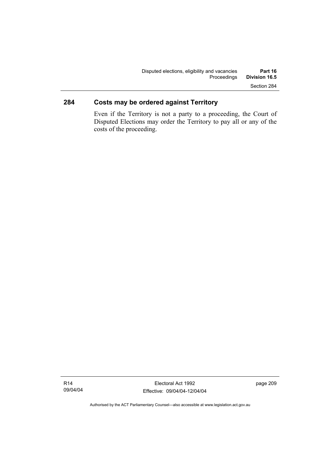## **284 Costs may be ordered against Territory**

Even if the Territory is not a party to a proceeding, the Court of Disputed Elections may order the Territory to pay all or any of the costs of the proceeding.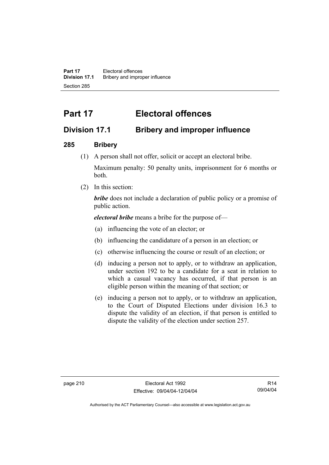**Part 17** Electoral offences **Division 17.1** Bribery and improper influence Section 285

# **Part 17 Electoral offences**

## **Division 17.1 Bribery and improper influence**

## **285 Bribery**

(1) A person shall not offer, solicit or accept an electoral bribe.

Maximum penalty: 50 penalty units, imprisonment for 6 months or both.

(2) In this section:

*bribe* does not include a declaration of public policy or a promise of public action.

*electoral bribe* means a bribe for the purpose of—

- (a) influencing the vote of an elector; or
- (b) influencing the candidature of a person in an election; or
- (c) otherwise influencing the course or result of an election; or
- (d) inducing a person not to apply, or to withdraw an application, under section 192 to be a candidate for a seat in relation to which a casual vacancy has occurred, if that person is an eligible person within the meaning of that section; or
- (e) inducing a person not to apply, or to withdraw an application, to the Court of Disputed Elections under division 16.3 to dispute the validity of an election, if that person is entitled to dispute the validity of the election under section 257.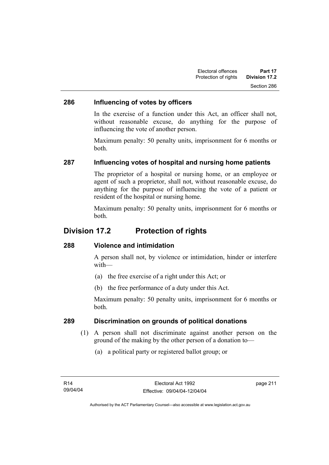## **286 Influencing of votes by officers**

In the exercise of a function under this Act, an officer shall not, without reasonable excuse, do anything for the purpose of influencing the vote of another person.

Maximum penalty: 50 penalty units, imprisonment for 6 months or both.

## **287 Influencing votes of hospital and nursing home patients**

The proprietor of a hospital or nursing home, or an employee or agent of such a proprietor, shall not, without reasonable excuse, do anything for the purpose of influencing the vote of a patient or resident of the hospital or nursing home.

Maximum penalty: 50 penalty units, imprisonment for 6 months or both.

## **Division 17.2 Protection of rights**

#### **288 Violence and intimidation**

A person shall not, by violence or intimidation, hinder or interfere with—

- (a) the free exercise of a right under this Act; or
- (b) the free performance of a duty under this Act.

Maximum penalty: 50 penalty units, imprisonment for 6 months or both.

#### **289 Discrimination on grounds of political donations**

- (1) A person shall not discriminate against another person on the ground of the making by the other person of a donation to—
	- (a) a political party or registered ballot group; or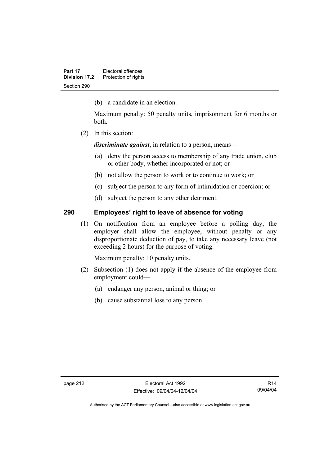(b) a candidate in an election.

Maximum penalty: 50 penalty units, imprisonment for 6 months or both.

(2) In this section:

*discriminate against*, in relation to a person, means—

- (a) deny the person access to membership of any trade union, club or other body, whether incorporated or not; or
- (b) not allow the person to work or to continue to work; or
- (c) subject the person to any form of intimidation or coercion; or
- (d) subject the person to any other detriment.

#### **290 Employees' right to leave of absence for voting**

 (1) On notification from an employee before a polling day, the employer shall allow the employee, without penalty or any disproportionate deduction of pay, to take any necessary leave (not exceeding 2 hours) for the purpose of voting.

Maximum penalty: 10 penalty units.

- (2) Subsection (1) does not apply if the absence of the employee from employment could—
	- (a) endanger any person, animal or thing; or
	- (b) cause substantial loss to any person.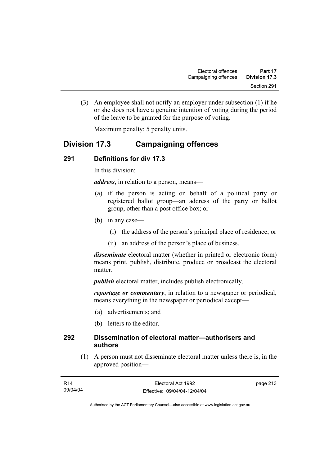(3) An employee shall not notify an employer under subsection (1) if he or she does not have a genuine intention of voting during the period of the leave to be granted for the purpose of voting.

Maximum penalty: 5 penalty units.

## **Division 17.3 Campaigning offences**

## **291 Definitions for div 17.3**

In this division:

*address*, in relation to a person, means—

- (a) if the person is acting on behalf of a political party or registered ballot group—an address of the party or ballot group, other than a post office box; or
- (b) in any case—
	- (i) the address of the person's principal place of residence; or
	- (ii) an address of the person's place of business.

*disseminate* electoral matter (whether in printed or electronic form) means print, publish, distribute, produce or broadcast the electoral matter.

*publish* electoral matter, includes publish electronically.

*reportage or commentary*, in relation to a newspaper or periodical, means everything in the newspaper or periodical except—

- (a) advertisements; and
- (b) letters to the editor.

#### **292 Dissemination of electoral matter—authorisers and authors**

 (1) A person must not disseminate electoral matter unless there is, in the approved position—

| R14      | Electoral Act 1992           | page 213 |
|----------|------------------------------|----------|
| 09/04/04 | Effective: 09/04/04-12/04/04 |          |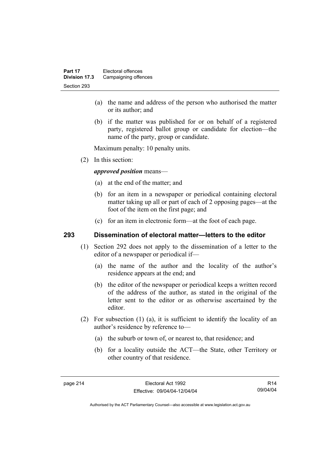- (a) the name and address of the person who authorised the matter or its author; and
- (b) if the matter was published for or on behalf of a registered party, registered ballot group or candidate for election—the name of the party, group or candidate.

Maximum penalty: 10 penalty units.

(2) In this section:

*approved position* means—

- (a) at the end of the matter; and
- (b) for an item in a newspaper or periodical containing electoral matter taking up all or part of each of 2 opposing pages—at the foot of the item on the first page; and
- (c) for an item in electronic form—at the foot of each page.

#### **293 Dissemination of electoral matter—letters to the editor**

- (1) Section 292 does not apply to the dissemination of a letter to the editor of a newspaper or periodical if—
	- (a) the name of the author and the locality of the author's residence appears at the end; and
	- (b) the editor of the newspaper or periodical keeps a written record of the address of the author, as stated in the original of the letter sent to the editor or as otherwise ascertained by the editor.
- (2) For subsection (1) (a), it is sufficient to identify the locality of an author's residence by reference to—
	- (a) the suburb or town of, or nearest to, that residence; and
	- (b) for a locality outside the ACT—the State, other Territory or other country of that residence.

R14 09/04/04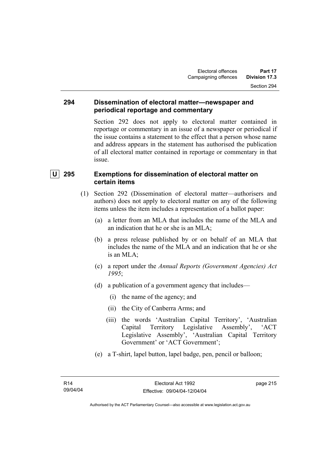#### **294 Dissemination of electoral matter—newspaper and periodical reportage and commentary**

Section 292 does not apply to electoral matter contained in reportage or commentary in an issue of a newspaper or periodical if the issue contains a statement to the effect that a person whose name and address appears in the statement has authorised the publication of all electoral matter contained in reportage or commentary in that issue.

## **U 295 Exemptions for dissemination of electoral matter on certain items**

- (1) Section 292 (Dissemination of electoral matter—authorisers and authors) does not apply to electoral matter on any of the following items unless the item includes a representation of a ballot paper:
	- (a) a letter from an MLA that includes the name of the MLA and an indication that he or she is an MLA;
	- (b) a press release published by or on behalf of an MLA that includes the name of the MLA and an indication that he or she is an MLA;
	- (c) a report under the *Annual Reports (Government Agencies) Act 1995*;
	- (d) a publication of a government agency that includes—
		- (i) the name of the agency; and
		- (ii) the City of Canberra Arms; and
		- (iii) the words 'Australian Capital Territory', 'Australian Capital Territory Legislative Assembly', 'ACT Legislative Assembly', 'Australian Capital Territory Government' or 'ACT Government';
	- (e) a T-shirt, lapel button, lapel badge, pen, pencil or balloon;

page 215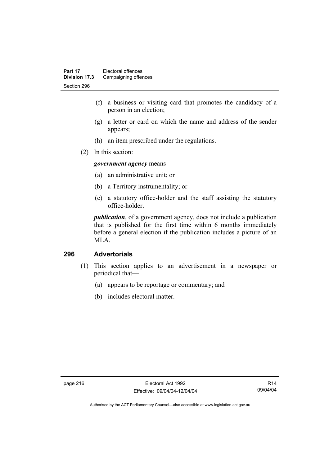- (f) a business or visiting card that promotes the candidacy of a person in an election;
- (g) a letter or card on which the name and address of the sender appears;
- (h) an item prescribed under the regulations.
- (2) In this section:

*government agency* means—

- (a) an administrative unit; or
- (b) a Territory instrumentality; or
- (c) a statutory office-holder and the staff assisting the statutory office-holder.

*publication*, of a government agency, does not include a publication that is published for the first time within 6 months immediately before a general election if the publication includes a picture of an MLA.

## **296 Advertorials**

- (1) This section applies to an advertisement in a newspaper or periodical that—
	- (a) appears to be reportage or commentary; and
	- (b) includes electoral matter.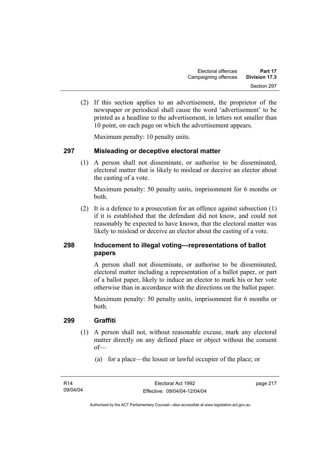(2) If this section applies to an advertisement, the proprietor of the newspaper or periodical shall cause the word 'advertisement' to be printed as a headline to the advertisement, in letters not smaller than 10 point, on each page on which the advertisement appears.

Maximum penalty: 10 penalty units.

#### **297 Misleading or deceptive electoral matter**

 (1) A person shall not disseminate, or authorise to be disseminated, electoral matter that is likely to mislead or deceive an elector about the casting of a vote.

Maximum penalty: 50 penalty units, imprisonment for 6 months or both.

 (2) It is a defence to a prosecution for an offence against subsection (1) if it is established that the defendant did not know, and could not reasonably be expected to have known, that the electoral matter was likely to mislead or deceive an elector about the casting of a vote.

## **298 Inducement to illegal voting—representations of ballot papers**

A person shall not disseminate, or authorise to be disseminated, electoral matter including a representation of a ballot paper, or part of a ballot paper, likely to induce an elector to mark his or her vote otherwise than in accordance with the directions on the ballot paper.

Maximum penalty: 50 penalty units, imprisonment for 6 months or both.

#### **299 Graffiti**

- (1) A person shall not, without reasonable excuse, mark any electoral matter directly on any defined place or object without the consent of—
	- (a) for a place—the lessee or lawful occupier of the place; or

page 217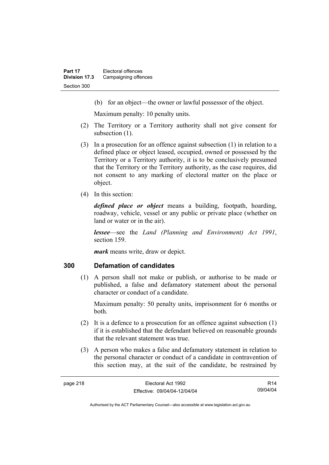(b) for an object—the owner or lawful possessor of the object.

Maximum penalty: 10 penalty units.

- (2) The Territory or a Territory authority shall not give consent for subsection  $(1)$ .
- (3) In a prosecution for an offence against subsection (1) in relation to a defined place or object leased, occupied, owned or possessed by the Territory or a Territory authority, it is to be conclusively presumed that the Territory or the Territory authority, as the case requires, did not consent to any marking of electoral matter on the place or object.
- (4) In this section:

*defined place or object* means a building, footpath, hoarding, roadway, vehicle, vessel or any public or private place (whether on land or water or in the air).

*lessee*—see the *Land (Planning and Environment) Act 1991*, section 159.

*mark* means write, draw or depict.

#### **300 Defamation of candidates**

 (1) A person shall not make or publish, or authorise to be made or published, a false and defamatory statement about the personal character or conduct of a candidate.

Maximum penalty: 50 penalty units, imprisonment for 6 months or both.

- (2) It is a defence to a prosecution for an offence against subsection (1) if it is established that the defendant believed on reasonable grounds that the relevant statement was true.
- (3) A person who makes a false and defamatory statement in relation to the personal character or conduct of a candidate in contravention of this section may, at the suit of the candidate, be restrained by

R14 09/04/04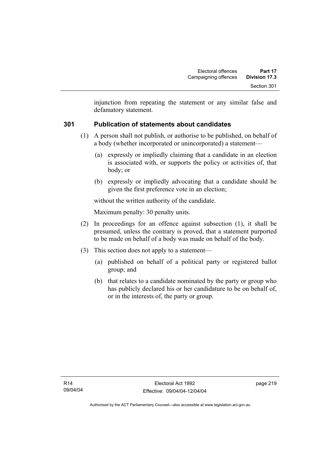injunction from repeating the statement or any similar false and defamatory statement.

## **301 Publication of statements about candidates**

- (1) A person shall not publish, or authorise to be published, on behalf of a body (whether incorporated or unincorporated) a statement—
	- (a) expressly or impliedly claiming that a candidate in an election is associated with, or supports the policy or activities of, that body; or
	- (b) expressly or impliedly advocating that a candidate should be given the first preference vote in an election;

without the written authority of the candidate.

Maximum penalty: 30 penalty units.

- (2) In proceedings for an offence against subsection (1), it shall be presumed, unless the contrary is proved, that a statement purported to be made on behalf of a body was made on behalf of the body.
- (3) This section does not apply to a statement—
	- (a) published on behalf of a political party or registered ballot group; and
	- (b) that relates to a candidate nominated by the party or group who has publicly declared his or her candidature to be on behalf of, or in the interests of, the party or group.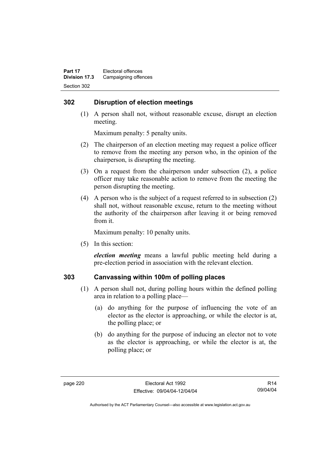## **302 Disruption of election meetings**

 (1) A person shall not, without reasonable excuse, disrupt an election meeting.

Maximum penalty: 5 penalty units.

- (2) The chairperson of an election meeting may request a police officer to remove from the meeting any person who, in the opinion of the chairperson, is disrupting the meeting.
- (3) On a request from the chairperson under subsection (2), a police officer may take reasonable action to remove from the meeting the person disrupting the meeting.
- (4) A person who is the subject of a request referred to in subsection (2) shall not, without reasonable excuse, return to the meeting without the authority of the chairperson after leaving it or being removed from it.

Maximum penalty: 10 penalty units.

(5) In this section:

*election meeting* means a lawful public meeting held during a pre-election period in association with the relevant election.

## **303 Canvassing within 100m of polling places**

- (1) A person shall not, during polling hours within the defined polling area in relation to a polling place—
	- (a) do anything for the purpose of influencing the vote of an elector as the elector is approaching, or while the elector is at, the polling place; or
	- (b) do anything for the purpose of inducing an elector not to vote as the elector is approaching, or while the elector is at, the polling place; or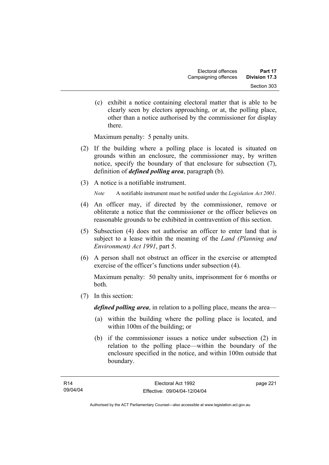(c) exhibit a notice containing electoral matter that is able to be clearly seen by electors approaching, or at, the polling place, other than a notice authorised by the commissioner for display there.

Maximum penalty: 5 penalty units.

- (2) If the building where a polling place is located is situated on grounds within an enclosure, the commissioner may, by written notice, specify the boundary of that enclosure for subsection (7), definition of *defined polling area*, paragraph (b).
- (3) A notice is a notifiable instrument.

*Note* A notifiable instrument must be notified under the *Legislation Act 2001*.

- (4) An officer may, if directed by the commissioner, remove or obliterate a notice that the commissioner or the officer believes on reasonable grounds to be exhibited in contravention of this section.
- (5) Subsection (4) does not authorise an officer to enter land that is subject to a lease within the meaning of the *Land (Planning and Environment) Act 1991*, part 5.
- (6) A person shall not obstruct an officer in the exercise or attempted exercise of the officer's functions under subsection (4).

Maximum penalty: 50 penalty units, imprisonment for 6 months or both.

(7) In this section:

*defined polling area*, in relation to a polling place, means the area—

- (a) within the building where the polling place is located, and within 100m of the building; or
- (b) if the commissioner issues a notice under subsection (2) in relation to the polling place—within the boundary of the enclosure specified in the notice, and within 100m outside that boundary.

page 221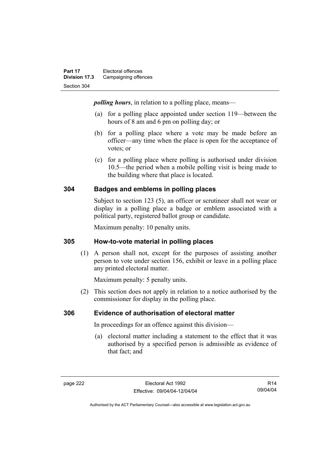*polling hours*, in relation to a polling place, means—

- (a) for a polling place appointed under section 119—between the hours of 8 am and 6 pm on polling day; or
- (b) for a polling place where a vote may be made before an officer—any time when the place is open for the acceptance of votes; or
- (c) for a polling place where polling is authorised under division 10.5—the period when a mobile polling visit is being made to the building where that place is located.

## **304 Badges and emblems in polling places**

Subject to section 123 (5), an officer or scrutineer shall not wear or display in a polling place a badge or emblem associated with a political party, registered ballot group or candidate.

Maximum penalty: 10 penalty units.

## **305 How-to-vote material in polling places**

 (1) A person shall not, except for the purposes of assisting another person to vote under section 156, exhibit or leave in a polling place any printed electoral matter.

Maximum penalty: 5 penalty units.

 (2) This section does not apply in relation to a notice authorised by the commissioner for display in the polling place.

## **306 Evidence of authorisation of electoral matter**

In proceedings for an offence against this division—

 (a) electoral matter including a statement to the effect that it was authorised by a specified person is admissible as evidence of that fact; and

R14 09/04/04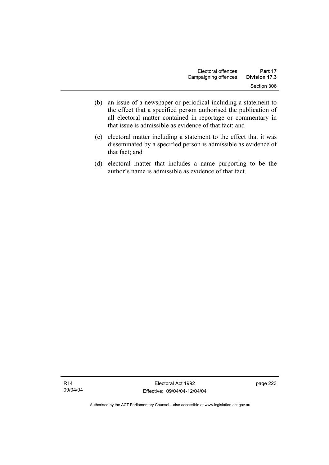- (b) an issue of a newspaper or periodical including a statement to the effect that a specified person authorised the publication of all electoral matter contained in reportage or commentary in that issue is admissible as evidence of that fact; and
- (c) electoral matter including a statement to the effect that it was disseminated by a specified person is admissible as evidence of that fact; and
- (d) electoral matter that includes a name purporting to be the author's name is admissible as evidence of that fact.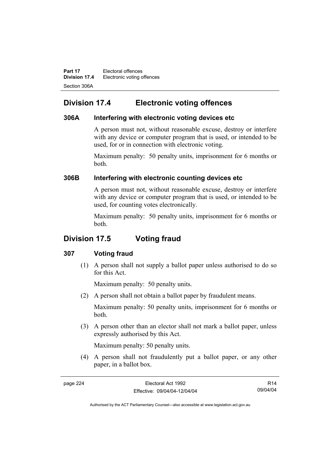**Part 17 Electoral offences Division 17.4** Electronic voting offences Section 306A

## **Division 17.4 Electronic voting offences**

#### **306A Interfering with electronic voting devices etc**

A person must not, without reasonable excuse, destroy or interfere with any device or computer program that is used, or intended to be used, for or in connection with electronic voting.

Maximum penalty: 50 penalty units, imprisonment for 6 months or both.

## **306B Interfering with electronic counting devices etc**

A person must not, without reasonable excuse, destroy or interfere with any device or computer program that is used, or intended to be used, for counting votes electronically.

Maximum penalty: 50 penalty units, imprisonment for 6 months or both.

## **Division 17.5 Voting fraud**

## **307 Voting fraud**

 (1) A person shall not supply a ballot paper unless authorised to do so for this Act.

Maximum penalty: 50 penalty units.

(2) A person shall not obtain a ballot paper by fraudulent means.

Maximum penalty: 50 penalty units, imprisonment for 6 months or both.

 (3) A person other than an elector shall not mark a ballot paper, unless expressly authorised by this Act.

Maximum penalty: 50 penalty units.

 (4) A person shall not fraudulently put a ballot paper, or any other paper, in a ballot box.

R14 09/04/04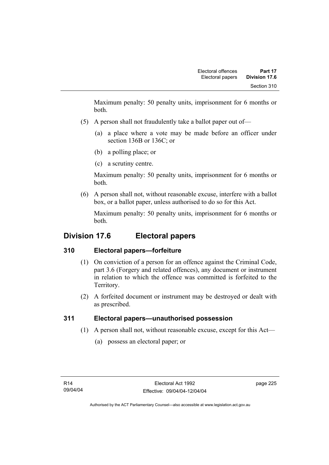Maximum penalty: 50 penalty units, imprisonment for 6 months or both.

- (5) A person shall not fraudulently take a ballot paper out of—
	- (a) a place where a vote may be made before an officer under section 136B or 136C; or
	- (b) a polling place; or
	- (c) a scrutiny centre.

Maximum penalty: 50 penalty units, imprisonment for 6 months or both.

 (6) A person shall not, without reasonable excuse, interfere with a ballot box, or a ballot paper, unless authorised to do so for this Act.

Maximum penalty: 50 penalty units, imprisonment for 6 months or both.

## **Division 17.6 Electoral papers**

## **310 Electoral papers—forfeiture**

- (1) On conviction of a person for an offence against the Criminal Code, part 3.6 (Forgery and related offences), any document or instrument in relation to which the offence was committed is forfeited to the Territory.
- (2) A forfeited document or instrument may be destroyed or dealt with as prescribed.

## **311 Electoral papers—unauthorised possession**

- (1) A person shall not, without reasonable excuse, except for this Act—
	- (a) possess an electoral paper; or

page 225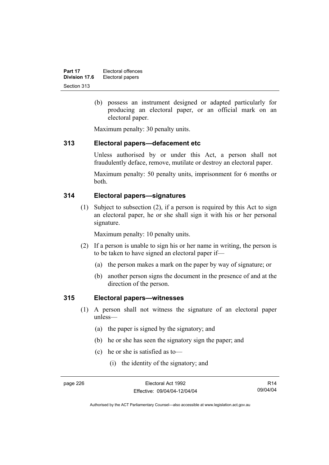(b) possess an instrument designed or adapted particularly for producing an electoral paper, or an official mark on an electoral paper.

Maximum penalty: 30 penalty units.

#### **313 Electoral papers—defacement etc**

Unless authorised by or under this Act, a person shall not fraudulently deface, remove, mutilate or destroy an electoral paper.

Maximum penalty: 50 penalty units, imprisonment for 6 months or both.

#### **314 Electoral papers—signatures**

 (1) Subject to subsection (2), if a person is required by this Act to sign an electoral paper, he or she shall sign it with his or her personal signature.

Maximum penalty: 10 penalty units.

- (2) If a person is unable to sign his or her name in writing, the person is to be taken to have signed an electoral paper if—
	- (a) the person makes a mark on the paper by way of signature; or
	- (b) another person signs the document in the presence of and at the direction of the person.

#### **315 Electoral papers—witnesses**

- (1) A person shall not witness the signature of an electoral paper unless—
	- (a) the paper is signed by the signatory; and
	- (b) he or she has seen the signatory sign the paper; and
	- (c) he or she is satisfied as to—
		- (i) the identity of the signatory; and

R14 09/04/04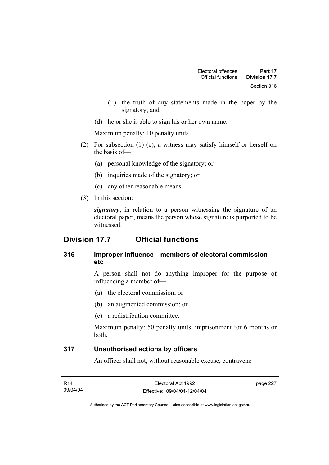- (ii) the truth of any statements made in the paper by the signatory; and
- (d) he or she is able to sign his or her own name.

Maximum penalty: 10 penalty units.

- (2) For subsection (1) (c), a witness may satisfy himself or herself on the basis of—
	- (a) personal knowledge of the signatory; or
	- (b) inquiries made of the signatory; or
	- (c) any other reasonable means.
- (3) In this section:

*signatory*, in relation to a person witnessing the signature of an electoral paper, means the person whose signature is purported to be witnessed.

## **Division 17.7 Official functions**

## **316 Improper influence—members of electoral commission etc**

A person shall not do anything improper for the purpose of influencing a member of—

- (a) the electoral commission; or
- (b) an augmented commission; or
- (c) a redistribution committee.

Maximum penalty: 50 penalty units, imprisonment for 6 months or both.

## **317 Unauthorised actions by officers**

An officer shall not, without reasonable excuse, contravene—

| R <sub>14</sub> | Electoral Act 1992           | page 227 |
|-----------------|------------------------------|----------|
| 09/04/04        | Effective: 09/04/04-12/04/04 |          |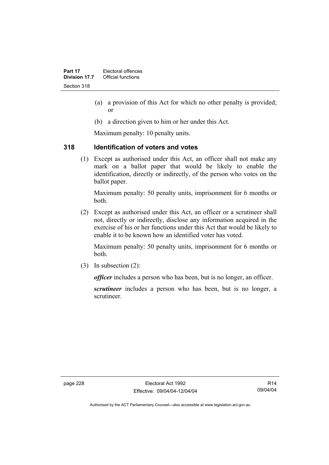- (a) a provision of this Act for which no other penalty is provided; or
- (b) a direction given to him or her under this Act.

Maximum penalty: 10 penalty units.

## **318 Identification of voters and votes**

 (1) Except as authorised under this Act, an officer shall not make any mark on a ballot paper that would be likely to enable the identification, directly or indirectly, of the person who votes on the ballot paper.

Maximum penalty: 50 penalty units, imprisonment for 6 months or both.

 (2) Except as authorised under this Act, an officer or a scrutineer shall not, directly or indirectly, disclose any information acquired in the exercise of his or her functions under this Act that would be likely to enable it to be known how an identified voter has voted.

Maximum penalty: 50 penalty units, imprisonment for 6 months or both.

(3) In subsection (2):

*officer* includes a person who has been, but is no longer, an officer.

*scrutineer* includes a person who has been, but is no longer, a scrutineer.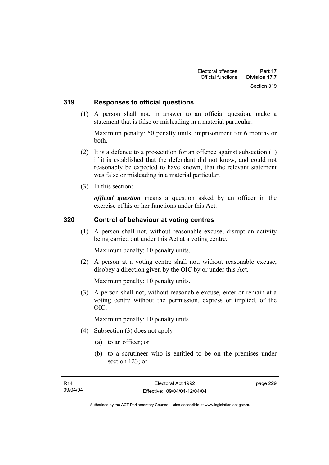#### **319 Responses to official questions**

 (1) A person shall not, in answer to an official question, make a statement that is false or misleading in a material particular.

Maximum penalty: 50 penalty units, imprisonment for 6 months or both.

- (2) It is a defence to a prosecution for an offence against subsection (1) if it is established that the defendant did not know, and could not reasonably be expected to have known, that the relevant statement was false or misleading in a material particular.
- (3) In this section:

*official question* means a question asked by an officer in the exercise of his or her functions under this Act.

#### **320 Control of behaviour at voting centres**

 (1) A person shall not, without reasonable excuse, disrupt an activity being carried out under this Act at a voting centre.

Maximum penalty: 10 penalty units.

 (2) A person at a voting centre shall not, without reasonable excuse, disobey a direction given by the OIC by or under this Act.

Maximum penalty: 10 penalty units.

 (3) A person shall not, without reasonable excuse, enter or remain at a voting centre without the permission, express or implied, of the OIC.

Maximum penalty: 10 penalty units.

- (4) Subsection (3) does not apply—
	- (a) to an officer; or
	- (b) to a scrutineer who is entitled to be on the premises under section 123; or

page 229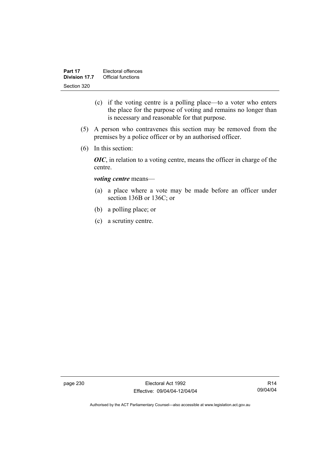- (c) if the voting centre is a polling place—to a voter who enters the place for the purpose of voting and remains no longer than is necessary and reasonable for that purpose.
- (5) A person who contravenes this section may be removed from the premises by a police officer or by an authorised officer.
- (6) In this section:

*OIC*, in relation to a voting centre, means the officer in charge of the centre.

#### *voting centre* means—

- (a) a place where a vote may be made before an officer under section 136B or 136C; or
- (b) a polling place; or
- (c) a scrutiny centre.

page 230 Electoral Act 1992 Effective: 09/04/04-12/04/04

R14 09/04/04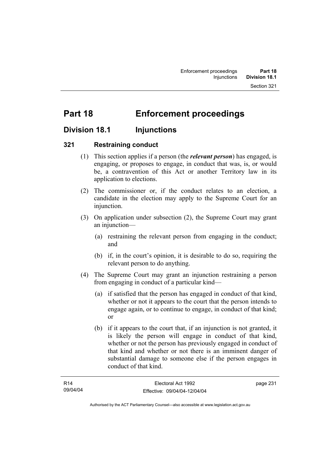# **Part 18 Enforcement proceedings**

## **Division 18.1 Injunctions**

## **321 Restraining conduct**

- (1) This section applies if a person (the *relevant person*) has engaged, is engaging, or proposes to engage, in conduct that was, is, or would be, a contravention of this Act or another Territory law in its application to elections.
- (2) The commissioner or, if the conduct relates to an election, a candidate in the election may apply to the Supreme Court for an injunction.
- (3) On application under subsection (2), the Supreme Court may grant an injunction—
	- (a) restraining the relevant person from engaging in the conduct; and
	- (b) if, in the court's opinion, it is desirable to do so, requiring the relevant person to do anything.
- (4) The Supreme Court may grant an injunction restraining a person from engaging in conduct of a particular kind—
	- (a) if satisfied that the person has engaged in conduct of that kind, whether or not it appears to the court that the person intends to engage again, or to continue to engage, in conduct of that kind; or
	- (b) if it appears to the court that, if an injunction is not granted, it is likely the person will engage in conduct of that kind, whether or not the person has previously engaged in conduct of that kind and whether or not there is an imminent danger of substantial damage to someone else if the person engages in conduct of that kind.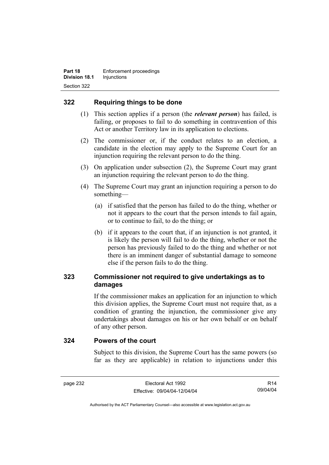## **322 Requiring things to be done**

- (1) This section applies if a person (the *relevant person*) has failed, is failing, or proposes to fail to do something in contravention of this Act or another Territory law in its application to elections.
- (2) The commissioner or, if the conduct relates to an election, a candidate in the election may apply to the Supreme Court for an injunction requiring the relevant person to do the thing.
- (3) On application under subsection (2), the Supreme Court may grant an injunction requiring the relevant person to do the thing.
- (4) The Supreme Court may grant an injunction requiring a person to do something—
	- (a) if satisfied that the person has failed to do the thing, whether or not it appears to the court that the person intends to fail again, or to continue to fail, to do the thing; or
	- (b) if it appears to the court that, if an injunction is not granted, it is likely the person will fail to do the thing, whether or not the person has previously failed to do the thing and whether or not there is an imminent danger of substantial damage to someone else if the person fails to do the thing.

## **323 Commissioner not required to give undertakings as to damages**

If the commissioner makes an application for an injunction to which this division applies, the Supreme Court must not require that, as a condition of granting the injunction, the commissioner give any undertakings about damages on his or her own behalf or on behalf of any other person.

#### **324 Powers of the court**

Subject to this division, the Supreme Court has the same powers (so far as they are applicable) in relation to injunctions under this

R14 09/04/04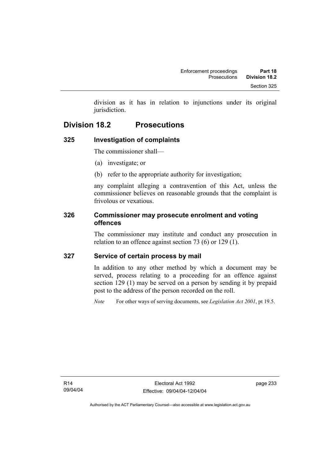division as it has in relation to injunctions under its original jurisdiction.

# **Division 18.2 Prosecutions**

## **325 Investigation of complaints**

The commissioner shall—

- (a) investigate; or
- (b) refer to the appropriate authority for investigation;

any complaint alleging a contravention of this Act, unless the commissioner believes on reasonable grounds that the complaint is frivolous or vexatious.

## **326 Commissioner may prosecute enrolment and voting offences**

The commissioner may institute and conduct any prosecution in relation to an offence against section 73 (6) or 129 (1).

## **327 Service of certain process by mail**

In addition to any other method by which a document may be served, process relating to a proceeding for an offence against section 129 (1) may be served on a person by sending it by prepaid post to the address of the person recorded on the roll.

*Note* For other ways of serving documents, see *Legislation Act 2001*, pt 19.5.

page 233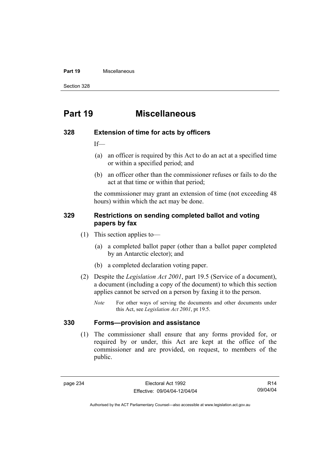#### **Part 19** Miscellaneous

Section 328

# **Part 19 Miscellaneous**

#### **328 Extension of time for acts by officers**

If—

- (a) an officer is required by this Act to do an act at a specified time or within a specified period; and
- (b) an officer other than the commissioner refuses or fails to do the act at that time or within that period;

the commissioner may grant an extension of time (not exceeding 48 hours) within which the act may be done.

#### **329 Restrictions on sending completed ballot and voting papers by fax**

- (1) This section applies to—
	- (a) a completed ballot paper (other than a ballot paper completed by an Antarctic elector); and
	- (b) a completed declaration voting paper.
- (2) Despite the *Legislation Act 2001*, part 19.5 (Service of a document), a document (including a copy of the document) to which this section applies cannot be served on a person by faxing it to the person.
	- *Note* For other ways of serving the documents and other documents under this Act, see *Legislation Act 2001*, pt 19.5.

#### **330 Forms—provision and assistance**

 (1) The commissioner shall ensure that any forms provided for, or required by or under, this Act are kept at the office of the commissioner and are provided, on request, to members of the public.

R14 09/04/04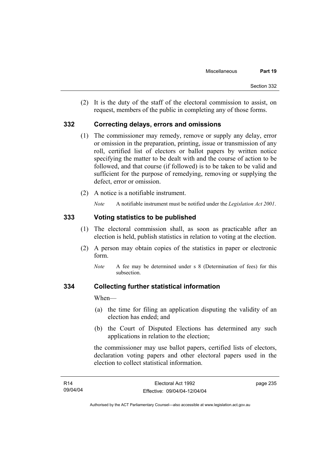(2) It is the duty of the staff of the electoral commission to assist, on request, members of the public in completing any of those forms.

### **332 Correcting delays, errors and omissions**

- (1) The commissioner may remedy, remove or supply any delay, error or omission in the preparation, printing, issue or transmission of any roll, certified list of electors or ballot papers by written notice specifying the matter to be dealt with and the course of action to be followed, and that course (if followed) is to be taken to be valid and sufficient for the purpose of remedying, removing or supplying the defect, error or omission.
- (2) A notice is a notifiable instrument.

*Note* A notifiable instrument must be notified under the *Legislation Act 2001*.

### **333 Voting statistics to be published**

- (1) The electoral commission shall, as soon as practicable after an election is held, publish statistics in relation to voting at the election.
- (2) A person may obtain copies of the statistics in paper or electronic form.
	- *Note* A fee may be determined under s 8 (Determination of fees) for this subsection.

### **334 Collecting further statistical information**

When—

- (a) the time for filing an application disputing the validity of an election has ended; and
- (b) the Court of Disputed Elections has determined any such applications in relation to the election;

the commissioner may use ballot papers, certified lists of electors, declaration voting papers and other electoral papers used in the election to collect statistical information.

| R <sub>14</sub> | Electoral Act 1992           | page 235 |
|-----------------|------------------------------|----------|
| 09/04/04        | Effective: 09/04/04-12/04/04 |          |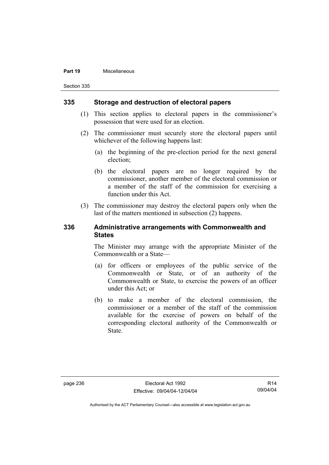#### **Part 19** Miscellaneous

Section 335

### **335 Storage and destruction of electoral papers**

- (1) This section applies to electoral papers in the commissioner's possession that were used for an election.
- (2) The commissioner must securely store the electoral papers until whichever of the following happens last:
	- (a) the beginning of the pre-election period for the next general election;
	- (b) the electoral papers are no longer required by the commissioner, another member of the electoral commission or a member of the staff of the commission for exercising a function under this Act.
- (3) The commissioner may destroy the electoral papers only when the last of the matters mentioned in subsection (2) happens.

### **336 Administrative arrangements with Commonwealth and States**

The Minister may arrange with the appropriate Minister of the Commonwealth or a State—

- (a) for officers or employees of the public service of the Commonwealth or State, or of an authority of the Commonwealth or State, to exercise the powers of an officer under this Act; or
- (b) to make a member of the electoral commission, the commissioner or a member of the staff of the commission available for the exercise of powers on behalf of the corresponding electoral authority of the Commonwealth or State.

R14 09/04/04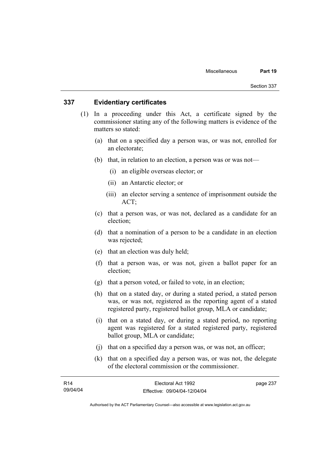### **337 Evidentiary certificates**

- (1) In a proceeding under this Act, a certificate signed by the commissioner stating any of the following matters is evidence of the matters so stated:
	- (a) that on a specified day a person was, or was not, enrolled for an electorate;
	- (b) that, in relation to an election, a person was or was not—
		- (i) an eligible overseas elector; or
		- (ii) an Antarctic elector; or
		- (iii) an elector serving a sentence of imprisonment outside the ACT;
	- (c) that a person was, or was not, declared as a candidate for an election;
	- (d) that a nomination of a person to be a candidate in an election was rejected;
	- (e) that an election was duly held;
	- (f) that a person was, or was not, given a ballot paper for an election;
	- (g) that a person voted, or failed to vote, in an election;
	- (h) that on a stated day, or during a stated period, a stated person was, or was not, registered as the reporting agent of a stated registered party, registered ballot group, MLA or candidate;
	- (i) that on a stated day, or during a stated period, no reporting agent was registered for a stated registered party, registered ballot group, MLA or candidate;
	- (j) that on a specified day a person was, or was not, an officer;
	- (k) that on a specified day a person was, or was not, the delegate of the electoral commission or the commissioner.

| R14      | Electoral Act 1992           | page 237 |
|----------|------------------------------|----------|
| 09/04/04 | Effective: 09/04/04-12/04/04 |          |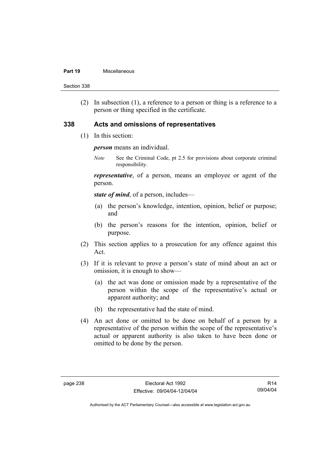#### **Part 19** Miscellaneous

Section 338

 (2) In subsection (1), a reference to a person or thing is a reference to a person or thing specified in the certificate.

### **338 Acts and omissions of representatives**

(1) In this section:

*person* means an individual.

*Note* See the Criminal Code, pt 2.5 for provisions about corporate criminal responsibility.

*representative*, of a person, means an employee or agent of the person.

*state of mind*, of a person, includes—

- (a) the person's knowledge, intention, opinion, belief or purpose; and
- (b) the person's reasons for the intention, opinion, belief or purpose.
- (2) This section applies to a prosecution for any offence against this Act.
- (3) If it is relevant to prove a person's state of mind about an act or omission, it is enough to show—
	- (a) the act was done or omission made by a representative of the person within the scope of the representative's actual or apparent authority; and
	- (b) the representative had the state of mind.
- (4) An act done or omitted to be done on behalf of a person by a representative of the person within the scope of the representative's actual or apparent authority is also taken to have been done or omitted to be done by the person.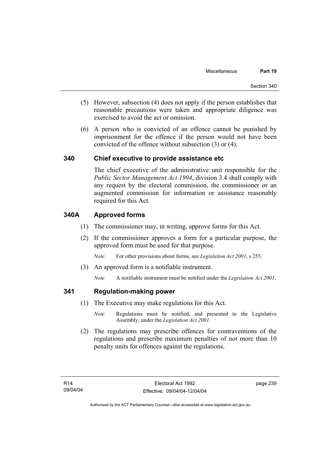- (5) However, subsection (4) does not apply if the person establishes that reasonable precautions were taken and appropriate diligence was exercised to avoid the act or omission.
- (6) A person who is convicted of an offence cannot be punished by imprisonment for the offence if the person would not have been convicted of the offence without subsection (3) or (4).

## **340 Chief executive to provide assistance etc**

The chief executive of the administrative unit responsible for the *Public Sector Management Act 1994*, division 3.4 shall comply with any request by the electoral commission, the commissioner or an augmented commission for information or assistance reasonably required for this Act.

## **340A Approved forms**

- (1) The commissioner may, in writing, approve forms for this Act.
- (2) If the commissioner approves a form for a particular purpose, the approved form must be used for that purpose.

*Note* For other provisions about forms, see *Legislation Act 2001*, s 255.

- (3) An approved form is a notifiable instrument.
	- *Note* A notifiable instrument must be notified under the *Legislation Act 2001*.

### **341 Regulation-making power**

- (1) The Executive may make regulations for this Act.
	- *Note* Regulations must be notified, and presented to the Legislative Assembly, under the *Legislation Act 2001*.
- (2) The regulations may prescribe offences for contraventions of the regulations and prescribe maximum penalties of not more than 10 penalty units for offences against the regulations.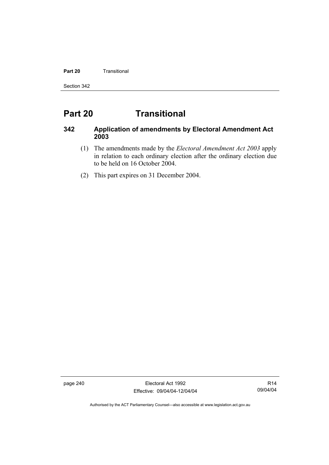### **Part 20 Transitional**

Section 342

# **Part 20 Transitional**

## **342 Application of amendments by Electoral Amendment Act 2003**

- (1) The amendments made by the *Electoral Amendment Act 2003* apply in relation to each ordinary election after the ordinary election due to be held on 16 October 2004.
- (2) This part expires on 31 December 2004.

page 240 Electoral Act 1992 Effective: 09/04/04-12/04/04

R14 09/04/04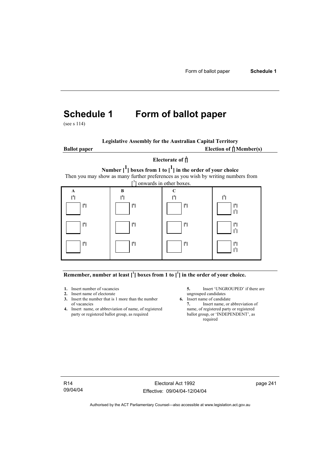# **Schedule 1 Form of ballot paper**

(see s 114)

| <b>Legislative Assembly for the Australian Capital Territory</b> |
|------------------------------------------------------------------|
|------------------------------------------------------------------|

**Ballot paper** 

Election of  $\mathbf{\hat{a}}$  Member(s)

## **Electorate of [ 2 ] Number [1] boxes from 1 to [1] in the order of your choice**  Then you may show as many further preferences as you wish by writing numbers from

 $\left[ \begin{smallmatrix} 3 \end{smallmatrix} \right]$  onwards in other boxes. **A**   $[$ <sup>4</sup> $]$  **B [ 4 ] C [ 4 ] [ 5**  $[1]$   $[1]$   $[1]$   $[1]$   $[1]$   $[1]$  **[ 6 ] [ 6 ] [ 6 ] [ 6 ] [ 7 ] [ 6 ] [ 6 ] [ 6 ] [ 6 ] [ 7 ] [ 6 ] [ 6 ] [ 6 ] [ 6 ] [ 7 ]** 

### Remember, number at least  $\begin{bmatrix} 1 \end{bmatrix}$  boxes from 1 to  $\begin{bmatrix} 1 \end{bmatrix}$  in the order of your choice.

- 
- **2.** Insert name of electorate ungrouped candidates<br> **3.** Insert the number that is 1 more than the number **6.** Insert name of candidate **3.** Insert the number that is 1 more than the number
- **4.** Insert name, or abbreviation of name, of registered name, of registered party or registered ballot group, as required ballot group, or 'INDEPENDENT', as party or registered ballot group, as required

**1.** Insert number of vacancies **5.** Insert 'UNGROUPED' if there are **2.** Insert name of electorate **1.** UNGROUPED' if there are ungrouped candidates

of vacancies **7.** Insert name, or abbreviation of name, of registered **7.** Insert name, or abbreviation of name, of registered **7.** Insert name, or registered required

R14 09/04/04

Electoral Act 1992 Effective: 09/04/04-12/04/04 page 241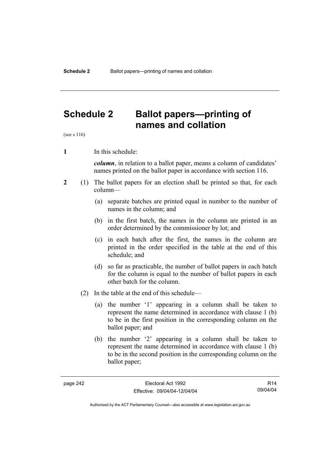## **Schedule 2 Ballot papers—printing of names and collation**

(see s 116)

**1** In this schedule:

*column*, in relation to a ballot paper, means a column of candidates' names printed on the ballot paper in accordance with section 116.

- **2** (1) The ballot papers for an election shall be printed so that, for each column—
	- (a) separate batches are printed equal in number to the number of names in the column; and
	- (b) in the first batch, the names in the column are printed in an order determined by the commissioner by lot; and
	- (c) in each batch after the first, the names in the column are printed in the order specified in the table at the end of this schedule; and
	- (d) so far as practicable, the number of ballot papers in each batch for the column is equal to the number of ballot papers in each other batch for the column.
	- (2) In the table at the end of this schedule—
		- (a) the number '1' appearing in a column shall be taken to represent the name determined in accordance with clause 1 (b) to be in the first position in the corresponding column on the ballot paper; and
		- (b) the number '2' appearing in a column shall be taken to represent the name determined in accordance with clause 1 (b) to be in the second position in the corresponding column on the ballot paper;

R14 09/04/04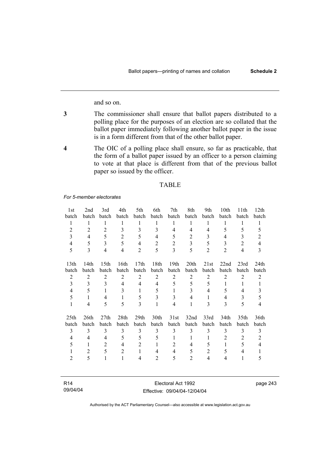and so on.

- **3** The commissioner shall ensure that ballot papers distributed to a polling place for the purposes of an election are so collated that the ballot paper immediately following another ballot paper in the issue is in a form different from that of the other ballot paper.
- **4** The OIC of a polling place shall ensure, so far as practicable, that the form of a ballot paper issued by an officer to a person claiming to vote at that place is different from that of the previous ballot paper so issued by the officer.

### TABLE

#### *For 5-member electorates*

| 1st              | 2nd            | 3rd              | 4th            | 5th              | 6th            | 7th              | 8th              | 9th            | 10th           | 11th           | 12th             |
|------------------|----------------|------------------|----------------|------------------|----------------|------------------|------------------|----------------|----------------|----------------|------------------|
| batch            | batch          | batch            | batch          | batch            | batch          | batch            | batch            | batch          | batch          | batch          | batch            |
| 1                | 1              | 1                | 1              | 1                | 1              | 1                | 1                | 1              | 1              | 1              | 1                |
| $\overline{2}$   | $\overline{2}$ | $\overline{2}$   | 3              | 3                | 3              | $\overline{4}$   | $\overline{4}$   | $\overline{4}$ | 5              | 5              | 5                |
| 3                | 4              | 5                | $\overline{2}$ | 5                | 4              | 5                | 2                | 3              | 4              | 3              | $\overline{2}$   |
| 4                | 5              | 3                | 5              | $\overline{4}$   | $\overline{2}$ | $\overline{2}$   | 3                | 5              | 3              | $\overline{2}$ | $\overline{4}$   |
| 5                | 3              | $\overline{4}$   | 4              | $\overline{2}$   | 5              | 3                | 5                | $\overline{2}$ | $\overline{2}$ | $\overline{4}$ | 3                |
| 13 <sup>th</sup> | 14th           | 15 <sub>th</sub> | 16th           | 17th             | 18th           | 19 <sub>th</sub> | 20 <sup>th</sup> | 21st           | 22nd           | 23rd           | 24 <sub>th</sub> |
| batch            | batch          | batch            | batch          | batch            | batch          | batch            | batch            | batch          | batch          | batch          | batch            |
| $\overline{2}$   | $\overline{2}$ | $\overline{2}$   | $\overline{2}$ | $\overline{2}$   | $\overline{2}$ | $\overline{2}$   | $\overline{2}$   | $\overline{2}$ | $\overline{2}$ | $\overline{2}$ | $\overline{2}$   |
| 3                | 3              | 3                | $\overline{4}$ | 4                | $\overline{4}$ | 5                | 5                | 5              | 1              | 1              | $\mathbf{1}$     |
| 4                | 5              | $\mathbf{1}$     | 3              | $\mathbf{1}$     | 5              | 1                | 3                | 4              | 5              | $\overline{4}$ | 3                |
| 5                | 1              | 4                | 1              | 5                | 3              | 3                | 4                | 1              | 4              | 3              | 5                |
| $\mathbf{1}$     | 4              | 5                | 5              | 3                | $\mathbf{1}$   | 4                | 1                | 3              | 3              | 5              | 4                |
| 25 <sub>th</sub> | 26th           | 27th             | 28th           | 29 <sub>th</sub> | 30th           | 31st             | 32nd             | 33rd           | 34th           | 35th           | 36th             |
| batch            | batch          | batch            | batch          | batch            | batch          | batch            | batch            | batch          | batch          | batch          | batch            |
| 3                | 3              | 3                | 3              | 3                | 3              | 3                | 3                | 3              | 3              | 3              | 3                |
| 4                | 4              | 4                | 5              | 5                | 5              | 1                | 1                | 1              | 2              | 2              | 2                |
| 5                | $\mathbf{1}$   | $\overline{2}$   | 4              | $\overline{2}$   | 1              | 2                | 4                | 5              | 1              | 5              | 4                |
| 1                | $\overline{2}$ | 5                | $\overline{2}$ | $\mathbf{1}$     | 4              | $\overline{4}$   | 5                | $\mathfrak{2}$ | 5              | 4              | 1                |
| $\overline{2}$   | 5              | 1                | 1              | 4                | 2              | 5                | $\overline{2}$   | $\overline{4}$ | 4              | 1              | 5                |
|                  |                |                  |                |                  |                |                  |                  |                |                |                |                  |

| R <sub>14</sub> |  |  |
|-----------------|--|--|
| 09/04/04        |  |  |

Electoral Act 1992 Effective: 09/04/04-12/04/04 page 243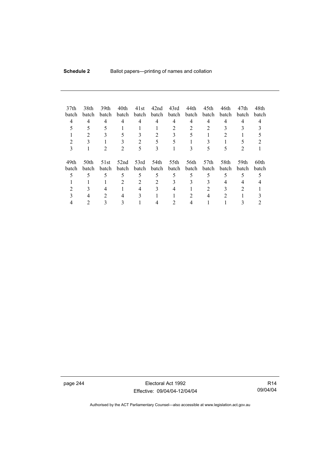| 37 <sub>th</sub><br>batch<br>4 | 38th<br><b>batch</b><br>4 | 39th<br>batch<br>4<br>5 | 40th<br>batch<br>4 | 41st<br>batch<br>4 | 42nd<br>batch<br>4 | 43rd<br>batch<br>4<br>$\overline{2}$ | 44th<br>batch<br>4<br>$\mathfrak{D}$ | 45th<br>batch<br>4<br>2   | 46th<br>batch<br>4 | 47th<br><b>batch</b><br>4 | 48th<br>batch |
|--------------------------------|---------------------------|-------------------------|--------------------|--------------------|--------------------|--------------------------------------|--------------------------------------|---------------------------|--------------------|---------------------------|---------------|
| 2<br>3                         |                           |                         |                    | $\mathfrak{D}$     | 5<br>3             | 5                                    |                                      | 5                         | ć                  |                           |               |
| 49th<br>batch                  | 50th<br>batch             | 51st<br>batch           | 52nd<br>batch      | 53rd<br>batch      | 54th<br>batch      | 55th<br>batch                        | 56th<br>batch                        | 57 <sub>th</sub><br>batch | 58th<br>batch      | 59th<br><b>batch</b>      | 60th<br>batch |
|                                |                           | 5                       | 5                  | 5                  | 5                  | 5                                    | 5                                    | 5                         | 5                  | 5                         |               |
|                                |                           |                         | 2                  | 2                  | 2                  |                                      | 3                                    |                           | 4                  |                           |               |
|                                |                           |                         |                    | 4                  |                    |                                      |                                      |                           |                    |                           |               |
|                                |                           | 2                       | 4                  | 3                  |                    |                                      |                                      | 4                         | 2                  |                           |               |
|                                |                           |                         |                    |                    |                    |                                      |                                      |                           |                    |                           |               |

page 244 Electoral Act 1992 Effective: 09/04/04-12/04/04

R14 09/04/04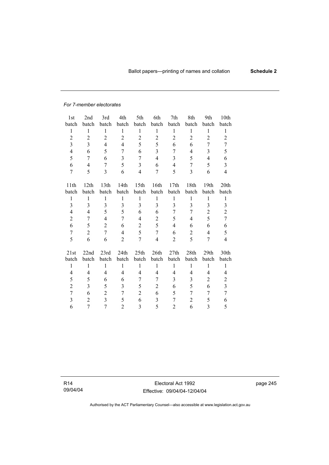### *For 7-member electorates*

| 1st              | 2nd              | 3rd            | 4th            | 5th            | 6th                     | 7th            | 8th            | 9th            | 10th           |
|------------------|------------------|----------------|----------------|----------------|-------------------------|----------------|----------------|----------------|----------------|
| batch            | batch            | batch          | batch          | batch          | batch                   | batch          | batch          | batch          | batch          |
| $\mathbf{1}$     | $\mathbf{1}$     | 1              | $\mathbf{1}$   | $\mathbf{1}$   | 1                       | $\mathbf{1}$   | 1              | $\mathbf{1}$   | 1              |
| $\overline{c}$   | $\sqrt{2}$       | $\overline{c}$ | $\overline{2}$ | $\overline{2}$ | $\overline{c}$          | $\overline{c}$ | $\overline{c}$ | $\overline{c}$ | $\overline{2}$ |
| 3                | 3                | $\overline{4}$ | $\overline{4}$ | 5              | 5                       | 6              | 6              | 7              | 7              |
| $\overline{4}$   | 6                | 5              | 7              | 6              | 3                       | 7              | 4              | 3              | 5              |
| 5                | 7                | 6              | $\overline{3}$ | $\overline{7}$ | $\overline{4}$          | $\overline{3}$ | 5              | $\overline{4}$ | 6              |
| 6                | 4                | 7              | 5              | 3              | 6                       | $\overline{4}$ | 7              | 5              | $\overline{3}$ |
| $\overline{7}$   | 5                | 3              | 6              | 4              | 7                       | 5              | 3              | 6              | 4              |
|                  |                  |                |                |                |                         |                |                |                |                |
| 11th             | 12th             | 13th           | 14th           | 15th           | 16th                    | 17th           | 18th           | 19th           | 20th           |
| batch            | batch            | batch          | batch          | batch          | batch                   | batch          | batch          | batch          | batch          |
| $\mathbf{1}$     | $\mathbf{1}$     | $\mathbf{1}$   | $\mathbf{1}$   | $\mathbf{1}$   | $\mathbf{1}$            | $\mathbf{1}$   | $\mathbf{1}$   | $\mathbf{1}$   | 1              |
| 3                | 3                | $\overline{3}$ | 3              | $\overline{3}$ | 3                       | $\overline{3}$ | 3              | 3              | 3              |
| 4                | 4                | 5              | 5              | 6              | 6                       | 7              | 7              | $\overline{2}$ | $\overline{c}$ |
| $\overline{c}$   | 7                | 4              | 7              | 4              | $\overline{c}$          | 5              | 4              | 5              | $\overline{7}$ |
| 6                | 5                | $\overline{2}$ | 6              | $\overline{2}$ | 5                       | 4              | 6              | 6              | 6              |
| $\boldsymbol{7}$ | $\boldsymbol{2}$ | $\overline{7}$ | $\overline{4}$ | 5              | $\overline{7}$          | 6              | $\overline{c}$ | $\overline{4}$ | 5              |
| 5                | 6                | 6              | $\overline{2}$ | 7              | $\overline{\mathbf{4}}$ | $\overline{2}$ | 5              | 7              | 4              |
| 21st             | 22nd             | 23rd           | 24th           | 25th           | 26th                    | 27th           | 28th           | 29th           | 30th           |
| batch            | batch            | batch          | batch          | batch          | batch                   | batch          | batch          | batch          | batch          |
| $\mathbf{1}$     | $\mathbf{1}$     | $\mathbf{1}$   | $\mathbf{1}$   | $\mathbf{1}$   | $\mathbf{1}$            | $\mathbf{1}$   | $\mathbf{1}$   | $\mathbf{1}$   | $\mathbf{1}$   |
| 4                | 4                | $\overline{4}$ | $\overline{4}$ | 4              | $\overline{4}$          | $\overline{4}$ | 4              | $\overline{4}$ | 4              |
| 5                | 5                | 6              | 6              | 7              | 7                       | 3              | 3              | $\overline{2}$ | $\mathbf{2}$   |
| $\overline{2}$   | 3                | 5              | 3              | 5              | $\mathfrak{2}$          | 6              | 5              | 6              | $\overline{3}$ |
| $\overline{7}$   | 6                | $\overline{2}$ | 7              | $\overline{2}$ | 6                       | 5              | 7              | 7              | $\overline{7}$ |
| 3                | $\overline{c}$   | $\overline{3}$ | 5              | 6              | 3                       | 7              | $\overline{2}$ | 5              | 6              |
| 6                | 7                | $\overline{7}$ | $\overline{2}$ | 3              | 5                       | $\overline{2}$ | 6              | 3              | 5              |
|                  |                  |                |                |                |                         |                |                |                |                |

R14 09/04/04

Electoral Act 1992 Effective: 09/04/04-12/04/04 page 245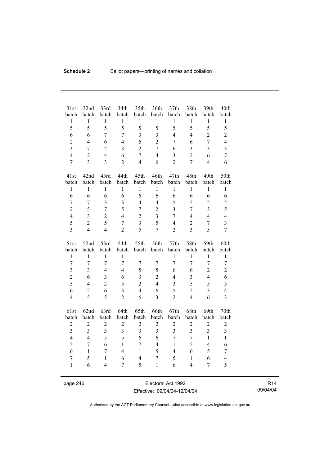| 31st<br>batch                  | 32nd<br>batch  | 33rd<br>batch                  | 34th<br>batch           | 35th<br>batch       | 36th<br>batch                  | 37 <sub>th</sub><br>batch | 38th<br>batch                  | 39th<br>batch       | 40th<br>batch                |
|--------------------------------|----------------|--------------------------------|-------------------------|---------------------|--------------------------------|---------------------------|--------------------------------|---------------------|------------------------------|
| $\mathbf{1}$                   | $\mathbf{1}$   | $\,1$                          | $\mathbf{1}$            | $\mathbf{1}$        | $\mathbf{1}$                   | $\mathbf{1}$              | $\mathbf{1}$                   | $\mathbf{1}$        | $\,1$                        |
| 5                              | 5              | 5                              | 5                       | 5                   | 5                              | 5                         | 5                              | 5                   | 5                            |
| 6                              | 6              | $\overline{7}$                 | $\overline{7}$          | $\overline{3}$      | 3                              | $\overline{4}$            | $\overline{4}$                 | $\overline{2}$      | $\overline{2}$               |
| $\overline{2}$                 | $\overline{4}$ | 6                              | $\overline{4}$          | 6                   | $\overline{2}$                 | $\overline{7}$            | 6                              | $\overline{7}$      | $\overline{4}$               |
| $\overline{3}$                 | $\overline{7}$ | $\mathbf 2$                    | $\overline{\mathbf{3}}$ | $\overline{2}$      | $\overline{7}$                 | 6                         | 3                              | $\overline{3}$      | $\overline{\mathbf{3}}$      |
| $\overline{4}$                 | $\overline{2}$ | $\overline{4}$                 | 6                       | $\overline{7}$      | $\overline{4}$                 | 3                         | $\overline{2}$                 | 6                   | $\tau$                       |
| $\overline{7}$                 | $\overline{3}$ | $\overline{3}$                 | $\overline{2}$          | $\overline{4}$      | 6                              | $\overline{2}$            | $\overline{7}$                 | $\overline{4}$      | 6                            |
| 41st                           | 42nd           | 43rd                           | 44th                    | 45th                | 46th                           | 47th                      | 48th                           | 49th                | 50th                         |
| batch                          | batch          | batch                          | batch                   | batch               | batch                          | batch                     | batch                          | batch               | batch                        |
| $\mathbf{1}$                   | $\mathbf{1}$   | $\mathbf{1}$                   | $\mathbf{1}$            | $\mathbf{1}$        | $\mathbf{1}$                   | $\mathbf{1}$              | $\mathbf{1}$                   | $\mathbf{1}$        | $\mathbf{1}$                 |
| 6                              | 6              | 6                              | 6                       | 6                   | 6                              | 6                         | 6                              | 6                   | 6                            |
| $\overline{7}$                 | $\tau$         | 3                              | 3                       | $\overline{4}$      | $\overline{4}$                 | 5                         | 5                              | $\overline{2}$      | $\overline{c}$               |
| $\overline{2}$                 | 5              | $\overline{7}$                 | 5                       | $\overline{7}$      | $\overline{2}$                 | $\overline{3}$            | $\overline{7}$                 | $\overline{3}$      | 5                            |
| $\overline{4}$                 | 3              | $\overline{c}$                 | $\overline{4}$          | $\overline{2}$      | 3                              | $\overline{7}$            | $\overline{4}$                 | $\overline{4}$      | $\overline{4}$               |
| 5                              | $\overline{2}$ | 5                              | $\overline{7}$          | $\overline{3}$      | 5                              | $\overline{4}$            | $\overline{2}$                 | $\overline{7}$      | $\overline{\mathbf{3}}$      |
| $\overline{3}$                 | $\overline{4}$ | $\overline{4}$                 | $\overline{2}$          | 5                   | $\overline{7}$                 | $\overline{2}$            | $\overline{3}$                 | 5                   | $\overline{7}$               |
|                                |                |                                |                         |                     |                                |                           |                                |                     |                              |
| 51st                           | 52nd           | 53rd                           | 54th                    | 55th                | 56th                           | 57th                      | 58th                           | 59th                | 60th                         |
| batch                          | batch          | batch                          | batch                   | batch               | batch                          | batch                     | batch                          | batch               | batch                        |
| $\mathbf{1}$                   | $\,1$          | $\mathbf{1}$                   | $\mathbf{1}$            | $\mathbf{1}$        | $\mathbf{1}$                   | $\mathbf{1}$              | $\mathbf{1}$                   | $\mathbf{1}$        | $\mathbf{1}$                 |
| $\boldsymbol{7}$               | $\overline{7}$ | $\overline{7}$                 | $\overline{7}$          | 7                   | $\overline{7}$                 | $\overline{7}$            | $\overline{7}$                 | $\overline{7}$      | $\tau$                       |
| $\overline{\mathbf{3}}$        | 3              | $\overline{4}$                 | $\overline{4}$          | 5                   | 5                              | 6                         | 6                              | $\overline{c}$      | $\overline{c}$               |
| $\overline{c}$                 | 6              | $\overline{\mathbf{3}}$        | 6                       | $\overline{3}$      | $\overline{2}$                 | $\overline{4}$            | $\overline{\mathbf{3}}$        | $\overline{4}$      | 6                            |
| 5                              | $\overline{4}$ | $\overline{2}$                 | 5                       | $\overline{2}$      | $\overline{4}$                 | $\mathfrak{Z}$            | 5                              | 5                   | 5                            |
| 6                              | $\overline{2}$ | 6                              | $\overline{3}$          | $\overline{4}$      | 6                              | 5                         | $\overline{2}$                 | $\overline{3}$      | $\overline{4}$               |
| $\overline{4}$                 | 5              | 5                              | $\overline{2}$          | 6                   | $\overline{3}$                 | $\overline{2}$            | $\overline{4}$                 | 6                   | $\overline{\mathbf{3}}$      |
| 61st                           | 62nd           | 63rd                           | 64th                    | 65th                | 66th                           | 67th                      | 68th                           | 69th                | 70th                         |
| batch                          | batch          | batch                          | batch                   | batch               | batch                          | batch                     | batch                          | batch               | batch                        |
| $\overline{c}$                 | $\mathfrak{2}$ | $\overline{c}$                 | $\overline{c}$          | $\overline{c}$      | $\mathfrak{2}$                 | $\sqrt{2}$                | $\sqrt{2}$                     | $\boldsymbol{2}$    | $\sqrt{2}$                   |
| $\overline{\mathbf{3}}$        | $\overline{3}$ | $\overline{\mathbf{3}}$        | $\overline{3}$          | $\overline{3}$      | $\overline{3}$                 | $\overline{3}$            | $\overline{3}$                 | $\overline{3}$      | $\overline{\mathbf{3}}$      |
| $\overline{4}$                 | $\overline{4}$ | 5                              | 5                       | 6                   | 6                              | $\overline{7}$            | $\overline{7}$                 | $\mathbf{1}$        | $\mathbf{1}$                 |
| 5                              | $\overline{7}$ | 6                              | $\mathbf{1}$            | $\overline{7}$      | $\overline{4}$                 | $\mathbf{1}$              | 5                              | $\overline{4}$      | 6                            |
| 6                              | $\mathbf{1}$   | $\overline{7}$                 | $\overline{4}$          | $\mathbf{1}$        | 5                              | $\overline{4}$            | 6                              | 5                   | $\tau$                       |
| $\overline{7}$<br>$\mathbf{1}$ | 5<br>6         | $\mathbf{1}$<br>$\overline{4}$ | 6<br>7                  | $\overline{4}$<br>5 | $\overline{7}$<br>$\mathbf{1}$ | 5<br>6                    | $\mathbf{1}$<br>$\overline{4}$ | 6<br>$\overline{7}$ | $\overline{\mathbf{4}}$<br>5 |

page 246 Electoral Act 1992 Effective: 09/04/04-12/04/04

R14 09/04/04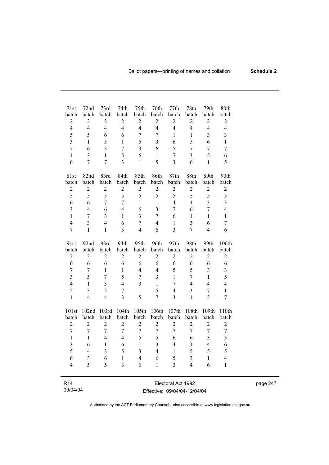| 71st                    | 72nd                         | 73rd                         | 74th                    | 75th                      | 76th                    | 77th                         | 78th                      | 79th                    | 80th                         |
|-------------------------|------------------------------|------------------------------|-------------------------|---------------------------|-------------------------|------------------------------|---------------------------|-------------------------|------------------------------|
| batch<br>$\sqrt{2}$     | batch                        | batch                        | batch<br>$\sqrt{2}$     | batch<br>$\boldsymbol{2}$ | batch<br>$\overline{2}$ | batch                        | batch<br>$\boldsymbol{2}$ | batch<br>$\overline{2}$ | batch                        |
| $\overline{4}$          | $\sqrt{2}$<br>$\overline{4}$ | $\sqrt{2}$<br>$\overline{4}$ | $\overline{4}$          | $\overline{4}$            | $\overline{4}$          | $\sqrt{2}$<br>$\overline{4}$ | $\overline{4}$            | $\overline{4}$          | $\sqrt{2}$<br>$\overline{4}$ |
|                         |                              |                              |                         |                           |                         |                              |                           |                         |                              |
| 5                       | 5                            | 6                            | 6                       | $\overline{7}$            | 7                       | 1                            | $\mathbf{1}$              | $\overline{\mathbf{3}}$ | 3                            |
| $\overline{3}$          | 1                            | 5                            | $\mathbf 1$             | 5                         | $\overline{\mathbf{3}}$ | 6                            | 5                         | 6                       | $\mathbf{1}$                 |
| $\overline{7}$          | 6                            | $\overline{\mathbf{3}}$      | $\overline{7}$          | $\overline{3}$            | 6                       | 5                            | $\overline{7}$            | $\overline{7}$          | $\overline{7}$               |
| $\mathbf{1}$            | $\overline{\mathbf{3}}$      | $\mathbf{1}$                 | 5                       | 6                         | $\mathbf{1}$            | $\overline{7}$               | $\overline{3}$            | 5                       | 6                            |
| 6                       | $\overline{7}$               | $\overline{7}$               | $\overline{3}$          | $\mathbf{1}$              | 5                       | $\overline{\mathbf{3}}$      | 6                         | $\mathbf{1}$            | 5                            |
| 81st                    | 82nd                         | 83rd                         | 84th                    | 85th                      | 86th                    | 87th                         | 88th                      | 89th                    | 90th                         |
| batch                   | batch                        | batch                        | batch                   | batch                     | batch                   | batch                        | batch                     | batch                   | batch                        |
| $\sqrt{2}$              | $\sqrt{2}$                   | $\mathbf{2}$                 | $\overline{c}$          | $\sqrt{2}$                | $\boldsymbol{2}$        | $\overline{c}$               | $\sqrt{2}$                | $\boldsymbol{2}$        | $\sqrt{2}$                   |
| 5                       | 5                            | 5                            | 5                       | 5                         | 5                       | 5                            | 5                         | 5                       | 5                            |
| 6                       | 6                            | $\overline{7}$               | $\overline{7}$          | $\mathbf{1}$              | $\mathbf{1}$            | $\overline{4}$               | $\overline{4}$            | $\overline{3}$          | $\overline{3}$               |
| $\overline{3}$          | $\overline{4}$               | 6                            | $\overline{4}$          | 6                         | $\overline{3}$          | $\overline{7}$               | 6                         | $\overline{7}$          | $\overline{4}$               |
| $\mathbf{1}$            | 7                            | $\overline{3}$               | $\mathbf{1}$            | $\overline{3}$            | $\overline{7}$          | 6                            | $\mathbf{1}$              | $\mathbf{1}$            | $\mathbf{1}$                 |
| $\overline{4}$          | $\overline{3}$               | $\overline{4}$               | 6                       | $\overline{7}$            | $\overline{4}$          | $\mathbf{1}$                 | $\overline{3}$            | 6                       | $\overline{7}$               |
| $\overline{7}$          | $\mathbf{1}$                 | $\mathbf{1}$                 | $\overline{3}$          | $\overline{4}$            | 6                       | $\overline{3}$               | $\overline{7}$            | $\overline{4}$          | 6                            |
| 91st                    | 92nd                         | 93rd                         | 94th                    | 95th                      | 96th                    | 97th                         | 98th                      | 99th                    | 100th                        |
| batch                   | batch                        | batch                        | batch                   | batch                     | batch                   | batch                        | batch                     | batch                   | batch                        |
| $\sqrt{2}$              | $\boldsymbol{2}$             | $\sqrt{2}$                   | $\overline{c}$          | $\overline{2}$            | $\overline{2}$          | $\overline{c}$               | $\overline{2}$            | $\overline{2}$          | $\sqrt{2}$                   |
| 6                       | 6                            | 6                            | 6                       | 6                         | 6                       | 6                            | 6                         | 6                       | 6                            |
| $\overline{7}$          | $\overline{7}$               | 1                            | $\mathbf{1}$            | $\overline{4}$            | $\overline{4}$          | 5                            | 5                         | $\overline{3}$          | $\overline{\mathbf{3}}$      |
| $\overline{3}$          | 5                            | $\overline{7}$               | 5                       | $\overline{7}$            | $\overline{3}$          | $\mathbf{1}$                 | $\overline{7}$            | $\mathbf{1}$            | 5                            |
| $\overline{4}$          | $\mathbf{1}$                 | $\overline{\mathbf{3}}$      | $\overline{4}$          | 3                         | $\mathbf{1}$            | $\overline{7}$               | $\overline{4}$            | $\overline{4}$          | $\overline{4}$               |
| 5                       | $\overline{3}$               | 5                            | $\overline{7}$          | $\mathbf{1}$              | 5                       | $\overline{4}$               | $\overline{3}$            | $\overline{7}$          | $\mathbf{1}$                 |
| $\mathbf{1}$            | $\overline{4}$               | $\overline{4}$               | $\overline{3}$          | 5                         | $\overline{7}$          | $\overline{3}$               | $\mathbf{1}$              | 5                       | $\overline{7}$               |
| 101st                   | 102nd                        | 103rd                        | 104th                   | 105th                     | 106th                   | 107th                        | 108th                     | 109th                   | 110th                        |
| batch                   | batch                        | batch                        | batch                   | batch                     | batch                   | batch                        | batch                     | batch                   | batch                        |
| $\overline{2}$          | $\overline{2}$               | $\overline{2}$               | $\overline{2}$          | $\overline{2}$            | $\overline{2}$          | $\overline{2}$               | $\overline{2}$            | $\overline{2}$          | $\overline{c}$               |
| $\overline{7}$          | $\overline{7}$               | 7                            | $\overline{7}$          | $\overline{7}$            | $\boldsymbol{7}$        | $\overline{7}$               | $\overline{7}$            | $\boldsymbol{7}$        | $\boldsymbol{7}$             |
| $\mathbf{1}$            | $\mathbf{1}$                 | $\overline{4}$               | $\overline{4}$          | 5                         | 5                       | 6                            | 6                         | 3                       | $\overline{\mathbf{3}}$      |
| $\overline{\mathbf{3}}$ | 6                            | $\mathbf{1}$                 | 6                       | $\mathbf{1}$              | $\overline{\mathbf{3}}$ | $\overline{4}$               | $\mathbf{1}$              | $\overline{\mathbf{4}}$ | 6                            |
| 5                       | $\overline{4}$               | $\overline{\mathbf{3}}$      | 5                       | $\overline{3}$            | $\overline{4}$          | $\mathbf{1}$                 | 5                         | 5                       | 5                            |
| 6                       | 3                            | 6                            | $\,1$                   | $\overline{4}$            | 6                       | 5                            | 3                         | $\mathbf{1}$            | $\overline{4}$               |
| $\overline{4}$          | 5                            | 5                            | $\overline{\mathbf{3}}$ | 6                         | $\mathbf{1}$            | $\overline{\mathbf{3}}$      | $\overline{4}$            | 6                       | $\mathbf{1}$                 |
|                         |                              |                              |                         |                           |                         |                              |                           |                         |                              |
| R <sub>14</sub>         |                              |                              |                         |                           |                         | Electoral Act 1992           |                           |                         |                              |

| 09/04/04 |  |
|----------|--|

Electoral Act 1992 Effective: 09/04/04-12/04/04 page 247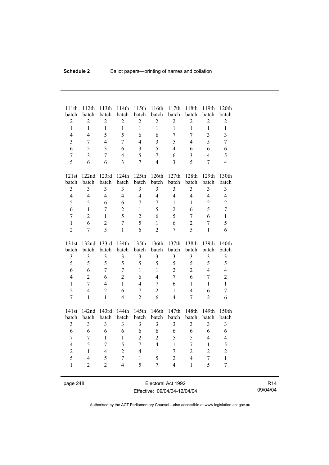| 111th<br>batch          | 112th<br>batch | 113th<br>batch          | 114th<br>batch | 115th<br>batch   | 116th<br>batch          | 117th<br>batch | 118th<br>batch          | 119th<br>batch | 120th<br>batch          |
|-------------------------|----------------|-------------------------|----------------|------------------|-------------------------|----------------|-------------------------|----------------|-------------------------|
| $\mathbf 2$             | $\overline{2}$ | $\overline{2}$          | $\overline{2}$ | $\boldsymbol{2}$ | $\overline{2}$          | $\overline{2}$ | $\boldsymbol{2}$        | $\overline{2}$ | $\overline{c}$          |
| $\mathbf{1}$            | $\mathbf{1}$   | $\mathbf{1}$            | $\mathbf{1}$   | $\mathbf{1}$     | $\mathbf{1}$            | $\mathbf{1}$   | $\mathbf{1}$            | $\mathbf{1}$   | $\mathbf{1}$            |
| $\overline{4}$          | $\overline{4}$ | 5                       | 5              | 6                | 6                       | $\overline{7}$ | $\overline{7}$          | $\overline{3}$ | $\overline{3}$          |
| $\overline{3}$          | $\overline{7}$ | $\overline{4}$          | 7              | $\overline{4}$   | $\overline{\mathbf{3}}$ | 5              | $\overline{4}$          | 5              | $\overline{7}$          |
| 6                       | 5              | $\overline{3}$          | 6              | 3                | 5                       | $\overline{4}$ | 6                       | 6              | 6                       |
| $\overline{7}$          | $\overline{3}$ | $\overline{7}$          | $\overline{4}$ | 5                | $\overline{7}$          | 6              | $\overline{3}$          | $\overline{4}$ | 5                       |
| 5                       | 6              | 6                       | $\overline{3}$ | $\overline{7}$   | $\overline{4}$          | $\overline{3}$ | 5                       | $\overline{7}$ | $\overline{4}$          |
| 121st                   | 122nd          | 123rd                   | 124th          | 125th            | 126th                   | 127th          | 128th                   | 129th          | 130th                   |
| batch                   | batch          | batch                   | batch          | batch            | batch                   | batch          | batch                   | batch          | batch                   |
| $\overline{3}$          | $\overline{3}$ | $\overline{3}$          | $\overline{3}$ | $\overline{3}$   | $\overline{3}$          | $\overline{3}$ | $\overline{3}$          | $\overline{3}$ | $\overline{\mathbf{3}}$ |
| $\overline{4}$          | $\overline{4}$ | $\overline{4}$          | $\overline{4}$ | $\overline{4}$   | $\overline{4}$          | $\overline{4}$ | $\overline{4}$          | $\overline{4}$ | $\overline{4}$          |
| 5                       | 5              | 6                       | 6              | $\overline{7}$   | $\overline{7}$          | $\mathbf{1}$   | $\mathbf{1}$            | $\overline{2}$ | $\overline{2}$          |
| 6                       | $\mathbf{1}$   | 7                       | $\overline{c}$ | $\mathbf{1}$     | 5                       | $\overline{2}$ | 6                       | 5              | $\overline{7}$          |
| $\overline{7}$          | $\overline{2}$ | $\mathbf{1}$            | 5              | $\overline{2}$   | 6                       | 5              | $\overline{7}$          | 6              | $\mathbf{1}$            |
| $\mathbf{1}$            | 6              | $\overline{2}$          | $\overline{7}$ | 5                | $\mathbf{1}$            | 6              | $\overline{2}$          | $\overline{7}$ | 5                       |
| $\overline{2}$          | $\overline{7}$ | 5                       | $\mathbf{1}$   | 6                | $\overline{2}$          | $\overline{7}$ | 5                       | $\mathbf{1}$   | 6                       |
|                         |                |                         |                |                  |                         |                |                         |                |                         |
| 131st                   | 132nd          | 133rd                   | 134th          | 135th            | 136th                   | 137th          | 138th                   | 139th          | 140th                   |
| batch                   | batch          | batch                   | batch          | batch            | batch                   | batch          | batch                   | batch          | batch                   |
| $\mathfrak{Z}$          | $\mathfrak{Z}$ | $\mathfrak{Z}$          | $\mathfrak{Z}$ | $\mathfrak{Z}$   | 3                       | 3              | $\overline{\mathbf{3}}$ | $\mathfrak{Z}$ | $\mathfrak{Z}$          |
| 5                       | 5              | 5                       | 5              | 5                | 5                       | 5              | 5                       | 5              | 5                       |
| 6                       | 6              | $\overline{7}$          | $\overline{7}$ | $\mathbf{1}$     | $\mathbf{1}$            | $\overline{c}$ | $\overline{2}$          | $\overline{4}$ | $\overline{4}$          |
| $\overline{4}$          | $\overline{2}$ | 6                       | $\overline{2}$ | 6                | $\overline{4}$          | $\overline{7}$ | 6                       | $\overline{7}$ | $\overline{2}$          |
| $\mathbf{1}$            | $\overline{7}$ | $\overline{4}$          | $\mathbf{1}$   | $\overline{4}$   | $\overline{7}$          | 6              | $\mathbf{1}$            | $\mathbf{1}$   | $\mathbf{1}$            |
| $\overline{2}$          | $\overline{4}$ | $\overline{2}$          | 6              | $\overline{7}$   | $\overline{2}$          | $\mathbf{1}$   | $\overline{4}$          | 6              | $\boldsymbol{7}$        |
| $\overline{7}$          | $\mathbf{1}$   | $\mathbf{1}$            | $\overline{4}$ | $\overline{2}$   | 6                       | $\overline{4}$ | $\overline{7}$          | $\overline{2}$ | 6                       |
| 141st                   | 142nd          | 143rd                   | 144th          | 145th            | 146th                   | 147th          | 148th                   | 149th          | 150th                   |
| batch                   | batch          | batch                   | batch          | batch            | batch                   | batch          | batch                   | batch          | batch                   |
| $\overline{\mathbf{3}}$ | $\overline{3}$ | $\overline{\mathbf{3}}$ | 3              | 3                | $\overline{\mathbf{3}}$ | $\overline{3}$ | 3                       | $\overline{3}$ | $\overline{3}$          |
| 6                       | 6              | 6                       | 6              | 6                | 6                       | 6              | 6                       | 6              | 6                       |
| $\overline{7}$          | 7              | 1                       | $\mathbf{1}$   | $\boldsymbol{2}$ | $\overline{2}$          | 5              | 5                       | $\overline{4}$ | $\overline{4}$          |
| $\overline{4}$          | 5              | $\overline{7}$          | 5              | $\overline{7}$   | $\overline{4}$          | $\mathbf{1}$   | $\overline{7}$          | $\mathbf{1}$   | 5                       |
| $\overline{2}$          | $\mathbf{1}$   | $\overline{4}$          | $\overline{c}$ | $\overline{4}$   | $\mathbf{1}$            | 7              | $\overline{2}$          | $\overline{2}$ | $\overline{c}$          |
| 5                       | $\overline{4}$ | 5                       | $\overline{7}$ | $\mathbf{1}$     | 5                       | $\overline{2}$ | $\overline{4}$          | $\overline{7}$ | $\mathbf{1}$            |
| $\mathbf{1}$            | $\overline{2}$ | $\overline{2}$          | $\overline{4}$ | 5                | 7                       | $\overline{4}$ | $\mathbf{1}$            | 5              | $\overline{7}$          |

page 248 Electoral Act 1992 Effective: 09/04/04-12/04/04

R14 09/04/04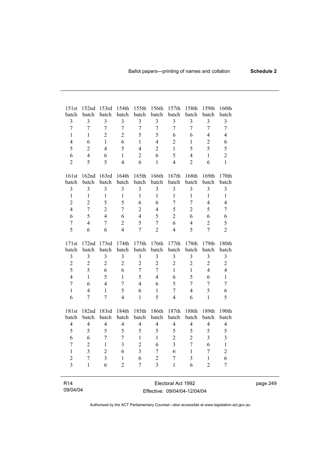| 151st                   | 152 <sub>nd</sub>       | 153rd                            | 154th                   | 155th          | 156th                   | 157th                   | 158th                   | 159th                            | 160th                   |
|-------------------------|-------------------------|----------------------------------|-------------------------|----------------|-------------------------|-------------------------|-------------------------|----------------------------------|-------------------------|
| batch<br>$\overline{3}$ | batch<br>3              | batch                            | batch<br>$\overline{3}$ | batch<br>3     | batch                   | batch<br>$\overline{3}$ | batch<br>3              | batch                            | batch<br>3              |
| $\overline{7}$          | $\overline{7}$          | $\mathfrak{Z}$<br>$\overline{7}$ | $\overline{7}$          | $\overline{7}$ | 3<br>$\overline{7}$     | $\overline{7}$          | $\overline{7}$          | $\mathfrak{Z}$<br>$\overline{7}$ | $\overline{7}$          |
| $\mathbf{1}$            | $\mathbf{1}$            | $\overline{2}$                   | $\overline{2}$          | 5              | 5                       | 6                       | 6                       | $\overline{\mathcal{A}}$         | $\overline{4}$          |
| 4                       | 6                       | $\mathbf{1}$                     | 6                       | $\mathbf{1}$   | $\overline{4}$          | $\overline{2}$          | $\mathbf{1}$            | $\overline{c}$                   | 6                       |
| 5                       | $\overline{2}$          | $\overline{4}$                   | 5                       | $\overline{4}$ | $\overline{2}$          | $\mathbf{1}$            | 5                       | 5                                | 5                       |
| 6                       | $\overline{4}$          | 6                                | $\mathbf{1}$            | $\overline{2}$ | 6                       | 5                       | $\overline{4}$          | $\mathbf{1}$                     | $\overline{2}$          |
| $\overline{2}$          | 5                       | 5                                | $\overline{4}$          | 6              | $\mathbf{1}$            | $\overline{4}$          | $\overline{2}$          | 6                                | $\mathbf{1}$            |
|                         |                         |                                  |                         |                |                         |                         |                         |                                  |                         |
| 161st                   | 162nd                   | 163rd                            | 164th                   | 165th          | 166th                   | 167th                   | 168th                   | 169th                            | 170th                   |
| batch                   | batch                   | batch                            | batch                   | batch          | batch                   | batch                   | batch                   | batch                            | batch                   |
| $\overline{3}$          | 3                       | $\overline{\mathbf{3}}$          | $\overline{\mathbf{3}}$ | 3              | $\overline{\mathbf{3}}$ | $\overline{\mathbf{3}}$ | $\overline{3}$          | $\overline{3}$                   | $\overline{\mathbf{3}}$ |
| $\mathbf{1}$            | $\mathbf{1}$            | $\mathbf{1}$                     | $\mathbf{1}$            | $\mathbf{1}$   | $\mathbf{1}$            | $\mathbf{1}$            | $\mathbf{1}$            | $\mathbf{1}$                     | $\mathbf{1}$            |
| $\overline{2}$          | $\overline{2}$          | 5                                | 5                       | 6              | 6                       | $\overline{7}$          | $\overline{7}$          | 4                                | $\overline{4}$          |
| $\overline{4}$          | $\overline{7}$          | $\overline{2}$                   | $\overline{7}$          | $\overline{2}$ | $\overline{4}$          | 5                       | $\overline{2}$          | 5                                | $\overline{7}$          |
| 6                       | 5                       | $\overline{4}$                   | 6                       | $\overline{4}$ | 5                       | $\overline{2}$          | 6                       | 6                                | 6                       |
| $\overline{7}$          | $\overline{4}$          | $\overline{7}$                   | $\overline{2}$          | 5              | $\overline{7}$          | 6                       | $\overline{4}$          | $\overline{2}$                   | 5                       |
| 5                       | 6                       | 6                                | $\overline{4}$          | $\overline{7}$ | $\overline{2}$          | $\overline{4}$          | 5                       | $\overline{7}$                   | $\overline{2}$          |
| 171st                   | 172nd                   | 173rd                            | 174th                   | 175th          | 176th                   | 177th                   | 178th                   | 179th                            | 180th                   |
| batch                   | batch                   | batch                            | batch                   | batch          | batch                   | batch                   | batch                   | batch                            | batch                   |
| $\mathfrak{Z}$          | $\mathfrak{Z}$          | $\overline{\mathbf{3}}$          | $\overline{\mathbf{3}}$ | $\overline{3}$ | $\overline{\mathbf{3}}$ | $\overline{3}$          | $\overline{\mathbf{3}}$ | $\overline{\mathbf{3}}$          | $\overline{\mathbf{3}}$ |
| $\overline{c}$          | $\overline{2}$          | $\overline{2}$                   | $\overline{2}$          | $\overline{2}$ | $\overline{2}$          | $\overline{2}$          | $\overline{2}$          | $\overline{2}$                   | $\overline{c}$          |
| 5                       | 5                       | 6                                | 6                       | $\overline{7}$ | $\overline{7}$          | 1                       | $\mathbf{1}$            | $\overline{4}$                   | $\overline{4}$          |
| $\overline{4}$          | $\mathbf{1}$            | 5                                | $\mathbf{1}$            | 5              | $\overline{4}$          | 6                       | 5                       | 6                                | $\mathbf{1}$            |
| $\overline{7}$          | 6                       | $\overline{4}$                   | $\overline{7}$          | $\overline{4}$ | 6                       | 5                       | $\overline{7}$          | $\overline{7}$                   | $\overline{7}$          |
| $\mathbf{1}$            | $\overline{4}$          | $\mathbf{1}$                     | 5                       | 6              | $\mathbf{1}$            | $\overline{7}$          | $\overline{4}$          | 5                                | 6                       |
| 6                       | 7                       | $\overline{7}$                   | $\overline{4}$          | $\mathbf{1}$   | 5                       | $\overline{4}$          | 6                       | $\mathbf{1}$                     | 5                       |
| 181st                   | 182nd                   | 183rd                            | 184th                   | 185th          | 186th                   | 187th                   | 188th                   | 189th                            | 190th                   |
| batch                   | batch                   | batch                            | batch                   | batch          | batch                   | batch                   | batch                   | batch                            | batch                   |
| $\overline{4}$          | $\overline{4}$          | $\overline{4}$                   | $\overline{4}$          | $\overline{4}$ | $\overline{4}$          | $\overline{4}$          | $\overline{4}$          | $\overline{4}$                   | $\overline{4}$          |
| 5                       | 5                       | 5                                | 5                       | 5              | 5                       | 5                       | 5                       | 5                                | 5                       |
| 6                       | 6                       | $\overline{7}$                   | $\overline{7}$          | $\mathbf{1}$   | $\mathbf{1}$            | $\overline{2}$          | $\overline{2}$          | $\overline{3}$                   | $\overline{\mathbf{3}}$ |
| $\overline{7}$          | $\overline{2}$          | $\mathbf{1}$                     | $\overline{3}$          | $\overline{2}$ | 6                       | $\overline{3}$          | $\overline{7}$          | 6                                | $\,1$                   |
| 1                       | $\overline{\mathbf{3}}$ | $\overline{c}$                   | 6                       | $\overline{3}$ | 7                       | 6                       | 1                       | $\overline{7}$                   | $\overline{c}$          |
| $\overline{2}$          | $\overline{7}$          | $\overline{\mathbf{3}}$          | $\mathbf{1}$            | 6              | $\overline{2}$          | $\overline{7}$          | 3                       | $\mathbf{1}$                     | 6                       |
| $\overline{3}$          | $\mathbf{1}$            | 6                                | $\overline{2}$          | 7              | $\overline{3}$          | $\mathbf{1}$            | 6                       | $\overline{2}$                   | $\overline{7}$          |
|                         |                         |                                  |                         |                |                         |                         |                         |                                  |                         |
| R <sub>14</sub>         |                         |                                  |                         |                |                         | Electoral Act 1992      |                         |                                  |                         |

09/04/04

 $\overline{\phantom{a}}$ 

Effective: 09/04/04-12/04/04

page 249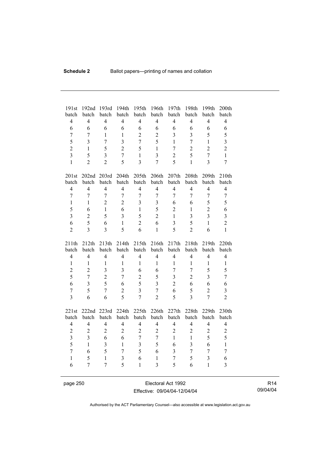| 191st                   | 192nd          | 193rd                   | 194th            | 195th                   | 196th                   | 197th                   | 198th            | 199th                   | 200th                   |
|-------------------------|----------------|-------------------------|------------------|-------------------------|-------------------------|-------------------------|------------------|-------------------------|-------------------------|
| batch                   | batch          | batch                   | batch            | batch                   | batch                   | batch                   | batch            | batch                   | batch                   |
| $\overline{4}$          | $\overline{4}$ | $\overline{4}$          | $\overline{4}$   | $\overline{4}$          | $\overline{4}$          | $\overline{4}$          | $\overline{4}$   | $\overline{4}$          | $\overline{4}$          |
| 6                       | 6              | 6                       | 6                | 6                       | 6                       | 6                       | 6                | 6                       | 6                       |
| $\tau$                  | 7              | $\mathbf{1}$            | $\mathbf{1}$     | $\overline{2}$          | $\overline{2}$          | $\overline{3}$          | $\overline{3}$   | 5                       | 5                       |
| 5                       | 3              | $\overline{7}$          | $\overline{3}$   | $\overline{7}$          | 5                       | $\mathbf{1}$            | $\overline{7}$   | $\mathbf{1}$            | $\overline{\mathbf{3}}$ |
| $\overline{2}$          | $\mathbf{1}$   | 5                       | $\overline{2}$   | 5                       | $\mathbf{1}$            | $\overline{7}$          | $\overline{2}$   | $\overline{2}$          | $\overline{2}$          |
| $\overline{3}$          | 5              | $\overline{\mathbf{3}}$ | $\boldsymbol{7}$ | $\mathbf{1}$            | $\overline{\mathbf{3}}$ | $\overline{2}$          | 5                | $\overline{7}$          | $\mathbf{1}$            |
| $\mathbf{1}$            | $\overline{2}$ | $\overline{2}$          | 5                | $\overline{3}$          | $\overline{7}$          | $\overline{5}$          | $\mathbf{1}$     | $\overline{3}$          | $\overline{7}$          |
|                         |                |                         |                  |                         |                         |                         |                  |                         |                         |
| 201st                   | 202nd 203rd    |                         | 204th            | 205th                   | 206th                   | 207th                   | 208th            | 209th                   | 210th                   |
| batch                   | batch          | batch                   | batch            | batch                   | batch                   | batch                   | batch            | batch                   | batch                   |
| $\overline{4}$          | $\overline{4}$ | $\overline{4}$          | $\overline{4}$   | $\overline{4}$          | $\overline{4}$          | $\overline{4}$          | $\overline{4}$   | $\overline{4}$          | $\overline{4}$          |
| $\tau$                  | $\overline{7}$ | $\overline{7}$          | $\overline{7}$   | $\overline{7}$          | $\overline{7}$          | $\overline{7}$          | $\overline{7}$   | $\overline{7}$          | $\tau$                  |
| $\mathbf{1}$            | $\mathbf{1}$   | $\overline{2}$          | $\overline{2}$   | $\overline{3}$          | 3                       | 6                       | 6                | 5                       | 5                       |
| 5                       | 6              | $\mathbf{1}$            | 6                | $\mathbf{1}$            | 5                       | $\overline{2}$          | $\mathbf{1}$     | $\overline{2}$          | 6                       |
| $\overline{3}$          | $\overline{2}$ | 5                       | $\overline{3}$   | 5                       | $\overline{2}$          | $\mathbf{1}$            | $\overline{3}$   | $\overline{3}$          | $\overline{\mathbf{3}}$ |
| 6                       | 5              | 6                       | $\mathbf{1}$     | $\overline{2}$          | 6                       | $\overline{\mathbf{3}}$ | 5                | $\mathbf{1}$            | $\overline{c}$          |
| $\overline{2}$          | $\overline{3}$ | $\overline{\mathbf{3}}$ | 5                | 6                       | $\mathbf{1}$            | 5                       | $\overline{2}$   | 6                       | $\mathbf{1}$            |
|                         |                |                         |                  |                         |                         |                         |                  |                         |                         |
|                         |                |                         |                  |                         |                         |                         |                  |                         |                         |
| 211th                   | 212th          | 213th                   | 214th            | 215th                   | 216th                   | 217th                   | 218th            | 219th                   | 220th                   |
| batch                   | batch          | batch                   | batch            | batch                   | batch                   | batch                   | batch            | batch                   | batch                   |
| $\overline{4}$          | $\overline{4}$ | $\overline{4}$          | $\overline{4}$   | $\overline{4}$          | $\overline{4}$          | $\overline{4}$          | $\overline{4}$   | $\overline{4}$          | $\overline{4}$          |
| $\mathbf{1}$            | $\mathbf{1}$   | $\mathbf{1}$            | $\mathbf{1}$     | $\mathbf{1}$            | 1                       | $\mathbf{1}$            | $\mathbf{1}$     | $\mathbf{1}$            | $\mathbf{1}$            |
| $\overline{c}$          | $\overline{2}$ | $\overline{3}$          | $\overline{3}$   | 6                       | 6                       | $\overline{7}$          | $\overline{7}$   | 5                       | 5                       |
| 5                       | $\overline{7}$ | $\overline{c}$          | $\overline{7}$   | $\overline{2}$          | 5                       | $\overline{\mathbf{3}}$ | $\overline{2}$   | $\overline{\mathbf{3}}$ | $\overline{7}$          |
| 6                       | 3              | 5                       | 6                | 5                       | 3                       | $\overline{2}$          | 6                | 6                       | 6                       |
| $\boldsymbol{7}$        | 5              | $\overline{7}$          | $\overline{c}$   | $\overline{3}$          | $\overline{7}$          | 6                       | 5                | $\overline{2}$          | $\mathfrak{Z}$          |
| $\overline{3}$          | 6              | 6                       | 5                | $\overline{7}$          | $\overline{2}$          | 5                       | $\overline{3}$   | $\overline{7}$          | $\overline{2}$          |
|                         |                |                         |                  |                         |                         |                         |                  |                         |                         |
| 221st                   | 222nd          | 223rd                   | 224th            | 225th                   | 226th                   | 227th                   | 228th            | 229th                   | 230th                   |
| batch                   | batch          | batch                   | batch            | batch                   | batch                   | batch                   | batch            | batch                   | batch                   |
| $\overline{4}$          | $\overline{4}$ | $\overline{4}$          | $\overline{4}$   | $\overline{4}$          | $\overline{4}$          | $\overline{4}$          | $\overline{4}$   | $\overline{4}$          | $\overline{4}$          |
| $\overline{c}$          | $\mathbf{2}$   | $\overline{2}$          | $\overline{2}$   | $\overline{2}$          | $\overline{2}$          | $\overline{c}$          | $\overline{2}$   | $\overline{2}$          | $\overline{2}$          |
| $\overline{\mathbf{3}}$ | $\overline{3}$ | 6                       | 6                | $\overline{7}$          | $\overline{7}$          | $\mathbf{1}$            | $\mathbf{1}$     | 5                       | 5                       |
| 5                       | $\mathbf{1}$   | $\overline{3}$          | $\mathbf{1}$     | $\overline{\mathbf{3}}$ | 5                       | 6                       | 3                | 6                       | $\mathbf{1}$            |
| $\overline{7}$          | 6              | 5                       | $\boldsymbol{7}$ | 5                       | 6                       | $\mathfrak{Z}$          | $\boldsymbol{7}$ | $\boldsymbol{7}$        | $\overline{7}$          |
| $\mathbf{1}$            | 5              | $\mathbf{1}$            | $\overline{3}$   | 6                       | $\mathbf{1}$            | $\overline{7}$          | 5                | $\overline{\mathbf{3}}$ | $\sqrt{6}$              |
| 6                       | 7              | $\overline{7}$          | 5                | $\mathbf{1}$            | $\overline{3}$          | 5                       | 6                | $\mathbf{1}$            | 3                       |

page 250 **Electoral Act 1992** Effective: 09/04/04-12/04/04

R14 09/04/04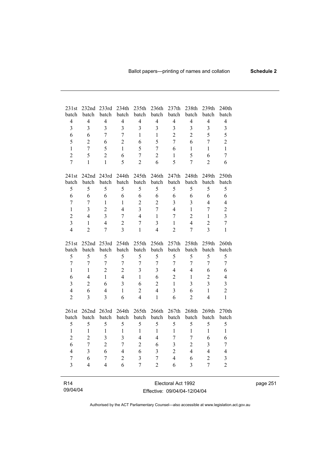| 231st<br>batch          | 232nd<br>batch | 233rd<br>batch          | 234th<br>batch | 235th<br>batch | 236th<br>batch          | 237th<br>batch          | 238th<br>batch | 239th<br>batch          | 240th<br>batch          |
|-------------------------|----------------|-------------------------|----------------|----------------|-------------------------|-------------------------|----------------|-------------------------|-------------------------|
| $\overline{4}$          | $\overline{4}$ | $\overline{4}$          | $\overline{4}$ | $\overline{4}$ | $\overline{4}$          | $\overline{4}$          | $\overline{4}$ | $\overline{4}$          | $\overline{4}$          |
| $\overline{3}$          | 3              | $\overline{3}$          | 3              | $\overline{3}$ | 3                       | $\overline{3}$          | $\overline{3}$ | $\overline{\mathbf{3}}$ | $\overline{\mathbf{3}}$ |
| 6                       | 6              | $\overline{7}$          | $\overline{7}$ | $\mathbf{1}$   | $\mathbf{1}$            | $\overline{2}$          | $\overline{2}$ | 5                       | 5                       |
| 5                       | $\overline{2}$ | 6                       | $\overline{2}$ | 6              | 5                       | $\overline{7}$          | 6              | $\overline{7}$          | $\overline{2}$          |
| $\mathbf{1}$            | $\overline{7}$ | 5                       | 1              | 5              | $\overline{7}$          | 6                       | 1              | $\mathbf{1}$            | $\mathbf{1}$            |
| $\overline{2}$          | 5              | $\overline{2}$          | 6              | $\overline{7}$ | $\overline{2}$          | $\mathbf{1}$            | 5              | 6                       | $\overline{7}$          |
| $\overline{7}$          | $\mathbf{1}$   | $\mathbf{1}$            | 5              | $\overline{2}$ | 6                       | 5                       | $\overline{7}$ | $\overline{2}$          | 6                       |
|                         |                |                         |                |                |                         |                         |                |                         |                         |
| 241st                   | 242nd 243rd    |                         | 244th          | 245th          | 246th                   | 247th<br>batch          | 248th<br>batch | 249th                   | 250th                   |
| batch                   | batch          | batch                   | batch          | batch          | batch                   |                         |                | batch                   | batch                   |
| 5                       | 5              | 5                       | 5              | 5              | 5                       | 5                       | 5              | 5                       | 5                       |
| 6                       | 6              | 6                       | 6              | 6              | 6                       | 6                       | 6              | 6                       | 6                       |
| $\overline{7}$          | $\overline{7}$ | $\mathbf{1}$            | $\mathbf{1}$   | $\overline{2}$ | $\overline{2}$          | $\overline{\mathbf{3}}$ | $\overline{3}$ | $\overline{4}$          | $\overline{4}$          |
| $\mathbf{1}$            | 3              | $\overline{2}$          | $\overline{4}$ | $\overline{3}$ | $\overline{7}$          | $\overline{4}$          | $\mathbf{1}$   | $\overline{7}$          | $\overline{c}$          |
| $\overline{2}$          | 4              | $\overline{\mathbf{3}}$ | $\overline{7}$ | $\overline{4}$ | $\mathbf{1}$            | $\overline{7}$          | $\overline{2}$ | $\mathbf{1}$            | $\overline{\mathbf{3}}$ |
| $\overline{\mathbf{3}}$ | $\mathbf{1}$   | $\overline{4}$          | $\overline{c}$ | $\overline{7}$ | $\overline{\mathbf{3}}$ | $\mathbf{1}$            | $\overline{4}$ | $\overline{2}$          | $\overline{7}$          |
| $\overline{4}$          | $\overline{2}$ | $\overline{7}$          | 3              | $\mathbf{1}$   | $\overline{4}$          | $\overline{2}$          | $\overline{7}$ | $\overline{3}$          | $\mathbf{1}$            |
| 251st                   | 252nd 253rd    |                         | 254th          | 255th          | 256th                   | 257th                   | 258th          | 259th                   | 260th                   |
| batch                   | batch          | batch                   | batch          | batch          | batch                   | batch                   | batch          | batch                   | batch                   |
| 5                       | 5              | 5                       | 5              | 5              | 5                       | 5                       | 5              | 5                       | 5                       |
| $\overline{7}$          | $\overline{7}$ | $\tau$                  | $\tau$         | $\overline{7}$ | $\overline{7}$          | $\tau$                  | $\overline{7}$ | $\overline{7}$          | $\overline{7}$          |
| $\mathbf{1}$            | $\mathbf{1}$   | $\overline{2}$          | $\overline{2}$ | $\overline{3}$ | 3                       | $\overline{4}$          | $\overline{4}$ | 6                       | 6                       |
| 6                       | $\overline{4}$ | $\mathbf{1}$            | $\overline{4}$ | $\mathbf{1}$   | 6                       | $\overline{2}$          | $\mathbf{1}$   | $\overline{2}$          | $\overline{4}$          |
| $\overline{\mathbf{3}}$ | $\overline{2}$ | 6                       | $\overline{3}$ | 6              | $\overline{2}$          | $\mathbf{1}$            | $\overline{3}$ | $\overline{3}$          | $\overline{\mathbf{3}}$ |
| $\overline{4}$          | 6              | $\overline{4}$          | $\mathbf{1}$   | $\overline{2}$ | $\overline{4}$          | $\overline{\mathbf{3}}$ | 6              | $\mathbf{1}$            | $\overline{2}$          |
| $\overline{2}$          | 3              | $\overline{3}$          | 6              | $\overline{4}$ | $\mathbf{1}$            | 6                       | $\overline{2}$ | $\overline{4}$          | $\mathbf{1}$            |
| 261st                   | 262nd 263rd    |                         | 264th          | 265th          | 266th                   | 267th                   | 268th          | 269th                   | 270th                   |
| batch                   | batch          | batch                   | batch          | batch          | batch                   | batch                   | batch          | batch                   | batch                   |
| 5                       | 5              | 5                       | 5              | 5              | 5                       | 5                       | 5              | 5                       | 5                       |
| $\mathbf{1}$            | $\mathbf{1}$   | $\mathbf{1}$            | $\mathbf{1}$   | $\mathbf{1}$   | $\mathbf{1}$            | $\mathbf{1}$            | $\mathbf{1}$   | $\mathbf{1}$            | $\mathbf{1}$            |
| $\overline{c}$          | $\overline{2}$ | 3                       | $\overline{3}$ | $\overline{4}$ | $\overline{4}$          | $\overline{7}$          | $\overline{7}$ | 6                       | 6                       |
| 6                       | $\overline{7}$ | $\overline{2}$          | $\overline{7}$ | $\overline{2}$ | 6                       | $\overline{3}$          | $\overline{2}$ | 3                       |                         |
| $\overline{4}$          | $\overline{3}$ | 6                       | $\overline{4}$ |                | $\overline{3}$          |                         | $\overline{4}$ | $\overline{4}$          | 7                       |
|                         |                |                         |                | 6              |                         | $\overline{2}$          |                |                         | $\overline{4}$          |
| $\overline{7}$          | 6              | $\overline{7}$          | $\overline{c}$ | $\overline{3}$ | $\overline{7}$          | $\overline{4}$          | 6              | $\overline{c}$          | $\overline{\mathbf{3}}$ |
| $\overline{3}$          | 4              | $\overline{4}$          | 6              | $\overline{7}$ | $\overline{2}$          | 6                       | $\overline{3}$ | $\overline{7}$          | $\overline{2}$          |
|                         |                |                         |                |                |                         |                         |                |                         |                         |

| R <sub>14</sub> |  |
|-----------------|--|
| 09/04/04        |  |

÷,

Electoral Act 1992 Effective: 09/04/04-12/04/04 page 251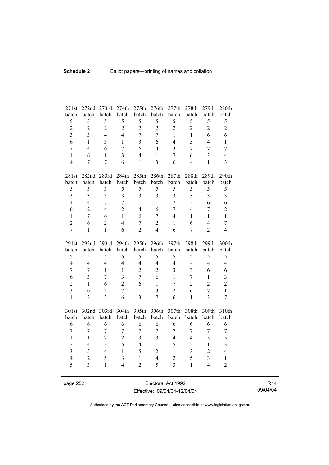| 271st<br>batch                 | 272nd<br>batch    | 273rd<br>batch          | 274th<br>batch | 275th<br>batch   | 276th<br>batch          | 277th<br>batch          | 278th<br>batch | 279th<br>batch | 280th<br>batch          |
|--------------------------------|-------------------|-------------------------|----------------|------------------|-------------------------|-------------------------|----------------|----------------|-------------------------|
| 5                              | 5                 | 5                       | 5              | 5                | 5                       | 5                       | 5              | 5              | 5                       |
| $\overline{c}$                 | $\overline{2}$    | $\overline{c}$          | $\overline{2}$ | $\overline{c}$   | $\overline{2}$          | $\overline{2}$          | $\overline{2}$ | $\overline{2}$ | $\overline{2}$          |
| $\overline{\mathbf{3}}$        | $\overline{3}$    | $\overline{4}$          | $\overline{4}$ | $\overline{7}$   | $\overline{7}$          | $\mathbf{1}$            | $\mathbf{1}$   | 6              | 6                       |
| 6                              | $\mathbf{1}$      | $\overline{3}$          | $\mathbf{1}$   | $\overline{3}$   | 6                       | $\overline{4}$          | $\overline{3}$ | $\overline{4}$ | $\mathbf{1}$            |
| $\overline{7}$                 | $\overline{4}$    | 6                       | $\overline{7}$ | 6                |                         | $\overline{3}$          | $\overline{7}$ | $\overline{7}$ |                         |
|                                |                   |                         |                | $\overline{4}$   | $\overline{4}$          |                         |                |                | $\overline{7}$          |
| $\mathbf{1}$<br>$\overline{4}$ | 6                 | $\mathbf{1}$            | $\overline{3}$ |                  | $\mathbf{1}$            | $\overline{7}$          | 6              | $\overline{3}$ | $\overline{4}$          |
|                                | $\overline{7}$    | $\overline{7}$          | 6              | $\mathbf{1}$     | 3                       | 6                       | $\overline{4}$ | $\mathbf{1}$   | 3                       |
| 281st                          |                   | 282nd 283rd             | 284th          | 285th            | 286th                   | 287th                   | 288th          | 289th          | 290th                   |
| batch                          | batch             | batch                   | batch          | batch            | batch                   | batch                   | batch          | batch          | batch                   |
| 5                              | 5                 | 5                       | 5              | 5                | 5                       | 5                       | 5              | 5              | 5                       |
| $\overline{3}$                 | $\overline{3}$    | $\overline{3}$          | $\overline{3}$ | $\overline{3}$   | $\overline{3}$          | $\overline{3}$          | 3              | $\overline{3}$ | $\overline{\mathbf{3}}$ |
| $\overline{4}$                 | $\overline{4}$    | $\overline{7}$          | $\overline{7}$ | $\mathbf{1}$     | $\mathbf{1}$            | $\overline{2}$          | $\overline{2}$ | 6              | 6                       |
| 6                              | $\overline{2}$    | $\overline{4}$          | $\overline{2}$ | $\overline{4}$   | 6                       | $\overline{7}$          | $\overline{4}$ | $\overline{7}$ | $\overline{c}$          |
| $\mathbf{1}$                   | $\overline{7}$    | 6                       | $\mathbf{1}$   | 6                | $\overline{7}$          | $\overline{4}$          | $\mathbf{1}$   | $\mathbf{1}$   | $\mathbf{1}$            |
| $\overline{2}$                 | 6                 | $\overline{c}$          | $\overline{4}$ | $\overline{7}$   | $\overline{c}$          | $\mathbf{1}$            | 6              | $\overline{4}$ | $\overline{7}$          |
| $\overline{7}$                 | $\mathbf{1}$      | $\mathbf{1}$            | 6              | $\overline{2}$   | $\overline{4}$          | 6                       | $\overline{7}$ | $\overline{2}$ | 4                       |
|                                |                   |                         |                |                  |                         |                         |                |                |                         |
|                                |                   |                         |                |                  |                         |                         |                |                |                         |
| 291st                          | 292 <sub>nd</sub> | 293rd                   | 294th          | 295th            | 296th                   | 297th                   | 298th          | 299th          | 300th                   |
| batch                          | batch             | batch                   | batch          | batch            | batch                   | batch                   | batch          | batch          | batch                   |
| 5                              | 5                 | 5                       | 5              | 5                | 5                       | 5                       | 5              | 5              | 5                       |
| $\overline{4}$                 | $\overline{4}$    | $\overline{4}$          | $\overline{4}$ | $\overline{4}$   | $\overline{4}$          | $\overline{4}$          | $\overline{4}$ | $\overline{4}$ | $\overline{4}$          |
| $\overline{7}$                 | 7                 | $\mathbf{1}$            | $\mathbf{1}$   | $\overline{2}$   | $\overline{2}$          | $\overline{\mathbf{3}}$ | 3              | 6              | 6                       |
| 6                              | $\overline{3}$    | $\overline{7}$          | $\overline{3}$ | $\overline{7}$   | 6                       | $\mathbf{1}$            | $\overline{7}$ | $\mathbf{1}$   | $\overline{\mathbf{3}}$ |
| $\overline{2}$                 | $\mathbf{1}$      | 6                       | $\overline{2}$ | 6                | $\mathbf{1}$            | 7                       | $\overline{2}$ | $\overline{2}$ | $\overline{2}$          |
| $\overline{3}$                 | 6                 | $\overline{\mathbf{3}}$ | $\overline{7}$ | $\mathbf{1}$     | $\overline{\mathbf{3}}$ | $\overline{2}$          | 6              | $\overline{7}$ | $\mathbf{1}$            |
| $\mathbf{1}$                   | $\overline{2}$    | $\overline{2}$          | 6              | $\overline{3}$   | $\overline{7}$          | 6                       | $\mathbf{1}$   | $\overline{3}$ | $\boldsymbol{7}$        |
|                                |                   |                         |                |                  |                         |                         |                |                |                         |
| 301st                          | 302nd 303rd       |                         | 304th          | 305th            | 306th                   | 307th                   | 308th          | 309th          | 310th                   |
| batch                          | batch             | batch                   | batch          | batch            | batch                   | batch                   | batch          | batch          | batch                   |
| 6                              | 6                 | 6                       | 6              | 6                | 6                       | 6                       | 6              | 6              | 6                       |
| $\boldsymbol{7}$               | $\tau$            | $\overline{7}$          | $\tau$         | $\boldsymbol{7}$ | $\boldsymbol{7}$        | 7                       | $\overline{7}$ | $\tau$         | $\tau$                  |
| $\mathbf{1}$                   | $\mathbf{1}$      | $\overline{2}$          | $\overline{2}$ | 3                | 3                       | $\overline{4}$          | $\overline{4}$ | 5              | 5                       |
| $\overline{2}$                 | $\overline{4}$    | $\overline{3}$          | 5              | $\overline{4}$   | $\mathbf{1}$            | 5                       | $\overline{2}$ | $\mathbf{1}$   | $\overline{\mathbf{3}}$ |
| $\overline{\mathbf{3}}$        | 5                 | $\overline{4}$          | $\mathbf{1}$   | 5                | $\overline{2}$          | $\mathbf{1}$            | $\overline{3}$ | $\overline{2}$ | $\overline{4}$          |
| $\overline{4}$                 | $\overline{2}$    | 5                       | $\overline{3}$ | $\mathbf{1}$     | $\overline{\mathbf{4}}$ | $\overline{c}$          | 5              | 3              | $\mathbf{1}$            |
| 5                              | $\overline{3}$    | $\mathbf{1}$            | $\overline{4}$ | $\overline{2}$   | 5                       | $\overline{3}$          | $\mathbf{1}$   | $\overline{4}$ | $\overline{2}$          |

page 252 Electoral Act 1992 Effective: 09/04/04-12/04/04

R14 09/04/04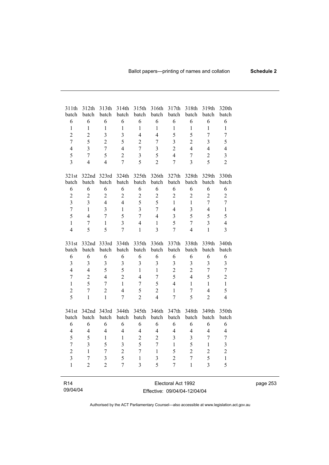| 311th<br>batch  | 312th<br>batch | 313th<br>batch          | 314th<br>batch          | 315th<br>batch           | 316th<br>batch | 317th<br>batch          | 318th<br>batch           | 319th<br>batch | 320th<br>batch          |
|-----------------|----------------|-------------------------|-------------------------|--------------------------|----------------|-------------------------|--------------------------|----------------|-------------------------|
| 6               | 6              | 6                       | 6                       | 6                        | 6              | 6                       | 6                        | 6              | 6                       |
| $\mathbf{1}$    | $\mathbf{1}$   | $\mathbf{1}$            | $\mathbf{1}$            | $\mathbf{1}$             | $\mathbf{1}$   | $\,1$                   | $\mathbf{1}$             | $\mathbf{1}$   | $\mathbf{1}$            |
| $\overline{2}$  | $\overline{2}$ | $\overline{\mathbf{3}}$ | 3                       | $\overline{4}$           | $\overline{4}$ | 5                       | 5                        | $\overline{7}$ | $\overline{7}$          |
| $\overline{7}$  | 5              | $\overline{2}$          | 5                       | $\overline{2}$           | $\overline{7}$ | $\overline{\mathbf{3}}$ | $\overline{2}$           | $\overline{3}$ | 5                       |
| $\overline{4}$  | $\overline{3}$ | $\overline{7}$          | $\overline{4}$          | $\overline{7}$           | 3              | $\overline{2}$          | $\overline{4}$           | $\overline{4}$ | $\overline{4}$          |
| 5               | $\overline{7}$ | 5                       | $\overline{2}$          | $\overline{3}$           | 5              | $\overline{4}$          | $\overline{7}$           | $\overline{2}$ | $\overline{3}$          |
| $\overline{3}$  | $\overline{4}$ | $\overline{4}$          | $\overline{7}$          | 5                        | $\overline{2}$ | $\overline{7}$          | $\overline{3}$           | 5              | $\overline{2}$          |
| 321st           | 322nd          | 323rd                   | 324th                   | 325th                    | 326th          | 327th                   | 328th                    | 329th          | 330th                   |
| batch           | batch          | batch                   | batch                   | batch                    | batch          | batch                   | batch                    | batch          | batch                   |
| 6               | 6              | 6                       | 6                       | 6                        | 6              | 6                       | 6                        | 6              | $\sqrt{6}$              |
| $\overline{2}$  | $\overline{2}$ | $\overline{2}$          | $\overline{2}$          | $\overline{c}$           | $\overline{2}$ | $\overline{2}$          | $\overline{2}$           | $\overline{2}$ | $\overline{2}$          |
| $\overline{3}$  | $\overline{3}$ | $\overline{4}$          | $\overline{4}$          | 5                        | 5              | $\mathbf{1}$            | $\mathbf{1}$             | $\overline{7}$ | $\overline{7}$          |
| $\overline{7}$  | $\mathbf{1}$   | 3                       | $\mathbf{1}$            | $\overline{3}$           | $\overline{7}$ | $\overline{4}$          | $\overline{3}$           | $\overline{4}$ | $\mathbf{1}$            |
| 5               | $\overline{4}$ | $\overline{7}$          | 5                       | $\overline{7}$           | $\overline{4}$ | $\overline{\mathbf{3}}$ | 5                        | 5              | 5                       |
| $\mathbf{1}$    | $\overline{7}$ | $\mathbf{1}$            | $\overline{3}$          | $\overline{4}$           | $\mathbf{1}$   | 5                       | $\overline{7}$           | $\overline{3}$ | $\overline{4}$          |
| $\overline{4}$  | 5              | 5                       | $\overline{7}$          | $\mathbf{1}$             | $\overline{3}$ | $\overline{7}$          | $\overline{\mathcal{L}}$ | $\mathbf{1}$   | $\overline{3}$          |
| 331st           | 332nd          | 333rd                   | 334th                   | 335th                    | 336th          | 337th                   | 338th                    | 339th          | 340th                   |
| batch           | batch          | batch                   | batch                   | batch                    | batch          | batch                   | batch                    | batch          | batch                   |
| 6               | 6              | 6                       | 6                       | 6                        | 6              | 6                       | 6                        | $\sqrt{6}$     | 6                       |
| $\overline{3}$  | $\overline{3}$ | $\overline{\mathbf{3}}$ | $\overline{\mathbf{3}}$ | $\overline{3}$           | $\overline{3}$ | 3                       | $\overline{3}$           | $\overline{3}$ | $\overline{3}$          |
| $\overline{4}$  | $\overline{4}$ | 5                       | 5                       | $\mathbf{1}$             | $\mathbf{1}$   | $\overline{2}$          | $\overline{2}$           | $\overline{7}$ | $\overline{7}$          |
| $\overline{7}$  | $\overline{2}$ | $\overline{4}$          | $\overline{2}$          | $\overline{4}$           | $\overline{7}$ | 5                       | $\overline{4}$           | 5              | $\overline{c}$          |
| $\mathbf{1}$    | 5              | $\overline{7}$          | $\mathbf{1}$            | $\overline{7}$           | 5              | $\overline{4}$          | $\mathbf{1}$             | $\mathbf{1}$   | $\mathbf{1}$            |
| $\overline{c}$  | $\overline{7}$ | $\overline{2}$          | $\overline{4}$          | 5                        | $\overline{2}$ | $\mathbf{1}$            | $\overline{7}$           | $\overline{4}$ | 5                       |
| 5               | $\mathbf{1}$   | $\mathbf{1}$            | $\overline{7}$          | $\overline{2}$           | $\overline{4}$ | $\overline{7}$          | 5                        | $\overline{2}$ | $\overline{4}$          |
| 341st           | 342nd          | 343rd                   | 344th                   | 345th                    | 346th          | 347th                   | 348th                    | 349th          | 350th                   |
| batch           | batch          | batch                   | batch                   | batch                    | batch          | batch                   | batch                    | batch          | batch                   |
| 6               | 6              | 6                       | 6                       | 6                        | 6              | 6                       | 6                        | 6              | 6                       |
| $\overline{4}$  | $\overline{4}$ | $\overline{4}$          | $\overline{4}$          | $\overline{\mathcal{L}}$ | $\overline{4}$ | 4                       | $\overline{4}$           | $\overline{4}$ | $\overline{4}$          |
| 5               | 5              | $\mathbf{1}$            | $\mathbf{1}$            | $\overline{2}$           | $\overline{2}$ | $\overline{\mathbf{3}}$ | $\overline{3}$           | 7              | $\overline{7}$          |
| $\overline{7}$  | $\overline{3}$ | 5                       | $\overline{\mathbf{3}}$ | 5                        | $\overline{7}$ | $\mathbf{1}$            | 5                        | $\mathbf{1}$   | $\overline{\mathbf{3}}$ |
| $\overline{2}$  | $\mathbf{1}$   | $\overline{7}$          | $\overline{2}$          | $\overline{7}$           | $\mathbf{1}$   | 5                       | $\overline{2}$           | $\overline{2}$ | $\overline{c}$          |
| $\overline{3}$  | $\overline{7}$ | $\overline{\mathbf{3}}$ | 5                       | $\mathbf{1}$             | 3              | $\overline{2}$          | $\overline{7}$           | 5              | $\,1$                   |
| $\mathbf{1}$    | $\overline{2}$ | $\overline{2}$          | $\overline{7}$          | 3                        | 5              | $\overline{7}$          | $\mathbf{1}$             | $\overline{3}$ | 5                       |
|                 |                |                         |                         |                          |                |                         |                          |                |                         |
| R <sub>14</sub> |                |                         |                         |                          |                | Electoral Act 1992      |                          |                |                         |

09/04/04 Electoral Act 1992 Effective: 09/04/04-12/04/04 page 253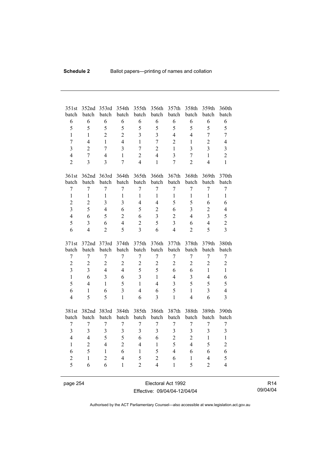| 351st<br>batch                   | 352nd<br>batch                   | 353rd<br>batch          | 354th<br>batch      | 355th<br>batch      | 356th<br>batch                   | 357th<br>batch                   | 358th<br>batch      | 359th<br>batch                 | 360th<br>batch                 |
|----------------------------------|----------------------------------|-------------------------|---------------------|---------------------|----------------------------------|----------------------------------|---------------------|--------------------------------|--------------------------------|
| 6                                | 6                                | 6                       | 6                   | 6                   | 6                                | 6                                | 6                   | 6                              | 6                              |
| 5                                | 5                                | 5                       | 5                   | 5                   | 5                                | 5                                | 5                   | 5                              | 5                              |
| $\mathbf{1}$                     | $\mathbf{1}$                     | $\overline{2}$          | $\overline{2}$      | $\overline{3}$      | $\overline{3}$                   | $\overline{4}$                   | $\overline{4}$      | $\overline{7}$                 | $\overline{7}$                 |
| $\overline{7}$                   | $\overline{4}$                   | $\mathbf{1}$            | $\overline{4}$      | $\mathbf{1}$        | $\overline{7}$                   | $\overline{2}$                   | $\mathbf{1}$        | $\overline{2}$                 | $\overline{4}$                 |
| $\overline{3}$                   | $\overline{2}$                   | 7                       | 3                   | $\overline{7}$      | $\overline{2}$                   | $\mathbf{1}$                     | 3                   | $\overline{3}$                 | 3                              |
| $\overline{4}$                   | $\overline{7}$                   | $\overline{4}$          | $\mathbf{1}$        | $\overline{2}$      | $\overline{4}$                   | $\overline{3}$                   | $\overline{7}$      | $\mathbf{1}$                   | $\overline{2}$                 |
| $\overline{2}$                   | $\overline{3}$                   | $\overline{3}$          | $\overline{7}$      | $\overline{4}$      | $\mathbf{1}$                     | $\overline{7}$                   | $\overline{2}$      | $\overline{4}$                 | $\mathbf{1}$                   |
|                                  |                                  |                         |                     |                     |                                  |                                  |                     |                                |                                |
| 361st                            |                                  | 362nd 363rd             | 364th               | 365th               | 366th                            | 367th                            | 368th               | 369th                          | 370th                          |
| batch                            | batch                            | batch                   | batch               | batch               | batch                            | batch                            | batch               | batch                          | batch                          |
| $\overline{7}$                   | $\overline{7}$                   | $\overline{7}$          | $\overline{7}$      | $\overline{7}$      | $\overline{7}$                   | $\overline{7}$                   | $\overline{7}$      | $\overline{7}$                 | $\overline{7}$                 |
| $\mathbf{1}$                     | $\mathbf{1}$                     | $\mathbf{1}$            | $\mathbf{1}$        | $\mathbf{1}$        | $\mathbf{1}$                     | $\mathbf{1}$                     | $\mathbf{1}$        | $\mathbf{1}$                   | $\mathbf{1}$                   |
| $\overline{2}$                   | $\overline{2}$                   | $\overline{3}$          | 3                   | $\overline{4}$      | $\overline{4}$                   | 5                                | 5                   | 6                              | 6                              |
| $\overline{3}$                   | 5                                | $\overline{4}$          | 6                   | 5                   | $\overline{2}$                   | 6                                | $\overline{3}$      | $\overline{2}$                 | 4                              |
| $\overline{4}$                   | 6                                | 5                       | $\overline{2}$      | 6                   | 3                                | $\overline{2}$                   | $\overline{4}$      | $\overline{3}$                 | 5                              |
| 5                                | $\overline{3}$                   | 6                       | $\overline{4}$      | $\overline{2}$      | 5                                | $\overline{3}$                   | 6                   | $\overline{4}$                 | $\overline{c}$                 |
| 6                                | $\overline{4}$                   | $\overline{2}$          | 5                   | 3                   | 6                                | $\overline{4}$                   | $\overline{2}$      | 5                              | $\overline{3}$                 |
|                                  |                                  |                         |                     |                     |                                  |                                  |                     |                                |                                |
|                                  |                                  |                         |                     |                     |                                  |                                  |                     |                                |                                |
| 371st                            | 372nd                            | 373rd                   | 374th               | 375th               | 376th                            | 377th                            | 378th               | 379th                          | 380th                          |
| batch                            | batch                            | batch                   | batch               | batch               | batch                            | batch                            | batch               | batch                          | batch                          |
| $\boldsymbol{7}$                 | $\overline{7}$                   | $\overline{7}$          | 7                   | $\boldsymbol{7}$    | $\boldsymbol{7}$                 | $\boldsymbol{7}$                 | 7                   | $\overline{7}$                 | $\overline{7}$                 |
| $\boldsymbol{2}$                 | $\overline{2}$                   | $\overline{c}$          | $\overline{2}$      | $\boldsymbol{2}$    | $\overline{2}$                   | $\overline{2}$                   | $\overline{2}$      | $\overline{2}$                 | $\overline{c}$                 |
| $\overline{3}$                   | $\overline{3}$                   | $\overline{4}$          | $\overline{4}$      | 5                   | 5                                | 6                                | 6                   | $\mathbf{1}$                   | $\mathbf{1}$                   |
| $\mathbf{1}$                     | 6                                | $\overline{\mathbf{3}}$ | 6                   | $\overline{3}$      | $\mathbf{1}$                     | $\overline{4}$                   | $\overline{3}$      | $\overline{4}$                 | 6                              |
| 5                                | $\overline{4}$                   | $\mathbf{1}$            | 5                   | $\mathbf{1}$        | $\overline{4}$                   | $\overline{\mathbf{3}}$          | 5                   | 5                              | 5                              |
| 6                                | $\mathbf{1}$                     | 6                       | $\overline{3}$      | $\overline{4}$      | 6                                | 5                                | $\mathbf{1}$        | $\overline{3}$                 | $\overline{4}$                 |
| $\overline{4}$                   | 5                                | 5                       | $\mathbf{1}$        | 6                   | $\overline{3}$                   | $\mathbf{1}$                     | $\overline{4}$      | 6                              | $\overline{3}$                 |
|                                  |                                  |                         |                     |                     |                                  |                                  |                     |                                |                                |
| 381st                            | 382nd                            | 383rd                   | 384th               | 385th               | 386th                            | 387th                            | 388th               | 389th                          | 390th                          |
| batch                            | batch                            | batch                   | batch               | batch               | batch                            | batch                            | batch               | batch                          | batch                          |
| 7                                | 7                                | 7                       | $\overline{7}$      | 7                   | 7                                | $\boldsymbol{7}$                 | $\sqrt{ }$          | 7                              | 7                              |
| $\overline{3}$<br>$\overline{4}$ | $\overline{3}$<br>$\overline{4}$ | $\overline{3}$<br>5     | $\overline{3}$<br>5 | $\overline{3}$<br>6 | $\overline{3}$<br>6              | $\overline{3}$<br>$\overline{2}$ | 3<br>$\overline{2}$ | $\overline{3}$<br>$\mathbf{1}$ | $\overline{3}$<br>$\mathbf{1}$ |
| $\mathbf{1}$                     | $\overline{2}$                   | $\overline{4}$          | $\overline{2}$      | $\overline{4}$      | $\mathbf{1}$                     | 5                                | $\overline{4}$      | 5                              |                                |
| 6                                | 5                                | $\mathbf{1}$            | 6                   | $\mathbf{1}$        | 5                                | $\overline{4}$                   | 6                   | 6                              | $\overline{c}$<br>6            |
|                                  | $\mathbf{1}$                     |                         | $\overline{4}$      |                     |                                  |                                  | $\mathbf{1}$        | $\overline{4}$                 |                                |
| $\overline{c}$<br>5              | 6                                | $\overline{2}$<br>6     | $\mathbf{1}$        | 5<br>$\overline{2}$ | $\overline{2}$<br>$\overline{4}$ | 6<br>$\mathbf{1}$                | 5                   | $\overline{2}$                 | 5<br>$\overline{4}$            |

page 254 Electoral Act 1992 Effective: 09/04/04-12/04/04

R14 09/04/04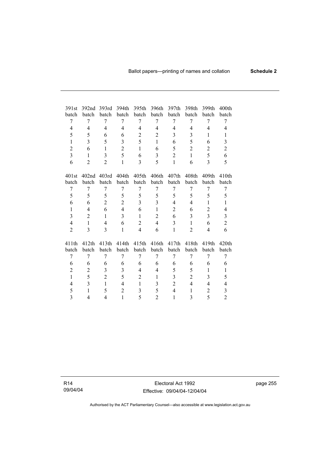| 391st          | 392nd             | 393rd          | 394th          | 395th          | 396th                   | 397th          | 398th             | 399th             | 400th             |
|----------------|-------------------|----------------|----------------|----------------|-------------------------|----------------|-------------------|-------------------|-------------------|
| batch          | batch             | batch          | batch          | batch          | batch                   | batch          | batch             | batch             | batch             |
| 7              | 7                 | 7              | 7              | 7              | 7                       | 7              | 7                 | 7                 | 7                 |
| 4              | 4                 | $\overline{4}$ | $\overline{4}$ | 4              | $\overline{4}$          | $\overline{4}$ | $\overline{4}$    | $\overline{4}$    | 4                 |
| 5              | 5                 | 6              | 6              | $\overline{2}$ | $\overline{2}$          | 3              | 3                 | $\mathbf{1}$      | $\mathbf{1}$      |
| $\mathbf{1}$   | 3                 | 5              | 3              | 5              | $\mathbf{1}$            | 6              | 5                 | 6                 | 3                 |
| $\overline{2}$ | 6                 | $\mathbf{1}$   | $\overline{2}$ | $\mathbf{1}$   | 6                       | 5              | $\overline{2}$    | $\overline{2}$    | $\overline{2}$    |
| 3              | $\mathbf{1}$      | 3              | 5              | 6              | 3                       | 2              | 1                 | 5                 | 6                 |
| 6              | $\overline{2}$    | $\overline{2}$ | $\mathbf{1}$   | 3              | 5                       | $\mathbf{1}$   | 6                 | 3                 | 5                 |
|                |                   |                |                |                |                         |                |                   |                   |                   |
| 401st          | 402 <sub>nd</sub> | 403rd          | 404th          | 405th          | 406th                   | 407th          | 408 <sub>th</sub> | 409 <sub>th</sub> | 410 <sub>th</sub> |
| batch          | batch             | batch          | batch          | batch          | batch                   | batch          | batch             | batch             | batch             |
| 7              | 7                 | 7              | 7              | 7              | 7                       | 7              | 7                 | 7                 | 7                 |
| 5              | 5                 | 5              | 5              | 5              | 5                       | 5              | 5                 | 5                 | 5                 |
| 6              | 6                 | $\overline{c}$ | $\overline{2}$ | 3              | $\overline{\mathbf{3}}$ | $\overline{4}$ | 4                 | 1                 | 1                 |
| $\mathbf{1}$   | 4                 | 6              | $\overline{4}$ | 6              | $\mathbf{1}$            | $\overline{2}$ | 6                 | $\overline{2}$    | $\overline{4}$    |
| 3              | $\overline{2}$    | $\mathbf{1}$   | $\overline{3}$ | $\mathbf{1}$   | $\overline{2}$          | 6              | 3                 | $\overline{3}$    | $\overline{3}$    |
| $\overline{4}$ | $\mathbf{1}$      | 4              | 6              | $\overline{2}$ | $\overline{4}$          | 3              | $\mathbf{1}$      | 6                 | $\overline{2}$    |
| $\overline{2}$ | 3                 | 3              | $\mathbf{1}$   | $\overline{4}$ | 6                       | 1              | $\overline{2}$    | $\overline{4}$    | 6                 |
|                |                   |                |                |                |                         |                |                   |                   |                   |
| 411th          | 412th             | 413th          | 414th          | 415th          | 416th                   | 417th          | 418th             | 419th             | 420 <sub>th</sub> |
| batch          | batch             | batch          | batch          | batch          | batch                   | batch          | batch             | batch             | batch             |
| 7              | 7                 | 7              | 7              | 7              | 7                       | 7              | 7                 | 7                 | 7                 |
| 6              | 6                 | 6              | 6              | 6              | 6                       | 6              | 6                 | 6                 | 6                 |
| $\overline{2}$ | $\overline{c}$    | 3              | 3              | $\overline{4}$ | $\overline{4}$          | 5              | 5                 | 1                 | 1                 |
| $\mathbf{1}$   | 5                 | $\overline{2}$ | 5              | 2              | $\mathbf{1}$            | 3              | $\overline{c}$    | 3                 | 5                 |
| 4              | 3                 | $\mathbf{1}$   | 4              | $\mathbf{1}$   | 3                       | $\overline{2}$ | 4                 | 4                 | 4                 |
| 5              | $\mathbf{1}$      | 5              | $\overline{2}$ | 3              | 5                       | $\overline{4}$ | $\mathbf{1}$      | $\overline{2}$    | 3                 |
| 3              | 4                 | 4              | $\mathbf{1}$   | 5              | $\overline{2}$          | $\mathbf{1}$   | 3                 | 5                 | $\overline{2}$    |

R14 09/04/04

Electoral Act 1992 Effective: 09/04/04-12/04/04 page 255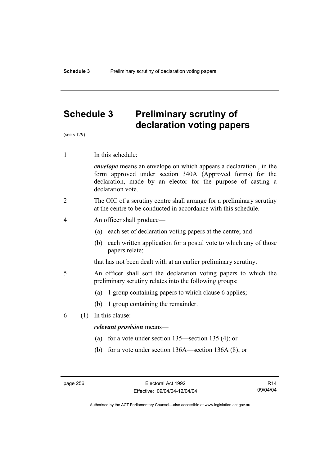## **Schedule 3 Preliminary scrutiny of declaration voting papers**

(see s 179)

1 In this schedule:

*envelope* means an envelope on which appears a declaration , in the form approved under section 340A (Approved forms) for the declaration, made by an elector for the purpose of casting a declaration vote.

- 2 The OIC of a scrutiny centre shall arrange for a preliminary scrutiny at the centre to be conducted in accordance with this schedule.
- 4 An officer shall produce—
	- (a) each set of declaration voting papers at the centre; and
	- (b) each written application for a postal vote to which any of those papers relate;

that has not been dealt with at an earlier preliminary scrutiny.

- 5 An officer shall sort the declaration voting papers to which the preliminary scrutiny relates into the following groups:
	- (a) 1 group containing papers to which clause 6 applies;
	- (b) 1 group containing the remainder.
- 6 (1) In this clause:

### *relevant provision* means—

- (a) for a vote under section 135—section 135 (4); or
- (b) for a vote under section 136A—section 136A (8); or

R14 09/04/04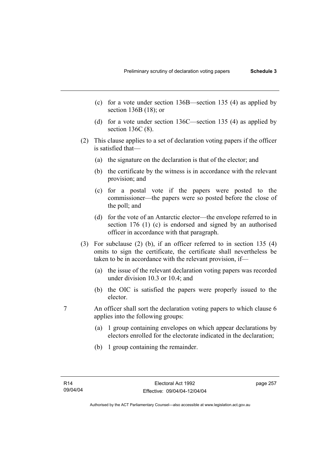- (c) for a vote under section 136B—section 135 (4) as applied by section 136B (18); or
- (d) for a vote under section 136C—section 135 (4) as applied by section 136C (8).
- (2) This clause applies to a set of declaration voting papers if the officer is satisfied that—
	- (a) the signature on the declaration is that of the elector; and
	- (b) the certificate by the witness is in accordance with the relevant provision; and
	- (c) for a postal vote if the papers were posted to the commissioner—the papers were so posted before the close of the poll; and
	- (d) for the vote of an Antarctic elector—the envelope referred to in section 176 (1) (c) is endorsed and signed by an authorised officer in accordance with that paragraph.
- (3) For subclause (2) (b), if an officer referred to in section 135 (4) omits to sign the certificate, the certificate shall nevertheless be taken to be in accordance with the relevant provision, if—
	- (a) the issue of the relevant declaration voting papers was recorded under division 10.3 or 10.4; and
	- (b) the OIC is satisfied the papers were properly issued to the elector.
- 7 An officer shall sort the declaration voting papers to which clause 6 applies into the following groups:
	- (a) 1 group containing envelopes on which appear declarations by electors enrolled for the electorate indicated in the declaration;
	- (b) 1 group containing the remainder.

page 257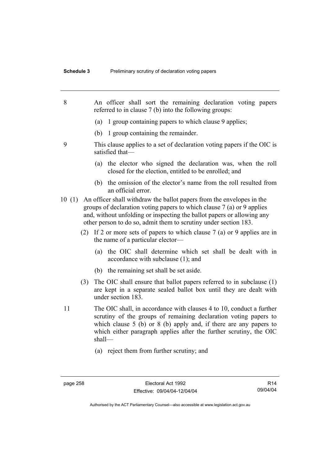8 An officer shall sort the remaining declaration voting papers referred to in clause 7 (b) into the following groups: (a) 1 group containing papers to which clause 9 applies; (b) 1 group containing the remainder. 9 This clause applies to a set of declaration voting papers if the OIC is satisfied that— (a) the elector who signed the declaration was, when the roll closed for the election, entitled to be enrolled; and (b) the omission of the elector's name from the roll resulted from an official error. 10 (1) An officer shall withdraw the ballot papers from the envelopes in the groups of declaration voting papers to which clause 7 (a) or 9 applies and, without unfolding or inspecting the ballot papers or allowing any other person to do so, admit them to scrutiny under section 183. (2) If 2 or more sets of papers to which clause 7 (a) or 9 applies are in the name of a particular elector— (a) the OIC shall determine which set shall be dealt with in accordance with subclause (1); and (b) the remaining set shall be set aside. (3) The OIC shall ensure that ballot papers referred to in subclause (1) are kept in a separate sealed ballot box until they are dealt with under section 183. 11 The OIC shall, in accordance with clauses 4 to 10, conduct a further scrutiny of the groups of remaining declaration voting papers to which clause 5 (b) or 8 (b) apply and, if there are any papers to which either paragraph applies after the further scrutiny, the OIC shall— (a) reject them from further scrutiny; and

R14 09/04/04

Authorised by the ACT Parliamentary Counsel—also accessible at www.legislation.act.gov.au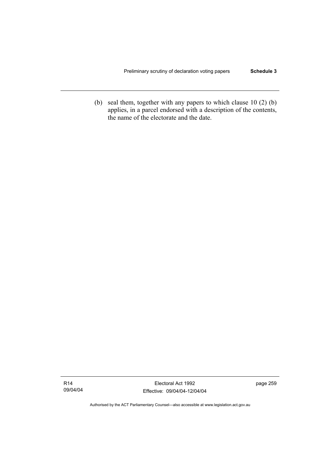(b) seal them, together with any papers to which clause 10 (2) (b) applies, in a parcel endorsed with a description of the contents, the name of the electorate and the date.

Electoral Act 1992 Effective: 09/04/04-12/04/04 page 259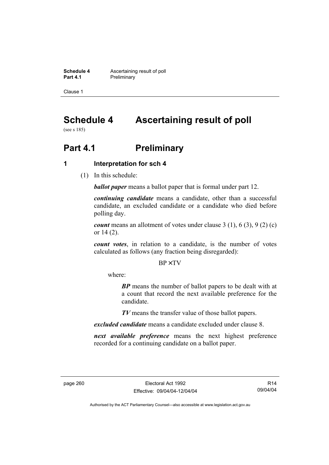**Schedule 4 Ascertaining result of poll**<br>**Part 4.1 Preliminary Preliminary** 

Clause 1

# **Schedule 4 Ascertaining result of poll**

(see s 185)

# **Part 4.1** Preliminary

## **1 Interpretation for sch 4**

(1) In this schedule:

*ballot paper* means a ballot paper that is formal under part 12.

*continuing candidate* means a candidate, other than a successful candidate, an excluded candidate or a candidate who died before polling day.

*count* means an allotment of votes under clause 3 (1), 6 (3), 9 (2) (c) or 14 (2).

*count votes*, in relation to a candidate, is the number of votes calculated as follows (any fraction being disregarded):

BP× TV

where:

*BP* means the number of ballot papers to be dealt with at a count that record the next available preference for the candidate.

*TV* means the transfer value of those ballot papers.

*excluded candidate* means a candidate excluded under clause 8.

*next available preference* means the next highest preference recorded for a continuing candidate on a ballot paper.

R14 09/04/04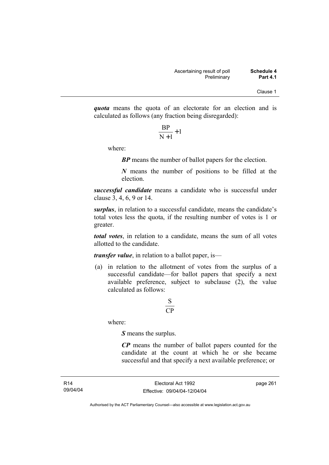*quota* means the quota of an electorate for an election and is calculated as follows (any fraction being disregarded):

$$
\frac{\text{BP}}{\text{N}+1}+1
$$

where:

*BP* means the number of ballot papers for the election.

*N* means the number of positions to be filled at the election.

*successful candidate* means a candidate who is successful under clause 3, 4, 6, 9 or 14.

*surplus*, in relation to a successful candidate, means the candidate's total votes less the quota, if the resulting number of votes is 1 or greater.

*total votes*, in relation to a candidate, means the sum of all votes allotted to the candidate.

*transfer value*, in relation to a ballot paper, is—

 (a) in relation to the allotment of votes from the surplus of a successful candidate—for ballot papers that specify a next available preference, subject to subclause  $(2)$ , the value calculated as follows:

## CP S

where:

*S* means the surplus.

*CP* means the number of ballot papers counted for the candidate at the count at which he or she became successful and that specify a next available preference; or

page 261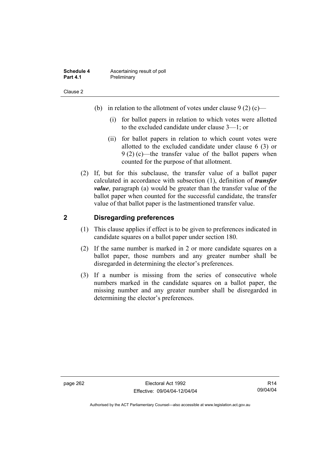| Schedule 4      | Ascertaining result of poll |
|-----------------|-----------------------------|
| <b>Part 4.1</b> | Preliminary                 |

- (b) in relation to the allotment of votes under clause  $9(2)$  (c)—
	- (i) for ballot papers in relation to which votes were allotted to the excluded candidate under clause 3—1; or
	- (ii) for ballot papers in relation to which count votes were allotted to the excluded candidate under clause 6 (3) or 9 (2) (c)—the transfer value of the ballot papers when counted for the purpose of that allotment.
- (2) If, but for this subclause, the transfer value of a ballot paper calculated in accordance with subsection (1), definition of *transfer value*, paragraph (a) would be greater than the transfer value of the ballot paper when counted for the successful candidate, the transfer value of that ballot paper is the lastmentioned transfer value.

## **2 Disregarding preferences**

- (1) This clause applies if effect is to be given to preferences indicated in candidate squares on a ballot paper under section 180.
- (2) If the same number is marked in 2 or more candidate squares on a ballot paper, those numbers and any greater number shall be disregarded in determining the elector's preferences.
- (3) If a number is missing from the series of consecutive whole numbers marked in the candidate squares on a ballot paper, the missing number and any greater number shall be disregarded in determining the elector's preferences.

page 262 Electoral Act 1992 Effective: 09/04/04-12/04/04

R14 09/04/04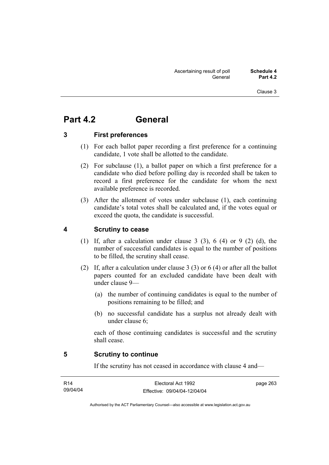## **Part 4.2 General**

## **3 First preferences**

- (1) For each ballot paper recording a first preference for a continuing candidate, 1 vote shall be allotted to the candidate.
- (2) For subclause (1), a ballot paper on which a first preference for a candidate who died before polling day is recorded shall be taken to record a first preference for the candidate for whom the next available preference is recorded.
- (3) After the allotment of votes under subclause (1), each continuing candidate's total votes shall be calculated and, if the votes equal or exceed the quota, the candidate is successful.

## **4 Scrutiny to cease**

- (1) If, after a calculation under clause 3 (3), 6 (4) or 9 (2) (d), the number of successful candidates is equal to the number of positions to be filled, the scrutiny shall cease.
- (2) If, after a calculation under clause 3 (3) or 6 (4) or after all the ballot papers counted for an excluded candidate have been dealt with under clause 9—
	- (a) the number of continuing candidates is equal to the number of positions remaining to be filled; and
	- (b) no successful candidate has a surplus not already dealt with under clause 6;

each of those continuing candidates is successful and the scrutiny shall cease.

### **5 Scrutiny to continue**

If the scrutiny has not ceased in accordance with clause 4 and—

| R14      | Electoral Act 1992           | page 263 |
|----------|------------------------------|----------|
| 09/04/04 | Effective: 09/04/04-12/04/04 |          |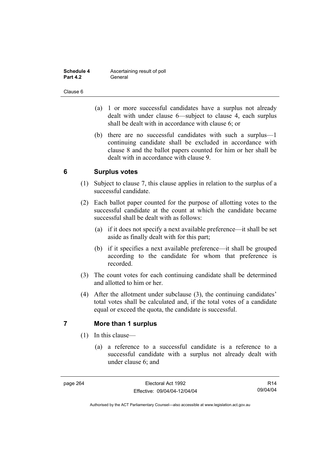| Schedule 4      | Ascertaining result of poll |
|-----------------|-----------------------------|
| <b>Part 4.2</b> | General                     |

- (a) 1 or more successful candidates have a surplus not already dealt with under clause 6—subject to clause 4, each surplus shall be dealt with in accordance with clause 6; or
- (b) there are no successful candidates with such a surplus—1 continuing candidate shall be excluded in accordance with clause 8 and the ballot papers counted for him or her shall be dealt with in accordance with clause 9.

## **6 Surplus votes**

- (1) Subject to clause 7, this clause applies in relation to the surplus of a successful candidate.
- (2) Each ballot paper counted for the purpose of allotting votes to the successful candidate at the count at which the candidate became successful shall be dealt with as follows:
	- (a) if it does not specify a next available preference—it shall be set aside as finally dealt with for this part;
	- (b) if it specifies a next available preference—it shall be grouped according to the candidate for whom that preference is recorded.
- (3) The count votes for each continuing candidate shall be determined and allotted to him or her.
- (4) After the allotment under subclause (3), the continuing candidates' total votes shall be calculated and, if the total votes of a candidate equal or exceed the quota, the candidate is successful.

## **7 More than 1 surplus**

- (1) In this clause—
	- (a) a reference to a successful candidate is a reference to a successful candidate with a surplus not already dealt with under clause 6; and

R14 09/04/04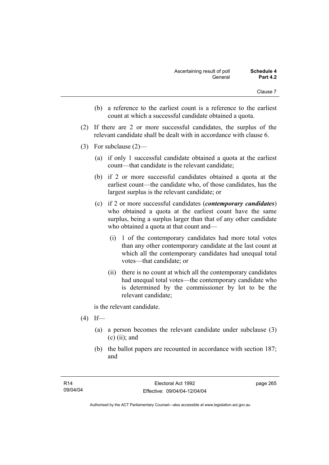- (b) a reference to the earliest count is a reference to the earliest count at which a successful candidate obtained a quota.
- (2) If there are 2 or more successful candidates, the surplus of the relevant candidate shall be dealt with in accordance with clause 6.
- (3) For subclause (2)—
	- (a) if only 1 successful candidate obtained a quota at the earliest count—that candidate is the relevant candidate;
	- (b) if 2 or more successful candidates obtained a quota at the earliest count—the candidate who, of those candidates, has the largest surplus is the relevant candidate; or
	- (c) if 2 or more successful candidates (*contemporary candidates*) who obtained a quota at the earliest count have the same surplus, being a surplus larger than that of any other candidate who obtained a quota at that count and—
		- (i) 1 of the contemporary candidates had more total votes than any other contemporary candidate at the last count at which all the contemporary candidates had unequal total votes—that candidate; or
		- (ii) there is no count at which all the contemporary candidates had unequal total votes—the contemporary candidate who is determined by the commissioner by lot to be the relevant candidate;

is the relevant candidate.

- $(4)$  If—
	- (a) a person becomes the relevant candidate under subclause (3)  $(c)$  (ii); and
	- (b) the ballot papers are recounted in accordance with section 187; and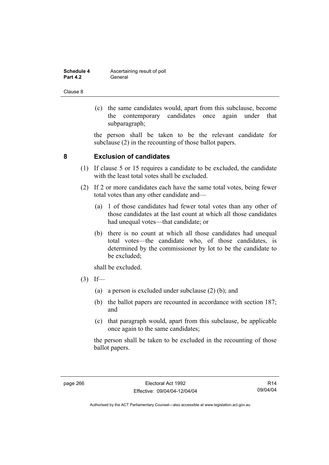| Schedule 4      | Ascertaining result of poll |
|-----------------|-----------------------------|
| <b>Part 4.2</b> | General                     |

 (c) the same candidates would, apart from this subclause, become the contemporary candidates once again under that subparagraph;

the person shall be taken to be the relevant candidate for subclause (2) in the recounting of those ballot papers.

## **8 Exclusion of candidates**

- (1) If clause 5 or 15 requires a candidate to be excluded, the candidate with the least total votes shall be excluded.
- (2) If 2 or more candidates each have the same total votes, being fewer total votes than any other candidate and—
	- (a) 1 of those candidates had fewer total votes than any other of those candidates at the last count at which all those candidates had unequal votes—that candidate; or
	- (b) there is no count at which all those candidates had unequal total votes—the candidate who, of those candidates, is determined by the commissioner by lot to be the candidate to be excluded;

shall be excluded.

- $(3)$  If—
	- (a) a person is excluded under subclause (2) (b); and
	- (b) the ballot papers are recounted in accordance with section 187; and
	- (c) that paragraph would, apart from this subclause, be applicable once again to the same candidates;

the person shall be taken to be excluded in the recounting of those ballot papers.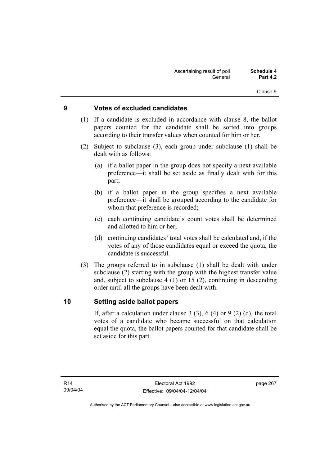## **9 Votes of excluded candidates**

- (1) If a candidate is excluded in accordance with clause 8, the ballot papers counted for the candidate shall be sorted into groups according to their transfer values when counted for him or her.
- (2) Subject to subclause (3), each group under subclause (1) shall be dealt with as follows:
	- (a) if a ballot paper in the group does not specify a next available preference—it shall be set aside as finally dealt with for this part;
	- (b) if a ballot paper in the group specifies a next available preference—it shall be grouped according to the candidate for whom that preference is recorded;
	- (c) each continuing candidate's count votes shall be determined and allotted to him or her;
	- (d) continuing candidates' total votes shall be calculated and, if the votes of any of those candidates equal or exceed the quota, the candidate is successful.
- (3) The groups referred to in subclause (1) shall be dealt with under subclause (2) starting with the group with the highest transfer value and, subject to subclause 4 (1) or 15 (2), continuing in descending order until all the groups have been dealt with.

### **10 Setting aside ballot papers**

If, after a calculation under clause 3 (3), 6 (4) or 9 (2) (d), the total votes of a candidate who became successful on that calculation equal the quota, the ballot papers counted for that candidate shall be set aside for this part.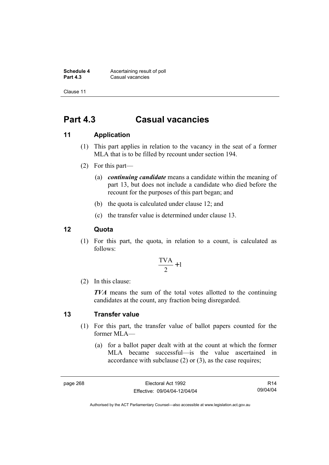**Schedule 4 Ascertaining result of poll**<br>**Part 4.3 Casual vacancies Casual vacancies** 

Clause 11

## **Part 4.3 Casual vacancies**

## **11 Application**

- (1) This part applies in relation to the vacancy in the seat of a former MLA that is to be filled by recount under section 194.
- (2) For this part—
	- (a) *continuing candidate* means a candidate within the meaning of part 13, but does not include a candidate who died before the recount for the purposes of this part began; and
	- (b) the quota is calculated under clause 12; and
	- (c) the transfer value is determined under clause 13.

## **12 Quota**

 (1) For this part, the quota, in relation to a count, is calculated as follows:

$$
\frac{\text{TVA}}{2} + 1
$$

(2) In this clause:

*TVA* means the sum of the total votes allotted to the continuing candidates at the count, any fraction being disregarded.

### **13 Transfer value**

- (1) For this part, the transfer value of ballot papers counted for the former MLA—
	- (a) for a ballot paper dealt with at the count at which the former MLA became successful—is the value ascertained in accordance with subclause (2) or (3), as the case requires;

R14 09/04/04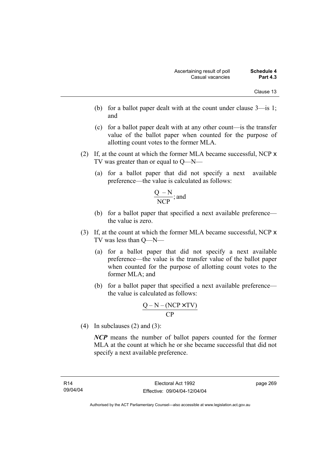- (b) for a ballot paper dealt with at the count under clause 3—is 1; and
- (c) for a ballot paper dealt with at any other count—is the transfer value of the ballot paper when counted for the purpose of allotting count votes to the former MLA.
- (2) If, at the count at which the former MLA became successful, NCP x TV was greater than or equal to Q—N—
	- (a) for a ballot paper that did not specify a next available preference—the value is calculated as follows:

$$
\frac{Q-N}{NCP}
$$
; and

- (b) for a ballot paper that specified a next available preference the value is zero.
- (3) If, at the count at which the former MLA became successful, NCP x TV was less than Q—N—
	- (a) for a ballot paper that did not specify a next available preference—the value is the transfer value of the ballot paper when counted for the purpose of allotting count votes to the former MLA; and
	- (b) for a ballot paper that specified a next available preference the value is calculated as follows:

$$
\frac{Q-N-(NCP \times TV)}{CP}
$$

(4) In subclauses (2) and (3):

*NCP* means the number of ballot papers counted for the former MLA at the count at which he or she became successful that did not specify a next available preference.

page 269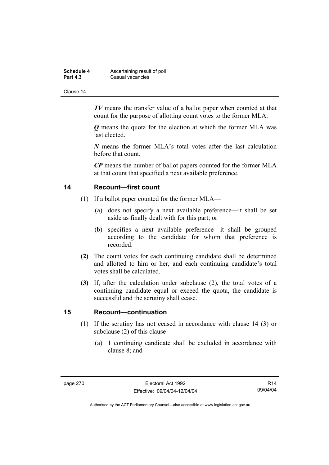| Schedule 4      | Ascertaining result of poll |
|-----------------|-----------------------------|
| <b>Part 4.3</b> | Casual vacancies            |

*TV* means the transfer value of a ballot paper when counted at that count for the purpose of allotting count votes to the former MLA.

*Q* means the quota for the election at which the former MLA was last elected.

*N* means the former MLA's total votes after the last calculation before that count.

*CP* means the number of ballot papers counted for the former MLA at that count that specified a next available preference.

### **14 Recount—first count**

- (1) If a ballot paper counted for the former MLA—
	- (a) does not specify a next available preference—it shall be set aside as finally dealt with for this part; or
	- (b) specifies a next available preference—it shall be grouped according to the candidate for whom that preference is recorded.
- **(2)** The count votes for each continuing candidate shall be determined and allotted to him or her, and each continuing candidate's total votes shall be calculated.
- **(3)** If, after the calculation under subclause (2), the total votes of a continuing candidate equal or exceed the quota, the candidate is successful and the scrutiny shall cease.

### **15 Recount—continuation**

- (1) If the scrutiny has not ceased in accordance with clause 14 (3) or subclause (2) of this clause—
	- (a) 1 continuing candidate shall be excluded in accordance with clause 8; and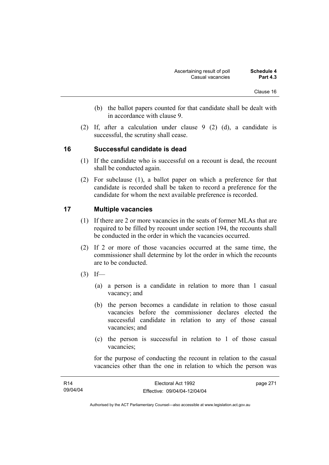- (b) the ballot papers counted for that candidate shall be dealt with in accordance with clause 9.
- (2) If, after a calculation under clause 9 (2) (d), a candidate is successful, the scrutiny shall cease.

# **16 Successful candidate is dead**

- (1) If the candidate who is successful on a recount is dead, the recount shall be conducted again.
- (2) For subclause (1), a ballot paper on which a preference for that candidate is recorded shall be taken to record a preference for the candidate for whom the next available preference is recorded.

# **17 Multiple vacancies**

- (1) If there are 2 or more vacancies in the seats of former MLAs that are required to be filled by recount under section 194, the recounts shall be conducted in the order in which the vacancies occurred.
- (2) If 2 or more of those vacancies occurred at the same time, the commissioner shall determine by lot the order in which the recounts are to be conducted.
- $(3)$  If—
	- (a) a person is a candidate in relation to more than 1 casual vacancy; and
	- (b) the person becomes a candidate in relation to those casual vacancies before the commissioner declares elected the successful candidate in relation to any of those casual vacancies; and
	- (c) the person is successful in relation to 1 of those casual vacancies;

for the purpose of conducting the recount in relation to the casual vacancies other than the one in relation to which the person was

| <b>R14</b> | Electoral Act 1992           | page 271 |
|------------|------------------------------|----------|
| 09/04/04   | Effective: 09/04/04-12/04/04 |          |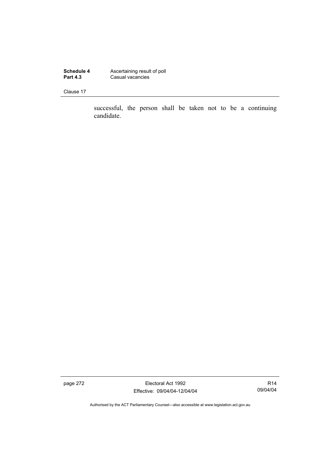**Schedule 4 Ascertaining result of poll Part 4.3 Casual vacancies** 

Clause 17

successful, the person shall be taken not to be a continuing candidate.

page 272 **Electoral Act 1992** Effective: 09/04/04-12/04/04

R14 09/04/04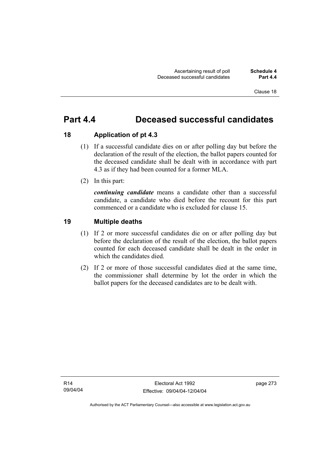# **Part 4.4 Deceased successful candidates**

# **18 Application of pt 4.3**

- (1) If a successful candidate dies on or after polling day but before the declaration of the result of the election, the ballot papers counted for the deceased candidate shall be dealt with in accordance with part 4.3 as if they had been counted for a former MLA.
- (2) In this part:

*continuing candidate* means a candidate other than a successful candidate, a candidate who died before the recount for this part commenced or a candidate who is excluded for clause 15.

# **19 Multiple deaths**

- (1) If 2 or more successful candidates die on or after polling day but before the declaration of the result of the election, the ballot papers counted for each deceased candidate shall be dealt in the order in which the candidates died.
- (2) If 2 or more of those successful candidates died at the same time, the commissioner shall determine by lot the order in which the ballot papers for the deceased candidates are to be dealt with.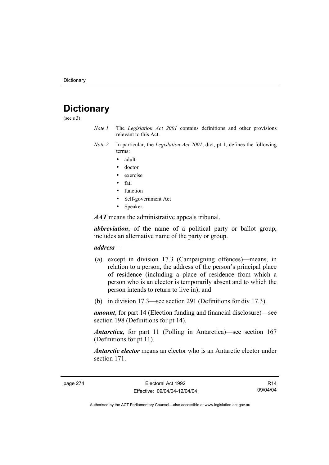# **Dictionary**

(see s 3)

- *Note 1* The *Legislation Act 2001* contains definitions and other provisions relevant to this Act.
- *Note 2* In particular, the *Legislation Act 2001*, dict, pt 1, defines the following terms:
	- adult
	- doctor
	- exercise
	- fail
	- function
	- Self-government Act
	- Speaker.

*AAT* means the administrative appeals tribunal.

*abbreviation*, of the name of a political party or ballot group, includes an alternative name of the party or group.

# *address*—

- (a) except in division 17.3 (Campaigning offences)—means, in relation to a person, the address of the person's principal place of residence (including a place of residence from which a person who is an elector is temporarily absent and to which the person intends to return to live in); and
- (b) in division 17.3—see section 291 (Definitions for div 17.3).

*amount*, for part 14 (Election funding and financial disclosure)—see section 198 (Definitions for pt 14).

*Antarctica*, for part 11 (Polling in Antarctica)—see section 167 (Definitions for pt 11).

*Antarctic elector* means an elector who is an Antarctic elector under section 171.

R14 09/04/04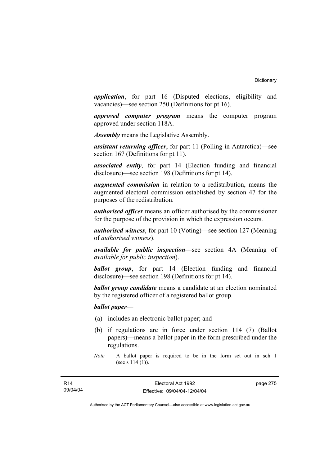*application*, for part 16 (Disputed elections, eligibility and vacancies)—see section 250 (Definitions for pt 16).

*approved computer program* means the computer program approved under section 118A.

*Assembly* means the Legislative Assembly.

*assistant returning officer*, for part 11 (Polling in Antarctica)—see section 167 (Definitions for pt 11).

*associated entity*, for part 14 (Election funding and financial disclosure)—see section 198 (Definitions for pt 14).

*augmented commission* in relation to a redistribution, means the augmented electoral commission established by section 47 for the purposes of the redistribution.

*authorised officer* means an officer authorised by the commissioner for the purpose of the provision in which the expression occurs.

*authorised witness*, for part 10 (Voting)—see section 127 (Meaning of *authorised witness*).

*available for public inspection*—see section 4A (Meaning of *available for public inspection*).

*ballot group*, for part 14 (Election funding and financial disclosure)—see section 198 (Definitions for pt 14).

*ballot group candidate* means a candidate at an election nominated by the registered officer of a registered ballot group.

*ballot paper*—

- (a) includes an electronic ballot paper; and
- (b) if regulations are in force under section 114 (7) (Ballot papers)—means a ballot paper in the form prescribed under the regulations.

page 275

*Note* A ballot paper is required to be in the form set out in sch 1 (see s 114 (1)).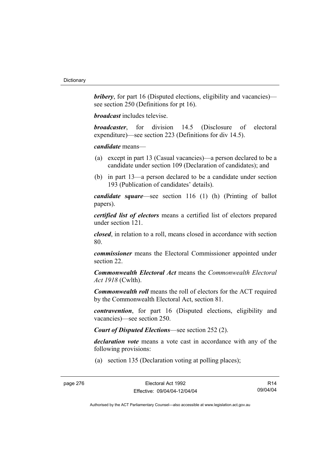*bribery*, for part 16 (Disputed elections, eligibility and vacancies) see section 250 (Definitions for pt 16).

*broadcast* includes televise.

*broadcaster*, for division 14.5 (Disclosure of electoral expenditure)—see section 223 (Definitions for div 14.5).

*candidate* means—

- (a) except in part 13 (Casual vacancies)—a person declared to be a candidate under section 109 (Declaration of candidates); and
- (b) in part 13—a person declared to be a candidate under section 193 (Publication of candidates' details).

*candidate square*—see section 116 (1) (h) (Printing of ballot papers).

*certified list of electors* means a certified list of electors prepared under section 121.

*closed*, in relation to a roll, means closed in accordance with section 80.

*commissioner* means the Electoral Commissioner appointed under section 22.

*Commonwealth Electoral Act* means the *Commonwealth Electoral Act 1918* (Cwlth).

*Commonwealth roll* means the roll of electors for the ACT required by the Commonwealth Electoral Act, section 81.

*contravention*, for part 16 (Disputed elections, eligibility and vacancies)—see section 250.

*Court of Disputed Elections*—see section 252 (2).

*declaration vote* means a vote cast in accordance with any of the following provisions:

(a) section 135 (Declaration voting at polling places);

R14 09/04/04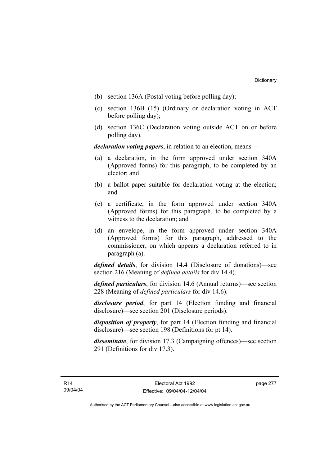- (b) section 136A (Postal voting before polling day);
- (c) section 136B (15) (Ordinary or declaration voting in ACT before polling day);
- (d) section 136C (Declaration voting outside ACT on or before polling day).

*declaration voting papers*, in relation to an election, means—

- (a) a declaration, in the form approved under section 340A (Approved forms) for this paragraph, to be completed by an elector; and
- (b) a ballot paper suitable for declaration voting at the election; and
- (c) a certificate, in the form approved under section 340A (Approved forms) for this paragraph, to be completed by a witness to the declaration; and
- (d) an envelope, in the form approved under section 340A (Approved forms) for this paragraph, addressed to the commissioner, on which appears a declaration referred to in paragraph (a).

*defined details*, for division 14.4 (Disclosure of donations)—see section 216 (Meaning of *defined details* for div 14.4).

*defined particulars*, for division 14.6 (Annual returns)—see section 228 (Meaning of *defined particulars* for div 14.6).

*disclosure period*, for part 14 (Election funding and financial disclosure)—see section 201 (Disclosure periods).

*disposition of property*, for part 14 (Election funding and financial disclosure)—see section 198 (Definitions for pt 14).

*disseminate*, for division 17.3 (Campaigning offences)—see section 291 (Definitions for div 17.3).

page 277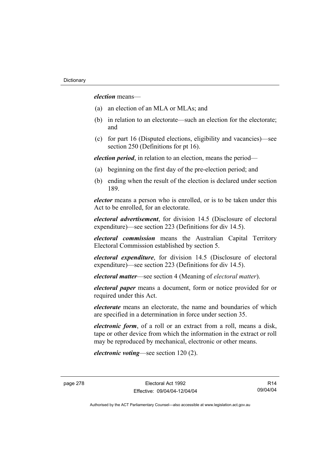*election* means—

- (a) an election of an MLA or MLAs; and
- (b) in relation to an electorate—such an election for the electorate; and
- (c) for part 16 (Disputed elections, eligibility and vacancies)—see section 250 (Definitions for pt 16).

*election period*, in relation to an election, means the period—

- (a) beginning on the first day of the pre-election period; and
- (b) ending when the result of the election is declared under section 189.

*elector* means a person who is enrolled, or is to be taken under this Act to be enrolled, for an electorate.

*electoral advertisement*, for division 14.5 (Disclosure of electoral expenditure)—see section 223 (Definitions for div 14.5).

*electoral commission* means the Australian Capital Territory Electoral Commission established by section 5.

*electoral expenditure*, for division 14.5 (Disclosure of electoral expenditure)—see section 223 (Definitions for div 14.5).

*electoral matter*—see section 4 (Meaning of *electoral matter*).

*electoral paper* means a document, form or notice provided for or required under this Act.

*electorate* means an electorate, the name and boundaries of which are specified in a determination in force under section 35.

*electronic form*, of a roll or an extract from a roll, means a disk, tape or other device from which the information in the extract or roll may be reproduced by mechanical, electronic or other means.

*electronic voting*—see section 120 (2).

R14 09/04/04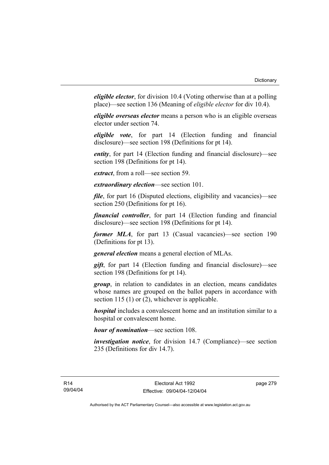*eligible elector*, for division 10.4 (Voting otherwise than at a polling place)—see section 136 (Meaning of *eligible elector* for div 10.4).

*eligible overseas elector* means a person who is an eligible overseas elector under section 74.

*eligible vote*, for part 14 (Election funding and financial disclosure)—see section 198 (Definitions for pt 14).

*entity*, for part 14 (Election funding and financial disclosure)—see section 198 (Definitions for pt 14).

*extract*, from a roll—see section 59.

*extraordinary election*—see section 101.

*file*, for part 16 (Disputed elections, eligibility and vacancies)—see section 250 (Definitions for pt 16).

*financial controller*, for part 14 (Election funding and financial disclosure)—see section 198 (Definitions for pt 14).

*former MLA*, for part 13 (Casual vacancies)—see section 190 (Definitions for pt 13).

*general election* means a general election of MLAs.

*gift*, for part 14 (Election funding and financial disclosure)—see section 198 (Definitions for pt 14).

*group*, in relation to candidates in an election, means candidates whose names are grouped on the ballot papers in accordance with section 115 (1) or (2), whichever is applicable.

*hospital* includes a convalescent home and an institution similar to a hospital or convalescent home.

*hour of nomination*—see section 108.

*investigation notice*, for division 14.7 (Compliance)—see section 235 (Definitions for div 14.7).

page 279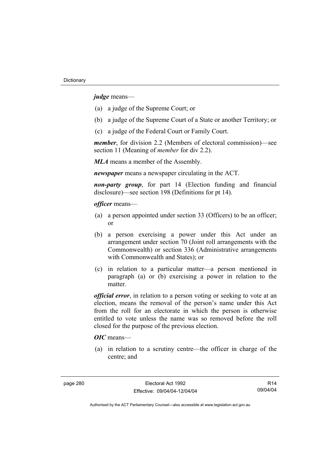*judge* means—

- (a) a judge of the Supreme Court; or
- (b) a judge of the Supreme Court of a State or another Territory; or
- (c) a judge of the Federal Court or Family Court.

*member*, for division 2.2 (Members of electoral commission)—see section 11 (Meaning of *member* for div 2.2).

*MLA* means a member of the Assembly.

*newspaper* means a newspaper circulating in the ACT.

*non-party group*, for part 14 (Election funding and financial disclosure)—see section 198 (Definitions for pt 14).

*officer* means—

- (a) a person appointed under section 33 (Officers) to be an officer; or
- (b) a person exercising a power under this Act under an arrangement under section 70 (Joint roll arrangements with the Commonwealth) or section 336 (Administrative arrangements with Commonwealth and States); or
- (c) in relation to a particular matter—a person mentioned in paragraph (a) or (b) exercising a power in relation to the matter.

*official error*, in relation to a person voting or seeking to vote at an election, means the removal of the person's name under this Act from the roll for an electorate in which the person is otherwise entitled to vote unless the name was so removed before the roll closed for the purpose of the previous election.

# *OIC* means—

 (a) in relation to a scrutiny centre—the officer in charge of the centre; and

R14 09/04/04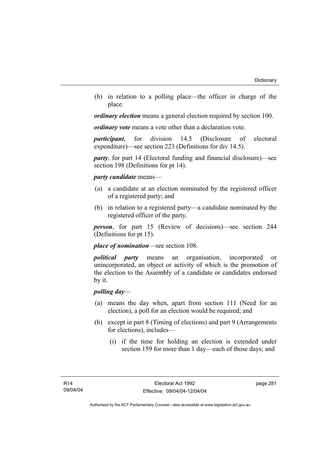(b) in relation to a polling place—the officer in charge of the place.

*ordinary election* means a general election required by section 100.

*ordinary vote* means a vote other than a declaration vote.

*participant*, for division 14.5 (Disclosure of electoral expenditure)—see section 223 (Definitions for div 14.5).

*party*, for part 14 (Electoral funding and financial disclosure)—see section 198 (Definitions for pt 14).

# *party candidate* means—

- (a) a candidate at an election nominated by the registered officer of a registered party; and
- (b) in relation to a registered party—a candidate nominated by the registered officer of the party.

*person*, for part 15 (Review of decisions)—see section 244 (Definitions for pt 15).

*place of nomination*—see section 108.

*political party* means an organisation, incorporated or unincorporated, an object or activity of which is the promotion of the election to the Assembly of a candidate or candidates endorsed by it.

# *polling day*—

- (a) means the day when, apart from section 111 (Need for an election), a poll for an election would be required; and
- (b) except in part 8 (Timing of elections) and part 9 (Arrangements for elections), includes—
	- (i) if the time for holding an election is extended under section 159 for more than 1 day—each of those days; and

page 281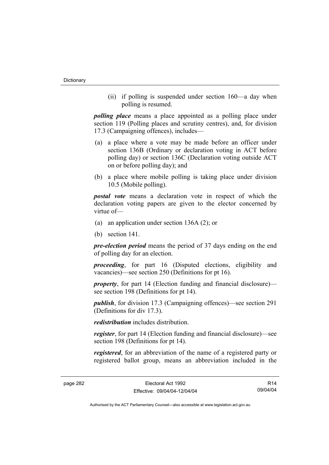(ii) if polling is suspended under section 160—a day when polling is resumed.

*polling place* means a place appointed as a polling place under section 119 (Polling places and scrutiny centres), and, for division 17.3 (Campaigning offences), includes—

- (a) a place where a vote may be made before an officer under section 136B (Ordinary or declaration voting in ACT before polling day) or section 136C (Declaration voting outside ACT on or before polling day); and
- (b) a place where mobile polling is taking place under division 10.5 (Mobile polling).

*postal vote* means a declaration vote in respect of which the declaration voting papers are given to the elector concerned by virtue of—

- (a) an application under section 136A (2); or
- (b) section 141.

*pre-election period* means the period of 37 days ending on the end of polling day for an election.

*proceeding*, for part 16 (Disputed elections, eligibility and vacancies)—see section 250 (Definitions for pt 16).

*property*, for part 14 (Election funding and financial disclosure) see section 198 (Definitions for pt 14).

*publish*, for division 17.3 (Campaigning offences)—see section 291 (Definitions for div 17.3).

*redistribution* includes distribution.

*register*, for part 14 (Election funding and financial disclosure)—see section 198 (Definitions for pt 14).

*registered*, for an abbreviation of the name of a registered party or registered ballot group, means an abbreviation included in the

R14 09/04/04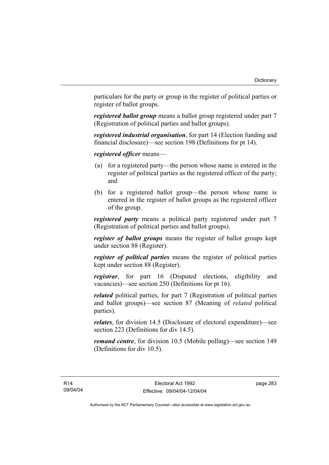particulars for the party or group in the register of political parties or register of ballot groups.

*registered ballot group* means a ballot group registered under part 7 (Registration of political parties and ballot groups).

*registered industrial organisation*, for part 14 (Election funding and financial disclosure)—see section 198 (Definitions for pt 14).

*registered officer* means—

- (a) for a registered party—the person whose name is entered in the register of political parties as the registered officer of the party; and
- (b) for a registered ballot group—the person whose name is entered in the register of ballot groups as the registered officer of the group.

*registered party* means a political party registered under part 7 (Registration of political parties and ballot groups).

*register of ballot groups* means the register of ballot groups kept under section 88 (Register).

*register of political parties* means the register of political parties kept under section 88 (Register).

*registrar*, for part 16 (Disputed elections, eligibility and vacancies)—see section 250 (Definitions for pt 16).

*related* political parties, for part 7 (Registration of political parties and ballot groups)—see section 87 (Meaning of *related* political parties).

*relates*, for division 14.5 (Disclosure of electoral expenditure)—see section 223 (Definitions for div 14.5).

*remand centre*, for division 10.5 (Mobile polling)—see section 149 (Definitions for div 10.5).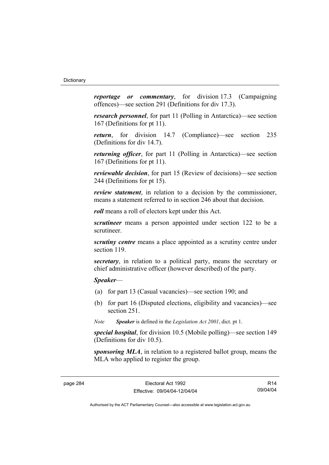*reportage or commentary*, for division 17.3 (Campaigning offences)—see section 291 (Definitions for div 17.3).

*research personnel*, for part 11 (Polling in Antarctica)—see section 167 (Definitions for pt 11).

*return*, for division 14.7 (Compliance)—see section 235 (Definitions for div 14.7).

*returning officer*, for part 11 (Polling in Antarctica)—see section 167 (Definitions for pt 11).

*reviewable decision*, for part 15 (Review of decisions)—see section 244 (Definitions for pt 15).

*review statement*, in relation to a decision by the commissioner, means a statement referred to in section 246 about that decision.

*roll* means a roll of electors kept under this Act.

*scrutineer* means a person appointed under section 122 to be a scrutineer.

*scrutiny centre* means a place appointed as a scrutiny centre under section 119.

*secretary*, in relation to a political party, means the secretary or chief administrative officer (however described) of the party.

*Speaker*—

- (a) for part 13 (Casual vacancies)—see section 190; and
- (b) for part 16 (Disputed elections, eligibility and vacancies)—see section 251.

*Note Speaker* is defined in the *Legislation Act 2001*, dict. pt 1.

*special hospital*, for division 10.5 (Mobile polling)—see section 149 (Definitions for div 10.5).

*sponsoring MLA*, in relation to a registered ballot group, means the MLA who applied to register the group.

page 284 Electoral Act 1992 Effective: 09/04/04-12/04/04

R14 09/04/04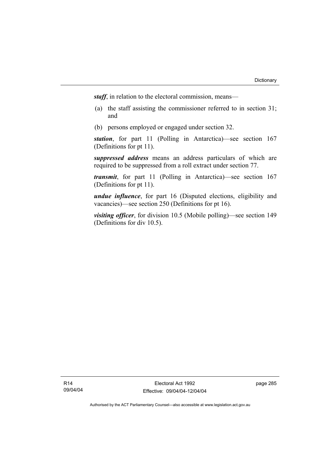*staff*, in relation to the electoral commission, means—

- (a) the staff assisting the commissioner referred to in section 31; and
- (b) persons employed or engaged under section 32.

*station*, for part 11 (Polling in Antarctica)—see section 167 (Definitions for pt 11).

*suppressed address* means an address particulars of which are required to be suppressed from a roll extract under section 77.

*transmit*, for part 11 (Polling in Antarctica)—see section 167 (Definitions for pt 11).

*undue influence*, for part 16 (Disputed elections, eligibility and vacancies)—see section 250 (Definitions for pt 16).

*visiting officer*, for division 10.5 (Mobile polling)—see section 149 (Definitions for div 10.5).

R14 09/04/04 page 285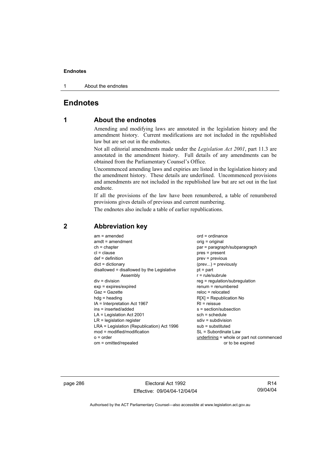1 About the endnotes

# **Endnotes**

# **1 About the endnotes**

Amending and modifying laws are annotated in the legislation history and the amendment history. Current modifications are not included in the republished law but are set out in the endnotes.

Not all editorial amendments made under the *Legislation Act 2001*, part 11.3 are annotated in the amendment history. Full details of any amendments can be obtained from the Parliamentary Counsel's Office.

Uncommenced amending laws and expiries are listed in the legislation history and the amendment history. These details are underlined. Uncommenced provisions and amendments are not included in the republished law but are set out in the last endnote.

If all the provisions of the law have been renumbered, a table of renumbered provisions gives details of previous and current numbering.

The endnotes also include a table of earlier republications.

| $am = amended$<br>$amdt = amendment$<br>$ch = chapter$<br>$cl = clause$<br>$def = definition$<br>$dict = dictionary$<br>disallowed = disallowed by the Legislative<br>Assembly<br>$div = division$<br>$exp = expires/expired$<br>$Gaz = Gazette$<br>$hda =$ heading<br>IA = Interpretation Act 1967<br>ins = inserted/added<br>$LA =$ Legislation Act 2001<br>$LR =$ legislation register<br>LRA = Legislation (Republication) Act 1996<br>mod = modified/modification<br>$o = order$ | $ord = ordinance$<br>orig = original<br>par = paragraph/subparagraph<br>$pres = present$<br>prev = previous<br>$(\text{prev})$ = previously<br>$pt = part$<br>$r = rule/subrule$<br>reg = regulation/subregulation<br>$renum = renumbered$<br>$reloc = relocated$<br>$R[X]$ = Republication No<br>$RI = reissue$<br>$s = section/subsection$<br>$sch = schedule$<br>$sdiv = subdivision$<br>$sub =$ substituted<br>SL = Subordinate Law<br>underlining = whole or part not commenced |
|---------------------------------------------------------------------------------------------------------------------------------------------------------------------------------------------------------------------------------------------------------------------------------------------------------------------------------------------------------------------------------------------------------------------------------------------------------------------------------------|--------------------------------------------------------------------------------------------------------------------------------------------------------------------------------------------------------------------------------------------------------------------------------------------------------------------------------------------------------------------------------------------------------------------------------------------------------------------------------------|
| om = omitted/repealed                                                                                                                                                                                                                                                                                                                                                                                                                                                                 | or to be expired                                                                                                                                                                                                                                                                                                                                                                                                                                                                     |
|                                                                                                                                                                                                                                                                                                                                                                                                                                                                                       |                                                                                                                                                                                                                                                                                                                                                                                                                                                                                      |

# **2 Abbreviation key**

page 286 **Electoral Act 1992** Effective: 09/04/04-12/04/04

R14 09/04/04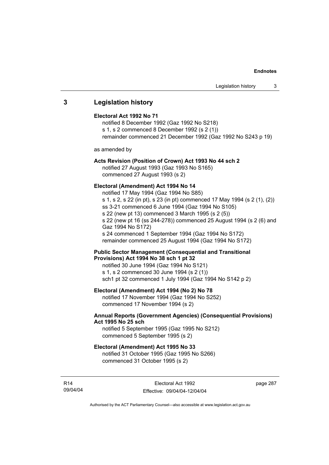# **3 Legislation history**

#### **Electoral Act 1992 No 71**

notified 8 December 1992 (Gaz 1992 No S218) s 1, s 2 commenced 8 December 1992 (s 2 (1)) remainder commenced 21 December 1992 (Gaz 1992 No S243 p 19)

as amended by

# **Acts Revision (Position of Crown) Act 1993 No 44 sch 2**

notified 27 August 1993 (Gaz 1993 No S165) commenced 27 August 1993 (s 2)

# **Electoral (Amendment) Act 1994 No 14**

notified 17 May 1994 (Gaz 1994 No S85) s 1, s 2, s 22 (in pt), s 23 (in pt) commenced 17 May 1994 (s 2 (1), (2)) ss 3-21 commenced 6 June 1994 (Gaz 1994 No S105) s 22 (new pt 13) commenced 3 March 1995 (s 2 (5)) s 22 (new pt 16 (ss 244-278)) commenced 25 August 1994 (s 2 (6) and Gaz 1994 No S172) s 24 commenced 1 September 1994 (Gaz 1994 No S172) remainder commenced 25 August 1994 (Gaz 1994 No S172)

# **Public Sector Management (Consequential and Transitional Provisions) Act 1994 No 38 sch 1 pt 32**

notified 30 June 1994 (Gaz 1994 No S121) s 1, s 2 commenced 30 June 1994 (s 2 (1)) sch1 pt 32 commenced 1 July 1994 (Gaz 1994 No S142 p 2)

# **Electoral (Amendment) Act 1994 (No 2) No 78**

notified 17 November 1994 (Gaz 1994 No S252) commenced 17 November 1994 (s 2)

# **Annual Reports (Government Agencies) (Consequential Provisions) Act 1995 No 25 sch**

notified 5 September 1995 (Gaz 1995 No S212) commenced 5 September 1995 (s 2)

#### **Electoral (Amendment) Act 1995 No 33**

notified 31 October 1995 (Gaz 1995 No S266) commenced 31 October 1995 (s 2)

R14 09/04/04 page 287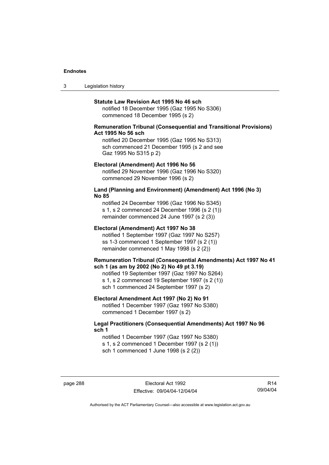3 Legislation history

#### **Statute Law Revision Act 1995 No 46 sch**

notified 18 December 1995 (Gaz 1995 No S306) commenced 18 December 1995 (s 2)

# **Remuneration Tribunal (Consequential and Transitional Provisions) Act 1995 No 56 sch**

notified 20 December 1995 (Gaz 1995 No S313) sch commenced 21 December 1995 (s 2 and see Gaz 1995 No S315 p 2)

#### **Electoral (Amendment) Act 1996 No 56**

notified 29 November 1996 (Gaz 1996 No S320) commenced 29 November 1996 (s 2)

# **Land (Planning and Environment) (Amendment) Act 1996 (No 3) No 85**

notified 24 December 1996 (Gaz 1996 No S345) s 1, s 2 commenced 24 December 1996 (s 2 (1)) remainder commenced 24 June 1997 (s 2 (3))

#### **Electoral (Amendment) Act 1997 No 38**

notified 1 September 1997 (Gaz 1997 No S257) ss 1-3 commenced 1 September 1997 (s 2 (1)) remainder commenced 1 May 1998 (s 2 (2))

## **Remuneration Tribunal (Consequential Amendments) Act 1997 No 41 sch 1 (as am by 2002 (No 2) No 49 pt 3.19)**

notified 19 September 1997 (Gaz 1997 No S264) s 1, s 2 commenced 19 September 1997 (s 2 (1)) sch 1 commenced 24 September 1997 (s 2)

## **Electoral Amendment Act 1997 (No 2) No 91**

notified 1 December 1997 (Gaz 1997 No S380) commenced 1 December 1997 (s 2)

# **Legal Practitioners (Consequential Amendments) Act 1997 No 96 sch 1**

notified 1 December 1997 (Gaz 1997 No S380) s 1, s 2 commenced 1 December 1997 (s 2 (1)) sch 1 commenced 1 June 1998 (s 2 (2))

page 288 Electoral Act 1992 Effective: 09/04/04-12/04/04

R14 09/04/04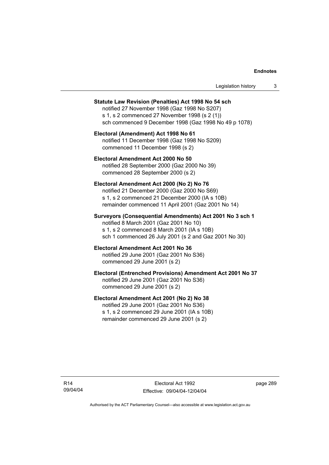| Legislation history |  |
|---------------------|--|
|---------------------|--|

#### **Statute Law Revision (Penalties) Act 1998 No 54 sch**

notified 27 November 1998 (Gaz 1998 No S207) s 1, s 2 commenced 27 November 1998 (s 2 (1)) sch commenced 9 December 1998 (Gaz 1998 No 49 p 1078)

**Electoral (Amendment) Act 1998 No 61**  notified 11 December 1998 (Gaz 1998 No S209) commenced 11 December 1998 (s 2)

**Electoral Amendment Act 2000 No 50**  notified 28 September 2000 (Gaz 2000 No 39) commenced 28 September 2000 (s 2)

#### **Electoral Amendment Act 2000 (No 2) No 76**

notified 21 December 2000 (Gaz 2000 No S69) s 1, s 2 commenced 21 December 2000 (IA s 10B) remainder commenced 11 April 2001 (Gaz 2001 No 14)

# **Surveyors (Consequential Amendments) Act 2001 No 3 sch 1**

notified 8 March 2001 (Gaz 2001 No 10) s 1, s 2 commenced 8 March 2001 (IA s 10B) sch 1 commenced 26 July 2001 (s 2 and Gaz 2001 No 30)

#### **Electoral Amendment Act 2001 No 36**  notified 29 June 2001 (Gaz 2001 No S36)

commenced 29 June 2001 (s 2)

## **Electoral (Entrenched Provisions) Amendment Act 2001 No 37**

notified 29 June 2001 (Gaz 2001 No S36) commenced 29 June 2001 (s 2)

# **Electoral Amendment Act 2001 (No 2) No 38**

notified 29 June 2001 (Gaz 2001 No S36) s 1, s 2 commenced 29 June 2001 (IA s 10B) remainder commenced 29 June 2001 (s 2)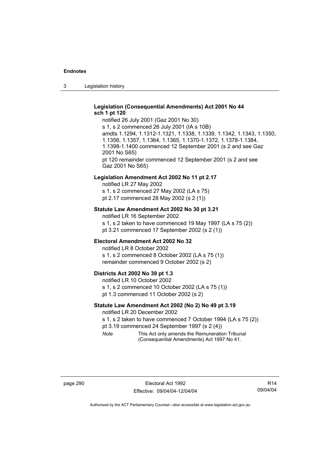3 Legislation history

# **Legislation (Consequential Amendments) Act 2001 No 44 sch 1 pt 120**

notified 26 July 2001 (Gaz 2001 No 30) s 1, s 2 commenced 26 July 2001 (IA s 10B) amdts 1.1294, 1.1312-1.1321, 1.1338, 1.1339, 1.1342, 1.1343, 1.1350, 1.1356, 1.1357, 1.1364, 1.1365, 1.1370-1.1372, 1.1378-1.1384, 1.1398-1.1400 commenced 12 September 2001 (s 2 and see Gaz 2001 No S65) pt 120 remainder commenced 12 September 2001 (s 2 and see Gaz 2001 No S65)

#### **Legislation Amendment Act 2002 No 11 pt 2.17**

notified LR 27 May 2002 s 1, s 2 commenced 27 May 2002 (LA s 75) pt 2.17 commenced 28 May 2002 (s 2 (1))

## **Statute Law Amendment Act 2002 No 30 pt 3.21**

notified LR 16 September 2002 s 1, s 2 taken to have commenced 19 May 1997 (LA s 75 (2)) pt 3.21 commenced 17 September 2002 (s 2 (1))

# **Electoral Amendment Act 2002 No 32**

notified LR 8 October 2002 s 1, s 2 commenced 8 October 2002 (LA s 75 (1)) remainder commenced 9 October 2002 (s 2)

#### **Districts Act 2002 No 39 pt 1.3**

notified LR 10 October 2002 s 1, s 2 commenced 10 October 2002 (LA s 75 (1)) pt 1.3 commenced 11 October 2002 (s 2)

### **Statute Law Amendment Act 2002 (No 2) No 49 pt 3.19**

notified LR 20 December 2002

s 1, s 2 taken to have commenced 7 October 1994 (LA s 75 (2))

pt 3.19 commenced 24 September 1997 (s 2 (4))

*Note* This Act only amends the Remuneration Tribunal (Consequential Amendments) Act 1997 No 41.

R14 09/04/04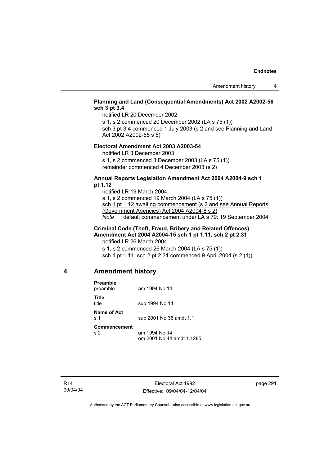# **Planning and Land (Consequential Amendments) Act 2002 A2002-56 sch 3 pt 3.4**

notified LR 20 December 2002

s 1, s 2 commenced 20 December 2002 (LA s 75 (1)) sch 3 pt 3.4 commenced 1 July 2003 (s 2 and see Planning and Land Act 2002 A2002-55 s 5)

# **Electoral Amendment Act 2003 A2003-54**

notified LR 3 December 2003

s 1, s 2 commenced 3 December 2003 (LA s 75 (1)) remainder commenced 4 December 2003 (s 2)

# **Annual Reports Legislation Amendment Act 2004 A2004-9 sch 1 pt 1.12**

notified LR 19 March 2004 s 1, s 2 commenced 19 March 2004 (LA s 75 (1)) sch 1 pt 1.12 awaiting commencement (s 2 and see Annual Reports (Government Agencies) Act 2004 A2004-8 s 2) *Note* default commencement under LA s 79: 19 September 2004

# **Criminal Code (Theft, Fraud, Bribery and Related Offences) Amendment Act 2004 A2004-15 sch 1 pt 1.11, sch 2 pt 2.31**

notified LR 26 March 2004

s 1, s 2 commenced 26 March 2004 (LA s 75 (1)) sch 1 pt 1.11, sch 2 pt 2.31 commenced 9 April 2004 (s 2 (1))

# **4 Amendment history**

| <b>Preamble</b><br>preamble    | am 1994 No 14                              |
|--------------------------------|--------------------------------------------|
| Title<br>title                 | sub 1994 No 14                             |
| Name of Act<br>ร 1             | sub 2001 No 36 amdt 1.1                    |
| Commencement<br>s <sub>2</sub> | am 1994 No 14<br>om 2001 No 44 amdt 1.1285 |

page 291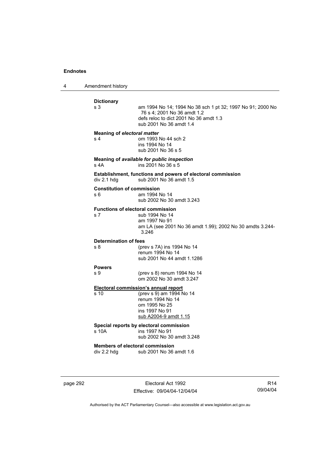4 Amendment history

| <b>Dictionary</b><br>s 3                             | am 1994 No 14; 1994 No 38 sch 1 pt 32; 1997 No 91; 2000 No<br>76 s 4; 2001 No 36 amdt 1.2<br>defs reloc to dict 2001 No 36 amdt 1.3<br>sub 2001 No 36 amdt 1.4 |
|------------------------------------------------------|----------------------------------------------------------------------------------------------------------------------------------------------------------------|
| <b>Meaning of electoral matter</b><br>s <sub>4</sub> | om 1993 No 44 sch 2<br>ins 1994 No 14<br>sub 2001 No 36 s 5                                                                                                    |
| s 4A                                                 | Meaning of available for public inspection<br>ins 2001 No 36 s 5                                                                                               |
| div 2.1 hdg                                          | Establishment, functions and powers of electoral commission<br>sub 2001 No 36 amdt 1.5                                                                         |
| s 6                                                  | <b>Constitution of commission</b><br>am 1994 No 14<br>sub 2002 No 30 amdt 3.243                                                                                |
| s <sub>7</sub>                                       | <b>Functions of electoral commission</b><br>sub 1994 No 14<br>am 1997 No 91<br>am LA (see 2001 No 36 amdt 1.99); 2002 No 30 amdts 3.244-<br>3.246              |
| <b>Determination of fees</b><br>s 8                  | (prev s 7A) ins 1994 No 14<br>renum 1994 No 14<br>sub 2001 No 44 amdt 1.1286                                                                                   |
| <b>Powers</b><br>s 9                                 | (prev s 8) renum 1994 No 14<br>om 2002 No 30 amdt 3.247                                                                                                        |
| s 10                                                 | <b>Electoral commission's annual report</b><br>(prev s 9) am 1994 No 14<br>renum 1994 No 14<br>om 1995 No 25<br>ins 1997 No 91<br>sub A2004-9 amdt 1.15        |
| s 10A                                                | Special reports by electoral commission<br>ins 1997 No 91<br>sub 2002 No 30 amdt 3.248                                                                         |
| div 2.2 hdg                                          | <b>Members of electoral commission</b><br>sub 2001 No 36 amdt 1.6                                                                                              |

page 292 **Electoral Act 1992** Effective: 09/04/04-12/04/04

R14 09/04/04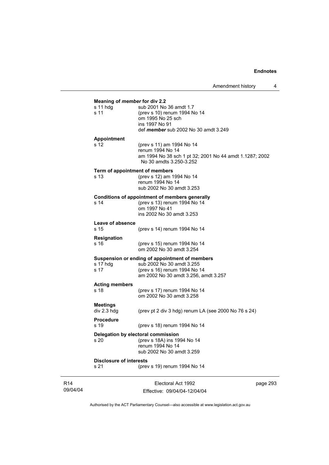| Meaning of member for div 2.2<br>s 11 hdg | sub 2001 No 36 amdt 1.7                                                     |
|-------------------------------------------|-----------------------------------------------------------------------------|
| s 11                                      | (prev s 10) renum 1994 No 14                                                |
|                                           | om 1995 No 25 sch                                                           |
|                                           | ins 1997 No 91<br>def member sub 2002 No 30 amdt 3.249                      |
|                                           |                                                                             |
| <b>Appointment</b>                        |                                                                             |
| s 12                                      | (prev s 11) am 1994 No 14<br>renum 1994 No 14                               |
|                                           | am 1994 No 38 sch 1 pt 32; 2001 No 44 amdt 1.1287; 2002                     |
|                                           | No 30 amdts 3.250-3.252                                                     |
|                                           | Term of appointment of members                                              |
| s <sub>13</sub>                           | (prev s 12) am 1994 No 14                                                   |
|                                           | renum 1994 No 14                                                            |
|                                           | sub 2002 No 30 amdt 3.253                                                   |
|                                           | <b>Conditions of appointment of members generally</b>                       |
| s 14                                      | (prev s 13) renum 1994 No 14<br>om 1997 No 41                               |
|                                           | ins 2002 No 30 amdt 3.253                                                   |
|                                           |                                                                             |
| Leave of absence<br>s 15                  | (prev s 14) renum 1994 No 14                                                |
|                                           |                                                                             |
| Resignation                               |                                                                             |
| s 16                                      | (prev s 15) renum 1994 No 14<br>om 2002 No 30 amdt 3.254                    |
|                                           |                                                                             |
| s 17 hdg                                  | Suspension or ending of appointment of members<br>sub 2002 No 30 amdt 3.255 |
| s 17                                      | (prev s 16) renum 1994 No 14                                                |
|                                           | am 2002 No 30 amdt 3.256, amdt 3.257                                        |
| <b>Acting members</b>                     |                                                                             |
| s 18                                      | (prev s 17) renum 1994 No 14                                                |
|                                           | om 2002 No 30 amdt 3.258                                                    |
| <b>Meetings</b>                           |                                                                             |
| $div 2.3$ hdg                             | (prev pt 2 div 3 hdg) renum LA (see 2000 No $76$ s $24$ )                   |
| <b>Procedure</b>                          |                                                                             |
| s 19                                      | (prev s 18) renum 1994 No 14                                                |
|                                           | Delegation by electoral commission                                          |
| s <sub>20</sub>                           | (prev s 18A) ins 1994 No 14                                                 |
|                                           | renum 1994 No 14                                                            |
|                                           | sub 2002 No 30 amdt 3.259                                                   |
| <b>Disclosure of interests</b>            |                                                                             |
| s 21                                      | (prev s 19) renum 1994 No 14                                                |

R14 09/04/04

Electoral Act 1992 Effective: 09/04/04-12/04/04 page 293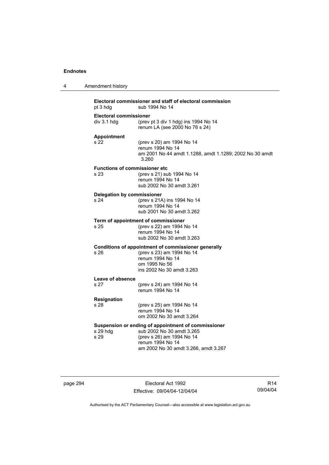| 4 | Amendment history                                        |                                                                                                                                                                           |
|---|----------------------------------------------------------|---------------------------------------------------------------------------------------------------------------------------------------------------------------------------|
|   | pt 3 hdg                                                 | Electoral commissioner and staff of electoral commission<br>sub 1994 No 14                                                                                                |
|   | <b>Electoral commissioner</b><br>div 3.1 hdg             | (prev pt 3 div 1 hdg) ins 1994 No 14<br>renum LA (see 2000 No 76 s 24)                                                                                                    |
|   | <b>Appointment</b><br>s 22                               | (prev s 20) am 1994 No 14<br>renum 1994 No 14<br>am 2001 No 44 amdt 1.1288, amdt 1.1289; 2002 No 30 amdt<br>3.260                                                         |
|   | <b>Functions of commissioner etc.</b><br>s <sub>23</sub> | (prev s 21) sub 1994 No 14<br>renum 1994 No 14<br>sub 2002 No 30 amdt 3.261                                                                                               |
|   | <b>Delegation by commissioner</b><br>s 24                | (prev s 21A) ins 1994 No 14<br>renum 1994 No 14<br>sub 2001 No 30 amdt 3.262                                                                                              |
|   | s 25                                                     | Term of appointment of commissioner<br>(prev s 22) am 1994 No 14<br>renum 1994 No 14<br>sub 2002 No 30 amdt 3.263                                                         |
|   | s 26                                                     | Conditions of appointment of commissioner generally<br>(prev s 23) am 1994 No 14<br>renum 1994 No 14<br>om 1995 No 56<br>ins 2002 No 30 amdt 3.263                        |
|   | Leave of absence                                         |                                                                                                                                                                           |
|   | s 27                                                     | (prev s 24) am 1994 No 14<br>renum 1994 No 14                                                                                                                             |
|   | <b>Resignation</b>                                       |                                                                                                                                                                           |
|   | s 28                                                     | (prev s 25) am 1994 No 14<br>renum 1994 No 14<br>om 2002 No 30 amdt 3.264                                                                                                 |
|   | s 29 hdg<br>s 29                                         | Suspension or ending of appointment of commissioner<br>sub 2002 No 30 amdt 3.265<br>(prev s 26) am 1994 No 14<br>renum 1994 No 14<br>am 2002 No 30 amdt 3.266, amdt 3.267 |

page 294 Electoral Act 1992 Effective: 09/04/04-12/04/04

R14 09/04/04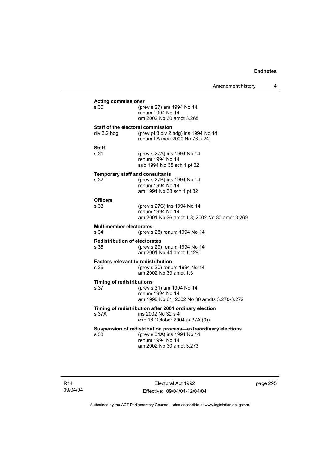Amendment history 4

| <b>Acting commissioner</b><br>s 30                                                                                                                  | (prev s 27) am 1994 No 14<br>renum 1994 No 14<br>om 2002 No 30 amdt 3.268                        |  |
|-----------------------------------------------------------------------------------------------------------------------------------------------------|--------------------------------------------------------------------------------------------------|--|
| Staff of the electoral commission<br>div 3.2 hdg                                                                                                    | (prev pt 3 div 2 hdg) ins 1994 No 14<br>renum LA (see 2000 No 76 s 24)                           |  |
| Staff<br>s 31                                                                                                                                       | (prev s 27A) ins 1994 No 14<br>renum 1994 No 14<br>sub 1994 No 38 sch 1 pt 32                    |  |
| <b>Temporary staff and consultants</b><br>s 32                                                                                                      | (prev s 27B) ins 1994 No 14<br>renum 1994 No 14<br>am 1994 No 38 sch 1 pt 32                     |  |
| <b>Officers</b><br>s 33                                                                                                                             | (prev s 27C) ins 1994 No 14<br>renum 1994 No 14<br>am 2001 No 36 amdt 1.8; 2002 No 30 amdt 3.269 |  |
| <b>Multimember electorates</b><br>s 34                                                                                                              | (prev s 28) renum 1994 No 14                                                                     |  |
| <b>Redistribution of electorates</b><br>s 35                                                                                                        | (prev s 29) renum 1994 No 14<br>am 2001 No 44 amdt 1.1290                                        |  |
| <b>Factors relevant to redistribution</b><br>s 36                                                                                                   | (prev s 30) renum 1994 No 14<br>am 2002 No 39 amdt 1.3                                           |  |
| <b>Timing of redistributions</b><br>s 37                                                                                                            | (prev s 31) am 1994 No 14<br>renum 1994 No 14<br>am 1998 No 61; 2002 No 30 amdts 3.270-3.272     |  |
| Timing of redistribution after 2001 ordinary election<br>s 37A<br>ins 2002 No 32 s 4<br>exp 16 October 2004 (s 37A (3))                             |                                                                                                  |  |
| Suspension of redistribution process-extraordinary elections<br>(prev s 31A) ins 1994 No 14<br>s 38<br>renum 1994 No 14<br>am 2002 No 30 amdt 3.273 |                                                                                                  |  |

R14 09/04/04

Electoral Act 1992 Effective: 09/04/04-12/04/04 page 295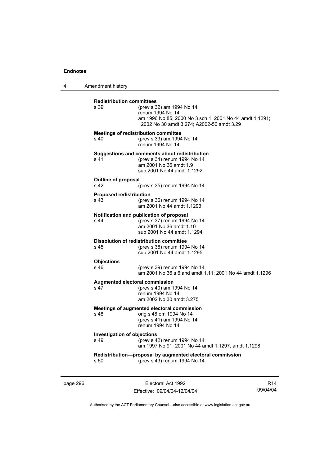4 Amendment history

| <b>Redistribution committees</b><br>s 39          | (prev s 32) am 1994 No 14<br>renum 1994 No 14<br>am 1996 No 85; 2000 No 3 sch 1; 2001 No 44 amdt 1.1291;<br>2002 No 30 amdt 3.274; A2002-56 amdt 3.29 |
|---------------------------------------------------|-------------------------------------------------------------------------------------------------------------------------------------------------------|
| s 40                                              | Meetings of redistribution committee<br>(prev s 33) am 1994 No 14<br>renum 1994 No 14                                                                 |
| s <sub>41</sub>                                   | Suggestions and comments about redistribution<br>(prev s 34) renum 1994 No 14<br>am 2001 No 36 amdt 1.9<br>sub 2001 No 44 amdt 1.1292                 |
| <b>Outline of proposal</b><br>s <sub>42</sub>     | (prev s 35) renum 1994 No 14                                                                                                                          |
| <b>Proposed redistribution</b><br>$s$ 43          | (prev s 36) renum 1994 No 14<br>am 2001 No 44 amdt 1.1293                                                                                             |
| s <sub>44</sub>                                   | Notification and publication of proposal<br>(prev s 37) renum 1994 No 14<br>am 2001 No 36 amdt 1.10<br>sub 2001 No 44 amdt 1.1294                     |
| s 45                                              | <b>Dissolution of redistribution committee</b><br>(prev s 38) renum 1994 No 14<br>sub 2001 No 44 amdt 1.1295                                          |
| <b>Objections</b><br>s 46                         | (prev s 39) renum 1994 No 14<br>am 2001 No 36 s 6 and amdt 1.11; 2001 No 44 amdt 1.1296                                                               |
| Augmented electoral commission<br>s <sub>47</sub> | (prev s 40) am 1994 No 14<br>renum 1994 No 14<br>am 2002 No 30 amdt 3.275                                                                             |
| s 48                                              | Meetings of augmented electoral commission<br>orig s 48 om 1994 No 14<br>(prev s 41) am 1994 No 14<br>renum 1994 No 14                                |
| <b>Investigation of objections</b><br>s 49        | (prev s 42) renum 1994 No 14<br>am 1997 No 91; 2001 No 44 amdt 1.1297, amdt 1.1298                                                                    |
| s, 50                                             | Redistribution-proposal by augmented electoral commission<br>(prev s 43) renum 1994 No 14                                                             |

page 296 Electoral Act 1992 Effective: 09/04/04-12/04/04

R14 09/04/04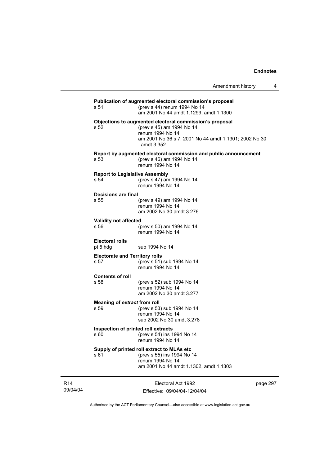| s 51                                          | Publication of augmented electoral commission's proposal<br>(prev s 44) renum 1994 No 14<br>am 2001 No 44 amdt 1.1299, amdt 1.1300                                              |
|-----------------------------------------------|---------------------------------------------------------------------------------------------------------------------------------------------------------------------------------|
| s 52                                          | Objections to augmented electoral commission's proposal<br>(prev s 45) am 1994 No 14<br>renum 1994 No 14<br>am 2001 No 36 s 7; 2001 No 44 amdt 1.1301; 2002 No 30<br>amdt 3.352 |
| s 53                                          | Report by augmented electoral commission and public announcement<br>(prev s 46) am 1994 No 14<br>renum 1994 No 14                                                               |
| <b>Report to Legislative Assembly</b><br>s 54 | (prev s 47) am 1994 No 14<br>renum 1994 No 14                                                                                                                                   |
| Decisions are final<br>s 55                   | (prev s 49) am 1994 No 14<br>renum 1994 No 14<br>am 2002 No 30 amdt 3.276                                                                                                       |
| <b>Validity not affected</b><br>s 56          | (prev s 50) am 1994 No 14<br>renum 1994 No 14                                                                                                                                   |
| <b>Electoral rolls</b><br>pt 5 hdg            | sub 1994 No 14                                                                                                                                                                  |
| <b>Electorate and Territory rolls</b><br>s 57 | (prev s 51) sub 1994 No 14<br>renum 1994 No 14                                                                                                                                  |
| <b>Contents of roll</b><br>s 58               | (prev s 52) sub 1994 No 14<br>renum 1994 No 14<br>am 2002 No 30 amdt 3.277                                                                                                      |
| Meaning of extract from roll<br>s 59          | (prev s 53) sub 1994 No 14<br>renum 1994 No 14<br>sub 2002 No 30 amdt 3.278                                                                                                     |
| Inspection of printed roll extracts<br>s 60.  | (prev s 54) ins 1994 No 14<br>renum 1994 No 14                                                                                                                                  |
| s 61                                          | Supply of printed roll extract to MLAs etc<br>(prev s 55) ins 1994 No 14<br>renum 1994 No 14<br>am 2001 No 44 amdt 1.1302, amdt 1.1303                                          |
|                                               |                                                                                                                                                                                 |

R14 09/04/04

Electoral Act 1992 Effective: 09/04/04-12/04/04 page 297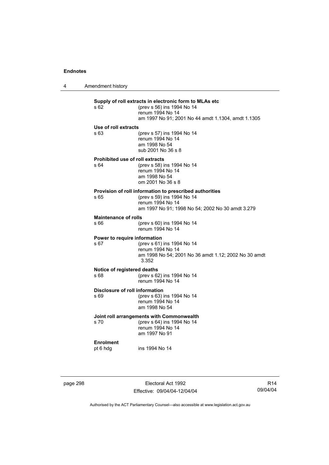4 Amendment history

# **Supply of roll extracts in electronic form to MLAs etc**  (prev s 56) ins 1994 No 14 renum 1994 No 14 am 1997 No 91; 2001 No 44 amdt 1.1304, amdt 1.1305 **Use of roll extracts**  s 63 (prev s 57) ins 1994 No 14 renum 1994 No 14 am 1998 No 54 sub 2001 No 36 s 8 **Prohibited use of roll extracts**  s 64 (prev s 58) ins 1994 No 14 renum 1994 No 14 am 1998 No 54 om 2001 No 36 s 8 **Provision of roll information to prescribed authorities**<br>  $\frac{65}{20}$  (prev s 59) ins 1994 No 14 (prev s 59) ins 1994 No 14 renum 1994 No 14 am 1997 No 91; 1998 No 54; 2002 No 30 amdt 3.279 **Maintenance of rolls**  s 66 (prev s 60) ins 1994 No 14 renum 1994 No 14 **Power to require information**  s 67 (prev s 61) ins 1994 No 14 renum 1994 No 14 am 1998 No 54; 2001 No 36 amdt 1.12; 2002 No 30 amdt 3.352 **Notice of registered deaths**  s 68 (prev s 62) ins 1994 No 14 renum 1994 No 14 **Disclosure of roll information**  s 69 (prev s 63) ins 1994 No 14 renum 1994 No 14 am 1998 No 54 **Joint roll arrangements with Commonwealth**  s 70 (prev s 64) ins 1994 No 14 renum 1994 No 14 am 1997 No 91 **Enrolment**  pt 6 hdg ins 1994 No 14

page 298 Electoral Act 1992 Effective: 09/04/04-12/04/04

R14 09/04/04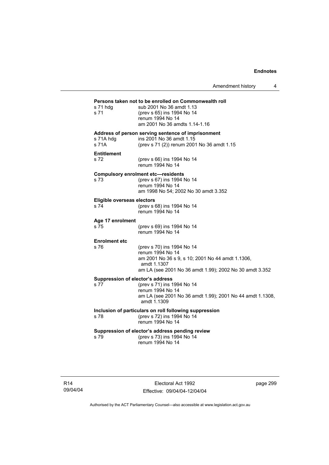Amendment history 4

# **Persons taken not to be enrolled on Commonwealth roll**  s 71 hdg sub 2001 No 36 amdt 1.13 s 71 (prev s 65) ins 1994 No 14 renum 1994 No 14 am 2001 No 36 amdts 1.14-1.16 **Address of person serving sentence of imprisonment**  s 71A hdg ins 2001 No 36 amdt 1.15<br>s 71A (prev s 71 (2)) renum 200 (prev s 71 (2)) renum 2001 No 36 amdt 1.15 **Entitlement**  s 72 (prev s 66) ins 1994 No 14 renum 1994 No 14 **Compulsory enrolment etc—residents**  (prev s 67) ins 1994 No 14 renum 1994 No 14 am 1998 No 54; 2002 No 30 amdt 3.352 **Eligible overseas electors**  s 74 (prev s 68) ins 1994 No 14 renum 1994 No 14 **Age 17 enrolment**  (prev s 69) ins 1994 No 14 renum 1994 No 14 **Enrolment etc**  (prev s 70) ins 1994 No 14 renum 1994 No 14 am 2001 No 36 s 9, s 10; 2001 No 44 amdt 1.1306, amdt 1.1307 am LA (see 2001 No 36 amdt 1.99); 2002 No 30 amdt 3.352 **Suppression of elector's address**  s 77 (prev s 71) ins 1994 No 14 renum 1994 No 14 am LA (see 2001 No 36 amdt 1.99); 2001 No 44 amdt 1.1308, amdt 1.1309 **Inclusion of particulars on roll following suppression**  s 78 (prev s 72) ins 1994 No 14 renum 1994 No 14 **Suppression of elector's address pending review**  s 79 (prev s 73) ins 1994 No 14 renum 1994 No 14

Electoral Act 1992 Effective: 09/04/04-12/04/04 page 299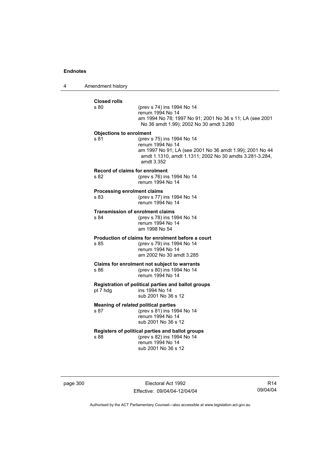4 Amendment history

| <b>Closed rolls</b><br>s.80        | (prev s 74) ins 1994 No 14                                                                                                                                                          |
|------------------------------------|-------------------------------------------------------------------------------------------------------------------------------------------------------------------------------------|
|                                    | renum 1994 No 14                                                                                                                                                                    |
|                                    | am 1994 No 78; 1997 No 91; 2001 No 36 s 11; LA (see 2001<br>No 36 amdt 1.99); 2002 No 30 amdt 3.280                                                                                 |
| <b>Objections to enrolment</b>     |                                                                                                                                                                                     |
| s 81                               | (prev s 75) ins 1994 No 14<br>renum 1994 No 14<br>am 1997 No 91; LA (see 2001 No 36 amdt 1.99); 2001 No 44<br>amdt 1.1310, amdt 1.1311; 2002 No 30 amdts 3.281-3.284,<br>amdt 3.352 |
|                                    | Record of claims for enrolment                                                                                                                                                      |
| s 82                               | (prev s 76) ins 1994 No 14<br>renum 1994 No 14                                                                                                                                      |
| <b>Processing enrolment claims</b> |                                                                                                                                                                                     |
| s 83                               | (prev s 77) ins 1994 No 14<br>renum 1994 No 14                                                                                                                                      |
|                                    | <b>Transmission of enrolment claims</b>                                                                                                                                             |
| s.84                               | (prev s 78) ins 1994 No 14<br>renum 1994 No 14<br>am 1998 No 54                                                                                                                     |
|                                    | Production of claims for enrolment before a court                                                                                                                                   |
| s 85                               | (prev s 79) ins 1994 No 14                                                                                                                                                          |
|                                    | renum 1994 No 14<br>am 2002 No 30 amdt 3.285                                                                                                                                        |
|                                    | Claims for enrolment not subject to warrants                                                                                                                                        |
| s 86                               | (prev s 80) ins 1994 No 14<br>renum 1994 No 14                                                                                                                                      |
|                                    | Registration of political parties and ballot groups                                                                                                                                 |
| pt 7 hdg                           | ins 1994 No 14<br>sub 2001 No 36 s 12                                                                                                                                               |
|                                    | Meaning of related political parties                                                                                                                                                |
| s 87                               | (prev s 81) ins 1994 No 14<br>renum 1994 No 14                                                                                                                                      |
|                                    | sub 2001 No 36 s 12                                                                                                                                                                 |
|                                    | Registers of political parties and ballot groups                                                                                                                                    |
| s 88                               | (prev s 82) ins 1994 No 14                                                                                                                                                          |
|                                    | renum 1994 No 14                                                                                                                                                                    |

page 300 **Electoral Act 1992** Effective: 09/04/04-12/04/04

R14 09/04/04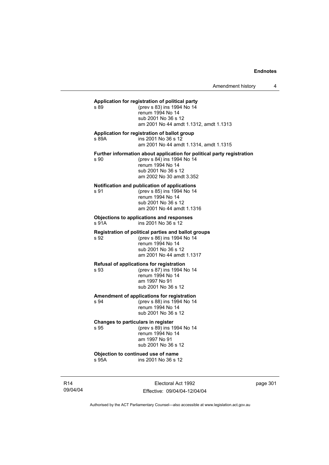#### **Application for registration of political party**

s 89 (prev s 83) ins 1994 No 14 renum 1994 No 14 sub 2001 No 36 s 12 am 2001 No 44 amdt 1.1312, amdt 1.1313

#### **Application for registration of ballot group**

s 89A ins 2001 No 36 s 12 am 2001 No 44 amdt 1.1314, amdt 1.1315

**Further information about application for political party registration** 

s 90 (prev s 84) ins 1994 No 14 renum 1994 No 14 sub 2001 No 36 s 12 am 2002 No 30 amdt 3.352

# **Notification and publication of applications**

(prev s 85) ins 1994 No 14 renum 1994 No 14 sub 2001 No 36 s 12 am 2001 No 44 amdt 1.1316

**Objections to applications and responses**  s 91A ins 2001 No 36 s 12

#### **Registration of political parties and ballot groups**

s 92 (prev s 86) ins 1994 No 14 renum 1994 No 14 sub 2001 No 36 s 12 am 2001 No 44 amdt 1.1317

# **Refusal of applications for registration**

s 93 (prev s 87) ins 1994 No 14 renum 1994 No 14 am 1997 No 91 sub 2001 No 36 s 12

#### **Amendment of applications for registration**

s 94 (prev s 88) ins 1994 No 14 renum 1994 No 14 sub 2001 No 36 s 12

# **Changes to particulars in register**

s 95 (prev s 89) ins 1994 No 14 renum 1994 No 14 am 1997 No 91 sub 2001 No 36 s 12

**Objection to continued use of name**<br>s 95A ins 2001 No 36 s 1 ins 2001 No 36 s 12

R14 09/04/04

Electoral Act 1992 Effective: 09/04/04-12/04/04 page 301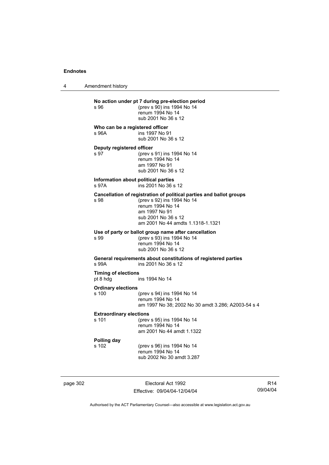4 Amendment history

**No action under pt 7 during pre-election period**  s 96 (prev s 90) ins 1994 No 14 renum 1994 No 14 sub 2001 No 36 s 12 **Who can be a registered officer**  s 96A ins 1997 No 91 sub 2001 No 36 s 12 **Deputy registered officer**<br>s 97 (prev s (prev s 91) ins 1994 No 14 renum 1994 No 14 am 1997 No 91 sub 2001 No 36 s 12 **Information about political parties**  s 97A ins 2001 No 36 s 12 **Cancellation of registration of political parties and ballot groups**  s 98 (prev s 92) ins 1994 No 14 renum 1994 No 14 am 1997 No 91 sub 2001 No 36 s 12 am 2001 No 44 amdts 1.1318-1.1321 **Use of party or ballot group name after cancellation**<br>
s 99 (prev s 93) ins 1994 No 14 s 99 (prev s 93) ins 1994 No 14 renum 1994 No 14 sub 2001 No 36 s 12 **General requirements about constitutions of registered parties**  ins 2001 No 36 s 12 **Timing of elections**  pt 8 hdg ins 1994 No 14 **Ordinary elections**  (prev s 94) ins 1994 No 14 renum 1994 No 14 am 1997 No 38; 2002 No 30 amdt 3.286; A2003-54 s 4 **Extraordinary elections**<br>s 101 (prev (prev s 95) ins 1994 No 14 renum 1994 No 14 am 2001 No 44 amdt 1.1322 **Polling day**  s 102 (prev s 96) ins 1994 No 14 renum 1994 No 14 sub 2002 No 30 amdt 3.287

page 302 Electoral Act 1992 Effective: 09/04/04-12/04/04

R14 09/04/04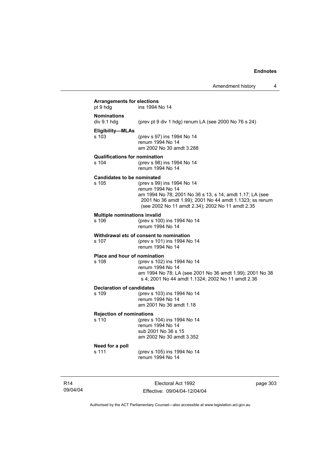| <b>Arrangements for elections</b><br>pt 9 hdg | ins 1994 No 14                                                                                                                                                                                                            |
|-----------------------------------------------|---------------------------------------------------------------------------------------------------------------------------------------------------------------------------------------------------------------------------|
| <b>Nominations</b><br>div 9.1 hdg             | (prev pt 9 div 1 hdg) renum LA (see 2000 No 76 s 24)                                                                                                                                                                      |
| Eligibility-MLAs<br>s 103                     | (prev s 97) ins 1994 No 14<br>renum 1994 No 14<br>am 2002 No 30 amdt 3.288                                                                                                                                                |
| <b>Qualifications for nomination</b><br>s 104 | (prev s 98) ins 1994 No 14<br>renum 1994 No 14                                                                                                                                                                            |
| <b>Candidates to be nominated</b><br>s 105    | (prev s 99) ins 1994 No 14<br>renum 1994 No 14<br>am 1994 No 78; 2001 No 36 s 13, s 14, amdt 1.17; LA (see<br>2001 No 36 amdt 1.99); 2001 No 44 amdt 1.1323; ss renum<br>(see 2002 No 11 amdt 2.34); 2002 No 11 amdt 2.35 |
| <b>Multiple nominations invalid</b><br>s 106  | (prev s 100) ins 1994 No 14<br>renum 1994 No 14                                                                                                                                                                           |
| s 107                                         | Withdrawal etc of consent to nomination<br>(prev s 101) ins 1994 No 14<br>renum 1994 No 14                                                                                                                                |
| Place and hour of nomination<br>s 108         | (prev s 102) ins 1994 No 14<br>renum 1994 No 14<br>am 1994 No 78; LA (see 2001 No 36 amdt 1.99); 2001 No 38<br>s 4; 2001 No 44 amdt 1.1324; 2002 No 11 amdt 2.36                                                          |
| <b>Declaration of candidates</b><br>s 109     | (prev s 103) ins 1994 No 14<br>renum 1994 No 14<br>am 2001 No 36 amdt 1.18                                                                                                                                                |
| <b>Rejection of nominations</b><br>s 110      | (prev s 104) ins 1994 No 14<br>renum 1994 No 14<br>sub 2001 No 36 s 15<br>am 2002 No 30 amdt 3.352                                                                                                                        |
| Need for a poll<br>s 111                      | (prev s 105) ins 1994 No 14<br>renum 1994 No 14                                                                                                                                                                           |

R14 09/04/04

Electoral Act 1992 Effective: 09/04/04-12/04/04 page 303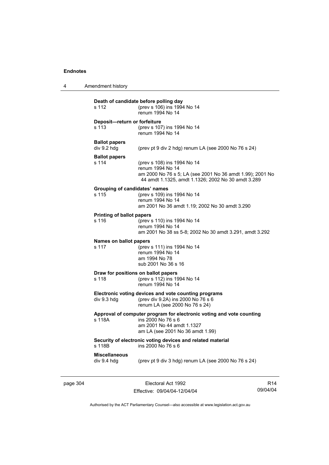| 4 | Amendment history                            |                                                                                                                                                                    |
|---|----------------------------------------------|--------------------------------------------------------------------------------------------------------------------------------------------------------------------|
|   | s 112                                        | Death of candidate before polling day<br>(prev s 106) ins 1994 No 14<br>renum 1994 No 14                                                                           |
|   | Deposit-return or forfeiture<br>s 113        | (prev s 107) ins 1994 No 14<br>renum 1994 No 14                                                                                                                    |
|   | <b>Ballot papers</b><br>div 9.2 hdg          | (prev pt 9 div 2 hdg) renum LA (see 2000 No 76 s 24)                                                                                                               |
|   | <b>Ballot papers</b><br>s 114                | (prev s 108) ins 1994 No 14<br>renum 1994 No 14<br>am 2000 No 76 s 5; LA (see 2001 No 36 amdt 1.99); 2001 No<br>44 amdt 1.1325, amdt 1.1326; 2002 No 30 amdt 3.289 |
|   | Grouping of candidates' names<br>s 115       | (prev s 109) ins 1994 No 14<br>renum 1994 No 14<br>am 2001 No 36 amdt 1.19; 2002 No 30 amdt 3.290                                                                  |
|   | <b>Printing of ballot papers</b><br>s 116    | (prev s 110) ins 1994 No 14<br>renum 1994 No 14<br>am 2001 No 38 ss 5-8; 2002 No 30 amdt 3.291, amdt 3.292                                                         |
|   | Names on ballot papers<br>s 117              | (prev s 111) ins 1994 No 14<br>renum 1994 No 14<br>am 1994 No 78<br>sub 2001 No 36 s 16                                                                            |
|   | Draw for positions on ballot papers<br>s 118 | (prev s 112) ins 1994 No 14<br>renum 1994 No 14                                                                                                                    |
|   | div 9.3 hdg                                  | Electronic voting devices and vote counting programs<br>(prev div 9.2A) ins 2000 No 76 s 6<br>renum LA (see 2000 No 76 s 24)                                       |
|   | s 118A                                       | Approval of computer program for electronic voting and vote counting<br>ins 2000 No 76 s 6<br>am 2001 No 44 amdt 1.1327<br>am LA (see 2001 No 36 amdt 1.99)        |
|   | s 118B                                       | Security of electronic voting devices and related material<br>ins 2000 No 76 s 6                                                                                   |
|   | <b>Miscellaneous</b><br>div 9.4 hdg          | (prev pt 9 div 3 hdg) renum LA (see 2000 No 76 s 24)                                                                                                               |
|   |                                              |                                                                                                                                                                    |

Authorised by the ACT Parliamentary Counsel—also accessible at www.legislation.act.gov.au

Effective: 09/04/04-12/04/04

R14 09/04/04

page 304 Electoral Act 1992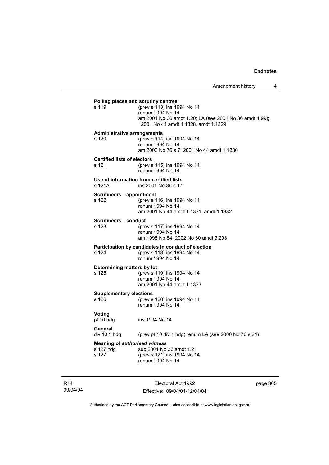| s 119                                       | (prev s 113) ins 1994 No 14<br>renum 1994 No 14<br>am 2001 No 36 amdt 1.20; LA (see 2001 No 36 amdt 1.99);<br>2001 No 44 amdt 1.1328, amdt 1.1329 |
|---------------------------------------------|---------------------------------------------------------------------------------------------------------------------------------------------------|
| <b>Administrative arrangements</b><br>s 120 | (prev s 114) ins 1994 No 14<br>renum 1994 No 14<br>am 2000 No 76 s 7; 2001 No 44 amdt 1.1330                                                      |
| <b>Certified lists of electors</b><br>s 121 | (prev s 115) ins 1994 No 14<br>renum 1994 No 14                                                                                                   |
| s 121A                                      | Use of information from certified lists<br>ins 2001 No 36 s 17                                                                                    |
| Scrutineers-appointment<br>s 122            | (prev s 116) ins 1994 No 14<br>renum 1994 No 14<br>am 2001 No 44 amdt 1.1331, amdt 1.1332                                                         |
| Scrutineers-conduct<br>s 123                | (prev s 117) ins 1994 No 14<br>renum 1994 No 14<br>am 1998 No 54; 2002 No 30 amdt 3.293                                                           |
| s 124                                       | Participation by candidates in conduct of election<br>(prev s 118) ins 1994 No 14<br>renum 1994 No 14                                             |
| Determining matters by lot<br>s 125         | (prev s 119) ins 1994 No 14<br>renum 1994 No 14<br>am 2001 No 44 amdt 1.1333                                                                      |
| <b>Supplementary elections</b><br>s 126     | (prev s 120) ins 1994 No 14<br>renum 1994 No 14                                                                                                   |
| Voting<br>pt 10 hdg                         | ins 1994 No 14                                                                                                                                    |
| General<br>div 10.1 hdg                     | (prev pt 10 div 1 hdg) renum LA (see 2000 No 76 s 24)                                                                                             |
| s 127 hdg<br>s 127                          | <b>Meaning of authorised witness</b><br>sub 2001 No 36 amdt 1.21<br>(prev s 121) ins 1994 No 14<br>renum 1994 No 14                               |

R14 09/04/04

Electoral Act 1992 Effective: 09/04/04-12/04/04 page 305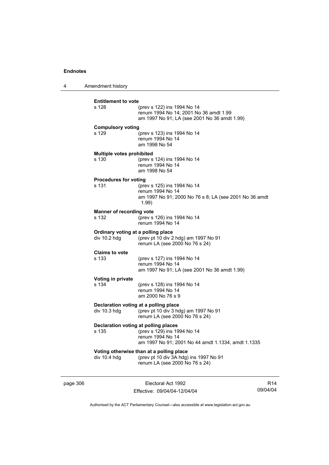4 Amendment history

|                                | Electoral Act 1992                                                                                                    | R <sub>14</sub>                                                                                                                                                                                                                                                                                                                                                                     |
|--------------------------------|-----------------------------------------------------------------------------------------------------------------------|-------------------------------------------------------------------------------------------------------------------------------------------------------------------------------------------------------------------------------------------------------------------------------------------------------------------------------------------------------------------------------------|
| div 10.4 hdg                   | (prev pt 10 div 3A hdg) ins 1997 No 91<br>renum LA (see 2000 No 76 s 24)                                              |                                                                                                                                                                                                                                                                                                                                                                                     |
| s 135                          | (prev s 129) ins 1994 No 14<br>renum 1994 No 14<br>am 1997 No 91; 2001 No 44 amdt 1.1334, amdt 1.1335                 |                                                                                                                                                                                                                                                                                                                                                                                     |
| div 10.3 hdg                   | (prev pt 10 div 3 hdg) am 1997 No 91<br>renum LA (see 2000 No 76 s 24)                                                |                                                                                                                                                                                                                                                                                                                                                                                     |
| Voting in private<br>s 134     | (prev s 128) ins 1994 No 14<br>renum 1994 No 14<br>am 2000 No 76 s 9                                                  |                                                                                                                                                                                                                                                                                                                                                                                     |
| <b>Claims to vote</b><br>s 133 | (prev s 127) ins 1994 No 14<br>renum 1994 No 14<br>am 1997 No 91; LA (see 2001 No 36 amdt 1.99)                       |                                                                                                                                                                                                                                                                                                                                                                                     |
| div 10.2 hdg                   | (prev pt 10 div 2 hdg) am 1997 No 91<br>renum LA (see 2000 No 76 s 24)                                                |                                                                                                                                                                                                                                                                                                                                                                                     |
| s 132                          | (prev s 126) ins 1994 No 14<br>renum 1994 No 14                                                                       |                                                                                                                                                                                                                                                                                                                                                                                     |
| s 131                          | (prev s 125) ins 1994 No 14<br>renum 1994 No 14<br>(1.99)                                                             |                                                                                                                                                                                                                                                                                                                                                                                     |
| s 130                          | (prev s 124) ins 1994 No 14<br>renum 1994 No 14<br>am 1998 No 54                                                      |                                                                                                                                                                                                                                                                                                                                                                                     |
| s 129                          | (prev s 123) ins 1994 No 14<br>renum 1994 No 14<br>am 1998 No 54                                                      |                                                                                                                                                                                                                                                                                                                                                                                     |
| s 128                          | (prev s 122) ins 1994 No 14<br>renum 1994 No 14; 2001 No 36 amdt 1.99<br>am 1997 No 91; LA (see 2001 No 36 amdt 1.99) |                                                                                                                                                                                                                                                                                                                                                                                     |
|                                |                                                                                                                       | <b>Entitlement to vote</b><br><b>Compulsory voting</b><br>Multiple votes prohibited<br><b>Procedures for voting</b><br>am 1997 No 91; 2000 No 76 s 8; LA (see 2001 No 36 amdt<br><b>Manner of recording vote</b><br>Ordinary voting at a polling place<br>Declaration voting at a polling place<br>Declaration voting at polling places<br>Voting otherwise than at a polling place |

Authorised by the ACT Parliamentary Counsel—also accessible at www.legislation.act.gov.au

09/04/04

Effective: 09/04/04-12/04/04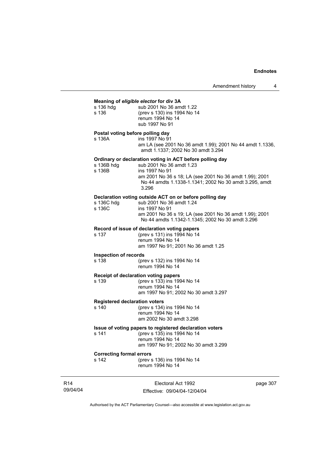#### **Meaning of** *eligible elector* **for div 3A**

| s 136 hdg | sub 2001 No 36 amdt 1.22    |
|-----------|-----------------------------|
| s 136     | (prev s 130) ins 1994 No 14 |
|           | renum 1994 No 14            |
|           | sub 1997 No 91              |
|           |                             |

#### **Postal voting before polling day**

s 136A ins 1997 No 91 am LA (see 2001 No 36 amdt 1.99); 2001 No 44 amdt 1.1336, amdt 1.1337; 2002 No 30 amdt 3.294

#### **Ordinary or declaration voting in ACT before polling day**

| s 136B hdq | sub 2001 No 36 amdt 1.23                                |
|------------|---------------------------------------------------------|
| s 136B     | ins 1997 No 91                                          |
|            | am 2001 No 36 s 18; LA (see 2001 No 36 amdt 1.99); 2001 |
|            | No 44 amdts 1.1338-1.1341; 2002 No 30 amdt 3.295, amdt  |
|            | 3.296                                                   |

#### **Declaration voting outside ACT on or before polling day**

| s 136C hdq | sub 2001 No 36 amdt 1.24                                |
|------------|---------------------------------------------------------|
| s 136C     | ins 1997 No 91                                          |
|            | am 2001 No 36 s 19; LA (see 2001 No 36 amdt 1.99); 2001 |
|            | No 44 amdts 1.1342-1.1345; 2002 No 30 amdt 3.296        |

#### **Record of issue of declaration voting papers**

| s 137 | (prev s 131) ins 1994 No 14         |
|-------|-------------------------------------|
|       | renum 1994 No 14                    |
|       | am 1997 No 91; 2001 No 36 amdt 1.25 |

#### **Inspection of records**

s 138 (prev s 132) ins 1994 No 14 renum 1994 No 14

#### **Receipt of declaration voting papers**

s 139 (prev s 133) ins 1994 No 14 renum 1994 No 14 am 1997 No 91; 2002 No 30 amdt 3.297

# **Registered declaration voters**<br>s 140 (prev s 134)

(prev s 134) ins 1994 No 14 renum 1994 No 14 am 2002 No 30 amdt 3.298

#### **Issue of voting papers to registered declaration voters**

s 141 (prev s 135) ins 1994 No 14 renum 1994 No 14 am 1997 No 91; 2002 No 30 amdt 3.299

**Correcting formal errors**<br>s 142 (prev s (prev s 136) ins 1994 No 14 renum 1994 No 14

R14 09/04/04

Electoral Act 1992 Effective: 09/04/04-12/04/04 page 307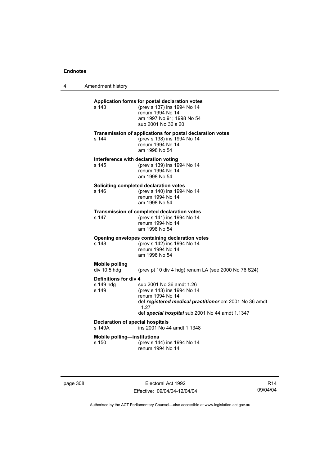4 Amendment history

| Application forms for postal declaration votes<br>(prev s 137) ins 1994 No 14<br>renum 1994 No 14<br>am 1997 No 91; 1998 No 54<br>sub 2001 No 36 s 20<br>Transmission of applications for postal declaration votes<br>(prev s 138) ins 1994 No 14<br>renum 1994 No 14<br>am 1998 No 54<br>Interference with declaration voting<br>(prev s 139) ins 1994 No 14 |
|---------------------------------------------------------------------------------------------------------------------------------------------------------------------------------------------------------------------------------------------------------------------------------------------------------------------------------------------------------------|
|                                                                                                                                                                                                                                                                                                                                                               |
|                                                                                                                                                                                                                                                                                                                                                               |
|                                                                                                                                                                                                                                                                                                                                                               |
| renum 1994 No 14<br>am 1998 No 54                                                                                                                                                                                                                                                                                                                             |
| Soliciting completed declaration votes                                                                                                                                                                                                                                                                                                                        |
| (prev s 140) ins 1994 No 14<br>renum 1994 No 14<br>am 1998 No 54                                                                                                                                                                                                                                                                                              |
| <b>Transmission of completed declaration votes</b><br>(prev s 141) ins 1994 No 14<br>renum 1994 No 14<br>am 1998 No 54                                                                                                                                                                                                                                        |
| Opening envelopes containing declaration votes<br>(prev s 142) ins 1994 No 14<br>renum 1994 No 14<br>am 1998 No 54                                                                                                                                                                                                                                            |
|                                                                                                                                                                                                                                                                                                                                                               |
| (prev pt 10 div 4 hdg) renum LA (see 2000 No 76 S24)                                                                                                                                                                                                                                                                                                          |
| Definitions for div 4<br>sub 2001 No 36 amdt 1.26<br>(prev s 143) ins 1994 No 14<br>renum 1994 No 14<br>def registered medical practitioner om 2001 No 36 amdt<br>1.27                                                                                                                                                                                        |
| def special hospital sub 2001 No 44 amdt 1.1347                                                                                                                                                                                                                                                                                                               |
| <b>Declaration of special hospitals</b><br>ins 2001 No 44 amdt 1.1348                                                                                                                                                                                                                                                                                         |
| <b>Mobile polling-institutions</b>                                                                                                                                                                                                                                                                                                                            |
| (prev s 144) ins 1994 No 14<br>renum 1994 No 14                                                                                                                                                                                                                                                                                                               |
|                                                                                                                                                                                                                                                                                                                                                               |

page 308 Electoral Act 1992 Effective: 09/04/04-12/04/04

R14 09/04/04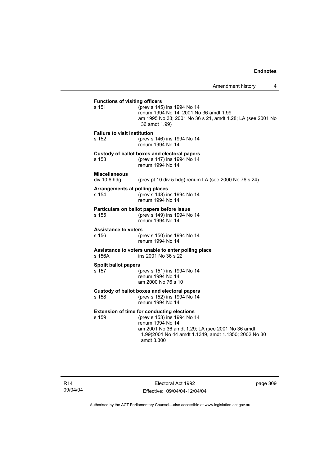## **Functions of visiting officers**<br>s 151 (prev s 145) (prev s 145) ins 1994 No 14 renum 1994 No 14; 2001 No 36 amdt 1.99 am 1995 No 33; 2001 No 36 s 21, amdt 1.28; LA (see 2001 No 36 amdt 1.99) **Failure to visit institution** s 152 (prev s 146) ins 1994 No 14 renum 1994 No 14 **Custody of ballot boxes and electoral papers** s 153 (prev s 147) ins 1994 No 14 renum 1994 No 14 **Miscellaneous**  (prev pt 10 div 5 hdg) renum LA (see 2000 No 76 s 24) **Arrangements at polling places** s 154 (prev s 148) ins 1994 No 14 renum 1994 No 14 **Particulars on ballot papers before issue** s 155 (prev s 149) ins 1994 No 14 renum 1994 No 14 **Assistance to voters** s 156 (prev s 150) ins 1994 No 14 renum 1994 No 14 **Assistance to voters unable to enter polling place** s 156A ins 2001 No 36 s 22 **Spoilt ballot papers** s 157 (prev s 151) ins 1994 No 14 renum 1994 No 14 am 2000 No 76 s 10 **Custody of ballot boxes and electoral papers** s 158 (prev s 152) ins 1994 No 14 renum 1994 No 14 **Extension of time for conducting elections** s 159 (prev s 153) ins 1994 No 14 renum 1994 No 14 am 2001 No 36 amdt 1.29; LA (see 2001 No 36 amdt 1.99)2001 No 44 amdt 1.1349, amdt 1.1350; 2002 No 30 amdt 3.300

Electoral Act 1992 Effective: 09/04/04-12/04/04 page 309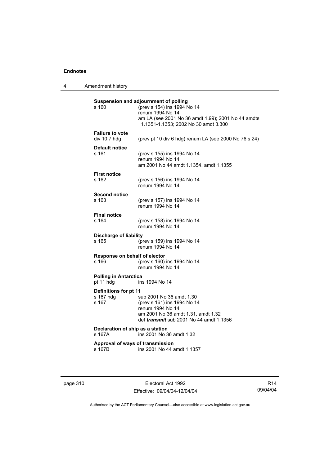4 Amendment history

| s 160                                       | Suspension and adjournment of polling<br>(prev s 154) ins 1994 No 14<br>renum 1994 No 14<br>am LA (see 2001 No 36 amdt 1.99); 2001 No 44 amdts<br>1.1351-1.1353; 2002 No 30 amdt 3.300 |
|---------------------------------------------|----------------------------------------------------------------------------------------------------------------------------------------------------------------------------------------|
| <b>Failure to vote</b><br>div 10.7 hdg      | (prev pt 10 div 6 hdg) renum LA (see 2000 No 76 s 24)                                                                                                                                  |
| <b>Default notice</b><br>s 161              | (prev s 155) ins 1994 No 14<br>renum 1994 No 14<br>am 2001 No 44 amdt 1.1354, amdt 1.1355                                                                                              |
| <b>First notice</b><br>s 162                | (prev s 156) ins 1994 No 14<br>renum 1994 No 14                                                                                                                                        |
| <b>Second notice</b><br>$s$ 163             | (prev s 157) ins 1994 No 14<br>renum 1994 No 14                                                                                                                                        |
| <b>Final notice</b><br>s 164                | (prev s 158) ins 1994 No 14<br>renum 1994 No 14                                                                                                                                        |
| <b>Discharge of liability</b><br>s 165      | (prev s 159) ins 1994 No 14<br>renum 1994 No 14                                                                                                                                        |
| Response on behalf of elector<br>s 166      | (prev s 160) ins 1994 No 14<br>renum 1994 No 14                                                                                                                                        |
| <b>Polling in Antarctica</b><br>pt 11 hdg   | ins 1994 No 14                                                                                                                                                                         |
| Definitions for pt 11<br>s 167 hdg<br>s 167 | sub 2001 No 36 amdt 1.30<br>(prev s 161) ins 1994 No 14<br>renum 1994 No 14<br>am 2001 No 36 amdt 1.31, amdt 1.32<br>def <i>transmit</i> sub 2001 No 44 amdt 1.1356                    |
| Declaration of ship as a station<br>s 167A  | ins 2001 No 36 amdt 1.32                                                                                                                                                               |
| Approval of ways of transmission<br>s 167B  | ins 2001 No 44 amdt 1.1357                                                                                                                                                             |

page 310 **Electoral Act 1992** Effective: 09/04/04-12/04/04

R14 09/04/04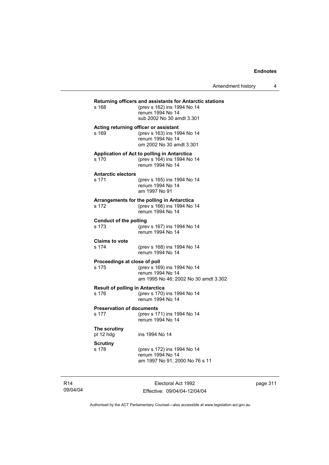| s 168                                           | Returning officers and assistants for Antarctic stations<br>(prev s 162) ins 1994 No 14<br>renum 1994 No 14<br>sub 2002 No 30 amdt 3.301 |
|-------------------------------------------------|------------------------------------------------------------------------------------------------------------------------------------------|
| s 169                                           | Acting returning officer or assistant<br>(prev s 163) ins 1994 No 14<br>renum 1994 No 14<br>om 2002 No 30 amdt 3.301                     |
| s 170                                           | Application of Act to polling in Antarctica<br>(prev s 164) ins 1994 No 14<br>renum 1994 No 14                                           |
| <b>Antarctic electors</b><br>s 171              | (prev s 165) ins 1994 No 14<br>renum 1994 No 14<br>am 1997 No 91                                                                         |
| s 172                                           | Arrangements for the polling in Antarctica<br>(prev s 166) ins 1994 No 14<br>renum 1994 No 14                                            |
| Conduct of the polling<br>s 173                 | (prev s 167) ins 1994 No 14<br>renum 1994 No 14                                                                                          |
| <b>Claims to vote</b><br>s 174                  | (prev s 168) ins 1994 No 14<br>renum 1994 No 14                                                                                          |
| Proceedings at close of poll<br>s 175           | (prev s 169) ins 1994 No 14<br>renum 1994 No 14<br>am 1995 No 46; 2002 No 30 amdt 3.302                                                  |
| <b>Result of polling in Antarctica</b><br>s 176 | (prev s 170) ins 1994 No 14<br>renum 1994 No 14                                                                                          |
| <b>Preservation of documents</b><br>s 177       | (prev s 171) ins 1994 No 14<br>renum 1994 No 14                                                                                          |
| The scrutiny<br>pt 12 hdg                       | ins 1994 No 14                                                                                                                           |
| <b>Scrutiny</b><br>s 178                        | (prev s 172) ins 1994 No 14<br>renum 1994 No 14<br>am 1997 No 91; 2000 No 76 s 11                                                        |

R14 09/04/04

Electoral Act 1992 Effective: 09/04/04-12/04/04 page 311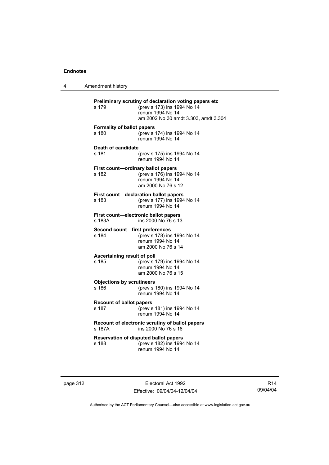4 Amendment history

| s 179                                       | Preliminary scrutiny of declaration voting papers etc<br>(prev s 173) ins 1994 No 14<br>renum 1994 No 14<br>am 2002 No 30 amdt 3.303, amdt 3.304 |
|---------------------------------------------|--------------------------------------------------------------------------------------------------------------------------------------------------|
| <b>Formality of ballot papers</b><br>s 180  | (prev s 174) ins 1994 No 14<br>renum 1994 No 14                                                                                                  |
| Death of candidate<br>s 181                 | (prev s 175) ins 1994 No 14<br>renum 1994 No 14                                                                                                  |
| First count-ordinary ballot papers<br>s 182 | (prev s 176) ins 1994 No 14<br>renum 1994 No 14<br>am 2000 No 76 s 12                                                                            |
| s 183                                       | First count-declaration ballot papers<br>(prev s 177) ins 1994 No 14<br>renum 1994 No 14                                                         |
| s 183A                                      | First count-electronic ballot papers<br>ins 2000 No 76 s 13                                                                                      |
| Second count-first preferences<br>s 184     | (prev s 178) ins 1994 No 14<br>renum 1994 No 14<br>am 2000 No 76 s 14                                                                            |
| Ascertaining result of poll<br>s 185        | (prev s 179) ins 1994 No 14<br>renum 1994 No 14<br>am 2000 No 76 s 15                                                                            |
| <b>Objections by scrutineers</b><br>s 186   | (prev s 180) ins 1994 No 14<br>renum 1994 No 14                                                                                                  |
| <b>Recount of ballot papers</b><br>s 187    | (prev s 181) ins 1994 No 14<br>renum 1994 No 14                                                                                                  |
| s 187A                                      | Recount of electronic scrutiny of ballot papers<br>ins 2000 No 76 s 16                                                                           |
| s 188                                       | <b>Reservation of disputed ballot papers</b><br>(prev s 182) ins 1994 No 14<br>renum 1994 No 14                                                  |

page 312 **Electoral Act 1992** Effective: 09/04/04-12/04/04

R14 09/04/04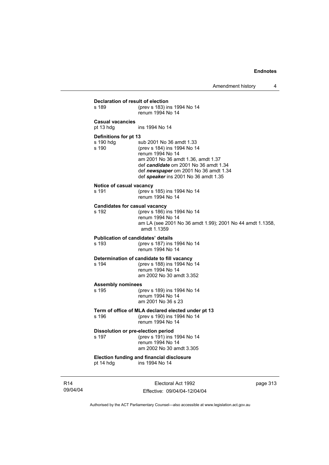| Declaration of result of election                  |                                                                                                                                                                                                                                             |     |
|----------------------------------------------------|---------------------------------------------------------------------------------------------------------------------------------------------------------------------------------------------------------------------------------------------|-----|
| s 189                                              | (prev s 183) ins 1994 No 14<br>renum 1994 No 14                                                                                                                                                                                             |     |
| <b>Casual vacancies</b><br>pt 13 hdg               | ins 1994 No 14                                                                                                                                                                                                                              |     |
| Definitions for pt 13<br>s 190 hdg<br>s 190        | sub 2001 No 36 amdt 1.33<br>(prev s 184) ins 1994 No 14<br>renum 1994 No 14<br>am 2001 No 36 amdt 1.36, amdt 1.37<br>def candidate om 2001 No 36 amdt 1.34<br>def newspaper om 2001 No 36 amdt 1.34<br>def speaker ins 2001 No 36 amdt 1.35 |     |
| Notice of casual vacancy<br>s 191                  | (prev s 185) ins 1994 No 14<br>renum 1994 No 14                                                                                                                                                                                             |     |
| <b>Candidates for casual vacancy</b><br>s 192      | (prev s 186) ins 1994 No 14<br>renum 1994 No 14<br>am LA (see 2001 No 36 amdt 1.99); 2001 No 44 amdt 1.1358,<br>amdt 1.1359                                                                                                                 |     |
| <b>Publication of candidates' details</b><br>s 193 | (prev s 187) ins 1994 No 14<br>renum 1994 No 14                                                                                                                                                                                             |     |
| s 194                                              | Determination of candidate to fill vacancy<br>(prev s 188) ins 1994 No 14<br>renum 1994 No 14<br>am 2002 No 30 amdt 3.352                                                                                                                   |     |
| <b>Assembly nominees</b><br>s 195                  | (prev s 189) ins 1994 No 14<br>renum 1994 No 14<br>am 2001 No 36 s 23                                                                                                                                                                       |     |
| s 196                                              | Term of office of MLA declared elected under pt 13<br>(prev s 190) ins 1994 No 14<br>renum 1994 No 14                                                                                                                                       |     |
| Dissolution or pre-election period<br>s 197        | (prev s 191) ins 1994 No 14<br>renum 1994 No 14<br>am 2002 No 30 amdt 3.305                                                                                                                                                                 |     |
| pt 14 hdg                                          | <b>Election funding and financial disclosure</b><br>ins 1994 No 14                                                                                                                                                                          |     |
|                                                    | $E$ lootorol Aot 1002                                                                                                                                                                                                                       | 342 |

R14 09/04/04

Electoral Act 1992 Effective: 09/04/04-12/04/04 page 313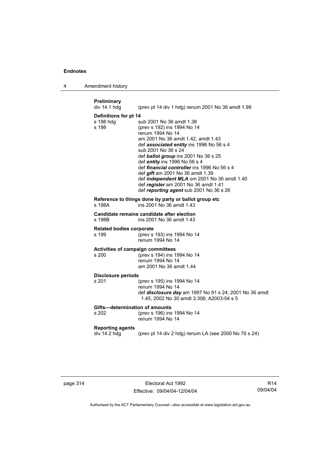4 Amendment history

| Preliminary<br>div 14.1 hdg                       | (prev pt 14 div 1 hdg) renum 2001 No 36 amdt 1.99                                                                                                                                                                                                                                                                                                                                                                                                                                         |
|---------------------------------------------------|-------------------------------------------------------------------------------------------------------------------------------------------------------------------------------------------------------------------------------------------------------------------------------------------------------------------------------------------------------------------------------------------------------------------------------------------------------------------------------------------|
| Definitions for pt 14<br>s 198 hdg<br>s 198       | sub 2001 No 36 amdt 1.38<br>(prev s 192) ins 1994 No 14<br>renum 1994 No 14<br>am 2001 No 36 amdt 1.42, amdt 1.43<br>def associated entity ins 1996 No 56 s 4<br>sub 2001 No 36 s 24<br>def ballot group ins 2001 No 36 s 25<br>def entity ins 1996 No 56 s 4<br>def financial controller ins 1996 No 56 s 4<br>def <i>gift</i> am 2001 No 36 amdt 1.39<br>def independent MLA om 2001 No 36 amdt 1.40<br>def register am 2001 No 36 amdt 1.41<br>def reporting agent sub 2001 No 36 s 26 |
| s 198A                                            | Reference to things done by party or ballot group etc<br>ins 2001 No 36 amdt 1.43                                                                                                                                                                                                                                                                                                                                                                                                         |
| s 198B                                            | Candidate remains candidate after election<br>ins 2001 No 36 amdt 1.43                                                                                                                                                                                                                                                                                                                                                                                                                    |
| <b>Related bodies corporate</b><br>s 199          | (prev s 193) ins 1994 No 14<br>renum 1994 No 14                                                                                                                                                                                                                                                                                                                                                                                                                                           |
| <b>Activities of campaign committees</b><br>s 200 | (prev s 194) ins 1994 No 14<br>renum 1994 No 14<br>am 2001 No 36 amdt 1.44                                                                                                                                                                                                                                                                                                                                                                                                                |
| <b>Disclosure periods</b>                         |                                                                                                                                                                                                                                                                                                                                                                                                                                                                                           |
| s 201                                             | (prev s 195) ins 1994 No 14<br>renum 1994 No 14<br>def disclosure day am 1997 No 91 s 24; 2001 No 36 amdt<br>1.45; 2002 No 30 amdt 3.306; A2003-54 s 5                                                                                                                                                                                                                                                                                                                                    |
| Gifts-determination of amounts<br>s 202           | (prev s 196) ins 1994 No 14<br>renum 1994 No 14                                                                                                                                                                                                                                                                                                                                                                                                                                           |
| <b>Reporting agents</b><br>div 14.2 hdg           | (prev pt 14 div 2 hdg) renum LA (see 2000 No 76 s 24)                                                                                                                                                                                                                                                                                                                                                                                                                                     |
|                                                   |                                                                                                                                                                                                                                                                                                                                                                                                                                                                                           |

page 314 **Electoral Act 1992** Effective: 09/04/04-12/04/04

R14 09/04/04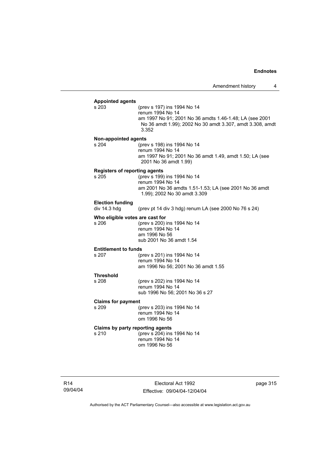| <b>Appointed agents</b>              |                                                           |
|--------------------------------------|-----------------------------------------------------------|
| s 203                                | (prev s 197) ins 1994 No 14                               |
|                                      | renum 1994 No 14                                          |
|                                      | am 1997 No 91; 2001 No 36 amdts 1.46-1.48; LA (see 2001   |
|                                      | No 36 amdt 1.99); 2002 No 30 amdt 3.307, amdt 3.308, amdt |
|                                      | 3.352                                                     |
| Non-appointed agents                 |                                                           |
| s 204                                | (prev s 198) ins 1994 No 14                               |
|                                      | renum 1994 No 14                                          |
|                                      | am 1997 No 91; 2001 No 36 amdt 1.49, amdt 1.50; LA (see   |
|                                      | 2001 No 36 amdt 1.99)                                     |
| <b>Registers of reporting agents</b> |                                                           |
| s 205                                | (prev s 199) ins 1994 No 14                               |
|                                      | renum 1994 No 14                                          |
|                                      | am 2001 No 36 amdts 1.51-1.53; LA (see 2001 No 36 amdt    |
|                                      | 1.99); 2002 No 30 amdt 3.309                              |
| <b>Election funding</b>              |                                                           |
| div 14.3 hdg                         | (prev pt 14 div 3 hdg) renum LA (see 2000 No 76 s 24)     |
| Who eligible votes are cast for      |                                                           |
| s 206                                | (prev s 200) ins 1994 No 14                               |
|                                      | renum 1994 No 14                                          |
|                                      | am 1996 No 56                                             |
|                                      | sub 2001 No 36 amdt 1.54                                  |
| <b>Entitlement to funds</b>          |                                                           |
| s 207                                | (prev s 201) ins 1994 No 14                               |
|                                      | renum 1994 No 14                                          |
|                                      | am 1996 No 56; 2001 No 36 amdt 1.55                       |
| <b>Threshold</b>                     |                                                           |
| s 208                                | (prev s 202) ins 1994 No 14                               |
|                                      | renum 1994 No 14                                          |
|                                      | sub 1996 No 56; 2001 No 36 s 27                           |
| <b>Claims for payment</b>            |                                                           |
| s 209                                | (prev s 203) ins 1994 No 14                               |
|                                      | renum 1994 No 14                                          |
|                                      | om 1996 No 56                                             |
| Claims by party reporting agents     |                                                           |
| s 210                                | (prev s 204) ins 1994 No 14                               |
|                                      | renum 1994 No 14                                          |
|                                      |                                                           |

Electoral Act 1992 Effective: 09/04/04-12/04/04 page 315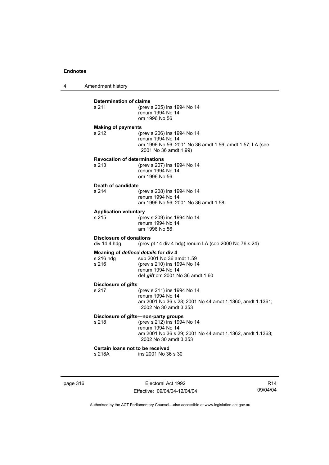4 Amendment history

| s 211                                          | (prev s 205) ins 1994 No 14<br>renum 1994 No 14<br>om 1996 No 56                                                                    |
|------------------------------------------------|-------------------------------------------------------------------------------------------------------------------------------------|
| <b>Making of payments</b>                      |                                                                                                                                     |
| s 212                                          | (prev s 206) ins 1994 No 14<br>renum 1994 No 14<br>am 1996 No 56; 2001 No 36 amdt 1.56, amdt 1.57; LA (see<br>2001 No 36 amdt 1.99) |
|                                                | <b>Revocation of determinations</b>                                                                                                 |
| s 213                                          | (prev s 207) ins 1994 No 14<br>renum 1994 No 14<br>om 1996 No 56                                                                    |
| Death of candidate                             |                                                                                                                                     |
| s <sub>214</sub>                               | (prev s 208) ins 1994 No 14<br>renum 1994 No 14<br>am 1996 No 56; 2001 No 36 amdt 1.58                                              |
| <b>Application voluntary</b>                   |                                                                                                                                     |
| s 215                                          | (prev s 209) ins 1994 No 14<br>renum 1994 No 14<br>am 1996 No 56                                                                    |
| <b>Disclosure of donations</b><br>div 14.4 hdg | (prev pt 14 div 4 hdg) renum LA (see 2000 No 76 s 24)                                                                               |
|                                                | Meaning of defined details for div 4                                                                                                |
| s 216 hdg                                      | sub 2001 No 36 amdt 1.59                                                                                                            |
| s 216                                          | (prev s 210) ins 1994 No 14<br>renum 1994 No 14                                                                                     |
|                                                | def gift om 2001 No 36 amdt 1.60                                                                                                    |
| Disclosure of gifts                            |                                                                                                                                     |
| s 217                                          | (prev s 211) ins 1994 No 14<br>renum 1994 No 14                                                                                     |
|                                                | am 2001 No 36 s 28; 2001 No 44 amdt 1.1360, amdt 1.1361;<br>2002 No 30 amdt 3.353                                                   |
|                                                | Disclosure of gifts-non-party groups                                                                                                |
| s 218                                          | (prev s 212) ins 1994 No 14                                                                                                         |
|                                                | renum 1994 No 14<br>am 2001 No 36 s 29; 2001 No 44 amdt 1.1362, amdt 1.1363;<br>2002 No 30 amdt 3.353                               |
|                                                | Certain loans not to be received                                                                                                    |
| s 218A                                         | ins 2001 No 36 s 30                                                                                                                 |

page 316 Electoral Act 1992 Effective: 09/04/04-12/04/04

R14 09/04/04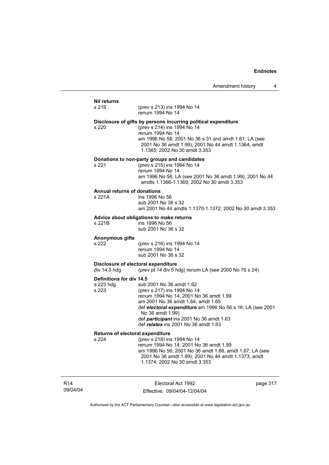#### **Nil returns** s 219 (prev s 213) ins 1994 No 14 renum 1994 No 14 **Disclosure of gifts by persons incurring political expenditure** s 220 (prev s 214) ins 1994 No 14 renum 1994 No 14 am 1996 No 56; 2001 No 36 s 31 and amdt 1.61; LA (see 2001 No 36 amdt 1.99); 2001 No 44 amdt 1.1364, amdt 1.1365; 2002 No 30 amdt 3.353 **Donations to non-party groups and candidates** s 221 (prev s 215) ins 1994 No 14 renum 1994 No 14 am 1996 No 56; LA (see 2001 No 36 amdt 1.99); 2001 No 44 amdts 1.1366-1.1369; 2002 No 30 amdt 3.353 **Annual returns of donations** ins 1996 No 56 sub 2001 No 36 s 32 am 2001 No 44 amdts 1.1370-1.1372; 2002 No 30 amdt 3.353 **Advice about obligations to make returns** s 221B ins 1996 No 56 sub 2001 No 36 s 32 **Anonymous gifts** s 222 (prev s 216) ins 1994 No 14 renum 1994 No 14 sub 2001 No 36 s 32 **Disclosure of electoral expenditure**<br>div 14.5 hdq (prev pt 14 div 5 h (prev pt 14 div 5 hdg) renum LA (see 2000 No 76 s 24) **Definitions for div 14.5** s 223 hdg sub 2001 No 36 amdt 1.62<br>s 223 (prev s 217) ins 1994 No 14 (prev s 217) ins 1994 No 14 renum 1994 No 14; 2001 No 36 amdt 1.99 am 2001 No 36 amdt 1.64, amdt 1.65 def *electoral expenditure* am 1996 No 56 s 16; LA (see 2001 No 36 amdt 1.99) def *participant* ins 2001 No 36 amdt 1.63 def *relates* ins 2001 No 36 amdt 1.63 **Returns of electoral expenditure** s 224 (prev s 218) ins 1994 No 14 renum 1994 No 14; 2001 No 36 amdt 1.99 am 1996 No 56; 2001 No 36 amdt 1.66, amdt 1.67; LA (see 2001 No 36 amdt 1.99); 2001 No 44 amdt 1.1373, amdt

R14 09/04/04

Electoral Act 1992 Effective: 09/04/04-12/04/04

1.1374; 2002 No 30 amdt 3.353

page 317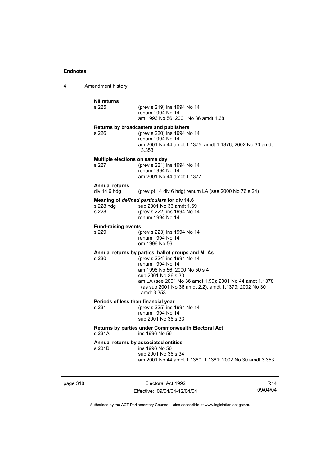4 Amendment history

| <b>Nil returns</b><br>s 225                  | (prev s 219) ins 1994 No 14<br>renum 1994 No 14<br>am 1996 No 56: 2001 No 36 amdt 1.68                                                                                                                                                                                                          |
|----------------------------------------------|-------------------------------------------------------------------------------------------------------------------------------------------------------------------------------------------------------------------------------------------------------------------------------------------------|
| s 226                                        | Returns by broadcasters and publishers<br>(prev s 220) ins 1994 No 14<br>renum 1994 No 14<br>am 2001 No 44 amdt 1.1375, amdt 1.1376; 2002 No 30 amdt<br>3.353                                                                                                                                   |
| Multiple elections on same day<br>s 227      | (prev s 221) ins 1994 No 14<br>renum 1994 No 14<br>am 2001 No 44 amdt 1.1377                                                                                                                                                                                                                    |
| <b>Annual returns</b><br>div 14.6 hdg        | (prev pt 14 div 6 hdg) renum LA (see 2000 No 76 s 24)                                                                                                                                                                                                                                           |
| s 228 hdg<br>s 228                           | Meaning of defined particulars for div 14.6<br>sub 2001 No 36 amdt 1.69<br>(prev s 222) ins 1994 No 14<br>renum 1994 No 14                                                                                                                                                                      |
| <b>Fund-raising events</b><br>s 229          | (prev s 223) ins 1994 No 14<br>renum 1994 No 14<br>om 1996 No 56                                                                                                                                                                                                                                |
| s 230                                        | Annual returns by parties, ballot groups and MLAs<br>(prev s 224) ins 1994 No 14<br>renum 1994 No 14<br>am 1996 No 56; 2000 No 50 s 4<br>sub 2001 No 36 s 33<br>am LA (see 2001 No 36 amdt 1.99); 2001 No 44 amdt 1.1378<br>(as sub 2001 No 36 amdt 2.2), amdt 1.1379; 2002 No 30<br>amdt 3.353 |
| Periods of less than financial year<br>s 231 | (prev s 225) ins 1994 No 14<br>renum 1994 No 14<br>sub 2001 No 36 s 33                                                                                                                                                                                                                          |
| s 231A                                       | Returns by parties under Commonwealth Electoral Act<br>ins 1996 No 56                                                                                                                                                                                                                           |
| s 231B                                       | Annual returns by associated entities<br>ins 1996 No 56<br>sub 2001 No 36 s 34<br>am 2001 No 44 amdt 1.1380, 1.1381; 2002 No 30 amdt 3.353                                                                                                                                                      |

page 318 Electoral Act 1992 Effective: 09/04/04-12/04/04

R14 09/04/04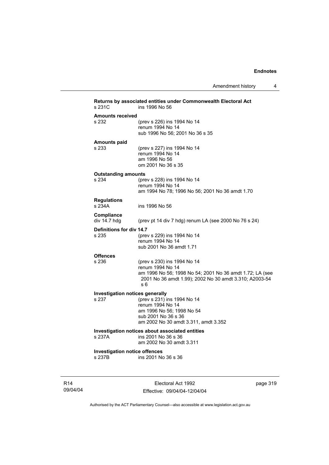Amendment history 4

| Returns by associated entities under Commonwealth Electoral Act<br>s 231C<br>ins 1996 No 56 |                                                          |  |  |
|---------------------------------------------------------------------------------------------|----------------------------------------------------------|--|--|
| <b>Amounts received</b>                                                                     |                                                          |  |  |
| s 232                                                                                       | (prev s 226) ins 1994 No 14                              |  |  |
|                                                                                             | renum 1994 No 14                                         |  |  |
|                                                                                             | sub 1996 No 56; 2001 No 36 s 35                          |  |  |
|                                                                                             |                                                          |  |  |
| <b>Amounts paid</b><br>s 233                                                                | (prev s 227) ins 1994 No 14                              |  |  |
|                                                                                             | renum 1994 No 14                                         |  |  |
|                                                                                             | am 1996 No 56                                            |  |  |
|                                                                                             | om 2001 No 36 s 35                                       |  |  |
| <b>Outstanding amounts</b>                                                                  |                                                          |  |  |
| s 234                                                                                       | (prev s 228) ins 1994 No 14                              |  |  |
|                                                                                             | renum 1994 No 14                                         |  |  |
|                                                                                             | am 1994 No 78; 1996 No 56; 2001 No 36 amdt 1.70          |  |  |
| <b>Regulations</b>                                                                          |                                                          |  |  |
| s 234A                                                                                      | ins 1996 No 56                                           |  |  |
|                                                                                             |                                                          |  |  |
| Compliance                                                                                  |                                                          |  |  |
| div 14.7 hdg                                                                                | (prev pt 14 div 7 hdg) renum LA (see 2000 No 76 s 24)    |  |  |
| Definitions for div 14.7                                                                    |                                                          |  |  |
| s 235                                                                                       | (prev s 229) ins 1994 No 14                              |  |  |
|                                                                                             | renum 1994 No 14                                         |  |  |
|                                                                                             | sub 2001 No 36 amdt 1.71                                 |  |  |
| <b>Offences</b>                                                                             |                                                          |  |  |
| s 236                                                                                       | (prev s 230) ins 1994 No 14                              |  |  |
|                                                                                             | renum 1994 No 14                                         |  |  |
|                                                                                             | am 1996 No 56; 1998 No 54; 2001 No 36 amdt 1.72; LA (see |  |  |
|                                                                                             | 2001 No 36 amdt 1.99); 2002 No 30 amdt 3.310; A2003-54   |  |  |
|                                                                                             | s 6                                                      |  |  |
| <b>Investigation notices generally</b>                                                      |                                                          |  |  |
| s 237                                                                                       | (prev s 231) ins 1994 No 14                              |  |  |
|                                                                                             | renum 1994 No 14                                         |  |  |
|                                                                                             | am 1996 No 56; 1998 No 54                                |  |  |
|                                                                                             | sub 2001 No 36 s 36                                      |  |  |
|                                                                                             | am 2002 No 30 amdt 3.311, amdt 3.352                     |  |  |
|                                                                                             | Investigation notices about associated entities          |  |  |
| s 237A                                                                                      | ins 2001 No 36 s 36                                      |  |  |
|                                                                                             | am 2002 No 30 amdt 3.311                                 |  |  |
| <b>Investigation notice offences</b>                                                        |                                                          |  |  |
| s 237B                                                                                      | ins 2001 No 36 s 36                                      |  |  |
|                                                                                             |                                                          |  |  |
|                                                                                             |                                                          |  |  |

R14 09/04/04

Electoral Act 1992 Effective: 09/04/04-12/04/04 page 319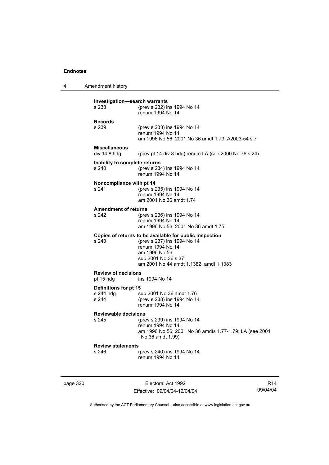4 Amendment history

| Investigation—search warrants<br>s 238                    | (prev s 232) ins 1994 No 14<br>renum 1994 No 14                                                                                                                                              |  |
|-----------------------------------------------------------|----------------------------------------------------------------------------------------------------------------------------------------------------------------------------------------------|--|
| <b>Records</b><br>s 239                                   | (prev s 233) ins 1994 No 14<br>renum 1994 No 14<br>am 1996 No 56; 2001 No 36 amdt 1.73; A2003-54 s 7                                                                                         |  |
| <b>Miscellaneous</b><br>div 14.8 hdg                      | (prev pt 14 div 8 hdg) renum LA (see 2000 No 76 s 24)                                                                                                                                        |  |
| Inability to complete returns<br>s 240                    | (prev s 234) ins 1994 No 14<br>renum 1994 No 14                                                                                                                                              |  |
| Noncompliance with pt 14<br>s 241                         | (prev s 235) ins 1994 No 14<br>renum 1994 No 14<br>am 2001 No 36 amdt 1.74                                                                                                                   |  |
| <b>Amendment of returns</b><br>s 242                      | (prev s 236) ins 1994 No 14<br>renum 1994 No 14<br>am 1996 No 56; 2001 No 36 amdt 1.75                                                                                                       |  |
| s 243                                                     | Copies of returns to be available for public inspection<br>(prev s 237) ins 1994 No 14<br>renum 1994 No 14<br>am 1996 No 56<br>sub 2001 No 36 s 37<br>am 2001 No 44 amdt 1.1382, amdt 1.1383 |  |
| <b>Review of decisions</b><br>ins 1994 No 14<br>pt 15 hdg |                                                                                                                                                                                              |  |
| Definitions for pt 15<br>s 244 hdg<br>s 244               | sub 2001 No 36 amdt 1.76<br>(prev s 238) ins 1994 No 14<br>renum 1994 No 14                                                                                                                  |  |
| <b>Reviewable decisions</b><br>s 245                      | (prev s 239) ins 1994 No 14<br>renum 1994 No 14<br>am 1996 No 56; 2001 No 36 amdts 1.77-1.79; LA (see 2001<br>No 36 amdt 1.99)                                                               |  |
| <b>Review statements</b><br>s 246                         | (prev s 240) ins 1994 No 14<br>renum 1994 No 14                                                                                                                                              |  |

page 320 **Electoral Act 1992** Effective: 09/04/04-12/04/04

R14 09/04/04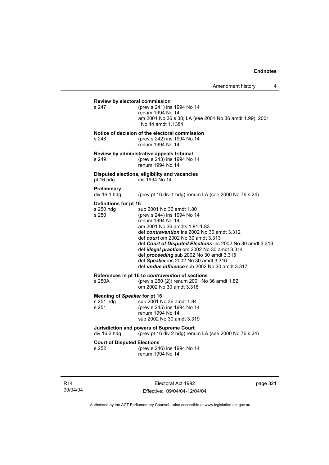## **Review by electoral commission**<br>s 247 (prev s 241) ins s 247 (prev s 241) ins 1994 No 14 renum 1994 No 14 am 2001 No 36 s 38; LA (see 2001 No 36 amdt 1.99); 2001 No 44 amdt 1.1384 **Notice of decision of the electoral commission** s 248 (prev s 242) ins 1994 No 14 renum 1994 No 14 **Review by administrative appeals tribunal** s 249 (prev s 243) ins 1994 No 14 renum 1994 No 14 **Disputed elections, eligibility and vacancies** pt 16 hdg ins 1994 No 14 **Preliminary**  (prev pt 16 div 1 hdg) renum LA (see 2000 No 76 s 24) **Definitions for pt 16**<br>s 250 hdg su s 250 hdg sub 2001 No 36 amdt 1.80<br>s 250 (prev s 244) ins 1994 No 14 (prev s 244) ins 1994 No 14 renum 1994 No 14 am 2001 No 36 amdts 1.81-1.83 def *contravention* ins 2002 No 30 amdt 3.312 def *court* om 2002 No 30 amdt 3.313 def *Court of Disputed Elections* ins 2002 No 30 amdt 3.313 def *illegal practice* om 2002 No 30 amdt 3.314 def *proceeding* sub 2002 No 30 amdt 3.315 def *Speaker* ins 2002 No 30 amdt 3.316 def *undue influence* sub 2002 No 30 amdt 3.317 **References in pt 16 to** *contravention* **of sections**<br>s 250A (orev s 250 (2)) renum 2001 No (prev s 250 (2)) renum 2001 No 36 amdt 1.82 om 2002 No 30 amdt 3.318 **Meaning of** *Speaker* **for pt 16** s 251 hdg sub 2001 No 36 amdt 1.84<br>s 251 (prev s 245) ins 1994 No 14 (prev s 245) ins 1994 No 14 renum 1994 No 14 sub 2002 No 30 amdt 3.319 **Jurisdiction and powers of Supreme Court**  div 16.2 hdg (prev pt 16 div 2 hdg) renum LA (see 2000 No 76 s 24) **Court of Disputed Elections** s 252 (prev s 246) ins 1994 No 14 renum 1994 No 14

R14 09/04/04

Electoral Act 1992 Effective: 09/04/04-12/04/04 page 321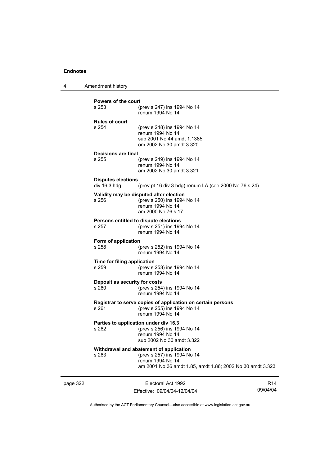4 Amendment history

| <b>Powers of the court</b>                |                                                                        |  |
|-------------------------------------------|------------------------------------------------------------------------|--|
| s 253                                     | (prev s 247) ins 1994 No 14<br>renum 1994 No 14                        |  |
| <b>Rules of court</b><br>s 254            | (prev s 248) ins 1994 No 14                                            |  |
|                                           | renum 1994 No 14                                                       |  |
|                                           | sub 2001 No 44 amdt 1.1385<br>om 2002 No 30 amdt 3.320                 |  |
| Decisions are final                       |                                                                        |  |
| s 255                                     | (prev s 249) ins 1994 No 14<br>renum 1994 No 14                        |  |
|                                           | am 2002 No 30 amdt 3.321                                               |  |
| <b>Disputes elections</b><br>div 16.3 hdg | (prev pt 16 div 3 hdg) renum LA (see 2000 No 76 s 24)                  |  |
|                                           |                                                                        |  |
| s 256                                     | Validity may be disputed after election<br>(prev s 250) ins 1994 No 14 |  |
|                                           | renum 1994 No 14<br>am 2000 No 76 s 17                                 |  |
|                                           | <b>Persons entitled to dispute elections</b>                           |  |
| s 257                                     | (prev s 251) ins 1994 No 14                                            |  |
|                                           | renum 1994 No 14                                                       |  |
| Form of application<br>s 258              | (prev s 252) ins 1994 No 14                                            |  |
|                                           | renum 1994 No 14                                                       |  |
| Time for filing application               |                                                                        |  |
| s 259                                     | (prev s 253) ins 1994 No 14<br>renum 1994 No 14                        |  |
| Deposit as security for costs             |                                                                        |  |
| s 260                                     | (prev s 254) ins 1994 No 14<br>renum 1994 No 14                        |  |
|                                           | Registrar to serve copies of application on certain persons            |  |
| s 261                                     | (prev s 255) ins 1994 No 14                                            |  |
|                                           | renum 1994 No 14                                                       |  |
| s 262                                     | Parties to application under div 16.3<br>(prev s 256) ins 1994 No 14   |  |
|                                           | renum 1994 No 14                                                       |  |
|                                           | sub 2002 No 30 amdt 3.322                                              |  |
| s 263                                     | Withdrawal and abatement of application<br>(prev s 257) ins 1994 No 14 |  |
|                                           | renum 1994 No 14                                                       |  |
|                                           | am 2001 No 36 amdt 1.85, amdt 1.86; 2002 No 30 amdt 3.323              |  |
|                                           |                                                                        |  |

page 322 **Electoral Act 1992** Effective: 09/04/04-12/04/04

R14 09/04/04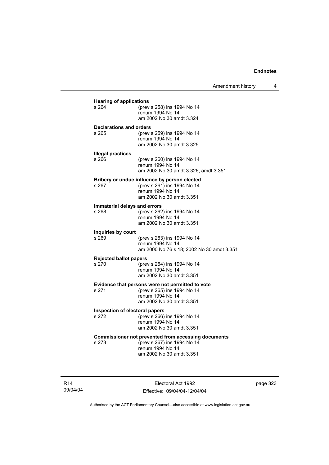| <b>Hearing of applications</b>          |                                                                                                                                           |  |  |
|-----------------------------------------|-------------------------------------------------------------------------------------------------------------------------------------------|--|--|
| s 264                                   | (prev s 258) ins 1994 No 14<br>renum 1994 No 14<br>am 2002 No 30 amdt 3.324                                                               |  |  |
| Declarations and orders<br>s 265        | (prev s 259) ins 1994 No 14<br>renum 1994 No 14                                                                                           |  |  |
| <b>Illegal practices</b><br>s 266       | am 2002 No 30 amdt 3.325<br>(prev s 260) ins 1994 No 14                                                                                   |  |  |
|                                         | renum 1994 No 14<br>am 2002 No 30 amdt 3.326, amdt 3.351                                                                                  |  |  |
| s 267                                   | Bribery or undue influence by person elected<br>(prev s 261) ins 1994 No 14<br>renum 1994 No 14<br>am 2002 No 30 amdt 3.351               |  |  |
| Immaterial delays and errors<br>s 268   | (prev s 262) ins 1994 No 14<br>renum 1994 No 14<br>am 2002 No 30 amdt 3.351                                                               |  |  |
| Inquiries by court<br>s 269             | (prev s 263) ins 1994 No 14<br>renum 1994 No 14<br>am 2000 No 76 s 18; 2002 No 30 amdt 3.351                                              |  |  |
| <b>Rejected ballot papers</b><br>s 270  | (prev s 264) ins 1994 No 14<br>renum 1994 No 14<br>am 2002 No 30 amdt 3.351                                                               |  |  |
| s 271                                   | Evidence that persons were not permitted to vote<br>(prev s 265) ins 1994 No 14<br>renum 1994 No 14<br>am 2002 No 30 amdt 3.351           |  |  |
| Inspection of electoral papers<br>s 272 | (prev s 266) ins 1994 No 14<br>renum 1994 No 14<br>am 2002 No 30 amdt 3.351                                                               |  |  |
| s 273                                   | <b>Commissioner not prevented from accessing documents</b><br>(prev s 267) ins 1994 No 14<br>renum 1994 No 14<br>am 2002 No 30 amdt 3.351 |  |  |

R14 09/04/04

Electoral Act 1992 Effective: 09/04/04-12/04/04 page 323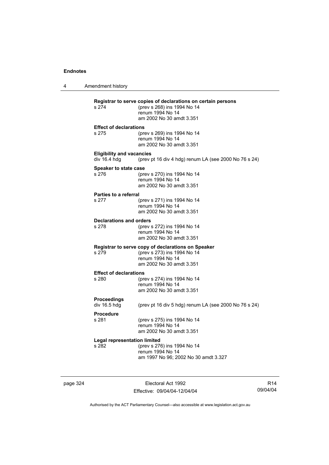4 Amendment history **Registrar to serve copies of declarations on certain persons** (prev s 268) ins 1994 No 14 renum 1994 No 14 am 2002 No 30 amdt 3.351 **Effect of declarations** s 275 (prev s 269) ins 1994 No 14 renum 1994 No 14 am 2002 No 30 amdt 3.351 **Eligibility and vacancies**  div 16.4 hdg (prev pt 16 div 4 hdg) renum LA (see 2000 No 76 s 24) **Speaker to state case** s 276 (prev s 270) ins 1994 No 14 renum 1994 No 14 am 2002 No 30 amdt 3.351 **Parties to a referral** s 277 (prev s 271) ins 1994 No 14 renum 1994 No 14 am 2002 No 30 amdt 3.351 **Declarations and orders**<br>s 278 (prev) s 278 (prev s 272) ins 1994 No 14 renum 1994 No 14 am 2002 No 30 amdt 3.351 **Registrar to serve copy of declarations on Speaker** s 279 (prev s 273) ins 1994 No 14 renum 1994 No 14 am 2002 No 30 amdt 3.351 **Effect of declarations** s 280 (prev s 274) ins 1994 No 14 renum 1994 No 14 am 2002 No 30 amdt 3.351 **Proceedings**  (prev pt 16 div 5 hdg) renum LA (see 2000 No 76 s 24) **Procedure** (prev s 275) ins 1994 No 14 renum 1994 No 14 am 2002 No 30 amdt 3.351 **Legal representation limited** s 282 (prev s 276) ins 1994 No 14 renum 1994 No 14 am 1997 No 96; 2002 No 30 amdt 3.327

page 324 Electoral Act 1992 Effective: 09/04/04-12/04/04

R14 09/04/04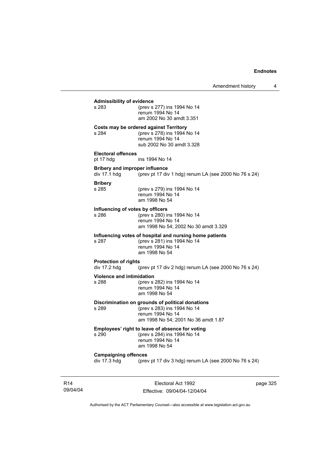## **Admissibility of evidence** (prev s 277) ins 1994 No 14 renum 1994 No 14 am 2002 No 30 amdt 3.351 **Costs may be ordered against Territory** s 284 (prev s 278) ins 1994 No 14 renum 1994 No 14 sub 2002 No 30 amdt 3.328 **Electoral offences** pt 17 hdg ins 1994 No 14 **Bribery and improper influence**<br>div 17.1 hdg (prev pt 17 div (prev pt 17 div 1 hdg) renum LA (see 2000 No 76 s 24) **Bribery** s 285 (prev s 279) ins 1994 No 14 renum 1994 No 14 am 1998 No 54 **Influencing of votes by officers** s 286 (prev s 280) ins 1994 No 14 renum 1994 No 14 am 1998 No 54; 2002 No 30 amdt 3.329 **Influencing votes of hospital and nursing home patients** s 287 (prev s 281) ins 1994 No 14 renum 1994 No 14 am 1998 No 54 **Protection of rights**  div 17.2 hdg (prev pt 17 div 2 hdg) renum LA (see 2000 No 76 s 24) **Violence and intimidation**<br>s 288 (prev s) (prev s 282) ins 1994 No 14 renum 1994 No 14 am 1998 No 54 **Discrimination on grounds of political donations** s 289 (prev s 283) ins 1994 No 14 renum 1994 No 14 am 1998 No 54; 2001 No 36 amdt 1.87 **Employees' right to leave of absence for voting** s 290 (prev s 284) ins 1994 No 14 renum 1994 No 14 am 1998 No 54 **Campaigning offences**  div 17.3 hdg (prev pt 17 div 3 hdg) renum LA (see 2000 No 76 s 24)

R14 09/04/04

Electoral Act 1992 Effective: 09/04/04-12/04/04 page 325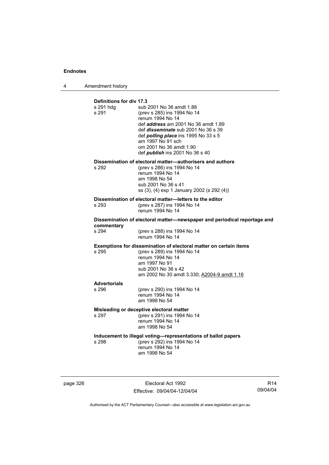4 Amendment history

| Definitions for div 17.3                                                 |                                                                                                                                                                                                                                                                                                                  |  |
|--------------------------------------------------------------------------|------------------------------------------------------------------------------------------------------------------------------------------------------------------------------------------------------------------------------------------------------------------------------------------------------------------|--|
| s 291 hdg<br>s 291                                                       | sub 2001 No 36 amdt 1.88<br>(prev s 285) ins 1994 No 14<br>renum 1994 No 14<br>def <i>address</i> am 2001 No 36 amdt 1.89<br>def <i>disseminate</i> sub 2001 No 36 s 39<br>def <i>polling place</i> ins 1995 No 33 s 5<br>am 1997 No 91 sch<br>om 2001 No 36 amdt 1.90<br>def <i>publish</i> ins 2001 No 36 s 40 |  |
| s 292                                                                    | Dissemination of electoral matter-authorisers and authors<br>(prev s 286) ins 1994 No 14<br>renum 1994 No 14<br>am 1998 No 54<br>sub 2001 No 36 s 41<br>ss (3), (4) exp 1 January 2002 (s 292 (4))                                                                                                               |  |
| s 293                                                                    | Dissemination of electoral matter-letters to the editor<br>(prev s 287) ins 1994 No 14<br>renum 1994 No 14                                                                                                                                                                                                       |  |
| Dissemination of electoral matter-newspaper and periodical reportage and |                                                                                                                                                                                                                                                                                                                  |  |
| commentary<br>s 294                                                      | (prev s 288) ins 1994 No 14<br>renum 1994 No 14                                                                                                                                                                                                                                                                  |  |
| s 295                                                                    | <b>Exemptions for dissemination of electoral matter on certain items</b><br>(prev s 289) ins 1994 No 14<br>renum 1994 No 14<br>am 1997 No 91<br>sub 2001 No 36 s 42<br>am 2002 No 30 amdt 3.330; A2004-9 amdt 1.16                                                                                               |  |
| <b>Advertorials</b><br>$s$ 296                                           | (prev s 290) ins 1994 No 14<br>renum 1994 No 14<br>am 1998 No 54                                                                                                                                                                                                                                                 |  |
| s 297                                                                    | Misleading or deceptive electoral matter<br>(prev s 291) ins 1994 No 14<br>renum 1994 No 14<br>am 1998 No 54                                                                                                                                                                                                     |  |
| s 298                                                                    | Inducement to illegal voting-representations of ballot papers<br>(prev s 292) ins 1994 No 14<br>renum 1994 No 14<br>am 1998 No 54                                                                                                                                                                                |  |

page 326 Electoral Act 1992 Effective: 09/04/04-12/04/04

R14 09/04/04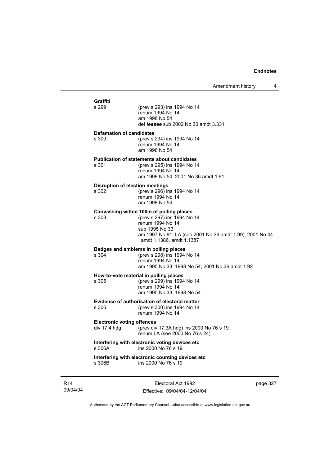| <b>Graffiti</b><br>s 299                          | (prev s 293) ins 1994 No 14<br>renum 1994 No 14<br>am 1998 No 54<br>def <i>lessee</i> sub 2002 No 30 amdt 3.331                                                                                       |
|---------------------------------------------------|-------------------------------------------------------------------------------------------------------------------------------------------------------------------------------------------------------|
| <b>Defamation of candidates</b><br>s 300          | (prev s 294) ins 1994 No 14<br>renum 1994 No 14<br>am 1998 No 54                                                                                                                                      |
| s 301                                             | <b>Publication of statements about candidates</b><br>(prev s 295) ins 1994 No 14<br>renum 1994 No 14<br>am 1998 No 54; 2001 No 36 amdt 1.91                                                           |
| <b>Disruption of election meetings</b><br>s 302   | (prev s 296) ins 1994 No 14<br>renum 1994 No 14<br>am 1998 No 54                                                                                                                                      |
| s 303                                             | Canvassing within 100m of polling places<br>(prev s 297) ins 1994 No 14<br>renum 1994 No 14<br>sub 1995 No 33<br>am 1997 No 91; LA (see 2001 No 36 amdt 1.99); 2001 No 44<br>amdt 1.1386, amdt 1.1387 |
| s 304                                             | Badges and emblems in polling places<br>(prev s 298) ins 1994 No 14<br>renum 1994 No 14<br>am 1995 No 33; 1998 No 54; 2001 No 36 amdt 1.92                                                            |
| s 305                                             | How-to-vote material in polling places<br>(prev s 299) ins 1994 No 14<br>renum 1994 No 14<br>am 1995 No 33; 1998 No 54                                                                                |
| s 306                                             | Evidence of authorisation of electoral matter<br>(prev s 300) ins 1994 No 14<br>renum 1994 No 14                                                                                                      |
| <b>Electronic voting offences</b><br>div 17.4 hdg | (prev div 17.3A hdg) ins 2000 No 76 s 19<br>renum LA (see 2000 No 76 s 24)                                                                                                                            |
| s 306A                                            | Interfering with electronic voting devices etc<br>ins 2000 No 76 s 19                                                                                                                                 |
| s 306B                                            | Interfering with electronic counting devices etc.<br>ins 2000 No 76 s 19                                                                                                                              |

R14 09/04/04

Electoral Act 1992 Effective: 09/04/04-12/04/04 page 327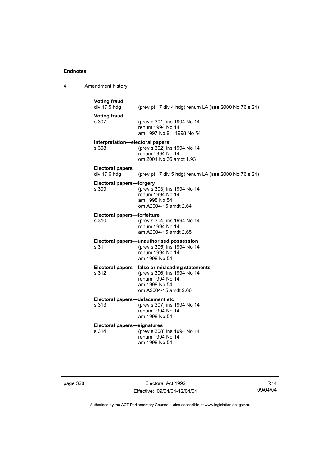4 Amendment history

| <b>Voting fraud</b><br>div 17.5 hdg         | (prev pt 17 div 4 hdg) renum LA (see 2000 No 76 s 24)                                                                                        |
|---------------------------------------------|----------------------------------------------------------------------------------------------------------------------------------------------|
| <b>Voting fraud</b><br>s 307                | (prev s 301) ins 1994 No 14<br>renum 1994 No 14<br>am 1997 No 91; 1998 No 54                                                                 |
| Interpretation-electoral papers<br>s.308    | (prev s 302) ins 1994 No 14<br>renum 1994 No 14<br>om 2001 No 36 amdt 1.93                                                                   |
| <b>Electoral papers</b><br>div 17.6 hdg     | (prev pt 17 div 5 hdg) renum LA (see 2000 No 76 s 24)                                                                                        |
| <b>Electoral papers-forgery</b><br>s 309    | (prev s 303) ins 1994 No 14<br>renum 1994 No 14<br>am 1998 No 54<br>om A2004-15 amdt 2.64                                                    |
| Electoral papers-forfeiture<br>s 310        | (prev s 304) ins 1994 No 14<br>renum 1994 No 14<br>am A2004-15 amdt 2.65                                                                     |
| s 311                                       | Electoral papers-unauthorised possession<br>(prev s 305) ins 1994 No 14<br>renum 1994 No 14<br>am 1998 No 54                                 |
| s 312                                       | Electoral papers-false or misleading statements<br>(prev s 306) ins 1994 No 14<br>renum 1994 No 14<br>am 1998 No 54<br>om A2004-15 amdt 2.66 |
| Electoral papers-defacement etc<br>s 313    | (prev s 307) ins 1994 No 14<br>renum 1994 No 14<br>am 1998 No 54                                                                             |
| <b>Electoral papers-signatures</b><br>s 314 | (prev s 308) ins 1994 No 14<br>renum 1994 No 14<br>am 1998 No 54                                                                             |

page 328 Electoral Act 1992 Effective: 09/04/04-12/04/04

R14 09/04/04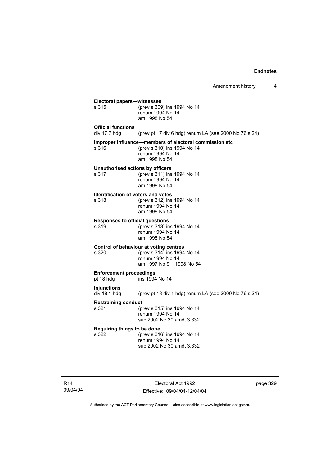|                                             | Amendment history                                                                                                          | 4 |
|---------------------------------------------|----------------------------------------------------------------------------------------------------------------------------|---|
| Electoral papers—witnesses<br>s 315         | (prev s 309) ins 1994 No 14                                                                                                |   |
|                                             | renum 1994 No 14<br>am 1998 No 54                                                                                          |   |
| <b>Official functions</b><br>div 17.7 hdg   | (prev pt 17 div 6 hdg) renum LA (see 2000 No 76 s 24)                                                                      |   |
| s 316                                       | Improper influence—members of electoral commission etc<br>(prev s 310) ins 1994 No 14<br>renum 1994 No 14<br>am 1998 No 54 |   |
| s 317                                       | Unauthorised actions by officers<br>(prev s 311) ins 1994 No 14<br>renum 1994 No 14<br>am 1998 No 54                       |   |
| s 318                                       | Identification of voters and votes<br>(prev s 312) ins 1994 No 14<br>renum 1994 No 14<br>am 1998 No 54                     |   |
| Responses to official questions<br>s 319    | (prev s 313) ins 1994 No 14<br>renum 1994 No 14<br>am 1998 No 54                                                           |   |
| s 320                                       | Control of behaviour at voting centres<br>(prev s 314) ins 1994 No 14<br>renum 1994 No 14<br>am 1997 No 91; 1998 No 54     |   |
| <b>Enforcement proceedings</b><br>pt 18 hdg | ins 1994 No 14                                                                                                             |   |
| Injunctions<br>div 18.1 hdg                 | (prev pt 18 div 1 hdg) renum LA (see 2000 No 76 s 24)                                                                      |   |
| Restraining conduct<br>s 321                | (prev s 315) ins 1994 No 14<br>renum 1994 No 14<br>sub 2002 No 30 amdt 3.332                                               |   |
| Reguiring things to be done<br>s 322        | (prev s 316) ins 1994 No 14<br>renum 1994 No 14<br>sub 2002 No 30 amdt 3.332                                               |   |
|                                             |                                                                                                                            |   |
|                                             |                                                                                                                            |   |

R14 09/04/04

Electoral Act 1992 Effective: 09/04/04-12/04/04 page 329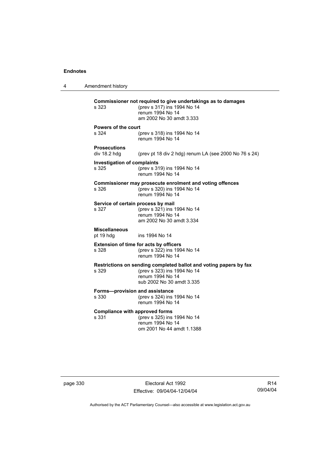4 Amendment history **Commissioner not required to give undertakings as to damages** s 323 (prev s 317) ins 1994 No 14 renum 1994 No 14 am 2002 No 30 amdt 3.333 **Powers of the court** s 324 (prev s 318) ins 1994 No 14 renum 1994 No 14 **Prosecutions**  (prev pt 18 div 2 hdg) renum LA (see 2000 No 76 s 24) **Investigation of complaints** s 325 (prev s 319) ins 1994 No 14 renum 1994 No 14 **Commissioner may prosecute enrolment and voting offences** s 326 (prev s 320) ins 1994 No 14 renum 1994 No 14 **Service of certain process by mail**<br>s 327 (prev s 321) ins 1  $(prev s 321)$  ins 1994 No 14 renum 1994 No 14 am 2002 No 30 amdt 3.334 **Miscellaneous** pt 19 hdg ins 1994 No 14 **Extension of time for acts by officers** s 328 (prev s 322) ins 1994 No 14 renum 1994 No 14 **Restrictions on sending completed ballot and voting papers by fax** s 329 (prev s 323) ins 1994 No 14 renum 1994 No 14 sub 2002 No 30 amdt 3.335 **Forms—provision and assistance** s 330 (prev s 324) ins 1994 No 14 renum 1994 No 14 **Compliance with approved forms**<br>s 331 (prev s 325) ins (prev s 325) ins 1994 No 14 renum 1994 No 14 om 2001 No 44 amdt 1.1388

page 330 **Electoral Act 1992** Effective: 09/04/04-12/04/04

R14 09/04/04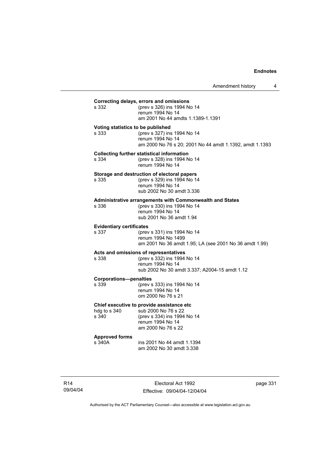| s 332                                    | Correcting delays, errors and omissions<br>(prev s 326) ins 1994 No 14<br>renum 1994 No 14<br>am 2001 No 44 amdts 1.1389-1.1391                 |
|------------------------------------------|-------------------------------------------------------------------------------------------------------------------------------------------------|
| s 333                                    | Voting statistics to be published<br>(prev s 327) ins 1994 No 14<br>renum 1994 No 14<br>am 2000 No 76 s 20; 2001 No 44 amdt 1.1392, amdt 1.1393 |
| s 334                                    | <b>Collecting further statistical information</b><br>(prev s 328) ins 1994 No 14<br>renum 1994 No 14                                            |
| s 335                                    | Storage and destruction of electoral papers<br>(prev s 329) ins 1994 No 14<br>renum 1994 No 14<br>sub 2002 No 30 amdt 3.336                     |
| s 336                                    | Administrative arrangements with Commonwealth and States<br>(prev s 330) ins 1994 No 14<br>renum 1994 No 14<br>sub 2001 No 36 amdt 1.94         |
| <b>Evidentiary certificates</b><br>s 337 | (prev s 331) ins 1994 No 14<br>renum 1994 No 1499<br>am 2001 No 36 amdt 1.95; LA (see 2001 No 36 amdt 1.99)                                     |
| s 338                                    | Acts and omissions of representatives<br>(prev s 332) ins 1994 No 14<br>renum 1994 No 14<br>sub 2002 No 30 amdt 3.337; A2004-15 amdt 1.12       |
| <b>Corporations-penalties</b><br>s 339   | (prev s 333) ins 1994 No 14<br>renum 1994 No 14<br>om 2000 No 76 s 21                                                                           |
| hdg to s 340<br>s 340                    | Chief executive to provide assistance etc<br>sub 2000 No 76 s 22<br>(prev s 334) ins 1994 No 14<br>renum 1994 No 14<br>am 2000 No 76 s 22       |
| <b>Approved forms</b><br>s 340A          | ins 2001 No 44 amdt 1.1394<br>am 2002 No 30 amdt 3.338                                                                                          |

R14 09/04/04

Electoral Act 1992 Effective: 09/04/04-12/04/04 page 331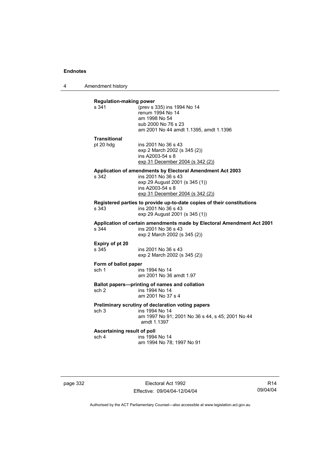4 Amendment history

| <b>Regulation-making power</b><br>s 341 | (prev s 335) ins 1994 No 14                                            |
|-----------------------------------------|------------------------------------------------------------------------|
|                                         | renum 1994 No 14                                                       |
|                                         | am 1998 No 54                                                          |
|                                         | sub 2000 No 76 s 23                                                    |
|                                         | am 2001 No 44 amdt 1.1395, amdt 1.1396                                 |
| <b>Transitional</b>                     |                                                                        |
| pt 20 hdg                               | ins 2001 No 36 s 43                                                    |
|                                         | exp 2 March 2002 (s 345 (2))                                           |
|                                         | ins A2003-54 s 8                                                       |
|                                         | exp 31 December 2004 (s 342 (2))                                       |
|                                         | Application of amendments by Electoral Amendment Act 2003              |
| s 342                                   | ins 2001 No 36 s 43                                                    |
|                                         | exp 29 August 2001 (s 345 (1))                                         |
|                                         | ins A2003-54 s 8<br>exp 31 December 2004 (s 342 (2))                   |
|                                         |                                                                        |
|                                         | Registered parties to provide up-to-date copies of their constitutions |
| s.343                                   | ins 2001 No 36 s 43                                                    |
|                                         | exp 29 August 2001 (s 345 (1))                                         |
|                                         | Application of certain amendments made by Electoral Amendment Act 2001 |
| s 344                                   | ins 2001 No 36 s 43                                                    |
|                                         | exp 2 March 2002 (s 345 (2))                                           |
| Expiry of pt 20                         |                                                                        |
| s 345                                   | ins 2001 No 36 s 43                                                    |
|                                         | exp 2 March 2002 (s 345 (2))                                           |
| Form of ballot paper                    |                                                                        |
| sch 1                                   | ins 1994 No 14                                                         |
|                                         | am 2001 No 36 amdt 1.97                                                |
|                                         | Ballot papers---printing of names and collation                        |
| sch 2                                   | ins 1994 No 14                                                         |
|                                         | am 2001 No 37 s 4                                                      |
|                                         |                                                                        |
|                                         |                                                                        |
| sch <sub>3</sub>                        | Preliminary scrutiny of declaration voting papers<br>ins 1994 No 14    |
|                                         | am 1997 No 91; 2001 No 36 s 44, s 45; 2001 No 44                       |
|                                         | amdt 1.1397                                                            |
|                                         |                                                                        |
| Ascertaining result of poll<br>sch 4    | ins 1994 No 14                                                         |

page 332 Electoral Act 1992 Effective: 09/04/04-12/04/04

R14 09/04/04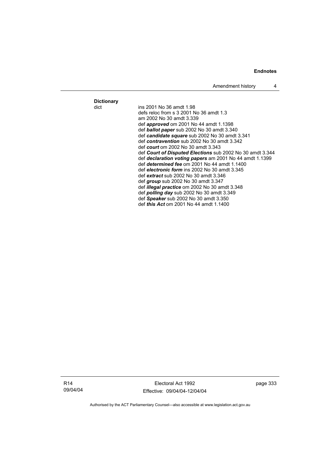Amendment history 4

**Dictionary**

ins 2001 No 36 amdt 1.98 defs reloc from s 3 2001 No 36 amdt 1.3 am 2002 No 30 amdt 3.339 def *approved* om 2001 No 44 amdt 1.1398 def *ballot paper* sub 2002 No 30 amdt 3.340 def *candidate square* sub 2002 No 30 amdt 3.341 def *contravention* sub 2002 No 30 amdt 3.342 def *court* om 2002 No 30 amdt 3.343 def *Court of Disputed Elections* sub 2002 No 30 amdt 3.344 def *declaration voting papers* am 2001 No 44 amdt 1.1399 def *determined fee* om 2001 No 44 amdt 1.1400 def *electronic form* ins 2002 No 30 amdt 3.345 def *extract* sub 2002 No 30 amdt 3.346 def *group* sub 2002 No 30 amdt 3.347 def *illegal practice* om 2002 No 30 amdt 3.348 def *polling day* sub 2002 No 30 amdt 3.349 def *Speaker* sub 2002 No 30 amdt 3.350 def *this Act* om 2001 No 44 amdt 1.1400

R14 09/04/04

Electoral Act 1992 Effective: 09/04/04-12/04/04 page 333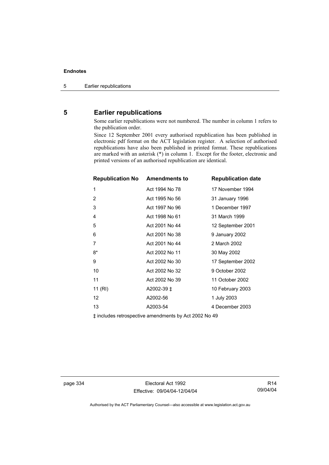## **5 Earlier republications**

Some earlier republications were not numbered. The number in column 1 refers to the publication order.

Since 12 September 2001 every authorised republication has been published in electronic pdf format on the ACT legislation register. A selection of authorised republications have also been published in printed format. These republications are marked with an asterisk (\*) in column 1. Except for the footer, electronic and printed versions of an authorised republication are identical.

| <b>Republication No Amendments to</b> |                                                                             | <b>Republication date</b> |
|---------------------------------------|-----------------------------------------------------------------------------|---------------------------|
| 1                                     | Act 1994 No 78                                                              | 17 November 1994          |
| 2                                     | Act 1995 No 56                                                              | 31 January 1996           |
| 3                                     | Act 1997 No 96                                                              | 1 December 1997           |
| 4                                     | Act 1998 No 61                                                              | 31 March 1999             |
| 5                                     | Act 2001 No 44                                                              | 12 September 2001         |
| 6                                     | Act 2001 No 38                                                              | 9 January 2002            |
| 7                                     | Act 2001 No 44                                                              | 2 March 2002              |
| $8*$                                  | Act 2002 No 11                                                              | 30 May 2002               |
| 9                                     | Act 2002 No 30                                                              | 17 September 2002         |
| 10                                    | Act 2002 No 32                                                              | 9 October 2002            |
| 11                                    | Act 2002 No 39                                                              | 11 October 2002           |
| 11 (RI)                               | A2002-39 ‡                                                                  | 10 February 2003          |
| 12 <sup>2</sup>                       | A2002-56                                                                    | 1 July 2003               |
| 13                                    | A2003-54                                                                    | 4 December 2003           |
|                                       | $\mathbf{1}$ , the state of second state $\mathbf{A}$ , it and $\mathbf{A}$ |                           |

‡ includes retrospective amendments by Act 2002 No 49

page 334 Electoral Act 1992 Effective: 09/04/04-12/04/04

R14 09/04/04